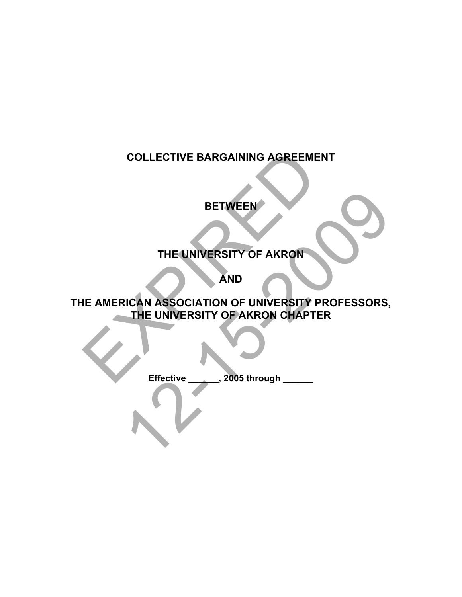# **COLLECTIVE BARGAINING AGREEMENT**

# **BETWEEN**

# **THE UNIVERSITY OF AKRON**

**AND** 

**THE AMERICAN ASSOCIATION OF UNIVERSITY PROFESSORS, THE UNIVERSITY OF AKRON CHAPTER**  EXPIRED BETWEEN<br>THE UNIVERSITY OF AKRON<br>AND<br>ICAN ASSOCIATION OF UNIVERSITY PROFESSORS,<br>THE UNIVERSITY OF AKRON CHAPTER<br>Effective 2005 through

**Effective \_\_\_\_\_\_, 2005 through \_\_\_\_\_\_**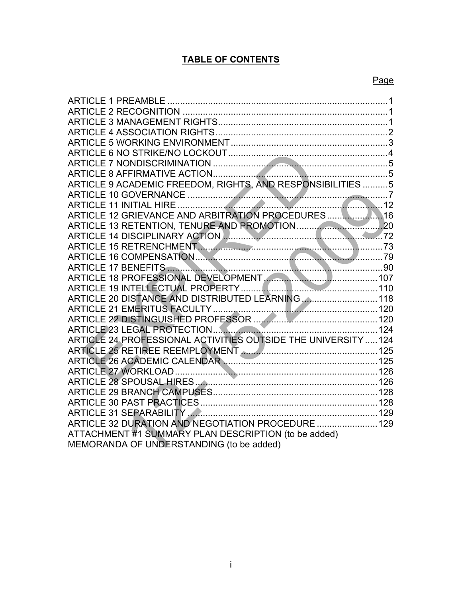# **TABLE OF CONTENTS**

| ARTICLE 1  PREAMBLE …………………………………………………………………………………1                                  |  |
|---------------------------------------------------------------------------------------|--|
|                                                                                       |  |
|                                                                                       |  |
|                                                                                       |  |
|                                                                                       |  |
|                                                                                       |  |
|                                                                                       |  |
|                                                                                       |  |
| ARTICLE 9 ACADEMIC FREEDOM, RIGHTS, AND RESPONSIBILITIES 5                            |  |
|                                                                                       |  |
|                                                                                       |  |
| ARTICLE 12 GRIEVANCE AND ARBITRATION PROCEDURES                                       |  |
|                                                                                       |  |
| ARTICLE 14 DISCIPLINARY ACTION <b>ACCEPT AND LARGE ARTICLE 14 DISCIPLINARY ACTION</b> |  |
|                                                                                       |  |
|                                                                                       |  |
|                                                                                       |  |
|                                                                                       |  |
|                                                                                       |  |
| ARTICLE 20 DISTANCE AND DISTRIBUTED LEARNING  118                                     |  |
|                                                                                       |  |
| ARTICLE 22 DISTINGUISHED PROFESSOR                                                    |  |
|                                                                                       |  |
| ARTICLE 24 PROFESSIONAL ACTIVITIES OUTSIDE THE UNIVERSITY  124                        |  |
|                                                                                       |  |
|                                                                                       |  |
|                                                                                       |  |
|                                                                                       |  |
|                                                                                       |  |
|                                                                                       |  |
|                                                                                       |  |
| ARTICLE 32 DURATION AND NEGOTIATION PROCEDURE  129                                    |  |
| ATTACHMENT #1 SUMMARY PLAN DESCRIPTION (to be added)                                  |  |
| MEMORANDA OF UNDERSTANDING (to be added)                                              |  |
|                                                                                       |  |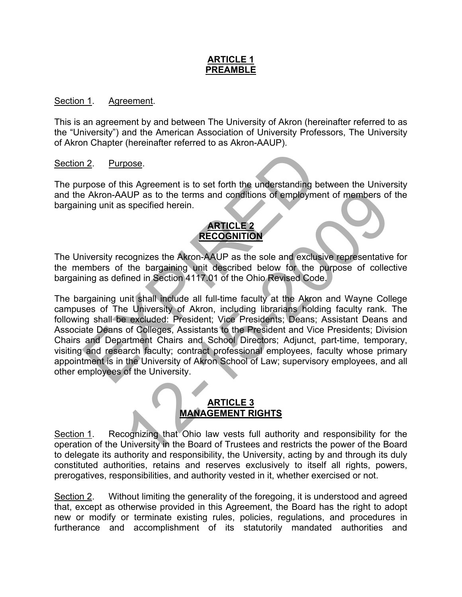## **ARTICLE 1 PREAMBLE**

#### Section 1. Agreement.

This is an agreement by and between The University of Akron (hereinafter referred to as the "University") and the American Association of University Professors, The University of Akron Chapter (hereinafter referred to as Akron-AAUP).

#### Section 2. Purpose.

The purpose of this Agreement is to set forth the understanding between the University and the Akron-AAUP as to the terms and conditions of employment of members of the bargaining unit as specified herein.

# **ARTICLE 2 RECOGNITION**

The University recognizes the Akron-AAUP as the sole and exclusive representative for the members of the bargaining unit described below for the purpose of collective bargaining as defined in Section 4117.01 of the Ohio Revised Code.

The bargaining unit shall include all full-time faculty at the Akron and Wayne College campuses of The University of Akron, including librarians holding faculty rank. The following shall be excluded: President; Vice Presidents; Deans; Assistant Deans and Associate Deans of Colleges, Assistants to the President and Vice Presidents; Division Chairs and Department Chairs and School Directors; Adjunct, part-time, temporary, visiting and research faculty; contract professional employees, faculty whose primary appointment is in the University of Akron School of Law; supervisory employees, and all other employees of the University. 12. Purpose.<br>
The Akron-AAUP as to the terms and conditions of employment<br>
The Akron-AAUP as to the terms and conditions of employment<br>
ing unit as specified herein.<br> **ARTICLE 2**<br> **RECOGNITION**<br>
inversity recognizes the Ak AUP as to the terms and conditions of employment of members of<br>specified herein.<br> **ARTICLE 2**<br> **RECOGNITION**<br>
cognizes the Akron-AAUP as the sole and exclusive representative<br>
the bargaining unit described below for the pu

# **ARTICLE 3 MANAGEMENT RIGHTS**

Section 1. Recognizing that Ohio law vests full authority and responsibility for the operation of the University in the Board of Trustees and restricts the power of the Board to delegate its authority and responsibility, the University, acting by and through its duly constituted authorities, retains and reserves exclusively to itself all rights, powers, prerogatives, responsibilities, and authority vested in it, whether exercised or not.

Section 2. Without limiting the generality of the foregoing, it is understood and agreed that, except as otherwise provided in this Agreement, the Board has the right to adopt new or modify or terminate existing rules, policies, regulations, and procedures in furtherance and accomplishment of its statutorily mandated authorities and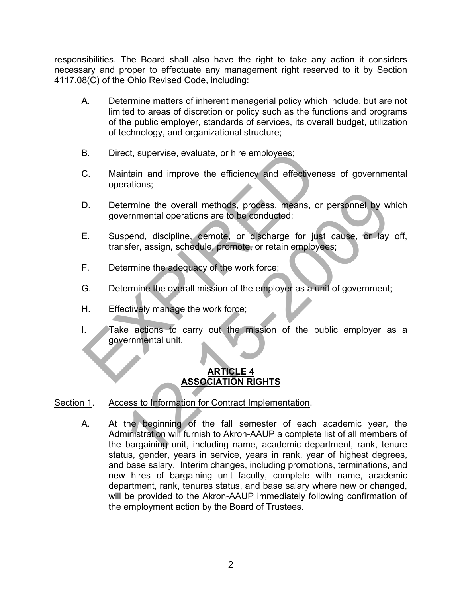responsibilities. The Board shall also have the right to take any action it considers necessary and proper to effectuate any management right reserved to it by Section 4117.08(C) of the Ohio Revised Code, including:

- A. Determine matters of inherent managerial policy which include, but are not limited to areas of discretion or policy such as the functions and programs of the public employer, standards of services, its overall budget, utilization of technology, and organizational structure;
- B. Direct, supervise, evaluate, or hire employees;
- C. Maintain and improve the efficiency and effectiveness of governmental operations;
- D. Determine the overall methods, process, means, or personnel by which governmental operations are to be conducted;
- E. Suspend, discipline, demote, or discharge for just cause, or lay off, transfer, assign, schedule, promote, or retain employees;
- F. Determine the adequacy of the work force;
- G. Determine the overall mission of the employer as a unit of government;
- H. Effectively manage the work force;
- I. Take actions to carry out the mission of the public employer as a governmental unit. B. Direct, supervise, evaluate, or hire employees;<br>
C. Maintain and improve the efficiency and effectiveness<br>
operations;<br>
D. Determine the overall methods, process, means, or p<br>
governmental operations are to be conducted

# **ARTICLE 4 ASSOCIATION RIGHTS**

## Section 1. Access to Information for Contract Implementation.

A. At the beginning of the fall semester of each academic year, the Administration will furnish to Akron-AAUP a complete list of all members of the bargaining unit, including name, academic department, rank, tenure status, gender, years in service, years in rank, year of highest degrees, and base salary. Interim changes, including promotions, terminations, and new hires of bargaining unit faculty, complete with name, academic department, rank, tenures status, and base salary where new or changed, will be provided to the Akron-AAUP immediately following confirmation of the employment action by the Board of Trustees. ermine the overall methods, process, means, or personnel by with<br>erminental operations are to be conducted;<br>spend, discipline, demote, or discharge for just cause, or lay<br>ster, assign, schedule, promote, or retain employee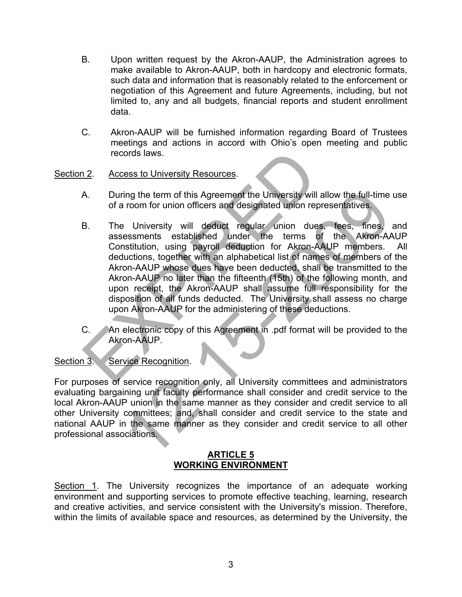- B. Upon written request by the Akron-AAUP, the Administration agrees to make available to Akron-AAUP, both in hardcopy and electronic formats, such data and information that is reasonably related to the enforcement or negotiation of this Agreement and future Agreements, including, but not limited to, any and all budgets, financial reports and student enrollment data.
- C. Akron-AAUP will be furnished information regarding Board of Trustees meetings and actions in accord with Ohio's open meeting and public records laws.

## Section 2. Access to University Resources.

- A. During the term of this Agreement the University will allow the full-time use of a room for union officers and designated union representatives.
- B. The University will deduct regular union dues, fees, fines, and assessments established under the terms of the Akron-AAUP Constitution, using payroll deduction for Akron-AAUP members. All deductions, together with an alphabetical list of names of members of the Akron-AAUP whose dues have been deducted, shall be transmitted to the Akron-AAUP no later than the fifteenth (15th) of the following month, and upon receipt, the Akron-AAUP shall assume full responsibility for the disposition of all funds deducted. The University shall assess no charge upon Akron-AAUP for the administering of these deductions. records laws.<br>
2. Access to University Resources.<br>
A. During the term of this Agreement the University will allow of a room for union officers and designated union repres<br>
B. The University will deduct regular union dues,<br> ing the term of this Agreement the University will allow the full-time<br>
12. University will deduct regular union dues, fees, fines,<br>
12. University will deduct regular union dues, fees, fines,<br>
12. University will deduct r
- C. An electronic copy of this Agreement in .pdf format will be provided to the Akron-AAUP.

## Section 3. Service Recognition.

For purposes of service recognition only, all University committees and administrators evaluating bargaining unit faculty performance shall consider and credit service to the local Akron-AAUP union in the same manner as they consider and credit service to all other University committees; and, shall consider and credit service to the state and national AAUP in the same manner as they consider and credit service to all other professional associations.

#### **ARTICLE 5 WORKING ENVIRONMENT**

Section 1. The University recognizes the importance of an adequate working environment and supporting services to promote effective teaching, learning, research and creative activities, and service consistent with the University's mission. Therefore, within the limits of available space and resources, as determined by the University, the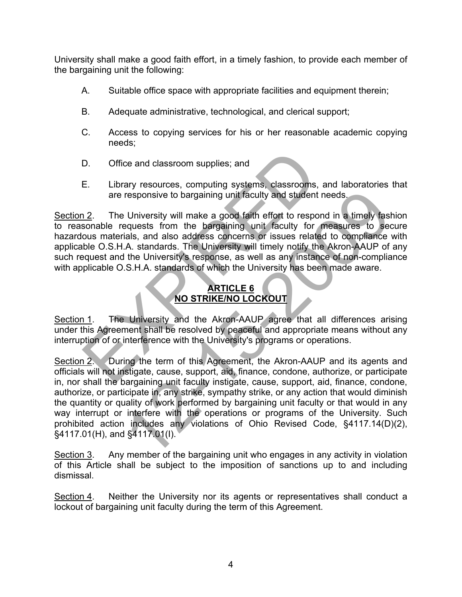University shall make a good faith effort, in a timely fashion, to provide each member of the bargaining unit the following:

- A. Suitable office space with appropriate facilities and equipment therein;
- B. Adequate administrative, technological, and clerical support;
- C. Access to copying services for his or her reasonable academic copying needs;
- D. Office and classroom supplies; and
- E. Library resources, computing systems, classrooms, and laboratories that are responsive to bargaining unit faculty and student needs.

Section 2. The University will make a good faith effort to respond in a timely fashion to reasonable requests from the bargaining unit faculty for measures to secure hazardous materials, and also address concerns or issues related to compliance with applicable O.S.H.A. standards. The University will timely notify the Akron-AAUP of any such request and the University's response, as well as any instance of non-compliance with applicable O.S.H.A. standards of which the University has been made aware. D. Office and classroom supplies; and<br>
E. Library resources, computing systems, classrooms, an<br>
are responsive to bargaining unit faculty and student nee<br>
12. The University will make a good faith effort to respond<br>
sonab

# **ARTICLE 6 NO STRIKE/NO LOCKOUT**

Section 1. The University and the Akron-AAUP agree that all differences arising under this Agreement shall be resolved by peaceful and appropriate means without any interruption of or interference with the University's programs or operations.

Section 2. During the term of this Agreement, the Akron-AAUP and its agents and officials will not instigate, cause, support, aid, finance, condone, authorize, or participate in, nor shall the bargaining unit faculty instigate, cause, support, aid, finance, condone, authorize, or participate in, any strike, sympathy strike, or any action that would diminish the quantity or quality of work performed by bargaining unit faculty or that would in any way interrupt or interfere with the operations or programs of the University. Such prohibited action includes any violations of Ohio Revised Code, §4117.14(D)(2), §4117.01(H), and §4117.01(I). responsive to bargaining unit faculty and student needs.<br>
1. University will make a good faith effort to respond in a timely fast<br>
equests from the bargaining unit faculty for measures to see<br>
tals, and also address concer

Section 3. Any member of the bargaining unit who engages in any activity in violation of this Article shall be subject to the imposition of sanctions up to and including dismissal.

Section 4. Neither the University nor its agents or representatives shall conduct a lockout of bargaining unit faculty during the term of this Agreement.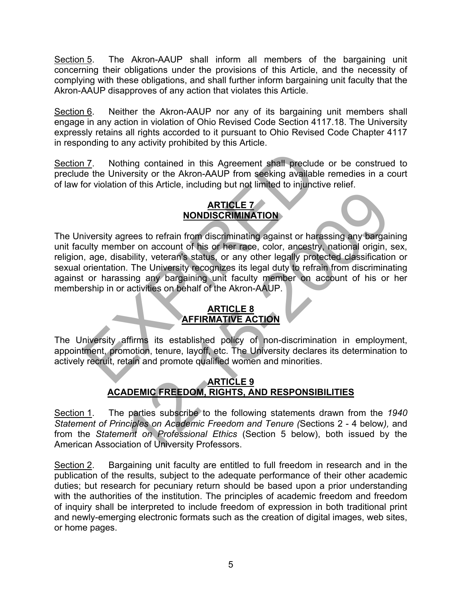Section 5. The Akron-AAUP shall inform all members of the bargaining unit concerning their obligations under the provisions of this Article, and the necessity of complying with these obligations, and shall further inform bargaining unit faculty that the Akron-AAUP disapproves of any action that violates this Article.

Section 6. Neither the Akron-AAUP nor any of its bargaining unit members shall engage in any action in violation of Ohio Revised Code Section 4117.18. The University expressly retains all rights accorded to it pursuant to Ohio Revised Code Chapter 4117 in responding to any activity prohibited by this Article.

Section 7. Nothing contained in this Agreement shall preclude or be construed to preclude the University or the Akron-AAUP from seeking available remedies in a court of law for violation of this Article, including but not limited to injunctive relief.

# **ARTICLE 7 NONDISCRIMINATION**

The University agrees to refrain from discriminating against or harassing any bargaining unit faculty member on account of his or her race, color, ancestry, national origin, sex, religion, age, disability, veteran's status, or any other legally protected classification or sexual orientation. The University recognizes its legal duty to refrain from discriminating against or harassing any bargaining unit faculty member on account of his or her membership in or activities on behalf of the Akron-AAUP. 17. Nothing contained in this Agreement shall preclude of the University or the Akron-AAUP from seeking available reform in the University of this Article, including but not limited to injunctive<br> **ARTICLE 7**<br> **MONDISCRIMI EXECTE 7**<br> **EXECTE TO MONDISCRIMINATION**<br>
STRIPLE TO ACCONDIBUTE THE TO A MONDISCRIMINATION<br>
DETERM STATES SETS A CONFIDENCIAL CONFIDENCIAL CONFIDENCIAL CONFIDENCIAL<br>
IT THE UNIVERSITY recognizes its legal duty to refram

# **ARTICLE 8 AFFIRMATIVE ACTION**

The University affirms its established policy of non-discrimination in employment, appointment, promotion, tenure, layoff, etc. The University declares its determination to actively recruit, retain and promote qualified women and minorities.

# **ARTICLE 9 ACADEMIC FREEDOM, RIGHTS, AND RESPONSIBILITIES**

Section 1. The parties subscribe to the following statements drawn from the *1940 Statement of Principles on Academic Freedom and Tenure (*Sections 2 - 4 below*),* and from the *Statement on Professional Ethics* (Section 5 below), both issued by the American Association of University Professors.

Section 2. Bargaining unit faculty are entitled to full freedom in research and in the publication of the results, subject to the adequate performance of their other academic duties; but research for pecuniary return should be based upon a prior understanding with the authorities of the institution. The principles of academic freedom and freedom of inquiry shall be interpreted to include freedom of expression in both traditional print and newly-emerging electronic formats such as the creation of digital images, web sites, or home pages.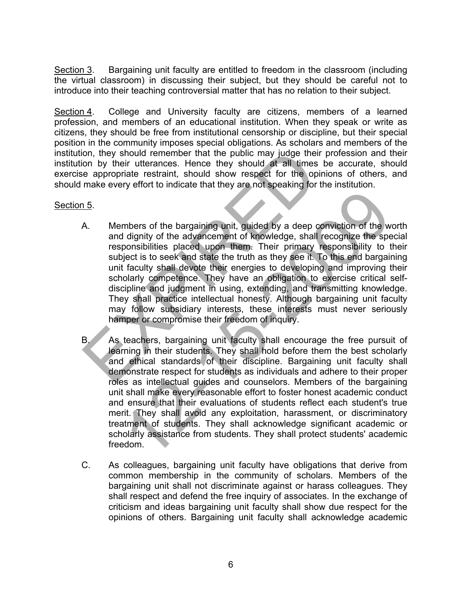Section 3. Bargaining unit faculty are entitled to freedom in the classroom (including the virtual classroom) in discussing their subject, but they should be careful not to introduce into their teaching controversial matter that has no relation to their subject.

Section 4. College and University faculty are citizens, members of a learned profession, and members of an educational institution. When they speak or write as citizens, they should be free from institutional censorship or discipline, but their special position in the community imposes special obligations. As scholars and members of the institution, they should remember that the public may judge their profession and their institution by their utterances. Hence they should at all times be accurate, should exercise appropriate restraint, should show respect for the opinions of others, and should make every effort to indicate that they are not speaking for the institution.

## Section 5.

- A. Members of the bargaining unit, guided by a deep conviction of the worth and dignity of the advancement of knowledge, shall recognize the special responsibilities placed upon them. Their primary responsibility to their subject is to seek and state the truth as they see it. To this end bargaining unit faculty shall devote their energies to developing and improving their scholarly competence. They have an obligation to exercise critical selfdiscipline and judgment in using, extending, and transmitting knowledge. They shall practice intellectual honesty. Although bargaining unit faculty may follow subsidiary interests, these interests must never seriously hamper or compromise their freedom of inquiry. on, they should remember that the public may judge their proposition by their utterances. Hence they should at all times be appropriate restraint, should show respect for the opinio make every effort to indicate that they
- B. As teachers, bargaining unit faculty shall encourage the free pursuit of learning in their students. They shall hold before them the best scholarly and ethical standards of their discipline. Bargaining unit faculty shall demonstrate respect for students as individuals and adhere to their proper roles as intellectual guides and counselors. Members of the bargaining unit shall make every reasonable effort to foster honest academic conduct and ensure that their evaluations of students reflect each student's true merit. They shall avoid any exploitation, harassment, or discriminatory treatment of students. They shall acknowledge significant academic or scholarly assistance from students. They shall protect students' academic freedom. mbers of the bargaining unit, guided by a deep conviction of the w<br>dignity of the advancement of knowledge, shall recognize the specionsibilities placed upon them. Their primary responsibility to the fact to seek and state
- C. As colleagues, bargaining unit faculty have obligations that derive from common membership in the community of scholars. Members of the bargaining unit shall not discriminate against or harass colleagues. They shall respect and defend the free inquiry of associates. In the exchange of criticism and ideas bargaining unit faculty shall show due respect for the opinions of others. Bargaining unit faculty shall acknowledge academic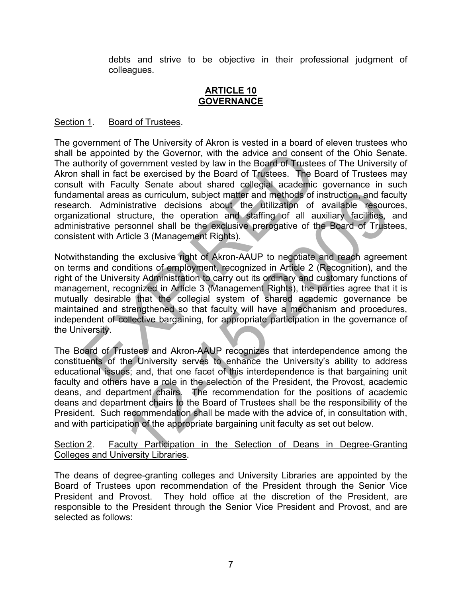debts and strive to be objective in their professional judgment of colleagues.

#### **ARTICLE 10 GOVERNANCE**

## Section 1. Board of Trustees.

The government of The University of Akron is vested in a board of eleven trustees who shall be appointed by the Governor, with the advice and consent of the Ohio Senate. The authority of government vested by law in the Board of Trustees of The University of Akron shall in fact be exercised by the Board of Trustees. The Board of Trustees may consult with Faculty Senate about shared collegial academic governance in such fundamental areas as curriculum, subject matter and methods of instruction, and faculty research. Administrative decisions about the utilization of available resources, organizational structure, the operation and staffing of all auxiliary facilities, and administrative personnel shall be the exclusive prerogative of the Board of Trustees, consistent with Article 3 (Management Rights). e appointed by the Governor, with the advice and consent of thority of government vested by law in the Board of Trustes of the Board of Trustes. The Board in fact be exercised by the Board of Trustes. The Board is institut

Notwithstanding the exclusive right of Akron-AAUP to negotiate and reach agreement on terms and conditions of employment, recognized in Article 2 (Recognition), and the right of the University Administration to carry out its ordinary and customary functions of management, recognized in Article 3 (Management Rights), the parties agree that it is mutually desirable that the collegial system of shared academic governance be maintained and strengthened so that faculty will have a mechanism and procedures, independent of collective bargaining, for appropriate participation in the governance of the University.

The Board of Trustees and Akron-AAUP recognizes that interdependence among the constituents of the University serves to enhance the University's ability to address educational issues; and, that one facet of this interdependence is that bargaining unit faculty and others have a role in the selection of the President, the Provost, academic deans, and department chairs. The recommendation for the positions of academic deans and department chairs to the Board of Trustees shall be the responsibility of the President. Such recommendation shall be made with the advice of, in consultation with, and with participation of the appropriate bargaining unit faculty as set out below. is as a curriculum, subject matter and methods of instruction, and factoristative decisions about the utilization of available resourch tructure, the operation and staffing of all auxiliary facilities, transments that be t

Section 2. Faculty Participation in the Selection of Deans in Degree-Granting Colleges and University Libraries.

The deans of degree-granting colleges and University Libraries are appointed by the Board of Trustees upon recommendation of the President through the Senior Vice President and Provost. They hold office at the discretion of the President, are responsible to the President through the Senior Vice President and Provost, and are selected as follows: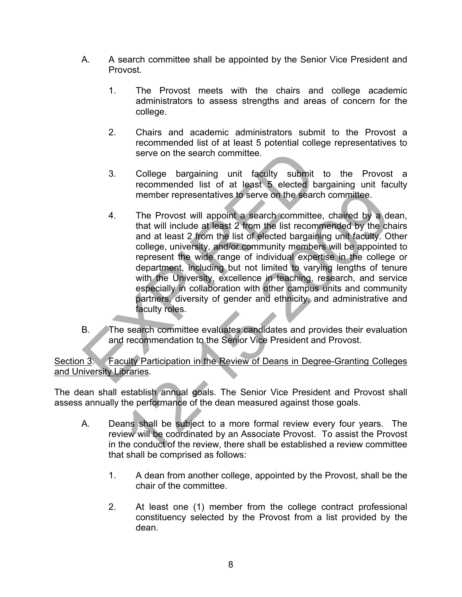- A. A search committee shall be appointed by the Senior Vice President and Provost.
	- 1. The Provost meets with the chairs and college academic administrators to assess strengths and areas of concern for the college.
	- 2. Chairs and academic administrators submit to the Provost a recommended list of at least 5 potential college representatives to serve on the search committee.
	- 3. College bargaining unit faculty submit to the Provost a recommended list of at least 5 elected bargaining unit faculty member representatives to serve on the search committee.
- 4. The Provost will appoint a search committee, chaired by a dean, that will include at least 2 from the list recommended by the chairs and at least 2 from the list of elected bargaining unit faculty. Other college, university, and/or community members will be appointed to represent the wide range of individual expertise in the college or department, including but not limited to varying lengths of tenure with the University, excellence in teaching, research, and service especially in collaboration with other campus units and community partners, diversity of gender and ethnicity, and administrative and faculty roles. Since the search committee.<br>
Since the search committee.<br>
Since the search commended list of at least 5 elected barger<br>
member representatives to serve on the search committee,<br>
that will include at least 2 from the list r member representatives to serve on the search committee.<br>
The Provost will appoint a search committee, chaired by a deta that will include at least 2 from the list recommended by the ch and at least 2 from the list of elec
- B. The search committee evaluates candidates and provides their evaluation and recommendation to the Senior Vice President and Provost.

Section 3. Faculty Participation in the Review of Deans in Degree-Granting Colleges and University Libraries.

The dean shall establish annual goals. The Senior Vice President and Provost shall assess annually the performance of the dean measured against those goals.

- A. Deans shall be subject to a more formal review every four years. The review will be coordinated by an Associate Provost. To assist the Provost in the conduct of the review, there shall be established a review committee that shall be comprised as follows:
	- 1. A dean from another college, appointed by the Provost, shall be the chair of the committee.
	- 2. At least one (1) member from the college contract professional constituency selected by the Provost from a list provided by the dean.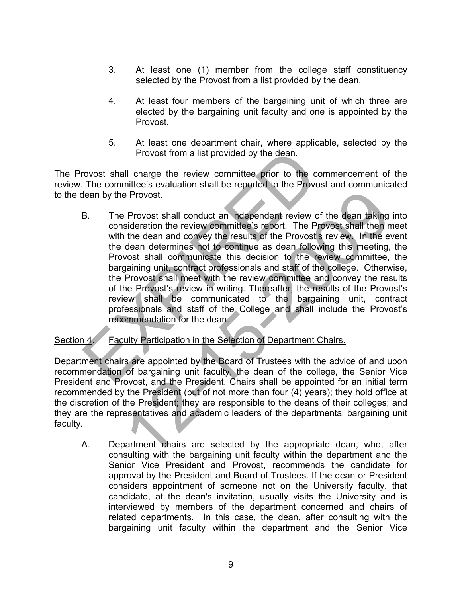- 3. At least one (1) member from the college staff constituency selected by the Provost from a list provided by the dean.
- 4. At least four members of the bargaining unit of which three are elected by the bargaining unit faculty and one is appointed by the Provost.
- 5. At least one department chair, where applicable, selected by the Provost from a list provided by the dean.

The Provost shall charge the review committee prior to the commencement of the review. The committee's evaluation shall be reported to the Provost and communicated to the dean by the Provost.

B. The Provost shall conduct an independent review of the dean taking into consideration the review committee's report. The Provost shall then meet with the dean and convey the results of the Provost's review. In the event the dean determines not to continue as dean following this meeting, the Provost shall communicate this decision to the review committee, the bargaining unit, contract professionals and staff of the college. Otherwise, the Provost shall meet with the review committee and convey the results of the Provost's review in writing. Thereafter, the results of the Provost's review shall be communicated to the bargaining unit, contract professionals and staff of the College and shall include the Provost's recommendation for the dean. Provost from a list provided by the dean.<br>
The committee's evaluation shall be reported to the Provost and by the Provost.<br>
The Provost shall conduct an independent review of the committee's evaluation shall be reported to e Provost.<br>
Provost shall conduct an independent review of the dean taking<br>
sideration the review committee's report. The Provost shall then n<br>
the dean and convey the results of the Provost's review. In the even<br>
dean det

# Section 4. Faculty Participation in the Selection of Department Chairs.

Department chairs are appointed by the Board of Trustees with the advice of and upon recommendation of bargaining unit faculty, the dean of the college, the Senior Vice President and Provost, and the President. Chairs shall be appointed for an initial term recommended by the President (but of not more than four (4) years); they hold office at the discretion of the President; they are responsible to the deans of their colleges; and they are the representatives and academic leaders of the departmental bargaining unit faculty.

A. Department chairs are selected by the appropriate dean, who, after consulting with the bargaining unit faculty within the department and the Senior Vice President and Provost, recommends the candidate for approval by the President and Board of Trustees. If the dean or President considers appointment of someone not on the University faculty, that candidate, at the dean's invitation, usually visits the University and is interviewed by members of the department concerned and chairs of related departments. In this case, the dean, after consulting with the bargaining unit faculty within the department and the Senior Vice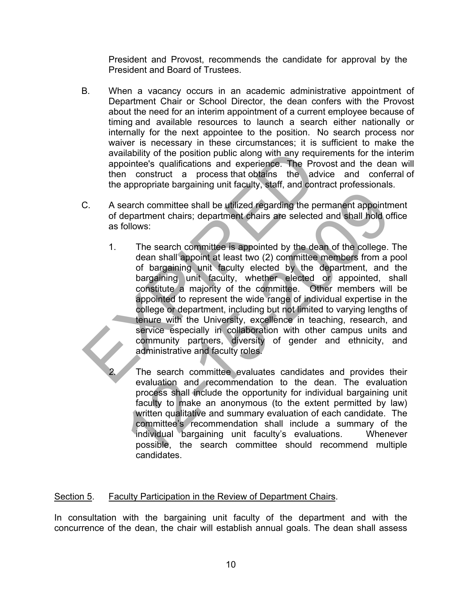President and Provost, recommends the candidate for approval by the President and Board of Trustees.

- B. When a vacancy occurs in an academic administrative appointment of Department Chair or School Director, the dean confers with the Provost about the need for an interim appointment of a current employee because of timing and available resources to launch a search either nationally or internally for the next appointee to the position. No search process nor waiver is necessary in these circumstances; it is sufficient to make the availability of the position public along with any requirements for the interim appointee's qualifications and experience. The Provost and the dean will then construct a process that obtains the advice and conferral of the appropriate bargaining unit faculty, staff, and contract professionals.
- C. A search committee shall be utilized regarding the permanent appointment of department chairs; department chairs are selected and shall hold office as follows:
- 1. The search committee is appointed by the dean of the college. The dean shall appoint at least two (2) committee members from a pool of bargaining unit faculty elected by the department, and the bargaining unit faculty, whether elected or appointed, shall constitute a majority of the committee. Other members will be appointed to represent the wide range of individual expertise in the college or department, including but not limited to varying lengths of tenure with the University, excellence in teaching, research, and service especially in collaboration with other campus units and community partners, diversity of gender and ethnicity, and administrative and faculty roles. availability of the position public along with any requirer<br>appointee's qualifications and experience. The Provos<br>then construct a process that obtains the advice<br>the appropriate bargaining unit faculty, staff, and contrac earch committee shall be utilized regarding the permanent appointment chairs, department chairs are selected and shall hold of blows:<br>The search committee is appointed by the dean of the college.<br>dean shall appoint at leas
	-
- *2.* The search committee evaluates candidates and provides their evaluation and recommendation to the dean. The evaluation process shall include the opportunity for individual bargaining unit faculty to make an anonymous (to the extent permitted by law) written qualitative and summary evaluation of each candidate. The committee's recommendation shall include a summary of the individual bargaining unit faculty's evaluations. Whenever possible, the search committee should recommend multiple candidates.

# Section 5. Faculty Participation in the Review of Department Chairs.

In consultation with the bargaining unit faculty of the department and with the concurrence of the dean, the chair will establish annual goals. The dean shall assess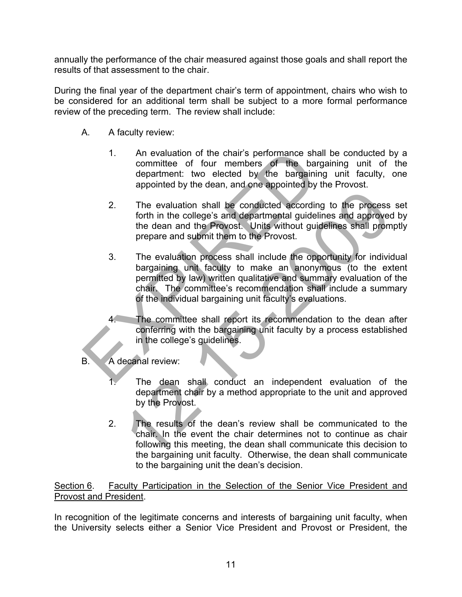annually the performance of the chair measured against those goals and shall report the results of that assessment to the chair.

During the final year of the department chair's term of appointment, chairs who wish to be considered for an additional term shall be subject to a more formal performance review of the preceding term. The review shall include:

- A. A faculty review:
	- 1. An evaluation of the chair's performance shall be conducted by a committee of four members of the bargaining unit of the department: two elected by the bargaining unit faculty, one appointed by the dean, and one appointed by the Provost.
	- 2. The evaluation shall be conducted according to the process set forth in the college's and departmental guidelines and approved by the dean and the Provost. Units without guidelines shall promptly prepare and submit them to the Provost.
- 3. The evaluation process shall include the opportunity for individual bargaining unit faculty to make an anonymous (to the extent permitted by law) written qualitative and summary evaluation of the chair. The committee's recommendation shall include a summary of the individual bargaining unit faculty's evaluations. 1. An evaluation of the chair's performance shall to committee of four members of the bargain department: two elected by the bargaining appointed by the dean, and one appointed by the dean and the Provost. Units without gu The evaluation shall be conducted according to the process<br>forth in the college's and departmental guidelines and approve<br>the dean and the Provost. Units without guidelines and approve<br>prepare and submit them to the Provos
	- 4. The committee shall report its recommendation to the dean after conferring with the bargaining unit faculty by a process established in the college's guidelines.
- B. A decanal review:
	- 1. The dean shall conduct an independent evaluation of the department chair by a method appropriate to the unit and approved by the Provost.
	- 2. The results of the dean's review shall be communicated to the chair. In the event the chair determines not to continue as chair following this meeting, the dean shall communicate this decision to the bargaining unit faculty. Otherwise, the dean shall communicate to the bargaining unit the dean's decision.

Section 6.Faculty Participation in the Selection of the Senior Vice President and Provost and President.

In recognition of the legitimate concerns and interests of bargaining unit faculty, when the University selects either a Senior Vice President and Provost or President, the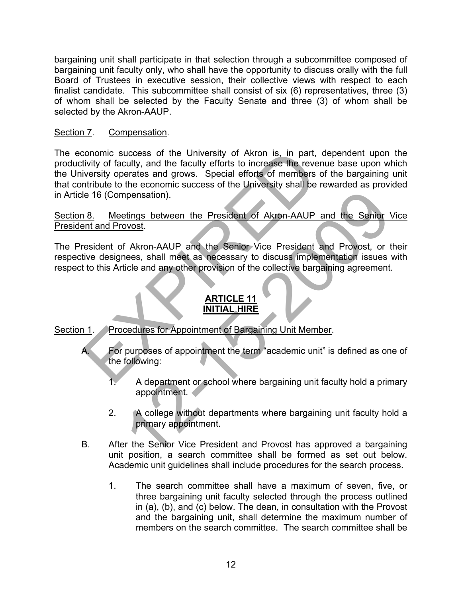bargaining unit shall participate in that selection through a subcommittee composed of bargaining unit faculty only, who shall have the opportunity to discuss orally with the full Board of Trustees in executive session, their collective views with respect to each finalist candidate. This subcommittee shall consist of six (6) representatives, three (3) of whom shall be selected by the Faculty Senate and three (3) of whom shall be selected by the Akron-AAUP.

# Section 7. Compensation.

The economic success of the University of Akron is, in part, dependent upon the productivity of faculty, and the faculty efforts to increase the revenue base upon which the University operates and grows. Special efforts of members of the bargaining unit that contribute to the economic success of the University shall be rewarded as provided in Article 16 (Compensation). conomic success of the University of Akron is, in part, delivity of faculty, and the faculty efforts to increase the revenue intribute to the economic success of the University shall be rew intribute to the economic succes

Section 8. Meetings between the President of Akron-AAUP and the Senior Vice President and Provost.

The President of Akron-AAUP and the Senior Vice President and Provost, or their respective designees, shall meet as necessary to discuss implementation issues with respect to this Article and any other provision of the collective bargaining agreement. mensation).<br>
Solutions between the President of Akron-AAUP and the Senior Vice-<br>
November and meet as necessary to discuss implementation issues<br>
ticle and any other provision of the collective bargaining agreement.<br>
THITA

# **ARTICLE 11 INITIAL HIRE**

Section 1. Procedures for Appointment of Bargaining Unit Member.

- A. For purposes of appointment the term "academic unit" is defined as one of the following:
	- A department or school where bargaining unit faculty hold a primary appointment.
	- 2. A college without departments where bargaining unit faculty hold a primary appointment.
- B. After the Senior Vice President and Provost has approved a bargaining unit position, a search committee shall be formed as set out below. Academic unit guidelines shall include procedures for the search process.
	- 1. The search committee shall have a maximum of seven, five, or three bargaining unit faculty selected through the process outlined in (a), (b), and (c) below. The dean, in consultation with the Provost and the bargaining unit, shall determine the maximum number of members on the search committee.The search committee shall be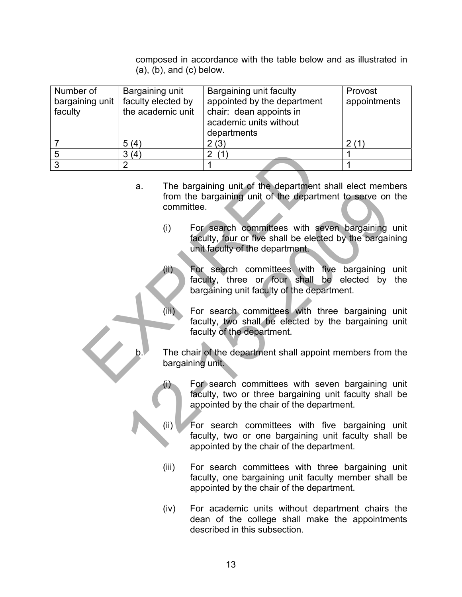composed in accordance with the table below and as illustrated in  $(a)$ ,  $(b)$ , and  $(c)$  below.

| Number of<br>bargaining unit<br>faculty | Bargaining unit<br>faculty elected by<br>the academic unit | Bargaining unit faculty<br>appointed by the department<br>chair: dean appoints in<br>academic units without<br>departments | Provost<br>appointments |
|-----------------------------------------|------------------------------------------------------------|----------------------------------------------------------------------------------------------------------------------------|-------------------------|
|                                         | 5(4)                                                       | 2(3)                                                                                                                       | 2(1)                    |
|                                         | 3(4)                                                       |                                                                                                                            |                         |
| າ                                       |                                                            |                                                                                                                            |                         |

- a. The bargaining unit of the department shall elect members from the bargaining unit of the department to serve on the committee.  $\begin{array}{|c|c|c|}\n\hline\n3 (4) & 2 (1) & & & \\
\hline\n2 & 1 & & & \\
\hline\n\end{array}$ <br>
a. The bargaining unit of the department show the bargaining unit of the department committee.<br>
(i) For search committees with several be elected unit faculty, four
	- (i) For search committees with seven bargaining unit faculty, four or five shall be elected by the bargaining unit faculty of the department.
	- (ii) For search committees with five bargaining unit faculty, three or four shall be elected by the bargaining unit faculty of the department. From the bargaining unit of the department to serve on<br>
	from the bargaining unit of the department to serve on<br>
	committee.<br>
	(i) For search committees with seven bargaining<br>
	faculty, four or five shall be elected by the bar
		- (iii) For search committees with three bargaining unit faculty, two shall be elected by the bargaining unit faculty of the department.
		- The chair of the department shall appoint members from the bargaining unit.
			- For search committees with seven bargaining unit faculty, two or three bargaining unit faculty shall be appointed by the chair of the department.
			- (ii) For search committees with five bargaining unit faculty, two or one bargaining unit faculty shall be appointed by the chair of the department.
			- (iii) For search committees with three bargaining unit faculty, one bargaining unit faculty member shall be appointed by the chair of the department.
			- (iv) For academic units without department chairs the dean of the college shall make the appointments described in this subsection.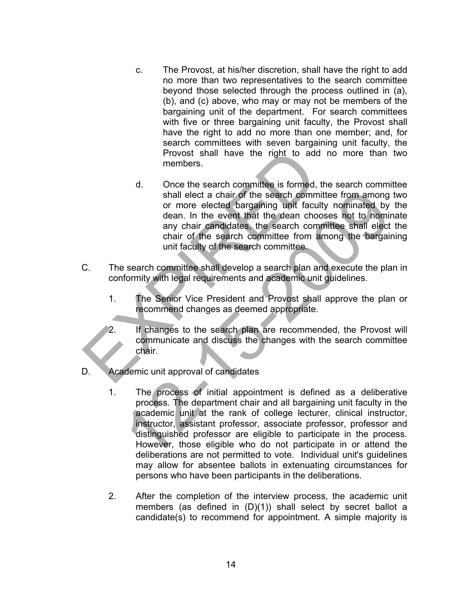- c. The Provost, at his/her discretion, shall have the right to add no more than two representatives to the search committee beyond those selected through the process outlined in (a), (b), and (c) above, who may or may not be members of the bargaining unit of the department. For search committees with five or three bargaining unit faculty, the Provost shall have the right to add no more than one member; and, for search committees with seven bargaining unit faculty, the Provost shall have the right to add no more than two members.
- d. Once the search committee is formed, the search committee shall elect a chair of the search committee from among two or more elected bargaining unit faculty nominated by the dean. In the event that the dean chooses not to nominate any chair candidates, the search committee shall elect the chair of the search committee from among the bargaining unit faculty of the search committee. Provost shall have the right to add numerabers.<br>
d. Once the search committee is formed, the<br>
shall elect a chair of the search committee<br>
or more elected bargaining unit faculty<br>
dean. In the event that the dean choose<br>
a
- C. The search committee shall develop a search plan and execute the plan in conformity with legal requirements and academic unit guidelines.
	- 1. The Senior Vice President and Provost shall approve the plan or recommend changes as deemed appropriate.
	- 2. If changes to the search plan are recommended, the Provost will communicate and discuss the changes with the search committee chair.
- D. Academic unit approval of candidates
- 1. The process of initial appointment is defined as a deliberative process. The department chair and all bargaining unit faculty in the academic unit at the rank of college lecturer, clinical instructor, instructor, assistant professor, associate professor, professor and distinguished professor are eligible to participate in the process. However, those eligible who do not participate in or attend the deliberations are not permitted to vote. Individual unit's guidelines may allow for absentee ballots in extenuating circumstances for persons who have been participants in the deliberations. shall elect a chair of the search committee from among<br>or more elected bargaining unit faculty nominated by<br>dean. In the event that the dean chooses not o homin<br>any chair candidates, the search committee shall elect<br>chair
	- 2. After the completion of the interview process, the academic unit members (as defined in (D)(1)) shall select by secret ballot a candidate(s) to recommend for appointment. A simple majority is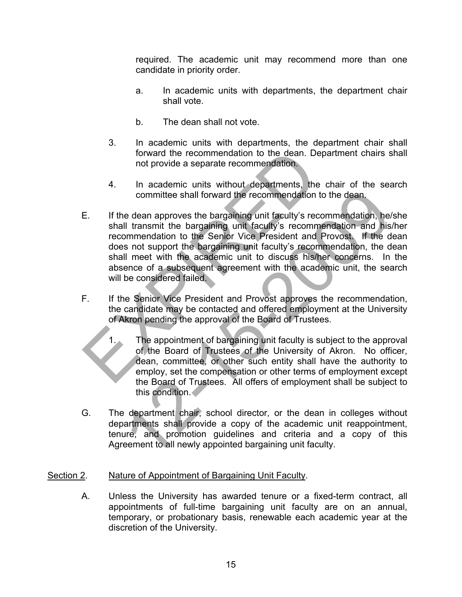required. The academic unit may recommend more than one candidate in priority order.

- a. In academic units with departments, the department chair shall vote.
- b. The dean shall not vote.
- 3. In academic units with departments, the department chair shall forward the recommendation to the dean. Department chairs shall not provide a separate recommendation.
- 4. In academic units without departments, the chair of the search committee shall forward the recommendation to the dean.
- E. If the dean approves the bargaining unit faculty's recommendation, he/she shall transmit the bargaining unit faculty's recommendation and his/her recommendation to the Senior Vice President and Provost. If the dean does not support the bargaining unit faculty's recommendation, the dean shall meet with the academic unit to discuss his/her concerns. In the absence of a subsequent agreement with the academic unit, the search will be considered failed. forward the recommendation to the dean. Deparation<br>
1. In academic units without departments, the channel committee shall forward the recommendation to the<br>
1. If the dean approves the bargaining unit faculty's recommendat committee shall forward the recommendation to the dean.<br>
Le dean approves the bargaining unit faculty's recommendation, hell<br>
Il transmit the bargaining unit faculty's recommendation and his<br>
inmendation to the Senior Vice
- F. If the Senior Vice President and Provost approves the recommendation, the candidate may be contacted and offered employment at the University of Akron pending the approval of the Board of Trustees.
	- 1. The appointment of bargaining unit faculty is subject to the approval of the Board of Trustees of the University of Akron. No officer, dean, committee, or other such entity shall have the authority to employ, set the compensation or other terms of employment except the Board of Trustees. All offers of employment shall be subject to this condition.
- G. The department chair, school director, or the dean in colleges without departments shall provide a copy of the academic unit reappointment, tenure, and promotion guidelines and criteria and a copy of this Agreement to all newly appointed bargaining unit faculty.

# Section 2. Nature of Appointment of Bargaining Unit Faculty.

A. Unless the University has awarded tenure or a fixed-term contract, all appointments of full-time bargaining unit faculty are on an annual, temporary, or probationary basis, renewable each academic year at the discretion of the University.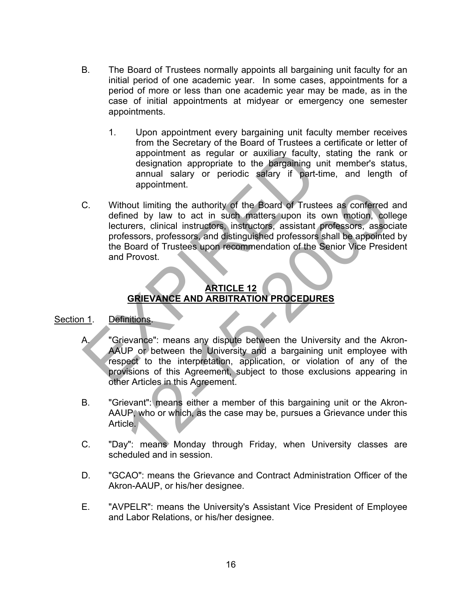- B. The Board of Trustees normally appoints all bargaining unit faculty for an initial period of one academic year. In some cases, appointments for a period of more or less than one academic year may be made, as in the case of initial appointments at midyear or emergency one semester appointments.
	- 1. Upon appointment every bargaining unit faculty member receives from the Secretary of the Board of Trustees a certificate or letter of appointment as regular or auxiliary faculty, stating the rank or designation appropriate to the bargaining unit member's status, annual salary or periodic salary if part-time, and length of appointment.
- C. Without limiting the authority of the Board of Trustees as conferred and defined by law to act in such matters upon its own motion, college lecturers, clinical instructors, instructors, assistant professors, associate professors, professors, and distinguished professors shall be appointed by the Board of Trustees upon recommendation of the Senior Vice President and Provost. appointment as regular or auxiliary faculty, st<br>designation appropriate to the bargaining unit<br>annual salary or periodic salary if part-time<br>appointment.<br>C. Without limiting the authority of the Board of Trustees<br>defined b The authority of the Board of Trustees as conferred<br>
Internal or the Max to act in such matters upon its own motion, coll<br>
Durers, clinical instructors, instructors, assistant professors, assoc<br>
fessors, professors and dis

# **ARTICLE 12 GRIEVANCE AND ARBITRATION PROCEDURES**

## Section 1. Definitions.

- A. "Grievance": means any dispute between the University and the Akron-AAUP or between the University and a bargaining unit employee with respect to the interpretation, application, or violation of any of the provisions of this Agreement, subject to those exclusions appearing in other Articles in this Agreement.
- B. "Grievant": means either a member of this bargaining unit or the Akron-AAUP, who or which, as the case may be, pursues a Grievance under this Article.
- C. "Day": means Monday through Friday, when University classes are scheduled and in session.
- D. "GCAO": means the Grievance and Contract Administration Officer of the Akron-AAUP, or his/her designee.
- E. "AVPELR": means the University's Assistant Vice President of Employee and Labor Relations, or his/her designee.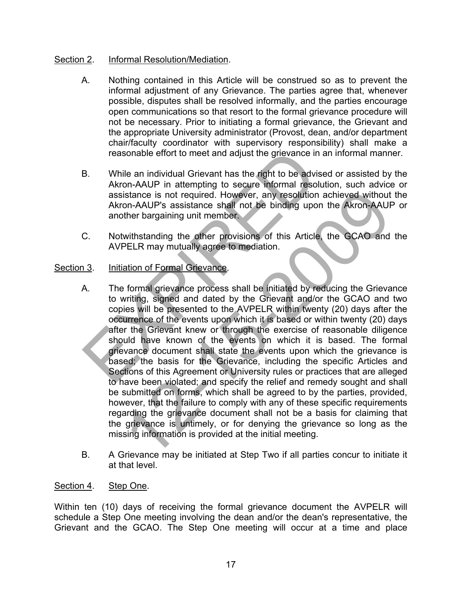# Section 2. Informal Resolution/Mediation.

- A. Nothing contained in this Article will be construed so as to prevent the informal adjustment of any Grievance. The parties agree that, whenever possible, disputes shall be resolved informally, and the parties encourage open communications so that resort to the formal grievance procedure will not be necessary. Prior to initiating a formal grievance, the Grievant and the appropriate University administrator (Provost, dean, and/or department chair/faculty coordinator with supervisory responsibility) shall make a reasonable effort to meet and adjust the grievance in an informal manner.
- B. While an individual Grievant has the right to be advised or assisted by the Akron-AAUP in attempting to secure informal resolution, such advice or assistance is not required. However, any resolution achieved without the Akron-AAUP's assistance shall not be binding upon the Akron-AAUP or another bargaining unit member.
- C. Notwithstanding the other provisions of this Article, the GCAO and the AVPELR may mutually agree to mediation.

# Section 3. Initiation of Formal Grievance.

- A. The formal grievance process shall be initiated by reducing the Grievance to writing, signed and dated by the Grievant and/or the GCAO and two copies will be presented to the AVPELR within twenty (20) days after the occurrence of the events upon which it is based or within twenty (20) days after the Grievant knew or through the exercise of reasonable diligence should have known of the events on which it is based. The formal grievance document shall state the events upon which the grievance is based; the basis for the Grievance, including the specific Articles and Sections of this Agreement or University rules or practices that are alleged to have been violated; and specify the relief and remedy sought and shall be submitted on forms, which shall be agreed to by the parties, provided, however, that the failure to comply with any of these specific requirements regarding the grievance document shall not be a basis for claiming that the grievance is untimely, or for denying the grievance so long as the missing information is provided at the initial meeting. reasonable effort to meet and adjust the grievance in an<br>
B. While an individual Grievant has the right to be advised<br>
Akron-AAUP in attempting to secure informal resolution<br>
assistance is not required. However, any resolu istance is not required. However, any resolution achieved without<br>on-AAUP's assistance shall not be binding upon the Akron-AAUF<br>ther bargaining unit member.<br>withstanding the other provisions of this Article. the GCAO and<br>P
- B. A Grievance may be initiated at Step Two if all parties concur to initiate it at that level.

#### Section 4. Step One.

Within ten (10) days of receiving the formal grievance document the AVPELR will schedule a Step One meeting involving the dean and/or the dean's representative, the Grievant and the GCAO. The Step One meeting will occur at a time and place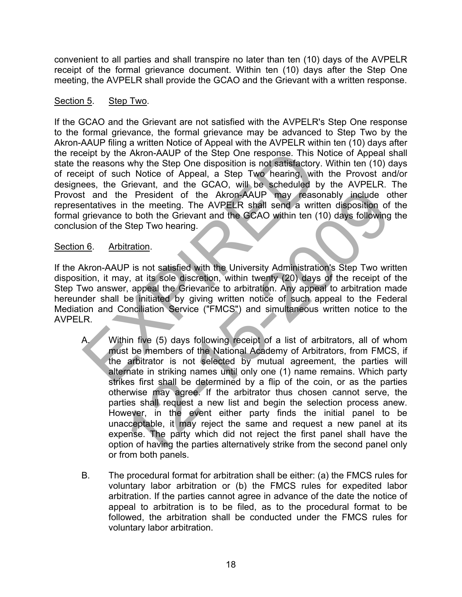convenient to all parties and shall transpire no later than ten (10) days of the AVPELR receipt of the formal grievance document. Within ten (10) days after the Step One meeting, the AVPELR shall provide the GCAO and the Grievant with a written response.

## Section 5. Step Two.

If the GCAO and the Grievant are not satisfied with the AVPELR's Step One response to the formal grievance, the formal grievance may be advanced to Step Two by the Akron-AAUP filing a written Notice of Appeal with the AVPELR within ten (10) days after the receipt by the Akron-AAUP of the Step One response. This Notice of Appeal shall state the reasons why the Step One disposition is not satisfactory. Within ten (10) days of receipt of such Notice of Appeal, a Step Two hearing, with the Provost and/or designees, the Grievant, and the GCAO, will be scheduled by the AVPELR. The Provost and the President of the Akron-AAUP may reasonably include other representatives in the meeting. The AVPELR shall send a written disposition of the formal grievance to both the Grievant and the GCAO within ten (10) days following the conclusion of the Step Two hearing. eipt by the Akron-AAUP of the Step One response. This Notice ereasons why the Step One disposition is not satisfactory. We heard as the Nicolace of Appeal, a Step Two hearing, with the SCAO will be scheduled by the and the

#### Section 6. Arbitration.

If the Akron-AAUP is not satisfied with the University Administration's Step Two written disposition, it may, at its sole discretion, within twenty (20) days of the receipt of the Step Two answer, appeal the Grievance to arbitration. Any appeal to arbitration made hereunder shall be initiated by giving written notice of such appeal to the Federal Mediation and Conciliation Service ("FMCS") and simultaneous written notice to the AVPELR.

- A. Within five (5) days following receipt of a list of arbitrators, all of whom must be members of the National Academy of Arbitrators, from FMCS, if the arbitrator is not selected by mutual agreement, the parties will alternate in striking names until only one (1) name remains. Which party strikes first shall be determined by a flip of the coin, or as the parties otherwise may agree. If the arbitrator thus chosen cannot serve, the parties shall request a new list and begin the selection process anew. However, in the event either party finds the initial panel to be unacceptable, it may reject the same and request a new panel at its expense. The party which did not reject the first panel shall have the option of having the parties alternatively strike from the second panel only or from both panels. e President of the Akron-AAUP may reasonably include of the meeting. The AVPELR shall send a written disposition of the forevar and the GCAO within ten (10) days following the Grievard Scep Two hearing.<br>
In the Grievard an
- B. The procedural format for arbitration shall be either: (a) the FMCS rules for voluntary labor arbitration or (b) the FMCS rules for expedited labor arbitration. If the parties cannot agree in advance of the date the notice of appeal to arbitration is to be filed, as to the procedural format to be followed, the arbitration shall be conducted under the FMCS rules for voluntary labor arbitration.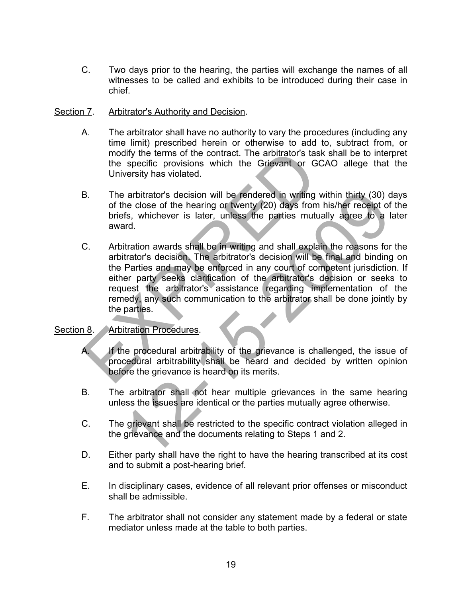C. Two days prior to the hearing, the parties will exchange the names of all witnesses to be called and exhibits to be introduced during their case in chief.

#### Section 7. Arbitrator's Authority and Decision.

- A. The arbitrator shall have no authority to vary the procedures (including any time limit) prescribed herein or otherwise to add to, subtract from, or modify the terms of the contract. The arbitrator's task shall be to interpret the specific provisions which the Grievant or GCAO allege that the University has violated.
- B. The arbitrator's decision will be rendered in writing within thirty (30) days of the close of the hearing or twenty (20) days from his/her receipt of the briefs, whichever is later, unless the parties mutually agree to a later award.
- C. Arbitration awards shall be in writing and shall explain the reasons for the arbitrator's decision. The arbitrator's decision will be final and binding on the Parties and may be enforced in any court of competent jurisdiction. If either party seeks clarification of the arbitrator's decision or seeks to request the arbitrator's assistance regarding implementation of the remedy, any such communication to the arbitrator shall be done jointly by the parties. modify the terms of the contract. The arbitrator's task s<br>the specific provisions which the Grievant or GCAC<br>University has violated.<br>B. The arbitrator's decision will be rendered in writing with<br>of the close of the hearin arbitrator's decision will be rendered in writing within thirty (30) decises of the hearing or twenty (20) days from his/her receipt of the hearing or twenty (20) days from his/her receipt of section. The arbitrator's deci

#### Section 8. Arbitration Procedures.

- A. If the procedural arbitrability of the grievance is challenged, the issue of procedural arbitrability shall be heard and decided by written opinion before the grievance is heard on its merits.
- B. The arbitrator shall not hear multiple grievances in the same hearing unless the issues are identical or the parties mutually agree otherwise.
- C. The grievant shall be restricted to the specific contract violation alleged in the grievance and the documents relating to Steps 1 and 2.
- D. Either party shall have the right to have the hearing transcribed at its cost and to submit a post-hearing brief.
- E. In disciplinary cases, evidence of all relevant prior offenses or misconduct shall be admissible.
- F. The arbitrator shall not consider any statement made by a federal or state mediator unless made at the table to both parties.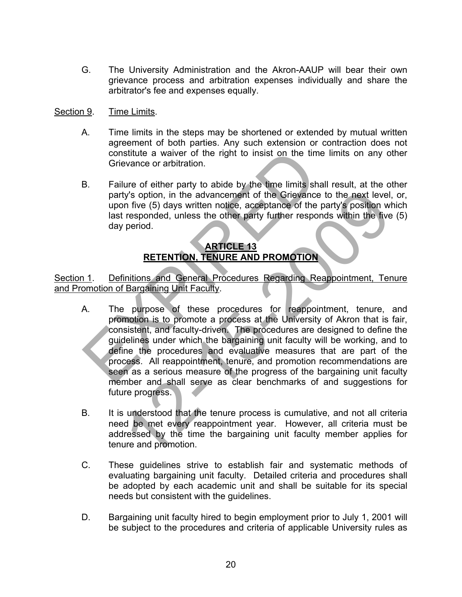G. The University Administration and the Akron-AAUP will bear their own grievance process and arbitration expenses individually and share the arbitrator's fee and expenses equally.

## Section 9. Time Limits.

- A. Time limits in the steps may be shortened or extended by mutual written agreement of both parties. Any such extension or contraction does not constitute a waiver of the right to insist on the time limits on any other Grievance or arbitration.
- B. Failure of either party to abide by the time limits shall result, at the other party's option, in the advancement of the Grievance to the next level, or, upon five (5) days written notice, acceptance of the party's position which last responded, unless the other party further responds within the five (5) day period.

# **ARTICLE 13 RETENTION, TENURE AND PROMOTION**

Section 1. Definitions and General Procedures Regarding Reappointment, Tenure and Promotion of Bargaining Unit Faculty.

- A. The purpose of these procedures for reappointment, tenure, and promotion is to promote a process at the University of Akron that is fair, consistent, and faculty-driven. The procedures are designed to define the guidelines under which the bargaining unit faculty will be working, and to define the procedures and evaluative measures that are part of the process. All reappointment, tenure, and promotion recommendations are seen as a serious measure of the progress of the bargaining unit faculty member and shall serve as clear benchmarks of and suggestions for future progress. constitute a waiver of the right to insist on the time li<br>
Grievance or arbitration.<br>
B. Failure of either party to abide by the time limits shall i<br>
party's option, in the advancement of the Grievance to<br>
upon five (5) da Ity's option, in the advancement of the Grievance to the next level,<br>
In five (5) days written notice, acceptance of the party's position wi<br>
responded, unless the other party further responds within the five<br>
period.<br> **AR**
- B. It is understood that the tenure process is cumulative, and not all criteria need be met every reappointment year. However, all criteria must be addressed by the time the bargaining unit faculty member applies for tenure and promotion.
- C. These guidelines strive to establish fair and systematic methods of evaluating bargaining unit faculty. Detailed criteria and procedures shall be adopted by each academic unit and shall be suitable for its special needs but consistent with the guidelines.
- D. Bargaining unit faculty hired to begin employment prior to July 1, 2001 will be subject to the procedures and criteria of applicable University rules as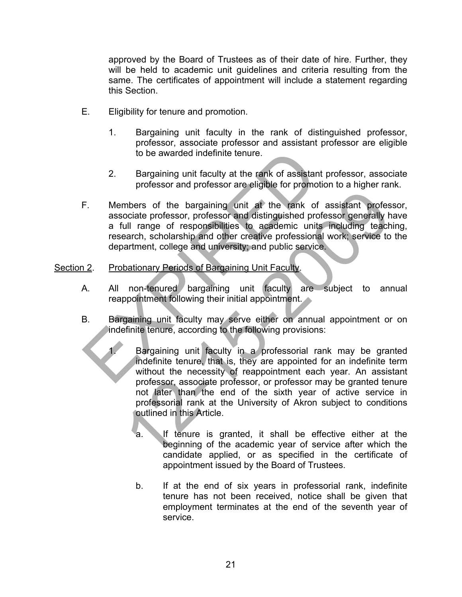approved by the Board of Trustees as of their date of hire. Further, they will be held to academic unit guidelines and criteria resulting from the same. The certificates of appointment will include a statement regarding this Section.

- E. Eligibility for tenure and promotion.
	- 1. Bargaining unit faculty in the rank of distinguished professor, professor, associate professor and assistant professor are eligible to be awarded indefinite tenure.
	- 2. Bargaining unit faculty at the rank of assistant professor, associate professor and professor are eligible for promotion to a higher rank.
- F. Members of the bargaining unit at the rank of assistant professor, associate professor, professor and distinguished professor generally have a full range of responsibilities to academic units including teaching, research, scholarship and other creative professional work; service to the department, college and university; and public service. to be awarded indefinite tenure.<br>
2. Bargaining unit faculty at the rank of assistant professor and professor are eligible for promotion<br>
F. Members of the bargaining unit at the rank of associate professor, professor and

#### Section 2. Probationary Periods of Bargaining Unit Faculty.

- A. All non-tenured bargaining unit faculty are subject to annual reappointment following their initial appointment.
- B. Bargaining unit faculty may serve either on annual appointment or on indefinite tenure, according to the following provisions:
- Bargaining unit faculty in a professorial rank may be granted indefinite tenure, that is, they are appointed for an indefinite term without the necessity of reappointment each year. An assistant professor, associate professor, or professor may be granted tenure not later than the end of the sixth year of active service in professorial rank at the University of Akron subject to conditions outlined in this Article. mbers of the bargaining unit at the rank of assistant professor<br>acciate professor, professor and distinguished professor generally hull range of responsibilities to academic units including teach<br>acch, scholarship and othe
	- a. If tenure is granted, it shall be effective either at the beginning of the academic year of service after which the candidate applied, or as specified in the certificate of appointment issued by the Board of Trustees.
	- b. If at the end of six years in professorial rank, indefinite tenure has not been received, notice shall be given that employment terminates at the end of the seventh year of service.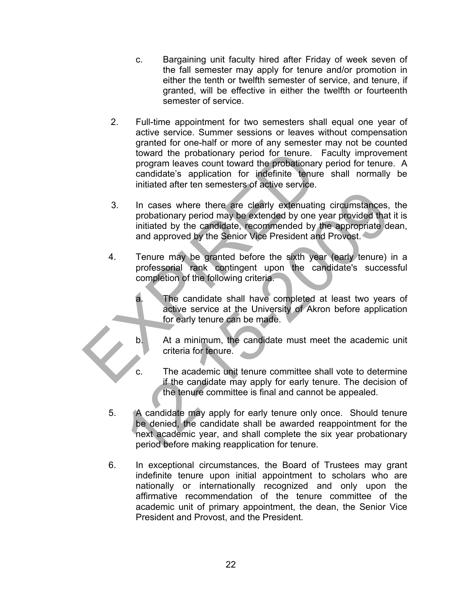- c. Bargaining unit faculty hired after Friday of week seven of the fall semester may apply for tenure and/or promotion in either the tenth or twelfth semester of service, and tenure, if granted, will be effective in either the twelfth or fourteenth semester of service.
- 2. Full-time appointment for two semesters shall equal one year of active service. Summer sessions or leaves without compensation granted for one-half or more of any semester may not be counted toward the probationary period for tenure. Faculty improvement program leaves count toward the probationary period for tenure. A candidate's application for indefinite tenure shall normally be initiated after ten semesters of active service.
- 3. In cases where there are clearly extenuating circumstances, the probationary period may be extended by one year provided that it is initiated by the candidate, recommended by the appropriate dean, and approved by the Senior Vice President and Provost. toward the probationary period for tenure. Faircogram leaves count toward the probationary percondidate's application for indefinite tenure similated after ten semesters of active service.<br>
3. In cases where there are clea In cases where there are clearly extenuating circumstances,<br>probationary period may be extended by one year provided that<br>initiated by the candidate, recommended by the appropriate de<br>and approved by the Senior Vice Presid
	- 4. Tenure may be granted before the sixth year (early tenure) in a professorial rank contingent upon the candidate's successful completion of the following criteria.
		- a. The candidate shall have completed at least two years of active service at the University of Akron before application for early tenure can be made.
		- b. At a minimum, the candidate must meet the academic unit criteria for tenure.
		- c. The academic unit tenure committee shall vote to determine if the candidate may apply for early tenure. The decision of the tenure committee is final and cannot be appealed.
	- 5. A candidate may apply for early tenure only once. Should tenure be denied, the candidate shall be awarded reappointment for the next academic year, and shall complete the six year probationary period before making reapplication for tenure.
	- 6. In exceptional circumstances, the Board of Trustees may grant indefinite tenure upon initial appointment to scholars who are nationally or internationally recognized and only upon the affirmative recommendation of the tenure committee of the academic unit of primary appointment, the dean, the Senior Vice President and Provost, and the President.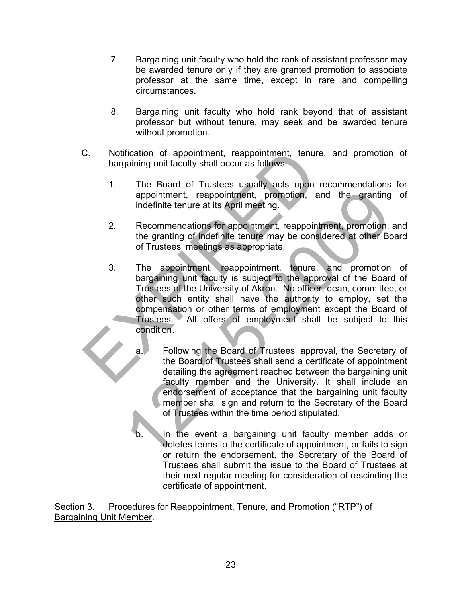- 7. Bargaining unit faculty who hold the rank of assistant professor may be awarded tenure only if they are granted promotion to associate professor at the same time, except in rare and compelling circumstances.
- 8. Bargaining unit faculty who hold rank beyond that of assistant professor but without tenure, may seek and be awarded tenure without promotion.
- C. Notification of appointment, reappointment, tenure, and promotion of bargaining unit faculty shall occur as follows:
	- 1. The Board of Trustees usually acts upon recommendations for appointment, reappointment, promotion, and the granting of indefinite tenure at its April meeting.
	- 2. Recommendations for appointment, reappointment, promotion, and the granting of indefinite tenure may be considered at other Board of Trustees' meetings as appropriate.
- 3. The appointment, reappointment, tenure, and promotion of bargaining unit faculty is subject to the approval of the Board of Trustees of the University of Akron. No officer, dean, committee, or other such entity shall have the authority to employ, set the compensation or other terms of employment except the Board of Trustees. All offers of employment shall be subject to this condition. C. Notification of appointment, reappointment, tenure, a<br>bargaining unit faculty shall occur as follows:<br>
1. The Board of Trustees usually acts upon rece<br>
appointment, reappointment, promotion, and<br>
indefinite tenure at it appointment, reappointment, promotion, and the granting<br>
indefinite tenure at its April meeting.<br>
Recommendations for appointment, reappointment, promotion,<br>
the granting of indefinite tenure may be considered at other Bc<br>
	- a. Following the Board of Trustees' approval, the Secretary of the Board of Trustees shall send a certificate of appointment detailing the agreement reached between the bargaining unit faculty member and the University. It shall include an endorsement of acceptance that the bargaining unit faculty member shall sign and return to the Secretary of the Board of Trustees within the time period stipulated.
	- In the event a bargaining unit faculty member adds or deletes terms to the certificate of appointment, or fails to sign or return the endorsement, the Secretary of the Board of Trustees shall submit the issue to the Board of Trustees at their next regular meeting for consideration of rescinding the certificate of appointment.

Section 3. Procedures for Reappointment, Tenure, and Promotion ("RTP") of Bargaining Unit Member.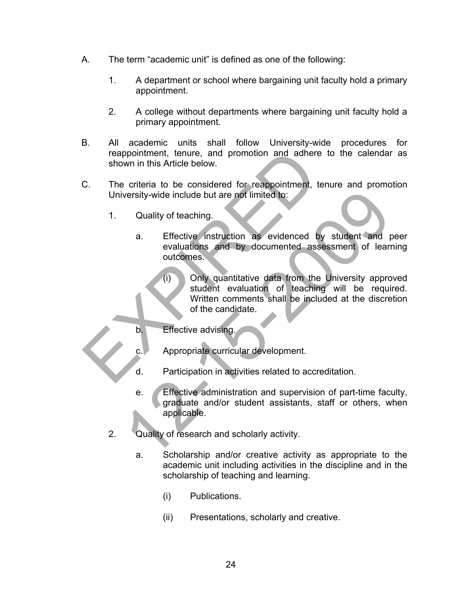- A. The term "academic unit" is defined as one of the following:
	- 1. A department or school where bargaining unit faculty hold a primary appointment.
	- 2. A college without departments where bargaining unit faculty hold a primary appointment.
- B. All academic units shall follow University-wide procedures for reappointment, tenure, and promotion and adhere to the calendar as shown in this Article below.
- C. The criteria to be considered for reappointment, tenure and promotion University-wide include but are not limited to:
	- 1. Quality of teaching.
		- a. Effective instruction as evidenced by student and peer evaluations and by documented assessment of learning outcomes.
- (i) Only quantitative data from the University approved student evaluation of teaching will be required. Written comments shall be included at the discretion of the candidate. reappointment, tenure, and promotion and adhere to<br>shown in this Article below.<br>C. The criteria to be considered for reappointment, tenuresity-wide include but are not limited to:<br>1. Quality of teaching.<br>a. Effective instr versity-wide include but are not limited to:<br>
Cuality of teaching.<br>
a. Effective instruction as evidenced by student and providences.<br>
(i) Only quantitative data from the University approximation of teaching will be requir
	- b. **Effective advising.**

c. Appropriate curricular development.

- d. Participation in activities related to accreditation.
- e. Effective administration and supervision of part-time faculty, graduate and/or student assistants, staff or others, when applicable.
- 2. Quality of research and scholarly activity.
	- a. Scholarship and/or creative activity as appropriate to the academic unit including activities in the discipline and in the scholarship of teaching and learning.
		- (i) Publications.
		- (ii) Presentations, scholarly and creative.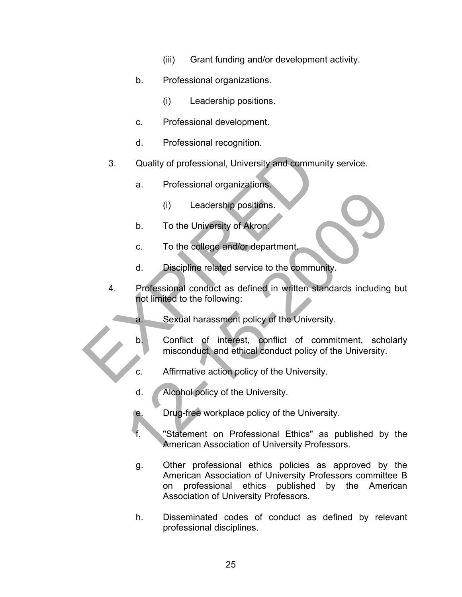- (iii) Grant funding and/or development activity.
- b. Professional organizations.
	- (i) Leadership positions.
- c. Professional development.
- d. Professional recognition.
- 3. Quality of professional, University and community service.
	- a. Professional organizations.
		- (i) Leadership positions.
	- b. To the University of Akron.
	- c. To the college and/or department.
	- d. Discipline related service to the community.
- 4. Professional conduct as defined in written standards including but not limited to the following: 3. Quality of professional, University and community<br>
a. Professional organizations.<br>
(i) Leadership positions.<br>
b. To the University of Akron.<br>
c. To the college and/or department<br>
d. Discipline related service to the com (i) Leadership positions.<br>
12. To the University of Akron.<br>
12. To the college and/or department<br>
13. Discipline related service to the community.<br>
12. Professional conduct as defined in written standards including<br>
12. Se
	- a. Sexual harassment policy of the University.
	- b. Conflict of interest, conflict of commitment, scholarly misconduct, and ethical conduct policy of the University.
	- c. Affirmative action policy of the University.
	- d. Alcohol policy of the University.
	- e. Drug-free workplace policy of the University.
	- f. "Statement on Professional Ethics" as published by the American Association of University Professors.
	- g. Other professional ethics policies as approved by the American Association of University Professors committee B on professional ethics published by the American Association of University Professors.
	- h. Disseminated codes of conduct as defined by relevant professional disciplines.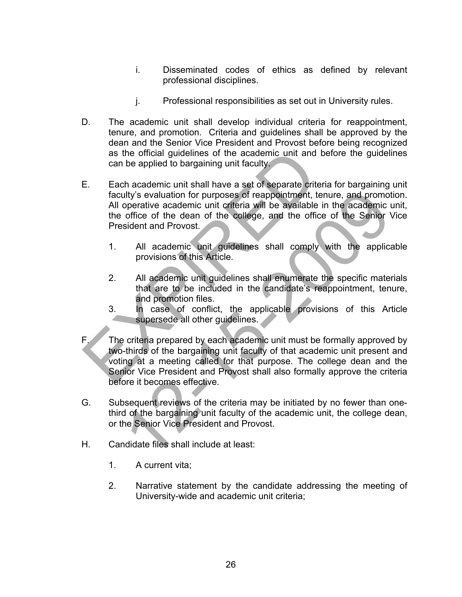- i. Disseminated codes of ethics as defined by relevant professional disciplines.
- j. Professional responsibilities as set out in University rules.
- D. The academic unit shall develop individual criteria for reappointment, tenure, and promotion. Criteria and guidelines shall be approved by the dean and the Senior Vice President and Provost before being recognized as the official guidelines of the academic unit and before the guidelines can be applied to bargaining unit faculty.
- E. Each academic unit shall have a set of separate criteria for bargaining unit faculty's evaluation for purposes of reappointment, tenure, and promotion. All operative academic unit criteria will be available in the academic unit, the office of the dean of the college, and the office of the Senior Vice President and Provost. as the official guidelines of the academic unit and bet<br>
can be applied to bargaining unit faculty.<br>
E. Each academic unit shall have a set of separate criteria<br>
faculty's evaluation for purposes of reappointment, tenu<br>
Al
	- 1. All academic unit guidelines shall comply with the applicable provisions of this Article.
	- 2. All academic unit guidelines shall enumerate the specific materials that are to be included in the candidate's reappointment, tenure, and promotion files.
	- 3. In case of conflict, the applicable provisions of this Article supersede all other quidelines.
- F. The criteria prepared by each academic unit must be formally approved by two-thirds of the bargaining unit faculty of that academic unit present and voting at a meeting called for that purpose. The college dean and the Senior Vice President and Provost shall also formally approve the criteria before it becomes effective. The proposes of reappointment, tenure, and promotoperative academic unit criteria will be available in the academic office of the denomination of the college, and the office of the Senior in Sident and Provost.<br>
Sident and
- G. Subsequent reviews of the criteria may be initiated by no fewer than onethird of the bargaining unit faculty of the academic unit, the college dean, or the Senior Vice President and Provost.
- H. Candidate files shall include at least:
	- 1. A current vita;
	- 2. Narrative statement by the candidate addressing the meeting of University-wide and academic unit criteria;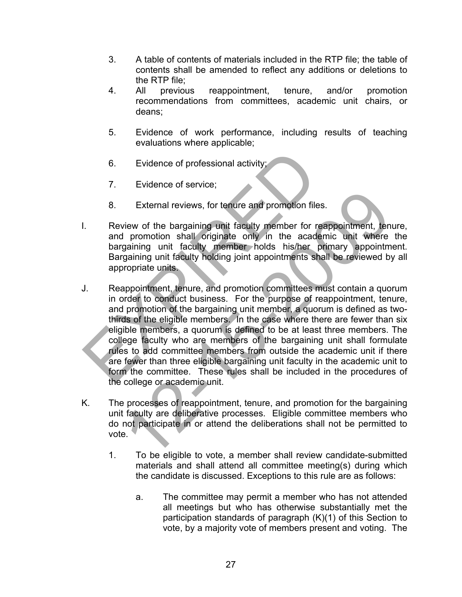- 3. A table of contents of materials included in the RTP file; the table of contents shall be amended to reflect any additions or deletions to the RTP file;
- 4. All previous reappointment, tenure, and/or promotion recommendations from committees, academic unit chairs, or deans;
- 5. Evidence of work performance, including results of teaching evaluations where applicable;
- 6. Evidence of professional activity;
- 7. Evidence of service;
- 8. External reviews, for tenure and promotion files.
- I. Review of the bargaining unit faculty member for reappointment, tenure, and promotion shall originate only in the academic unit where the bargaining unit faculty member holds his/her primary appointment. Bargaining unit faculty holding joint appointments shall be reviewed by all appropriate units.
- J. Reappointment, tenure, and promotion committees must contain a quorum in order to conduct business. For the purpose of reappointment, tenure, and promotion of the bargaining unit member, a quorum is defined as twothirds of the eligible members. In the case where there are fewer than six eligible members, a quorum is defined to be at least three members. The college faculty who are members of the bargaining unit shall formulate rules to add committee members from outside the academic unit if there are fewer than three eligible bargaining unit faculty in the academic unit to form the committee. These rules shall be included in the procedures of the college or academic unit. 6. Evidence of professional activity;<br>
7. Evidence of service;<br>
8. External reviews, for tenure and promotion files.<br>
1. Review of the bargaining unit faculty member for reap<br>
and promotion shall originate only in the acad External reviews, for tenure and promotion files.<br>
Yiew of the bargaining unit faculty member for reappointment, ten<br>
Incrementing unit faculty member holds his/her primary appointment<br>
gaining unit faculty holding joint a
- K. The processes of reappointment, tenure, and promotion for the bargaining unit faculty are deliberative processes. Eligible committee members who do not participate in or attend the deliberations shall not be permitted to vote.
	- 1. To be eligible to vote, a member shall review candidate-submitted materials and shall attend all committee meeting(s) during which the candidate is discussed. Exceptions to this rule are as follows:
		- a. The committee may permit a member who has not attended all meetings but who has otherwise substantially met the participation standards of paragraph (K)(1) of this Section to vote, by a majority vote of members present and voting. The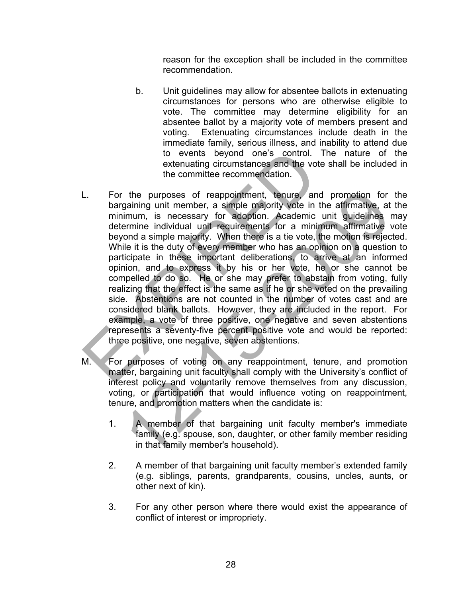reason for the exception shall be included in the committee recommendation.

- b. Unit guidelines may allow for absentee ballots in extenuating circumstances for persons who are otherwise eligible to vote. The committee may determine eligibility for an absentee ballot by a majority vote of members present and voting. Extenuating circumstances include death in the immediate family, serious illness, and inability to attend due to events beyond one's control. The nature of the extenuating circumstances and the vote shall be included in the committee recommendation.
- L. For the purposes of reappointment, tenure, and promotion for the bargaining unit member, a simple majority vote in the affirmative, at the minimum, is necessary for adoption. Academic unit guidelines may determine individual unit requirements for a minimum affirmative vote beyond a simple majority. When there is a tie vote, the motion is rejected. While it is the duty of every member who has an opinion on a question to participate in these important deliberations, to arrive at an informed opinion, and to express it by his or her vote, he or she cannot be compelled to do so. He or she may prefer to abstain from voting, fully realizing that the effect is the same as if he or she voted on the prevailing side. Abstentions are not counted in the number of votes cast and are considered blank ballots. However, they are included in the report. For example, a vote of three positive, one negative and seven abstentions represents a seventy-five percent positive vote and would be reported: three positive, one negative, seven abstentions. to events beyond one's control. The<br>extenuating circumstances and the vote s<br>the committee recommendation.<br>L.<br>For the purposes of reappointment, tenure, and p<br>bargaining unit member, a simple majority vote in the<br>minimum, the purposes of reappointment, tenure, and promotion for gaining unit member, a simple majority vote in the affirmative, at imum, is necessary for adoption. Academic unit guidelines remine individual unit requirements for
- M. For purposes of voting on any reappointment, tenure, and promotion matter, bargaining unit faculty shall comply with the University's conflict of interest policy and voluntarily remove themselves from any discussion, voting, or participation that would influence voting on reappointment, tenure, and promotion matters when the candidate is:
	- 1. A member of that bargaining unit faculty member's immediate family (e.g. spouse, son, daughter, or other family member residing in that family member's household).
	- 2. A member of that bargaining unit faculty member's extended family (e.g. siblings, parents, grandparents, cousins, uncles, aunts, or other next of kin).
	- 3. For any other person where there would exist the appearance of conflict of interest or impropriety.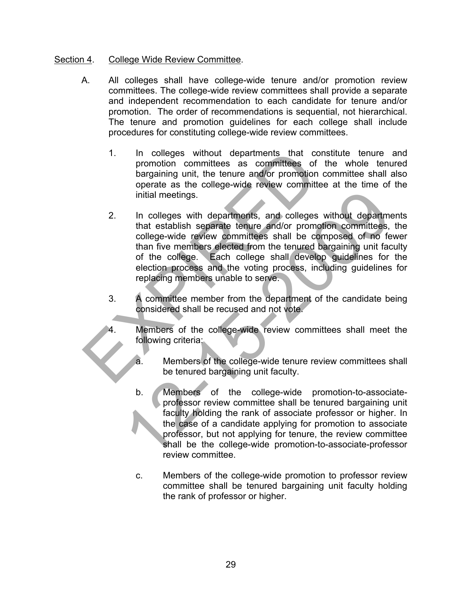## Section 4. College Wide Review Committee.

- A. All colleges shall have college-wide tenure and/or promotion review committees. The college-wide review committees shall provide a separate and independent recommendation to each candidate for tenure and/or promotion. The order of recommendations is sequential, not hierarchical. The tenure and promotion guidelines for each college shall include procedures for constituting college-wide review committees.
	- 1. In colleges without departments that constitute tenure and promotion committees as committees of the whole tenured bargaining unit, the tenure and/or promotion committee shall also operate as the college-wide review committee at the time of the initial meetings.
- 2. In colleges with departments, and colleges without departments that establish separate tenure and/or promotion committees, the college-wide review committees shall be composed of no fewer than five members elected from the tenured bargaining unit faculty of the college. Each college shall develop guidelines for the election process and the voting process, including guidelines for replacing members unable to serve. 1. In colleges without departments that const<br>promotion committees as committees of the<br>bargaining unit, the tenure and/or promotion cor<br>operate as the college-wide review committee<br>initial meetings.<br>2. In colleges with de initial meetings.<br>
In colleges with departments, and colleges without department<br>
that establish separate tenure and/or promotion committees,<br>
college-wide review committees shall be composed of no fe<br>
than five members el
	- 3. A committee member from the department of the candidate being considered shall be recused and not vote.
		- Members of the college-wide review committees shall meet the following criteria:
			- a. Members of the college-wide tenure review committees shall be tenured bargaining unit faculty.
			- b. Members of the college-wide promotion-to-associateprofessor review committee shall be tenured bargaining unit faculty holding the rank of associate professor or higher. In the case of a candidate applying for promotion to associate professor, but not applying for tenure, the review committee shall be the college-wide promotion-to-associate-professor review committee.
			- c. Members of the college-wide promotion to professor review committee shall be tenured bargaining unit faculty holding the rank of professor or higher.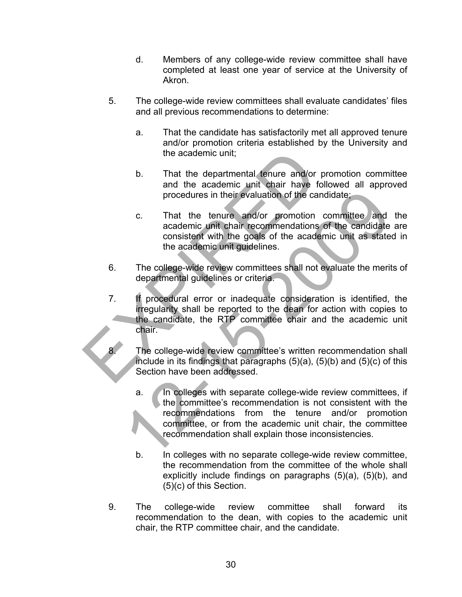- d. Members of any college-wide review committee shall have completed at least one year of service at the University of Akron.
- 5. The college-wide review committees shall evaluate candidates' files and all previous recommendations to determine:
	- a. That the candidate has satisfactorily met all approved tenure and/or promotion criteria established by the University and the academic unit;
	- b. That the departmental tenure and/or promotion committee and the academic unit chair have followed all approved procedures in their evaluation of the candidate;
	- c. That the tenure and/or promotion committee and the academic unit chair recommendations of the candidate are consistent with the goals of the academic unit as stated in the academic unit guidelines.
- 6. The college-wide review committees shall not evaluate the merits of departmental guidelines or criteria.
- 7. If procedural error or inadequate consideration is identified, the irregularity shall be reported to the dean for action with copies to the candidate, the RTP committee chair and the academic unit chair. the academic unit;<br>
b. That the departmental tenure and/or pro<br>
and the academic unit chair have follo<br>
procedures in their evaluation of the candid<br>
c. That the tenure and/or promotion co<br>
academic unit chair recommendati
	- The college-wide review committee's written recommendation shall include in its findings that paragraphs (5)(a), (5)(b) and (5)(c) of this Section have been addressed.
	- a. In colleges with separate college-wide review committees, if the committee's recommendation is not consistent with the recommendations from the tenure and/or promotion committee, or from the academic unit chair, the committee recommendation shall explain those inconsistencies. procedures in their evaluation of the candidate:<br>
	2. That the tenure and/or promotion committee and<br>
	academic unit chair recommendations of the candidate<br>
	consistent with the goals of the academic unit as state<br>
	the academ
		- b. In colleges with no separate college-wide review committee, the recommendation from the committee of the whole shall explicitly include findings on paragraphs (5)(a), (5)(b), and (5)(c) of this Section.
	- 9. The college-wide review committee shall forward its recommendation to the dean, with copies to the academic unit chair, the RTP committee chair, and the candidate.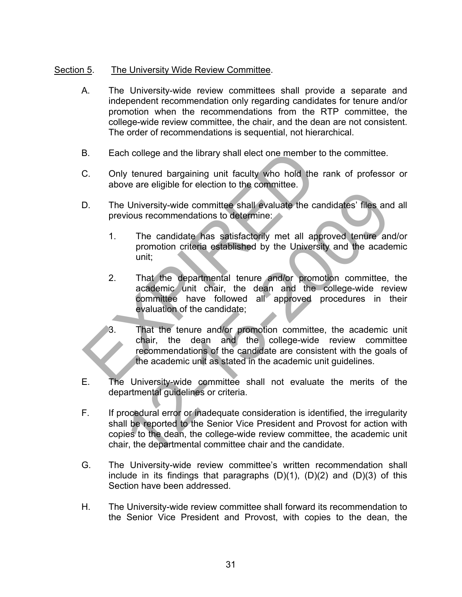# Section 5. The University Wide Review Committee.

- A. The University-wide review committees shall provide a separate and independent recommendation only regarding candidates for tenure and/or promotion when the recommendations from the RTP committee, the college-wide review committee, the chair, and the dean are not consistent. The order of recommendations is sequential, not hierarchical.
- B. Each college and the library shall elect one member to the committee.
- C. Only tenured bargaining unit faculty who hold the rank of professor or above are eligible for election to the committee.
- D. The University-wide committee shall evaluate the candidates' files and all previous recommendations to determine:
	- 1. The candidate has satisfactorily met all approved tenure and/or promotion criteria established by the University and the academic unit;
- 2. That the departmental tenure and/or promotion committee, the academic unit chair, the dean and the college-wide review committee have followed all approved procedures in their evaluation of the candidate; B. Each college and the library shall elect one member to the C. Only tenured bargaining unit faculty who hold the rare above are eligible for election to the committee.<br>
D. The University-wide committee shall evaluate th 2000)<br>
12- University-wide committee shall evaluate the candidates' files and<br>
2010 is recommendations to determine:<br>
The candidate has satisfactority met all approved tenure and<br>
2010 promotion criteria established by the
	- 3. That the tenure and/or promotion committee, the academic unit chair, the dean and the college-wide review committee recommendations of the candidate are consistent with the goals of the academic unit as stated in the academic unit guidelines.
- E. The University-wide committee shall not evaluate the merits of the departmental guidelines or criteria.
- F. If procedural error or inadequate consideration is identified, the irregularity shall be reported to the Senior Vice President and Provost for action with copies to the dean, the college-wide review committee, the academic unit chair, the departmental committee chair and the candidate.
- G. The University-wide review committee's written recommendation shall include in its findings that paragraphs  $(D)(1)$ ,  $(D)(2)$  and  $(D)(3)$  of this Section have been addressed.
- H. The University-wide review committee shall forward its recommendation to the Senior Vice President and Provost, with copies to the dean, the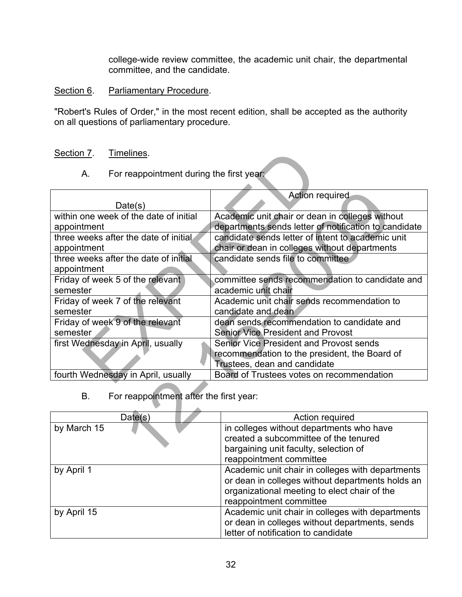college-wide review committee, the academic unit chair, the departmental committee, and the candidate.

## Section 6. Parliamentary Procedure.

"Robert's Rules of Order," in the most recent edition, shall be accepted as the authority on all questions of parliamentary procedure.

## Section 7. Timelines.

| For reappointment during the first year:<br>A.<br>Action required                          |
|--------------------------------------------------------------------------------------------|
|                                                                                            |
|                                                                                            |
| Date(s)                                                                                    |
| within one week of the date of initial<br>Academic unit chair or dean in colleges without  |
| departments sends letter of notification to candidate<br>appointment                       |
| three weeks after the date of initial<br>candidate sends letter of intent to academic unit |
| chair or dean in colleges without departments<br>appointment                               |
| three weeks after the date of initial<br>candidate sends file to committee                 |
| appointment                                                                                |
| Friday of week 5 of the relevant<br>committee sends recommendation to candidate and        |
| semester<br>academic unit chair                                                            |
| Friday of week 7 of the relevant<br>Academic unit chair sends recommendation to            |
| semester<br>candidate and dean                                                             |
| Friday of week 9 of the relevant<br>dean sends recommendation to candidate and             |
| semester<br><b>Senior Vice President and Provost</b>                                       |
| first Wednesday in April, usually<br>Senior Vice President and Provost sends               |
| recommendation to the president, the Board of                                              |
| Trustees, dean and candidate                                                               |
| fourth Wednesday in April, usually<br>Board of Trustees votes on recommendation            |
|                                                                                            |
| For reappointment after the first year:<br>В.                                              |
|                                                                                            |
| Date(s)<br>Action required                                                                 |
| by March 15<br>in colleges without departments who have                                    |
| created a subcommittee of the tenured                                                      |
| bargaining unit faculty, selection of                                                      |

| Date(s)     | Action required                                  |
|-------------|--------------------------------------------------|
| by March 15 | in colleges without departments who have         |
|             | created a subcommittee of the tenured            |
|             | bargaining unit faculty, selection of            |
|             | reappointment committee                          |
| by April 1  | Academic unit chair in colleges with departments |
|             | or dean in colleges without departments holds an |
|             | organizational meeting to elect chair of the     |
|             | reappointment committee                          |
| by April 15 | Academic unit chair in colleges with departments |
|             | or dean in colleges without departments, sends   |
|             | letter of notification to candidate              |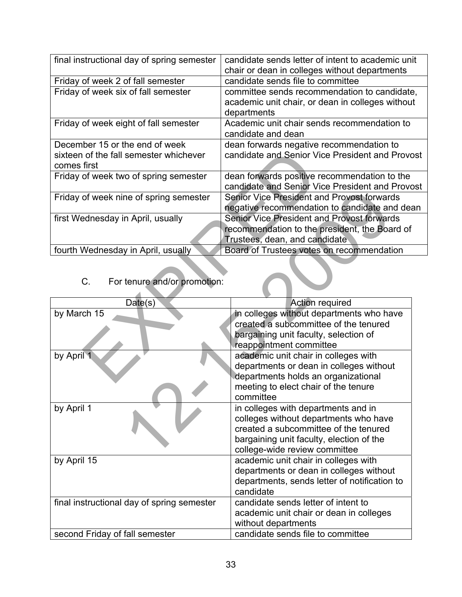| final instructional day of spring semester                                              | candidate sends letter of intent to academic unit<br>chair or dean in colleges without departments                                                    |  |
|-----------------------------------------------------------------------------------------|-------------------------------------------------------------------------------------------------------------------------------------------------------|--|
| Friday of week 2 of fall semester                                                       | candidate sends file to committee                                                                                                                     |  |
| Friday of week six of fall semester                                                     | committee sends recommendation to candidate,<br>academic unit chair, or dean in colleges without<br>departments                                       |  |
| Friday of week eight of fall semester                                                   | Academic unit chair sends recommendation to<br>candidate and dean                                                                                     |  |
| December 15 or the end of week<br>sixteen of the fall semester whichever<br>comes first | dean forwards negative recommendation to<br>candidate and Senior Vice President and Provost                                                           |  |
| Friday of week two of spring semester                                                   | dean forwards positive recommendation to the<br>candidate and Senior Vice President and Provost                                                       |  |
| Friday of week nine of spring semester                                                  | Senior Vice President and Provost forwards<br>negative recommendation to candidate and dean                                                           |  |
| first Wednesday in April, usually                                                       | <b>Senior Vice President and Provost forwards</b><br>recommendation to the president, the Board of<br>Trustees, dean, and candidate                   |  |
| fourth Wednesday in April, usually                                                      | Board of Trustees votes on recommendation                                                                                                             |  |
| For tenure and/or promotion:<br>$C_{\cdot}$                                             |                                                                                                                                                       |  |
| Date(s)                                                                                 | <b>Action required</b>                                                                                                                                |  |
| by March 15                                                                             | in colleges without departments who have<br>created a subcommittee of the tenured<br>bargaining unit faculty, selection of<br>reappointment committee |  |
| by April 1                                                                              | academic unit chair in colleges with<br>departments or dean in colleges without<br>departments holds an organizational                                |  |

|                                            | andidate and Ochior vice incoldent and inove  |
|--------------------------------------------|-----------------------------------------------|
| Friday of week nine of spring semester     | Senior Vice President and Provost forwards    |
|                                            | negative recommendation to candidate and de   |
| first Wednesday in April, usually          | Senior Vice President and Provost forwards    |
|                                            | recommendation to the president, the Board of |
|                                            | Trustees, dean, and candidate                 |
| fourth Wednesday in April, usually         | Board of Trustees votes on recommendation     |
|                                            |                                               |
|                                            |                                               |
| C.<br>For tenure and/or promotion:         |                                               |
|                                            |                                               |
| Date(s)                                    | <b>Action required</b>                        |
| by March 15                                | in colleges without departments who have      |
|                                            | created a subcommittee of the tenured         |
|                                            | bargaining unit faculty, selection of         |
|                                            | reappointment committee                       |
| by April 1                                 | academic unit chair in colleges with          |
|                                            | departments or dean in colleges without       |
|                                            | departments holds an organizational           |
|                                            | meeting to elect chair of the tenure          |
|                                            | committee                                     |
|                                            |                                               |
| by April 1                                 | in colleges with departments and in           |
|                                            | colleges without departments who have         |
|                                            | created a subcommittee of the tenured         |
|                                            | bargaining unit faculty, election of the      |
|                                            | college-wide review committee                 |
| by April 15                                | academic unit chair in colleges with          |
|                                            | departments or dean in colleges without       |
|                                            | departments, sends letter of notification to  |
|                                            | candidate                                     |
| final instructional day of spring semester | candidate sends letter of intent to           |
|                                            | academic unit chair or dean in colleges       |
|                                            | without departments                           |
|                                            | candidate sends file to committee             |
| second Friday of fall semester             |                                               |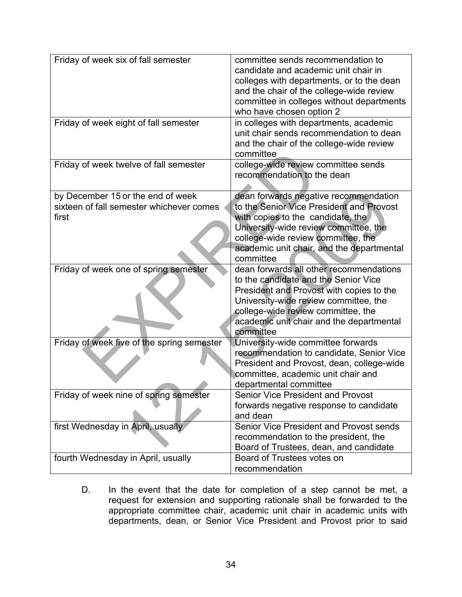| Friday of week six of fall semester        | committee sends recommendation to<br>candidate and academic unit chair in             |
|--------------------------------------------|---------------------------------------------------------------------------------------|
|                                            | colleges with departments, or to the dean                                             |
|                                            | and the chair of the college-wide review<br>committee in colleges without departments |
|                                            | who have chosen option 2                                                              |
| Friday of week eight of fall semester      | in colleges with departments, academic                                                |
|                                            | unit chair sends recommendation to dean                                               |
|                                            | and the chair of the college-wide review<br>committee                                 |
| Friday of week twelve of fall semester     | college-wide review committee sends                                                   |
|                                            | recommendation to the dean                                                            |
|                                            |                                                                                       |
| by December 15 or the end of week          | dean forwards negative recommendation                                                 |
| sixteen of fall semester whichever comes   | to the Senior Vice President and Provost                                              |
| first                                      | with copies to the candidate, the<br>University-wide review committee, the            |
|                                            | college-wide review committee, the                                                    |
|                                            | academic unit chair, and the departmental                                             |
|                                            | committee                                                                             |
| Friday of week one of spring semester      | dean forwards all other recommendations                                               |
|                                            | to the candidate and the Senior Vice                                                  |
|                                            | President and Provost with copies to the                                              |
|                                            | University-wide review committee, the<br>college-wide review committee, the           |
|                                            |                                                                                       |
|                                            |                                                                                       |
|                                            | academic unit chair and the departmental<br>committee                                 |
| Friday of week five of the spring semester | University-wide committee forwards                                                    |
|                                            | recommendation to candidate, Senior Vice                                              |
|                                            | President and Provost, dean, college-wide                                             |
|                                            | committee, academic unit chair and                                                    |
|                                            | departmental committee                                                                |
| Friday of week nine of spring semester     | <b>Senior Vice President and Provost</b>                                              |
|                                            | forwards negative response to candidate<br>and dean                                   |
| first Wednesday in April, usually          | Senior Vice President and Provost sends                                               |
|                                            | recommendation to the president, the                                                  |
|                                            | Board of Trustees, dean, and candidate                                                |
| fourth Wednesday in April, usually         | Board of Trustees votes on<br>recommendation                                          |

D. In the event that the date for completion of a step cannot be met, a request for extension and supporting rationale shall be forwarded to the appropriate committee chair, academic unit chair in academic units with departments, dean, or Senior Vice President and Provost prior to said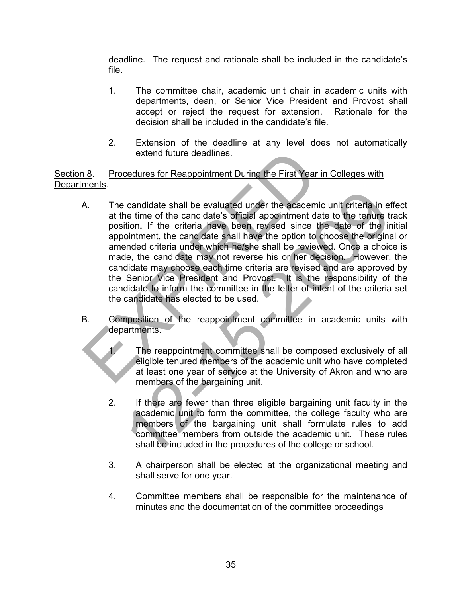deadline. The request and rationale shall be included in the candidate's file.

- 1. The committee chair, academic unit chair in academic units with departments, dean, or Senior Vice President and Provost shall accept or reject the request for extension. Rationale for the decision shall be included in the candidate's file.
- 2. Extension of the deadline at any level does not automatically extend future deadlines.

Section 8. Procedures for Reappointment During the First Year in Colleges with Departments.

- A. The candidate shall be evaluated under the academic unit criteria in effect at the time of the candidate's official appointment date to the tenure track position**.** If the criteria have been revised since the date of the initial appointment, the candidate shall have the option to choose the original or amended criteria under which he/she shall be reviewed. Once a choice is made, the candidate may not reverse his or her decision. However, the candidate may choose each time criteria are revised and are approved by the Senior Vice President and Provost. It is the responsibility of the candidate to inform the committee in the letter of intent of the criteria set the candidate has elected to be used. extend future deadlines.<br>
A. 3. Procedures for Reappointment During the First Year in (<br>
ments.<br>
A. The candidate shall be evaluated under the academic u<br>
at the time of the criteria have been revised since the<br>
appointmen is candidate shall be evaluated under the academic unit criteria in eition. If the criteria have been revised since the date of the irritority. If the criteria have been revised since the date of the irritority continuent,
- B. Composition of the reappointment committee in academic units with departments.
	- The reappointment committee shall be composed exclusively of all eligible tenured members of the academic unit who have completed at least one year of service at the University of Akron and who are members of the bargaining unit.
	- 2. If there are fewer than three eligible bargaining unit faculty in the academic unit to form the committee, the college faculty who are members of the bargaining unit shall formulate rules to add committee members from outside the academic unit. These rules shall be included in the procedures of the college or school.
	- 3. A chairperson shall be elected at the organizational meeting and shall serve for one year.
	- 4. Committee members shall be responsible for the maintenance of minutes and the documentation of the committee proceedings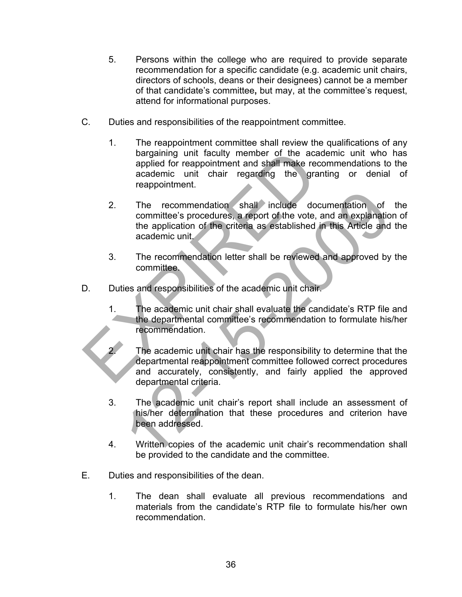- 5. Persons within the college who are required to provide separate recommendation for a specific candidate (e.g. academic unit chairs, directors of schools, deans or their designees) cannot be a member of that candidate's committee**,** but may, at the committee's request, attend for informational purposes.
- C. Duties and responsibilities of the reappointment committee.
	- 1. The reappointment committee shall review the qualifications of any bargaining unit faculty member of the academic unit who has applied for reappointment and shall make recommendations to the academic unit chair regarding the granting or denial of reappointment.
- 2. The recommendation shall include documentation of the committee's procedures, a report of the vote, and an explanation of the application of the criteria as established in this Article and the academic unit. bargaining unit faculty member of the academapplied for reappointment and shall make recommendation:<br>
academic unit chair regarding the grantin reappointment.<br>
2. The recommendation shall include docum<br>
committee's procedu The recommendation shall include documentation of<br>committee's procedures, a report of the vote, and an explanatio<br>the application of the criteria as established in this Article and<br>academic unit.<br>The recommendation letter
	- 3. The recommendation letter shall be reviewed and approved by the committee.
- D. Duties and responsibilities of the academic unit chair.
	- 1. The academic unit chair shall evaluate the candidate's RTP file and the departmental committee's recommendation to formulate his/her recommendation.
		- The academic unit chair has the responsibility to determine that the departmental reappointment committee followed correct procedures and accurately, consistently, and fairly applied the approved departmental criteria.
	- Ĩ 3. The academic unit chair's report shall include an assessment of his/her determination that these procedures and criterion have been addressed.
	- 4. Written copies of the academic unit chair's recommendation shall be provided to the candidate and the committee.
- E. Duties and responsibilities of the dean.
	- 1. The dean shall evaluate all previous recommendations and materials from the candidate's RTP file to formulate his/her own recommendation.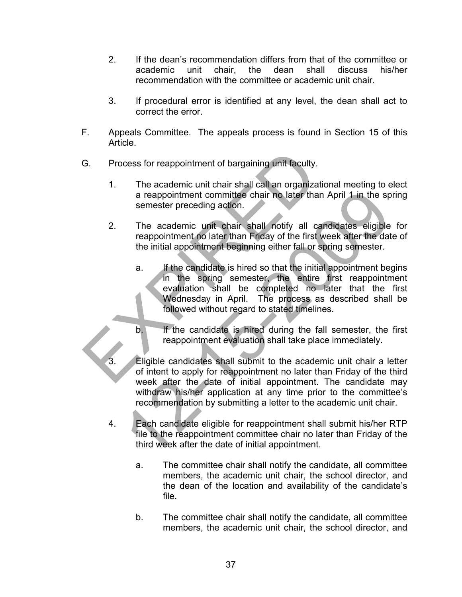- 2. If the dean's recommendation differs from that of the committee or academic unit chair, the dean shall discuss his/her recommendation with the committee or academic unit chair.
- 3. If procedural error is identified at any level, the dean shall act to correct the error.
- F. Appeals Committee. The appeals process is found in Section 15 of this Article.
- G. Process for reappointment of bargaining unit faculty.
	- 1. The academic unit chair shall call an organizational meeting to elect a reappointment committee chair no later than April 1 in the spring semester preceding action.
	- 2. The academic unit chair shall notify all candidates eligible for reappointment no later than Friday of the first week after the date of the initial appointment beginning either fall or spring semester.
- a. If the candidate is hired so that the initial appointment begins in the spring semester, the entire first reappointment evaluation shall be completed no later that the first Wednesday in April. The process as described shall be followed without regard to stated timelines. G. Process for reappointment of bargaining unit faculty.<br>
1. The academic unit chair shall call an organization<br>
a reappointment committee chair no later than A<br>
semester preceding action.<br>
2. The academic unit chair shall
	- b. If the candidate is hired during the fall semester, the first reappointment evaluation shall take place immediately.
	- Eligible candidates shall submit to the academic unit chair a letter of intent to apply for reappointment no later than Friday of the third week after the date of initial appointment. The candidate may withdraw his/her application at any time prior to the committee's recommendation by submitting a letter to the academic unit chair. The academic unit chair and later than April 1 in the spannester preceding action.<br>
	The academic unit chair shall notify all candidates eligible<br>
	reappointment no later than Fidday of the first week after the dat<br>
	the init
	- 4. Each candidate eligible for reappointment shall submit his/her RTP file to the reappointment committee chair no later than Friday of the third week after the date of initial appointment.
		- a. The committee chair shall notify the candidate, all committee members, the academic unit chair, the school director, and the dean of the location and availability of the candidate's file.
		- b. The committee chair shall notify the candidate, all committee members, the academic unit chair, the school director, and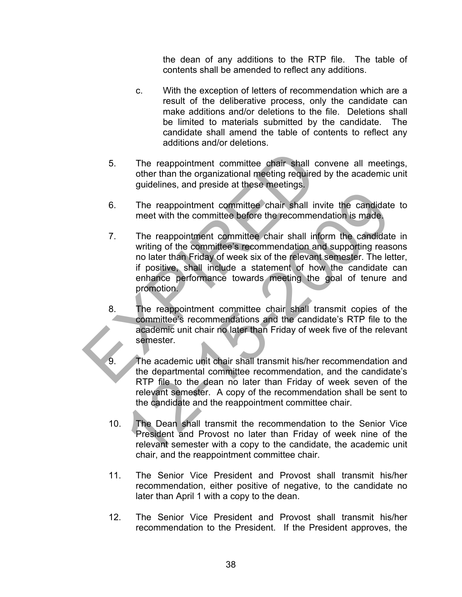the dean of any additions to the RTP file. The table of contents shall be amended to reflect any additions.

- c. With the exception of letters of recommendation which are a result of the deliberative process, only the candidate can make additions and/or deletions to the file. Deletions shall be limited to materials submitted by the candidate. The candidate shall amend the table of contents to reflect any additions and/or deletions.
- 5. The reappointment committee chair shall convene all meetings, other than the organizational meeting required by the academic unit guidelines, and preside at these meetings.
- 6. The reappointment committee chair shall invite the candidate to meet with the committee before the recommendation is made.
- 7. The reappointment committee chair shall inform the candidate in writing of the committee's recommendation and supporting reasons no later than Friday of week six of the relevant semester. The letter, if positive, shall include a statement of how the candidate can enhance performance towards meeting the goal of tenure and promotion. 5. The reappointment committee chair shall convented by guidelines, and preside at these meetings.<br>
6. The reappointment committee chair shall invite<br>
meet with the committee before the recommendar<br>
7. The reappointment co The reappointment committee chair shall invite the candidate<br>
The reappointment committee before the recommendation is made.<br>
The reappointment committee chair shall inform the candidate<br>
writing of the committee's recomme
	- 8. The reappointment committee chair shall transmit copies of the committee's recommendations and the candidate's RTP file to the academic unit chair no later than Friday of week five of the relevant semester.
	- 9. The academic unit chair shall transmit his/her recommendation and the departmental committee recommendation, and the candidate's RTP file to the dean no later than Friday of week seven of the relevant semester. A copy of the recommendation shall be sent to the candidate and the reappointment committee chair.
	- 10. The Dean shall transmit the recommendation to the Senior Vice President and Provost no later than Friday of week nine of the relevant semester with a copy to the candidate, the academic unit chair, and the reappointment committee chair.
	- 11. The Senior Vice President and Provost shall transmit his/her recommendation, either positive of negative, to the candidate no later than April 1 with a copy to the dean.
	- 12. The Senior Vice President and Provost shall transmit his/her recommendation to the President. If the President approves, the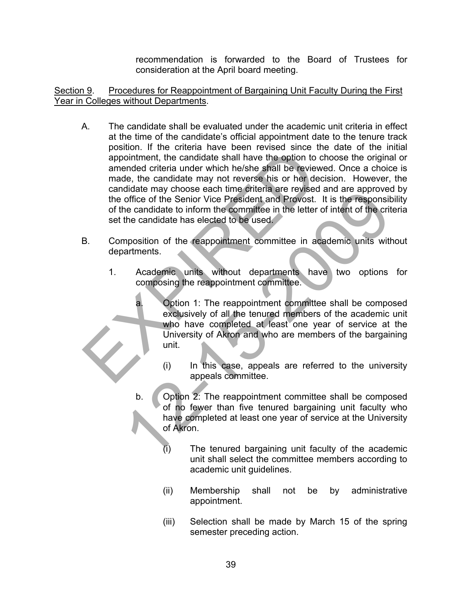recommendation is forwarded to the Board of Trustees for consideration at the April board meeting.

Section 9. Procedures for Reappointment of Bargaining Unit Faculty During the First Year in Colleges without Departments.

- A. The candidate shall be evaluated under the academic unit criteria in effect at the time of the candidate's official appointment date to the tenure track position. If the criteria have been revised since the date of the initial appointment, the candidate shall have the option to choose the original or amended criteria under which he/she shall be reviewed. Once a choice is made, the candidate may not reverse his or her decision. However, the candidate may choose each time criteria are revised and are approved by the office of the Senior Vice President and Provost. It is the responsibility of the candidate to inform the committee in the letter of intent of the criteria set the candidate has elected to be used. Solution. The concluded traditional and the calidate shall have the option to channel and criteria under which he/she shall be reviewed made, the candidate may not reverse his or her decision candidate may choose each time
- B. Composition of the reappointment committee in academic units without departments.
	- 1. Academic units without departments have two options for composing the reappointment committee.
- a. Option 1: The reappointment committee shall be composed exclusively of all the tenured members of the academic unit who have completed at least one year of service at the University of Akron and who are members of the bargaining unit. The may choose each time criteria are revised and are approved and are approved and are approxime candidate to inform the committee in the letter of intent of the criterial candidate has elected to be used.<br>The candidate h
	- (i) In this case, appeals are referred to the university appeals committee.
	- b. Option 2: The reappointment committee shall be composed of no fewer than five tenured bargaining unit faculty who have completed at least one year of service at the University of Akron.
		- (i) The tenured bargaining unit faculty of the academic unit shall select the committee members according to academic unit guidelines.
		- (ii) Membership shall not be by administrative appointment.
		- (iii) Selection shall be made by March 15 of the spring semester preceding action.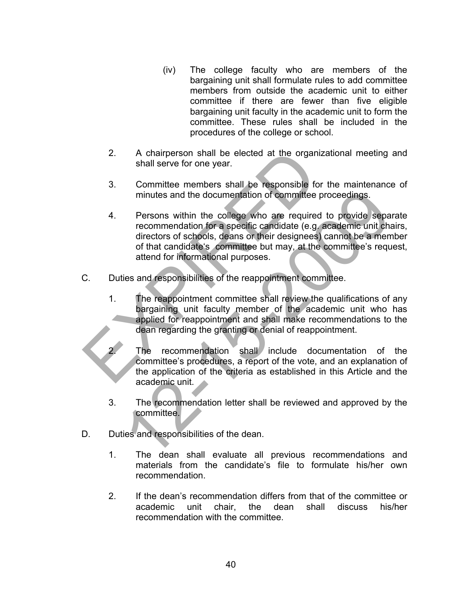- (iv) The college faculty who are members of the bargaining unit shall formulate rules to add committee members from outside the academic unit to either committee if there are fewer than five eligible bargaining unit faculty in the academic unit to form the committee. These rules shall be included in the procedures of the college or school.
- 2. A chairperson shall be elected at the organizational meeting and shall serve for one year.
- 3. Committee members shall be responsible for the maintenance of minutes and the documentation of committee proceedings.
- 4. Persons within the college who are required to provide separate recommendation for a specific candidate (e.g. academic unit chairs, directors of schools, deans or their designees) cannot be a member of that candidate's committee but may, at the committee's request, attend for informational purposes. 2. A chairperson shall be elected at the organizat<br>
shall serve for one year.<br>
3. Committee members shall be responsible for the minutes and the documentation of committee pro-<br>
4. Persons within the college who are requir minutes and the documentation of committee proceedings.<br>
Persons within the college who are required to provide separe<br>
recommendation for a specific candidate (e.g. academic unit characters of schools, deans or their desi
- C. Duties and responsibilities of the reappointment committee.
	- 1. The reappointment committee shall review the qualifications of any bargaining unit faculty member of the academic unit who has applied for reappointment and shall make recommendations to the dean regarding the granting or denial of reappointment.

2. The recommendation shall include documentation of the committee's procedures, a report of the vote, and an explanation of the application of the criteria as established in this Article and the academic unit.

- 3. The recommendation letter shall be reviewed and approved by the committee.
- D. Duties and responsibilities of the dean.
	- 1. The dean shall evaluate all previous recommendations and materials from the candidate's file to formulate his/her own recommendation.
	- 2. If the dean's recommendation differs from that of the committee or academic unit chair, the dean shall discuss his/her recommendation with the committee.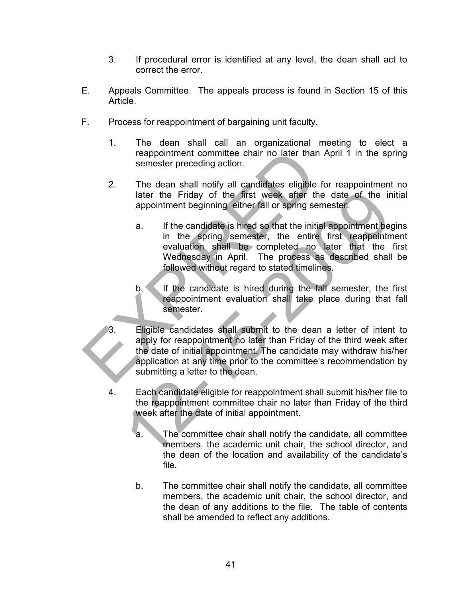- 3. If procedural error is identified at any level, the dean shall act to correct the error.
- E. Appeals Committee. The appeals process is found in Section 15 of this Article.
- F. Process for reappointment of bargaining unit faculty.
	- 1. The dean shall call an organizational meeting to elect a reappointment committee chair no later than April 1 in the spring semester preceding action.
	- 2. The dean shall notify all candidates eligible for reappointment no later the Friday of the first week after the date of the initial appointment beginning either fall or spring semester.
		- a. If the candidate is hired so that the initial appointment begins in the spring semester, the entire first reappointment evaluation shall be completed no later that the first Wednesday in April. The process as described shall be followed without regard to stated timelines.
		- b. If the candidate is hired during the fall semester, the first reappointment evaluation shall take place during that fall semester.
- Eligible candidates shall submit to the dean a letter of intent to apply for reappointment no later than Friday of the third week after the date of initial appointment. The candidate may withdraw his/her application at any time prior to the committee's recommendation by submitting a letter to the dean. reappointment committee chair no later than Approximate the sense<br>ter preceding action.<br>
2. The dean shall notify all candidates eligible for<br>
later the Friday of the first week after the compointment beginning either fall The First week after the date of the imagination the spring either fall or spring semester.<br>
1. If the candidate is hired so that the initial appointment beginning either fall or spring semester.<br>
1. If the candidate is hi
	- 4. Each candidate eligible for reappointment shall submit his/her file to the reappointment committee chair no later than Friday of the third week after the date of initial appointment.
		- a. The committee chair shall notify the candidate, all committee members, the academic unit chair, the school director, and the dean of the location and availability of the candidate's file.
		- b. The committee chair shall notify the candidate, all committee members, the academic unit chair, the school director, and the dean of any additions to the file. The table of contents shall be amended to reflect any additions.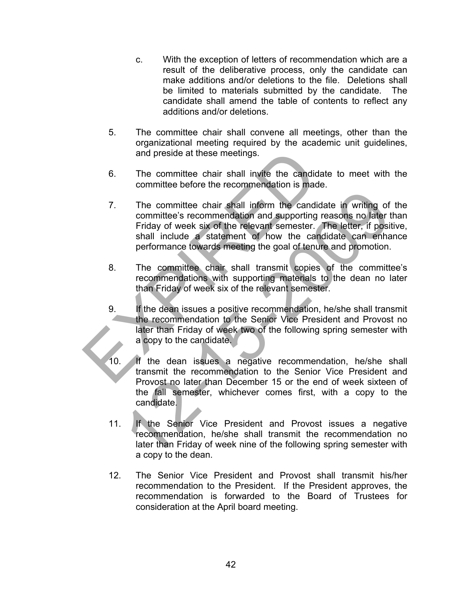- c. With the exception of letters of recommendation which are a result of the deliberative process, only the candidate can make additions and/or deletions to the file. Deletions shall be limited to materials submitted by the candidate. The candidate shall amend the table of contents to reflect any additions and/or deletions.
- 5. The committee chair shall convene all meetings, other than the organizational meeting required by the academic unit guidelines, and preside at these meetings.
- 6. The committee chair shall invite the candidate to meet with the committee before the recommendation is made.
- 7. The committee chair shall inform the candidate in writing of the committee's recommendation and supporting reasons no later than Friday of week six of the relevant semester. The letter, if positive, shall include a statement of how the candidate can enhance performance towards meeting the goal of tenure and promotion. and preside at these meetings.<br>
6. The committee chair shall invite the candidate<br>
committee before the recommendation is made.<br>
7. The committee's recommendation and supporting reads<br>
Friday of week six of the relevant se The committee chair shall inform the candidate in writing of<br>committee's recommendation and supporting reasons no later t<br>Friday of week six of the relevant semester. The letter, if posit<br>shall include a statement of how t
	- 8. The committee chair shall transmit copies of the committee's recommendations with supporting materials to the dean no later than Friday of week six of the relevant semester.
	- 9. If the dean issues a positive recommendation, he/she shall transmit the recommendation to the Senior Vice President and Provost no later than Friday of week two of the following spring semester with a copy to the candidate.
	- 10. If the dean issues a negative recommendation, he/she shall transmit the recommendation to the Senior Vice President and Provost no later than December 15 or the end of week sixteen of the fall semester, whichever comes first, with a copy to the candidate.
	- 11. If the Senior Vice President and Provost issues a negative recommendation, he/she shall transmit the recommendation no later than Friday of week nine of the following spring semester with a copy to the dean.
	- 12. The Senior Vice President and Provost shall transmit his/her recommendation to the President. If the President approves, the recommendation is forwarded to the Board of Trustees for consideration at the April board meeting.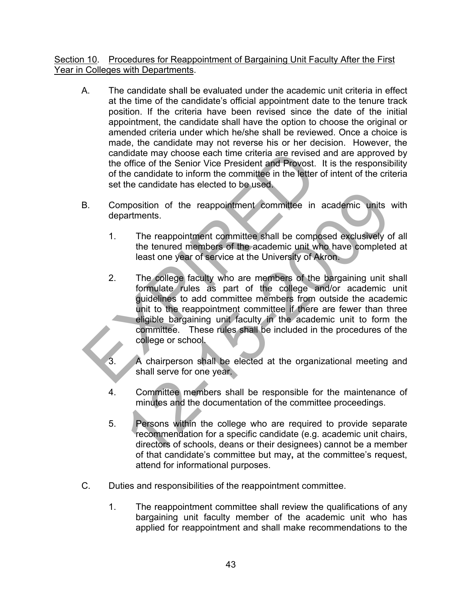## Section 10. Procedures for Reappointment of Bargaining Unit Faculty After the First Year in Colleges with Departments.

- A. The candidate shall be evaluated under the academic unit criteria in effect at the time of the candidate's official appointment date to the tenure track position. If the criteria have been revised since the date of the initial appointment, the candidate shall have the option to choose the original or amended criteria under which he/she shall be reviewed. Once a choice is made, the candidate may not reverse his or her decision. However, the candidate may choose each time criteria are revised and are approved by the office of the Senior Vice President and Provost. It is the responsibility of the candidate to inform the committee in the letter of intent of the criteria set the candidate has elected to be used.
- B. Composition of the reappointment committee in academic units with departments.
	- 1. The reappointment committee shall be composed exclusively of all the tenured members of the academic unit who have completed at least one year of service at the University of Akron.
- 2. The college faculty who are members of the bargaining unit shall formulate rules as part of the college and/or academic unit guidelines to add committee members from outside the academic unit to the reappointment committee if there are fewer than three eligible bargaining unit faculty in the academic unit to form the committee. These rules shall be included in the procedures of the college or school. candidate may choose each time criteria are revised and<br>the office of the Senior Vice President and Provost. It is<br>of the candidate to inform the committee in the letter of i<br>set the candidate has elected to be used.<br>B. Co mposition of the reappointment committee in academic units<br>artments.<br>The reappointment committee shall be composed exclusively of<br>the tenured members of the academic unit who have complete<br>least one year of service at the
	- A chairperson shall be elected at the organizational meeting and shall serve for one year.
	- 4. Committee members shall be responsible for the maintenance of minutes and the documentation of the committee proceedings.
	- 5. Persons within the college who are required to provide separate recommendation for a specific candidate (e.g. academic unit chairs, directors of schools, deans or their designees) cannot be a member of that candidate's committee but may**,** at the committee's request, attend for informational purposes.
- C. Duties and responsibilities of the reappointment committee.
	- 1. The reappointment committee shall review the qualifications of any bargaining unit faculty member of the academic unit who has applied for reappointment and shall make recommendations to the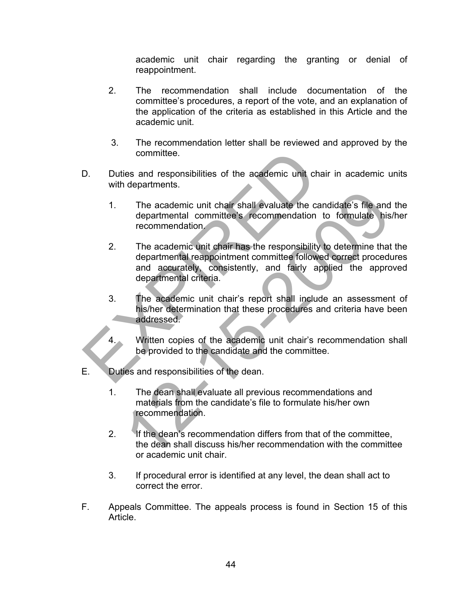academic unit chair regarding the granting or denial of reappointment.

- 2. The recommendation shall include documentation of the committee's procedures, a report of the vote, and an explanation of the application of the criteria as established in this Article and the academic unit.
- 3. The recommendation letter shall be reviewed and approved by the committee.
- D. Duties and responsibilities of the academic unit chair in academic units with departments.
	- 1. The academic unit chair shall evaluate the candidate's file and the departmental committee's recommendation to formulate his/her recommendation.
- 2. The academic unit chair has the responsibility to determine that the departmental reappointment committee followed correct procedures and accurately, consistently, and fairly applied the approved departmental criteria. committee.<br>
D. Duties and responsibilities of the academic unit chair<br>
with departments.<br>
1. The academic unit chair shall evaluate the cand<br>
departmental committee's recommendation to<br>
recommendation.<br>
2. The academic uni The academic unit chair shall evaluate the candidate's file and<br>departmental committee's recommendation to formulate his<br>recommendation.<br>The academic unit chair has the responsibility to determine that<br>departmental reappoi
	- 3. The academic unit chair's report shall include an assessment of his/her determination that these procedures and criteria have been addressed.
		- Written copies of the academic unit chair's recommendation shall be provided to the candidate and the committee.
- E. Duties and responsibilities of the dean.
	- 1. The dean shall evaluate all previous recommendations and materials from the candidate's file to formulate his/her own recommendation.
	- 2. If the dean's recommendation differs from that of the committee, the dean shall discuss his/her recommendation with the committee or academic unit chair.
	- 3. If procedural error is identified at any level, the dean shall act to correct the error.
- F. Appeals Committee. The appeals process is found in Section 15 of this Article.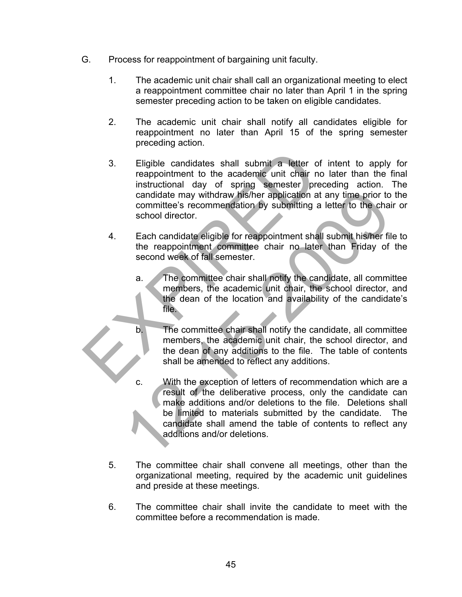- G. Process for reappointment of bargaining unit faculty.
	- 1. The academic unit chair shall call an organizational meeting to elect a reappointment committee chair no later than April 1 in the spring semester preceding action to be taken on eligible candidates.
	- 2. The academic unit chair shall notify all candidates eligible for reappointment no later than April 15 of the spring semester preceding action.
- 3. Eligible candidates shall submit a letter of intent to apply for reappointment to the academic unit chair no later than the final instructional day of spring semester preceding action. The candidate may withdraw his/her application at any time prior to the committee's recommendation by submitting a letter to the chair or school director. 3. Eligible candidates shall submit a letter of interappointment to the academic unit chair no laid instructional day of spring semester preceded candidate may withdraw his/her application at are committee's recommendation
	- 4. Each candidate eligible for reappointment shall submit his/her file to the reappointment committee chair no later than Friday of the second week of fall semester.
		- a. The committee chair shall notify the candidate, all committee members, the academic unit chair, the school director, and the dean of the location and availability of the candidate's file.
		- b. The committee chair shall notify the candidate, all committee members, the academic unit chair, the school director, and the dean of any additions to the file. The table of contents shall be amended to reflect any additions.
- c. With the exception of letters of recommendation which are a result of the deliberative process, only the candidate can make additions and/or deletions to the file. Deletions shall be limited to materials submitted by the candidate. The candidate shall amend the table of contents to reflect any additions and/or deletions. candidate may withdraw his/her application at any time prior to<br>committee's recommendation by submitting a letter to the chair<br>school director.<br>Each candidate eligible for reappointment shall submit his/her fil<br>the reappoi
	- 5. The committee chair shall convene all meetings, other than the organizational meeting, required by the academic unit guidelines and preside at these meetings.
	- 6. The committee chair shall invite the candidate to meet with the committee before a recommendation is made.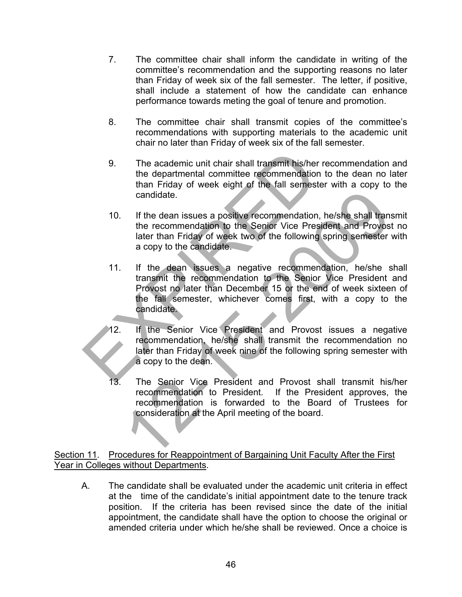- 7. The committee chair shall inform the candidate in writing of the committee's recommendation and the supporting reasons no later than Friday of week six of the fall semester. The letter, if positive, shall include a statement of how the candidate can enhance performance towards meting the goal of tenure and promotion.
- 8. The committee chair shall transmit copies of the committee's recommendations with supporting materials to the academic unit chair no later than Friday of week six of the fall semester.
- 9. The academic unit chair shall transmit his/her recommendation and the departmental committee recommendation to the dean no later than Friday of week eight of the fall semester with a copy to the candidate.
- 10. If the dean issues a positive recommendation, he/she shall transmit the recommendation to the Senior Vice President and Provost no later than Friday of week two of the following spring semester with a copy to the candidate.
- 11. If the dean issues a negative recommendation, he/she shall transmit the recommendation to the Senior Vice President and Provost no later than December 15 or the end of week sixteen of the fall semester, whichever comes first, with a copy to the candidate. 9. The academic unit chair shall transmit his/her ret<br>the departmental committee recommendation to<br>than Friday of week eight of the fall semester v<br>candidate.<br>10. If the dean issues a positive recommendation, he<br>the recomm candidate.<br>
If the dean issues a positive recommendation, he/she shall trans<br>
the recommendation to the Senior Vice President and Provoss<br>
later than Friday of week two of the following spring semester<br>
a copy to the candi
	- 12. If the Senior Vice President and Provost issues a negative recommendation, he/she shall transmit the recommendation no later than Friday of week nine of the following spring semester with a copy to the dean.
	- 13. The Senior Vice President and Provost shall transmit his/her recommendation to President. If the President approves, the recommendation is forwarded to the Board of Trustees for consideration at the April meeting of the board.

## Section 11. Procedures for Reappointment of Bargaining Unit Faculty After the First Year in Colleges without Departments.

A. The candidate shall be evaluated under the academic unit criteria in effect at the time of the candidate's initial appointment date to the tenure track position. If the criteria has been revised since the date of the initial appointment, the candidate shall have the option to choose the original or amended criteria under which he/she shall be reviewed. Once a choice is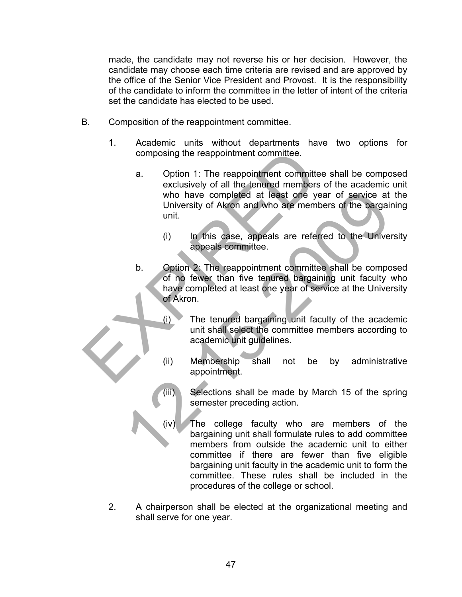made, the candidate may not reverse his or her decision. However, the candidate may choose each time criteria are revised and are approved by the office of the Senior Vice President and Provost. It is the responsibility of the candidate to inform the committee in the letter of intent of the criteria set the candidate has elected to be used.

- B. Composition of the reappointment committee.
	- 1. Academic units without departments have two options for composing the reappointment committee.
- a. Option 1: The reappointment committee shall be composed exclusively of all the tenured members of the academic unit who have completed at least one year of service at the University of Akron and who are members of the bargaining unit. composing the reappointment committee.<br>
a. Option 1: The reappointment committee sexclusively of all the tenured members of<br>
who have completed at least one year<br>
University of Akron and who are members<br>
unit.<br>
(i) In this
	- (i) In this case, appeals are referred to the University appeals committee.
	- b. Option 2: The reappointment committee shall be composed of no fewer than five tenured bargaining unit faculty who have completed at least one year of service at the University of Akron. who have completed at least one year of service at<br>
	University of Akron and who are members of the bargain<br>
	unit.<br>
	(i) In this case, appeals are referred to the University<br>
	of Akron.<br>
	Depends committee.<br>
	Depends committee.
		- (i) The tenured bargaining unit faculty of the academic unit shall select the committee members according to academic unit guidelines.
		- (ii) Membership shall not be by administrative appointment.
		- (iii) Selections shall be made by March 15 of the spring semester preceding action.
		- (iv) The college faculty who are members of the bargaining unit shall formulate rules to add committee members from outside the academic unit to either committee if there are fewer than five eligible bargaining unit faculty in the academic unit to form the committee. These rules shall be included in the procedures of the college or school.
	- 2. A chairperson shall be elected at the organizational meeting and shall serve for one year.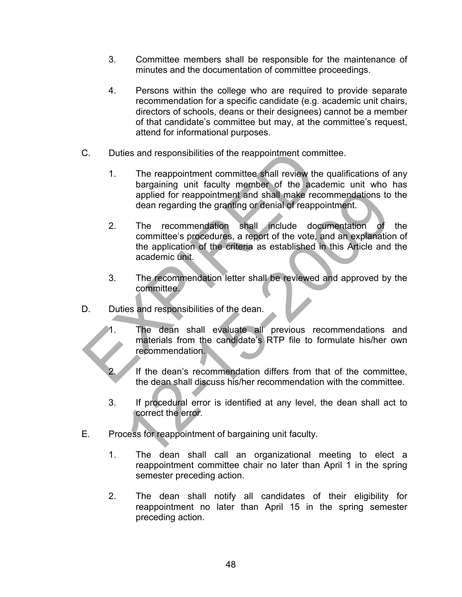- 3. Committee members shall be responsible for the maintenance of minutes and the documentation of committee proceedings.
- 4. Persons within the college who are required to provide separate recommendation for a specific candidate (e.g. academic unit chairs, directors of schools, deans or their designees) cannot be a member of that candidate's committee but may, at the committee's request, attend for informational purposes.
- C. Duties and responsibilities of the reappointment committee.
	- 1. The reappointment committee shall review the qualifications of any bargaining unit faculty member of the academic unit who has applied for reappointment and shall make recommendations to the dean regarding the granting or denial of reappointment.
- 2. The recommendation shall include documentation of the committee's procedures, a report of the vote, and an explanation of the application of the criteria as established in this Article and the academic unit. C. Duties and responsibilities of the reappointment committer than the discontinuity of the academapplied for reappointment and shall make recommended applied for reappointment and shall make recommended an eigency of the applied for reappointment and shall make recommendations to<br>dean regarding the granting or denial of reappointment.<br>The recommendation shall include documentation of<br>committee's procedures, a report of the vote, and an exp
	- 3. The recommendation letter shall be reviewed and approved by the committee.
- D. Duties and responsibilities of the dean.
	- The dean shall evaluate all previous recommendations and materials from the candidate's RTP file to formulate his/her own recommendation.
	- If the dean's recommendation differs from that of the committee, the dean shall discuss his/her recommendation with the committee.
	- 3. If procedural error is identified at any level, the dean shall act to correct the error.
- E. Process for reappointment of bargaining unit faculty.
	- 1. The dean shall call an organizational meeting to elect a reappointment committee chair no later than April 1 in the spring semester preceding action.
	- 2. The dean shall notify all candidates of their eligibility for reappointment no later than April 15 in the spring semester preceding action.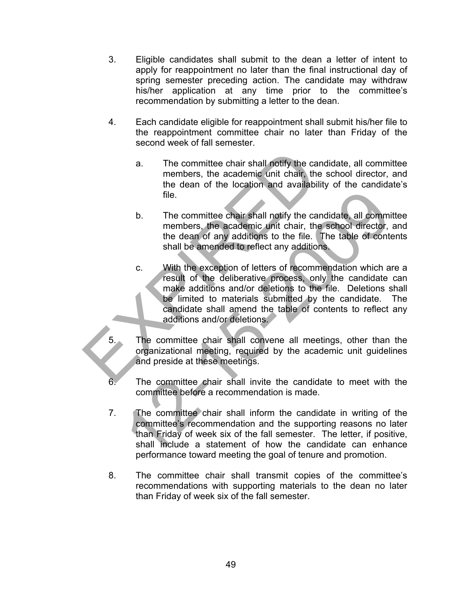- 3. Eligible candidates shall submit to the dean a letter of intent to apply for reappointment no later than the final instructional day of spring semester preceding action. The candidate may withdraw his/her application at any time prior to the committee's recommendation by submitting a letter to the dean.
- 4. Each candidate eligible for reappointment shall submit his/her file to the reappointment committee chair no later than Friday of the second week of fall semester.
	- a. The committee chair shall notify the candidate, all committee members, the academic unit chair, the school director, and the dean of the location and availability of the candidate's file.
	- b. The committee chair shall notify the candidate, all committee members, the academic unit chair, the school director, and the dean of any additions to the file. The table of contents shall be amended to reflect any additions.
- c. With the exception of letters of recommendation which are a result of the deliberative process, only the candidate can make additions and/or deletions to the file. Deletions shall be limited to materials submitted by the candidate. The candidate shall amend the table of contents to reflect any additions and/or deletions. a. The committee chair shall notify the candio<br>members, the academic unit chair, the sc<br>the dean of the location and availability<br>file.<br>D. The committee chair shall notify the candid<br>members, the academic unit chair, the s file.<br>
12. The committee chair shall notify the candidate, all comminements the academic unit chair, the school director,<br>
12. The dean of any additions to the file. The table of conteshall be amended to reflect any additi

The committee chair shall convene all meetings, other than the organizational meeting, required by the academic unit guidelines and preside at these meetings.

The committee chair shall invite the candidate to meet with the committee before a recommendation is made.

 $\frac{1}{2}$ 

- 7. The committee chair shall inform the candidate in writing of the committee's recommendation and the supporting reasons no later than Friday of week six of the fall semester. The letter, if positive, shall include a statement of how the candidate can enhance performance toward meeting the goal of tenure and promotion.
- 8. The committee chair shall transmit copies of the committee's recommendations with supporting materials to the dean no later than Friday of week six of the fall semester.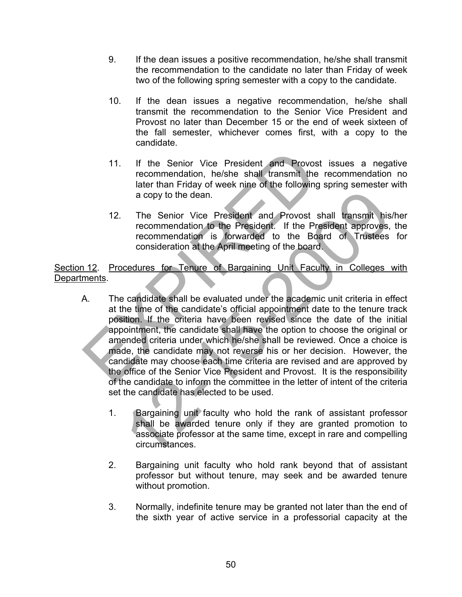- 9. If the dean issues a positive recommendation, he/she shall transmit the recommendation to the candidate no later than Friday of week two of the following spring semester with a copy to the candidate.
- 10. If the dean issues a negative recommendation, he/she shall transmit the recommendation to the Senior Vice President and Provost no later than December 15 or the end of week sixteen of the fall semester, whichever comes first, with a copy to the candidate.
- 11. If the Senior Vice President and Provost issues a negative recommendation, he/she shall transmit the recommendation no later than Friday of week nine of the following spring semester with a copy to the dean.
- 12. The Senior Vice President and Provost shall transmit his/her recommendation to the President. If the President approves, the recommendation is forwarded to the Board of Trustees for consideration at the April meeting of the board.

Section 12. Procedures for Tenure of Bargaining Unit Faculty in Colleges with Departments.

- A. The candidate shall be evaluated under the academic unit criteria in effect at the time of the candidate's official appointment date to the tenure track position. If the criteria have been revised since the date of the initial appointment, the candidate shall have the option to choose the original or amended criteria under which he/she shall be reviewed. Once a choice is made, the candidate may not reverse his or her decision. However, the candidate may choose each time criteria are revised and are approved by the office of the Senior Vice President and Provost. It is the responsibility of the candidate to inform the committee in the letter of intent of the criteria set the candidate has elected to be used. 11. If the Senior Vice President and Provost is<br>recommendation, he/she shall transmit the re<br>later than Friday of week nine of the following sp<br>a copy to the dean.<br>12. The Senior Vice President and Provost shall<br>recommenda a copy to the dean.<br>
The Senior Vice President and Provost shall transmit his<br>
recommendation to the President. If the President approves,<br>
recommendation is forwarded to the Board of Trustees<br>
consideration at the April m
	- 1. Bargaining unit faculty who hold the rank of assistant professor shall be awarded tenure only if they are granted promotion to associate professor at the same time, except in rare and compelling circumstances.
	- 2. Bargaining unit faculty who hold rank beyond that of assistant professor but without tenure, may seek and be awarded tenure without promotion.
	- 3. Normally, indefinite tenure may be granted not later than the end of the sixth year of active service in a professorial capacity at the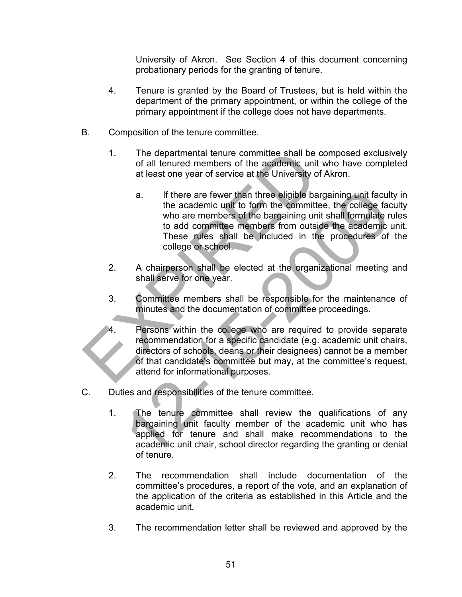University of Akron. See Section 4 of this document concerning probationary periods for the granting of tenure.

- 4. Tenure is granted by the Board of Trustees, but is held within the department of the primary appointment, or within the college of the primary appointment if the college does not have departments.
- B. Composition of the tenure committee.
	- 1. The departmental tenure committee shall be composed exclusively of all tenured members of the academic unit who have completed at least one year of service at the University of Akron.
- a. If there are fewer than three eligible bargaining unit faculty in the academic unit to form the committee, the college faculty who are members of the bargaining unit shall formulate rules to add committee members from outside the academic unit. These rules shall be included in the procedures of the college or school. 1. The departmental tenure committee shall be commodial tenured members of the academic unit where at the University of A<br>
1. If there are fewer than three eligible barga<br>
1. If there are fewer than three eligible barga<br>
1 a. If there are fewer than three eligible bargaining unit facult<br>the academic unit to form the committee, the college face<br>who are members of the bargaining unit shall formulate r<br>to add committee members from outside the
	- 2. A chairperson shall be elected at the organizational meeting and shall serve for one year.
	- 3. Committee members shall be responsible for the maintenance of minutes and the documentation of committee proceedings.
	- 4. Persons within the college who are required to provide separate recommendation for a specific candidate (e.g. academic unit chairs, directors of schools, deans or their designees) cannot be a member of that candidate's committee but may, at the committee's request, attend for informational purposes.
- C. Duties and responsibilities of the tenure committee.
	- 1. The tenure committee shall review the qualifications of any bargaining unit faculty member of the academic unit who has applied for tenure and shall make recommendations to the academic unit chair, school director regarding the granting or denial of tenure.
	- 2. The recommendation shall include documentation of the committee's procedures, a report of the vote, and an explanation of the application of the criteria as established in this Article and the academic unit.
	- 3. The recommendation letter shall be reviewed and approved by the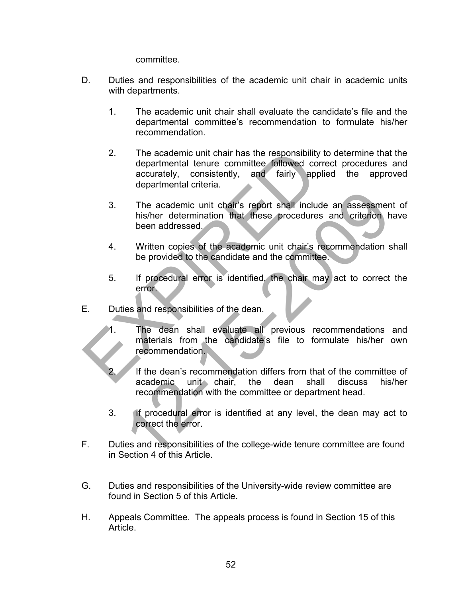committee.

- D. Duties and responsibilities of the academic unit chair in academic units with departments.
	- 1. The academic unit chair shall evaluate the candidate's file and the departmental committee's recommendation to formulate his/her recommendation.
- 2. The academic unit chair has the responsibility to determine that the departmental tenure committee followed correct procedures and accurately, consistently, and fairly applied the approved departmental criteria. The academic unit chair has the responsibility to<br>departmental tenure committee followed correct accurately, consistently, and fairly applied<br>departmental criteria.<br>3. The academic unit chair's report shall include<br>his/her
	- 3. The academic unit chair's report shall include an assessment of his/her determination that these procedures and criterion have been addressed.
	- 4. Written copies of the academic unit chair's recommendation shall be provided to the candidate and the committee.
	- 5. If procedural error is identified, the chair may act to correct the error.
- E. Duties and responsibilities of the dean.
	- The dean shall evaluate all previous recommendations and materials from the candidate's file to formulate his/her own recommendation.
- If the dean's recommendation differs from that of the committee of academic unit chair, the dean shall discuss his/her recommendation with the committee or department head. The academic unit chair's report shall include an assessment is<br>the measurement of the different measurement of the calibration of<br>the measurement of the calibration of the calibration of<br>the provided to the candidate and
	- 3. If procedural error is identified at any level, the dean may act to correct the error.
- F. Duties and responsibilities of the college-wide tenure committee are found in Section 4 of this Article.
- G. Duties and responsibilities of the University-wide review committee are found in Section 5 of this Article.
- H. Appeals Committee. The appeals process is found in Section 15 of this Article.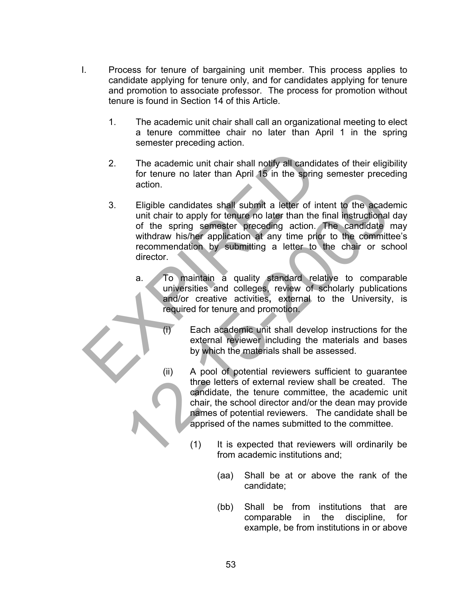- I. Process for tenure of bargaining unit member. This process applies to candidate applying for tenure only, and for candidates applying for tenure and promotion to associate professor. The process for promotion without tenure is found in Section 14 of this Article.
	- 1. The academic unit chair shall call an organizational meeting to elect a tenure committee chair no later than April 1 in the spring semester preceding action.
	- 2. The academic unit chair shall notify all candidates of their eligibility for tenure no later than April 15 in the spring semester preceding action.
- 3. Eligible candidates shall submit a letter of intent to the academic unit chair to apply for tenure no later than the final instructional day of the spring semester preceding action. The candidate may withdraw his/her application at any time prior to the committee's recommendation by submitting a letter to the chair or school director. 2. The academic unit chair shall notify all candidate<br>for tenure no later than April 15 in the spring section.<br>3. Eligible candidates shall submit a letter of inten<br>unit chair to apply for tenure no later than the final<br>of Eligible candidates shall submit a letter of intent to the acade<br>unit chair to apply for tenure no later than the final instructional<br>of the spring semester preceding action. The candidate r<br>withdraw his/her application at
	- a. To maintain a quality standard relative to comparable universities and colleges, review of scholarly publications and/or creative activities**,** external to the University, is required for tenure and promotion.
		- (i) Each academic unit shall develop instructions for the external reviewer including the materials and bases by which the materials shall be assessed.
		- (ii) A pool of potential reviewers sufficient to guarantee three letters of external review shall be created. The candidate, the tenure committee, the academic unit chair, the school director and/or the dean may provide names of potential reviewers. The candidate shall be apprised of the names submitted to the committee.
			- (1) It is expected that reviewers will ordinarily be from academic institutions and;
				- (aa) Shall be at or above the rank of the candidate;
				- (bb) Shall be from institutions that are comparable in the discipline, for example, be from institutions in or above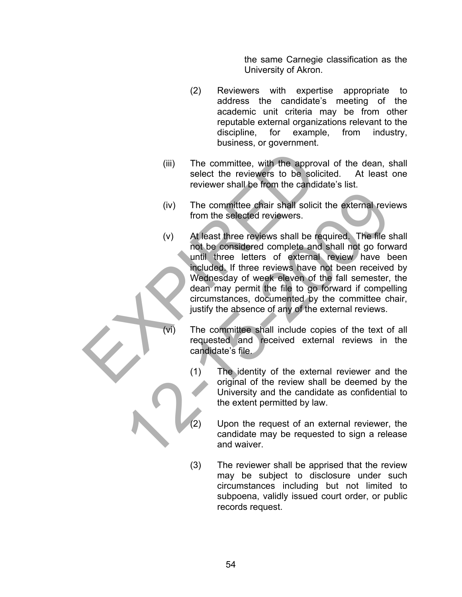the same Carnegie classification as the University of Akron.

- (2) Reviewers with expertise appropriate to address the candidate's meeting of the academic unit criteria may be from other reputable external organizations relevant to the discipline, for example, from industry, business, or government.
- (iii) The committee, with the approval of the dean, shall select the reviewers to be solicited. At least one reviewer shall be from the candidate's list.
- (iv) The committee chair shall solicit the external reviews from the selected reviewers.
- (v) At least three reviews shall be required. The file shall not be considered complete and shall not go forward until three letters of external review have been included. If three reviews have not been received by Wednesday of week eleven of the fall semester, the dean may permit the file to go forward if compelling circumstances, documented by the committee chair, justify the absence of any of the external reviews. (iii) The committee, with the approval<br>select the reviewers to be solicite<br>reviewer shall be from the candidate<br>(iv) The committee chair shall solicit th<br>from the selected reviewers.<br>(v) At least three reviews shall be req (iv) The committee chair shall solicit the external revive from the selected reviewers.<br>
(v) At least three reviews shall be required. The file is not be considered complete and shall not go forward in the letters of exter
	- (vi) The committee shall include copies of the text of all requested and received external reviews in the candidate's file.
		- (1) The identity of the external reviewer and the original of the review shall be deemed by the University and the candidate as confidential to the extent permitted by law.
			- Upon the request of an external reviewer, the candidate may be requested to sign a release and waiver.
		- (3) The reviewer shall be apprised that the review may be subject to disclosure under such circumstances including but not limited to subpoena, validly issued court order, or public records request.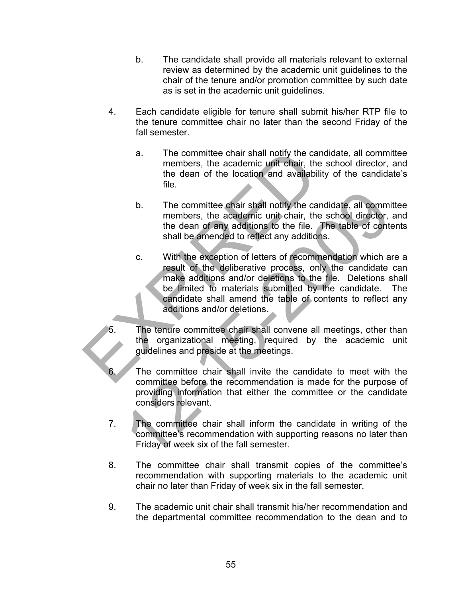- b. The candidate shall provide all materials relevant to external review as determined by the academic unit guidelines to the chair of the tenure and/or promotion committee by such date as is set in the academic unit guidelines.
- 4. Each candidate eligible for tenure shall submit his/her RTP file to the tenure committee chair no later than the second Friday of the fall semester.
	- a. The committee chair shall notify the candidate, all committee members, the academic unit chair, the school director, and the dean of the location and availability of the candidate's file.
	- b. The committee chair shall notify the candidate, all committee members, the academic unit chair, the school director, and the dean of any additions to the file. The table of contents shall be amended to reflect any additions.
- c. With the exception of letters of recommendation which are a result of the deliberative process, only the candidate can make additions and/or deletions to the file. Deletions shall be limited to materials submitted by the candidate. The candidate shall amend the table of contents to reflect any additions and/or deletions. a. The committee chair shall notify the candid<br>
members, the academic unit chair, the sc<br>
the dean of the location and availability<br>
file.<br>
b. The committee chair shall notify the candid<br>
members, the academic unit chair, b. The committee chair shall notify the candidate, all comminements, the accidentic unit chair, the school director, the dean of any additions to the file. The table of cont shall be amended to reflect any additions.<br>
c. W
	- The tenure committee chair shall convene all meetings, other than the organizational meeting, required by the academic unit guidelines and preside at the meetings.
	- The committee chair shall invite the candidate to meet with the committee before the recommendation is made for the purpose of providing information that either the committee or the candidate considers relevant.
	- 7. The committee chair shall inform the candidate in writing of the committee's recommendation with supporting reasons no later than Friday of week six of the fall semester.
	- 8. The committee chair shall transmit copies of the committee's recommendation with supporting materials to the academic unit chair no later than Friday of week six in the fall semester.
	- 9. The academic unit chair shall transmit his/her recommendation and the departmental committee recommendation to the dean and to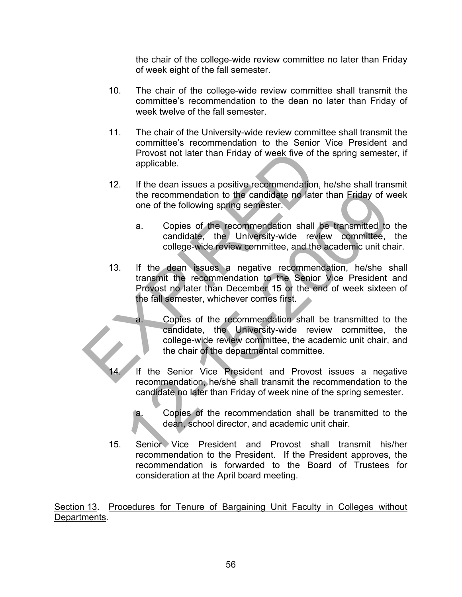the chair of the college-wide review committee no later than Friday of week eight of the fall semester.

- 10. The chair of the college-wide review committee shall transmit the committee's recommendation to the dean no later than Friday of week twelve of the fall semester.
- 11. The chair of the University-wide review committee shall transmit the committee's recommendation to the Senior Vice President and Provost not later than Friday of week five of the spring semester, if applicable.
- 12. If the dean issues a positive recommendation, he/she shall transmit the recommendation to the candidate no later than Friday of week one of the following spring semester.
	- a. Copies of the recommendation shall be transmitted to the candidate, the University-wide review committee, the college-wide review committee, and the academic unit chair.
- 13. If the dean issues a negative recommendation, he/she shall transmit the recommendation to the Senior Vice President and Provost no later than December 15 or the end of week sixteen of the fall semester, whichever comes first. Provost not later than Friday of week five of the<br>applicable.<br>12. If the dean issues a positive recommendation, he<br>the recommendation to the candidate no later th<br>18. Copies of the recommendation shall be<br>candidate, the Un the recommendation to the candidate no later than Friday of words of the following spring semiseter.<br>
a. Copies of the recommendation shall be transmitted to candidate, the University-wide review committee, college-wide re
	- a. Copies of the recommendation shall be transmitted to the candidate, the University-wide review committee, the college-wide review committee, the academic unit chair, and the chair of the departmental committee.
	- If the Senior Vice President and Provost issues a negative recommendation, he/she shall transmit the recommendation to the candidate no later than Friday of week nine of the spring semester.
		- a. Copies of the recommendation shall be transmitted to the dean, school director, and academic unit chair.
	- 15. Senior Vice President and Provost shall transmit his/her recommendation to the President. If the President approves, the recommendation is forwarded to the Board of Trustees for consideration at the April board meeting.

Section 13. Procedures for Tenure of Bargaining Unit Faculty in Colleges without Departments.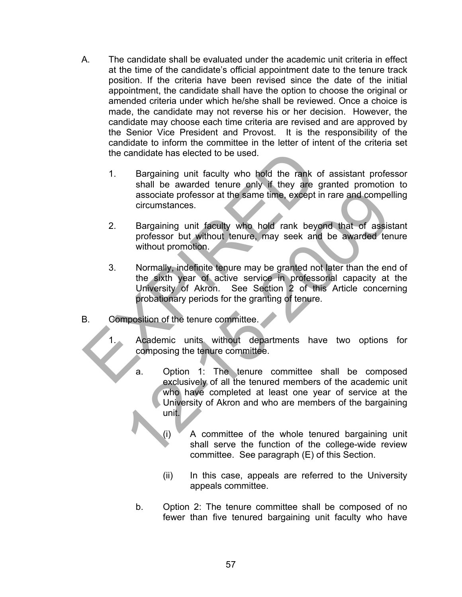- A. The candidate shall be evaluated under the academic unit criteria in effect at the time of the candidate's official appointment date to the tenure track position. If the criteria have been revised since the date of the initial appointment, the candidate shall have the option to choose the original or amended criteria under which he/she shall be reviewed. Once a choice is made, the candidate may not reverse his or her decision. However, the candidate may choose each time criteria are revised and are approved by the Senior Vice President and Provost. It is the responsibility of the candidate to inform the committee in the letter of intent of the criteria set the candidate has elected to be used.
	- 1. Bargaining unit faculty who hold the rank of assistant professor shall be awarded tenure only if they are granted promotion to associate professor at the same time, except in rare and compelling circumstances.
	- 2. Bargaining unit faculty who hold rank beyond that of assistant professor but without tenure, may seek and be awarded tenure without promotion.
- 3. Normally, indefinite tenure may be granted not later than the end of the sixth year of active service in professorial capacity at the University of Akron. See Section 2 of this Article concerning probationary periods for the granting of tenure. the candidate has elected to be used.<br>
1. Bargaining unit faculty who hold the rank of a<br>
shall be awarded tenure only if they are grand<br>
associate professor at the same time, except in racircumstances.<br>
2. Bargaining unit
- B. Composition of the tenure committee.
	- Academic units without departments have two options for composing the tenure committee.
- a. Option 1: The tenure committee shall be composed exclusively of all the tenured members of the academic unit who have completed at least one year of service at the University of Akron and who are members of the bargaining unit. associate professor at the same time, except in rare and compete circumstances.<br>
Bargaining unit faculty who hold rank beyond that of assiss professor but without tenure, may seek and be awarded ter without promotion.<br>
Nor
	- $(i)$  A committee of the whole tenured bargaining unit shall serve the function of the college-wide review committee. See paragraph (E) of this Section.
	- (ii) In this case, appeals are referred to the University appeals committee.
	- b. Option 2: The tenure committee shall be composed of no fewer than five tenured bargaining unit faculty who have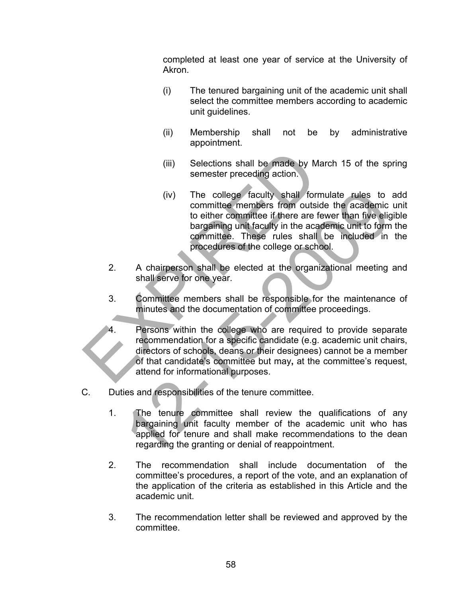completed at least one year of service at the University of Akron.

- (i) The tenured bargaining unit of the academic unit shall select the committee members according to academic unit guidelines.
- (ii) Membership shall not be by administrative appointment.
- (iii) Selections shall be made by March 15 of the spring semester preceding action.
- (iv) The college faculty shall formulate rules to add committee members from outside the academic unit to either committee if there are fewer than five eligible bargaining unit faculty in the academic unit to form the committee. These rules shall be included in the procedures of the college or school. (iv) The college faculty shall formulate rules to<br>committee members from outside the academic<br>to either committee if there are fewer than five ellige<br>bargaining unit faculty in the academic unit to form<br>committee. These ru
- 2. A chairperson shall be elected at the organizational meeting and shall serve for one year.
- 3. Committee members shall be responsible for the maintenance of minutes and the documentation of committee proceedings.
- Persons within the college who are required to provide separate recommendation for a specific candidate (e.g. academic unit chairs, directors of schools, deans or their designees) cannot be a member of that candidate's committee but may**,** at the committee's request, attend for informational purposes. (iii) Selections shall be made by Marci<br>
semester preceding action.<br>
(iv) The college faculty shall formula<br>
committee members from outside<br>
to either committee if there are few<br>
bargaining unit faculty in the academy<br>
com
- C. Duties and responsibilities of the tenure committee.
	- 1. The tenure committee shall review the qualifications of any bargaining unit faculty member of the academic unit who has applied for tenure and shall make recommendations to the dean regarding the granting or denial of reappointment.
	- 2. The recommendation shall include documentation of the committee's procedures, a report of the vote, and an explanation of the application of the criteria as established in this Article and the academic unit.
	- 3. The recommendation letter shall be reviewed and approved by the committee.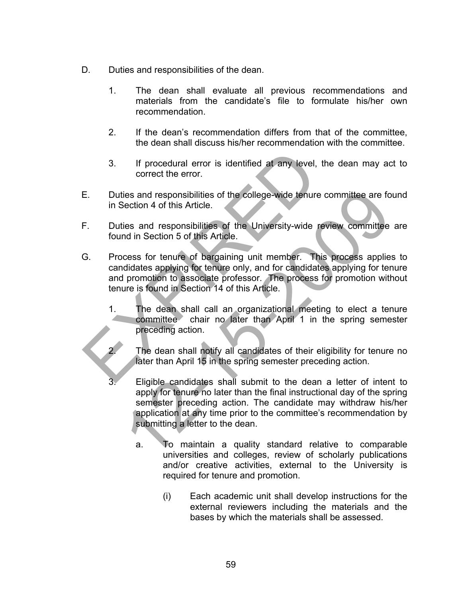- D. Duties and responsibilities of the dean.
	- 1. The dean shall evaluate all previous recommendations and materials from the candidate's file to formulate his/her own recommendation.
	- 2. If the dean's recommendation differs from that of the committee, the dean shall discuss his/her recommendation with the committee.
	- 3. If procedural error is identified at any level, the dean may act to correct the error.
- E. Duties and responsibilities of the college-wide tenure committee are found in Section 4 of this Article.
- F. Duties and responsibilities of the University-wide review committee are found in Section 5 of this Article.
- G. Process for tenure of bargaining unit member. This process applies to candidates applying for tenure only, and for candidates applying for tenure and promotion to associate professor. The process for promotion without tenure is found in Section 14 of this Article. 3. If procedural error is identified at any level, the<br>correct the error.<br>E. Duties and responsibilities of the college-wide tenure co<br>in Section 4 of this Article.<br>F. Duties and responsibilities of the University-wide rev
	- 1. The dean shall call an organizational meeting to elect a tenure committee chair no later than April 1 in the spring semester preceding action.
		- The dean shall notify all candidates of their eligibility for tenure no later than April 15 in the spring semester preceding action.
	- Eligible candidates shall submit to the dean a letter of intent to apply for tenure no later than the final instructional day of the spring semester preceding action. The candidate may withdraw his/her application at any time prior to the committee's recommendation by submitting a letter to the dean. ies and responsibilities of the college-wide tenure committee are for<br>ection 4 of this Article.<br>
	ies and responsibilities of the University-wide review committee<br>
	responsibilities of this Article.<br>
	cess for tenure of barga
		- a. To maintain a quality standard relative to comparable universities and colleges, review of scholarly publications and/or creative activities, external to the University is required for tenure and promotion.
			- (i) Each academic unit shall develop instructions for the external reviewers including the materials and the bases by which the materials shall be assessed.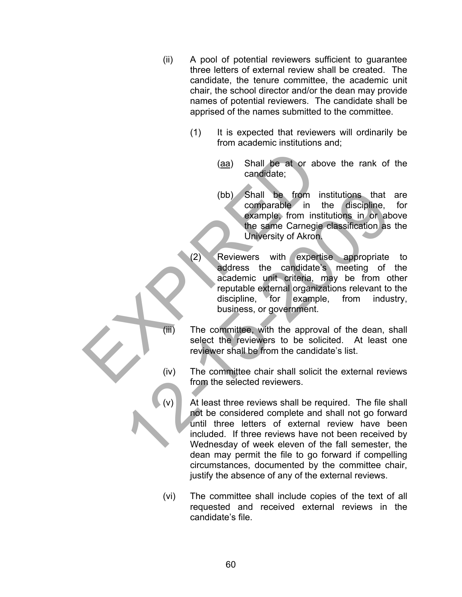- (ii) A pool of potential reviewers sufficient to guarantee three letters of external review shall be created. The candidate, the tenure committee, the academic unit chair, the school director and/or the dean may provide names of potential reviewers. The candidate shall be apprised of the names submitted to the committee.
	- (1) It is expected that reviewers will ordinarily be from academic institutions and;
		- (aa) Shall be at or above the rank of the candidate;
		- (bb) Shall be from institutions that are comparable in the discipline, for example, from institutions in or above the same Carnegie classification as the University of Akron.
- (2) Reviewers with expertise appropriate to address the candidate's meeting of the academic unit criteria, may be from other reputable external organizations relevant to the discipline, for example, from industry, business, or government. (aa) Shall be at or above<br>
candidate;<br>
(bb) Shall be from institution in the same Carregie of the same Carregie of the same Carregie of Akron.<br>
(2) Reviewers with expertise<br>
addense the candidate's addense in the criteria,
	- (iii) The committee, with the approval of the dean, shall select the reviewers to be solicited. At least one reviewer shall be from the candidate's list.
	- (iv) The committee chair shall solicit the external reviews from the selected reviewers.
	- At least three reviews shall be required. The file shall not be considered complete and shall not go forward until three letters of external review have been included. If three reviews have not been received by Wednesday of week eleven of the fall semester, the dean may permit the file to go forward if compelling circumstances, documented by the committee chair, justify the absence of any of the external reviews. (bb) Shall be from institutions that<br>
	scamparable in the discipline,<br>
	example from institutions in or absorber<br>
	the same Carnegie classification as<br>
	University of Akron.<br>
	12) Reviewers with expertise appropriate<br>
	address t
		- (vi) The committee shall include copies of the text of all requested and received external reviews in the candidate's file.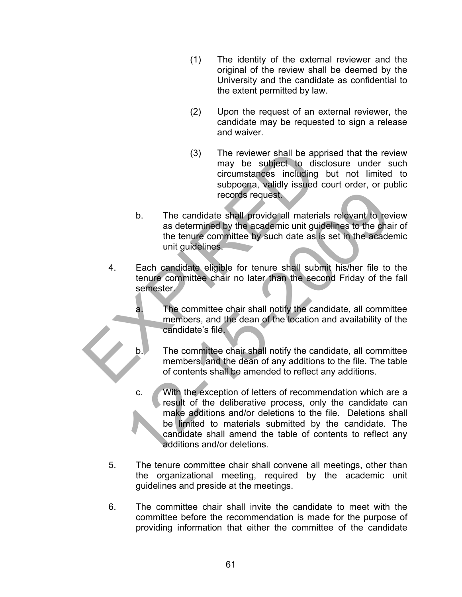- (1) The identity of the external reviewer and the original of the review shall be deemed by the University and the candidate as confidential to the extent permitted by law.
- (2) Upon the request of an external reviewer, the candidate may be requested to sign a release and waiver.
- (3) The reviewer shall be apprised that the review may be subject to disclosure under such circumstances including but not limited to subpoena, validly issued court order, or public records request.
- b. The candidate shall provide all materials relevant to review as determined by the academic unit guidelines to the chair of the tenure committee by such date as is set in the academic unit guidelines. (3) The reviewer shall be appricant to disclomate the subposent to disclomate including by subposent simulations increase including to records request<br>to the candidate shall provide all materials as determined by the acad
	- 4. Each candidate eligible for tenure shall submit his/her file to the tenure committee chair no later than the second Friday of the fall semester.
		- a. The committee chair shall notify the candidate, all committee members, and the dean of the location and availability of the candidate's file.
		- b. The committee chair shall notify the candidate, all committee members, and the dean of any additions to the file. The table of contents shall be amended to reflect any additions.
- c. With the exception of letters of recommendation which are a result of the deliberative process, only the candidate can make additions and/or deletions to the file. Deletions shall be limited to materials submitted by the candidate. The candidate shall amend the table of contents to reflect any additions and/or deletions. records request.<br>
2. The candidate shall provide all materials relevant to rev as determined by the academic unit guidelines to the cha<br>
2. the tenure committee by such date as is set in the academic unit guidelines.<br>
Each
	- 5. The tenure committee chair shall convene all meetings, other than the organizational meeting, required by the academic unit guidelines and preside at the meetings.
	- 6. The committee chair shall invite the candidate to meet with the committee before the recommendation is made for the purpose of providing information that either the committee of the candidate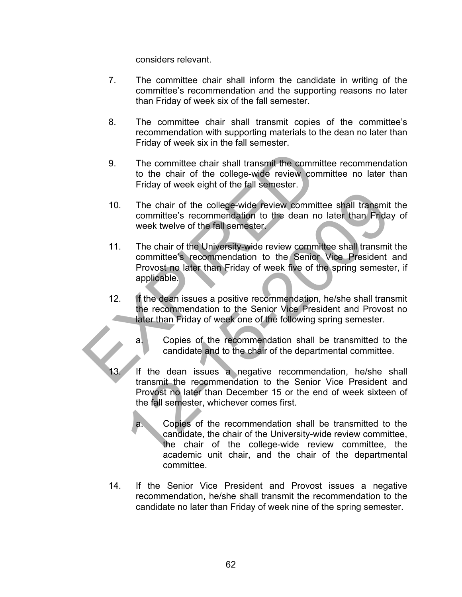considers relevant.

- 7. The committee chair shall inform the candidate in writing of the committee's recommendation and the supporting reasons no later than Friday of week six of the fall semester.
- 8. The committee chair shall transmit copies of the committee's recommendation with supporting materials to the dean no later than Friday of week six in the fall semester.
- 9. The committee chair shall transmit the committee recommendation to the chair of the college-wide review committee no later than Friday of week eight of the fall semester.
- 10. The chair of the college-wide review committee shall transmit the committee's recommendation to the dean no later than Friday of week twelve of the fall semester.
- 11. The chair of the University-wide review committee shall transmit the committee's recommendation to the Senior Vice President and Provost no later than Friday of week five of the spring semester, if applicable. 9. The committee chair shall transmit the committee to the chair of the college-wide review commitered in the college-wide review committee committee's recommendation to the dean no la week twelve of the fall semester.<br>
1 The chair of the college-wide review committee shall transmit<br>committee's recommendation to the dean no later than Friday<br>week twelve of the field semester.<br>The chair of the University-wide review committee shall transmit<br>
	- 12. If the dean issues a positive recommendation, he/she shall transmit the recommendation to the Senior Vice President and Provost no later than Friday of week one of the following spring semester.
		- a. Copies of the recommendation shall be transmitted to the candidate and to the chair of the departmental committee.
	- If the dean issues a negative recommendation, he/she shall transmit the recommendation to the Senior Vice President and Provost no later than December 15 or the end of week sixteen of the fall semester, whichever comes first.
		- a. Copies of the recommendation shall be transmitted to the candidate, the chair of the University-wide review committee, the chair of the college-wide review committee, the academic unit chair, and the chair of the departmental committee.
	- 14. If the Senior Vice President and Provost issues a negative recommendation, he/she shall transmit the recommendation to the candidate no later than Friday of week nine of the spring semester.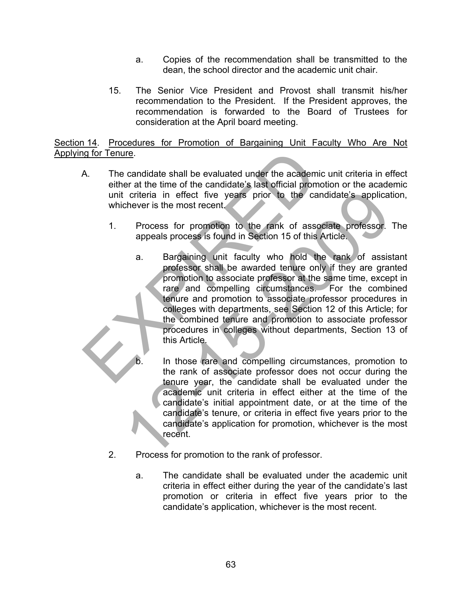- a. Copies of the recommendation shall be transmitted to the dean, the school director and the academic unit chair.
- 15. The Senior Vice President and Provost shall transmit his/her recommendation to the President. If the President approves, the recommendation is forwarded to the Board of Trustees for consideration at the April board meeting.

Section 14. Procedures for Promotion of Bargaining Unit Faculty Who Are Not Applying for Tenure.

- A. The candidate shall be evaluated under the academic unit criteria in effect either at the time of the candidate's last official promotion or the academic unit criteria in effect five years prior to the candidate's application, whichever is the most recent.
	- 1. Process for promotion to the rank of associate professor. The appeals process is found in Section 15 of this Article.
- a. Bargaining unit faculty who hold the rank of assistant professor shall be awarded tenure only if they are granted promotion to associate professor at the same time, except in rare and compelling circumstances. For the combined tenure and promotion to associate professor procedures in colleges with departments, see Section 12 of this Article; for the combined tenure and promotion to associate professor procedures in colleges without departments, Section 13 of this Article.  $\overline{a}$ Manuscular contracts and the exploration of the candidate shall be evaluated under the academic unit criteria in effect five years prior to the candid whichever is the most recent.<br>
1. Process for promotion to the rank of Training effect five years prior to the candidate's application and the series of process for promotion to the rank of associate professor.<br>
Trocess for promotion to the rank of associate professor.<br>
2009-2019 and in Secti
	- In those rare and compelling circumstances, promotion to the rank of associate professor does not occur during the tenure year, the candidate shall be evaluated under the academic unit criteria in effect either at the time of the candidate's initial appointment date, or at the time of the candidate's tenure, or criteria in effect five years prior to the candidate's application for promotion, whichever is the most recent.
	- 2. Process for promotion to the rank of professor.
		- a. The candidate shall be evaluated under the academic unit criteria in effect either during the year of the candidate's last promotion or criteria in effect five years prior to the candidate's application, whichever is the most recent.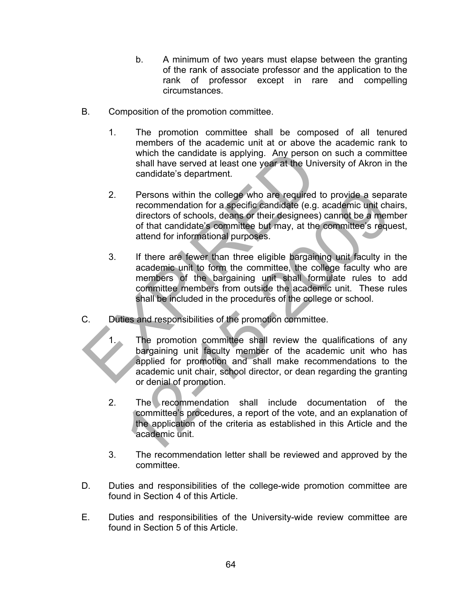- b. A minimum of two years must elapse between the granting of the rank of associate professor and the application to the rank of professor except in rare and compelling circumstances.
- B. Composition of the promotion committee.
	- 1. The promotion committee shall be composed of all tenured members of the academic unit at or above the academic rank to which the candidate is applying. Any person on such a committee shall have served at least one year at the University of Akron in the candidate's department.
- 2. Persons within the college who are required to provide a separate recommendation for a specific candidate (e.g. academic unit chairs, directors of schools, deans or their designees) cannot be a member of that candidate's committee but may, at the committee's request, attend for informational purposes. which the candidate is applying. Any person on<br>
shall have served at least one year at the Universe candidate's department.<br>
2. Persons within the college who are required to the recommendation for a specific candidate (e. Persons within the college who are required to provide a sepa<br>recommendation for a specific candidate (e.g. academic unit cha<br>directors of schools, deans or their designees) cannot be a mem<br>of that candidate's committee bu
	- 3. If there are fewer than three eligible bargaining unit faculty in the academic unit to form the committee, the college faculty who are members of the bargaining unit shall formulate rules to add committee members from outside the academic unit. These rules shall be included in the procedures of the college or school.
- C. Duties and responsibilities of the promotion committee.
	- 1. The promotion committee shall review the qualifications of any bargaining unit faculty member of the academic unit who has applied for promotion and shall make recommendations to the academic unit chair, school director, or dean regarding the granting or denial of promotion.
	- 2. The recommendation shall include documentation of the committee's procedures, a report of the vote, and an explanation of the application of the criteria as established in this Article and the academic unit.
	- 3. The recommendation letter shall be reviewed and approved by the committee.
- D. Duties and responsibilities of the college-wide promotion committee are found in Section 4 of this Article.
- E. Duties and responsibilities of the University-wide review committee are found in Section 5 of this Article.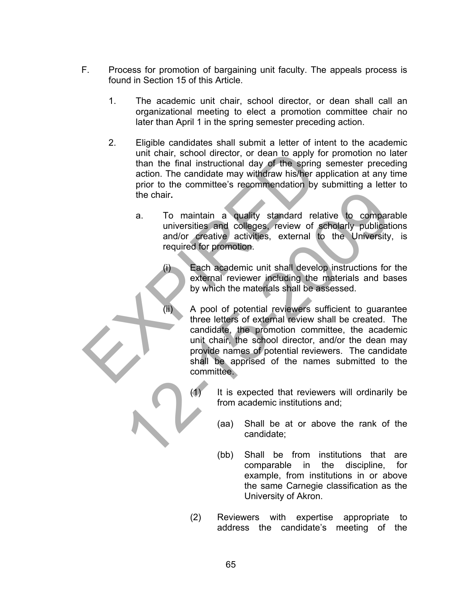- F. Process for promotion of bargaining unit faculty. The appeals process is found in Section 15 of this Article.
	- 1. The academic unit chair, school director, or dean shall call an organizational meeting to elect a promotion committee chair no later than April 1 in the spring semester preceding action.
- 2. Eligible candidates shall submit a letter of intent to the academic unit chair, school director, or dean to apply for promotion no later than the final instructional day of the spring semester preceding action. The candidate may withdraw his/her application at any time prior to the committee's recommendation by submitting a letter to the chair**.**  unit chair, school director, or dean to apply for<br>than the final instructional day of the spring section. The candidate may withdraw his/her appl<br>prior to the committee's recommendation by sult<br>to the chair.<br>a. To maintain
	- a. To maintain a quality standard relative to comparable universities and colleges, review of scholarly publications and/or creative activities, external to the University, is required for promotion.

(i) Each academic unit shall develop instructions for the external reviewer including the materials and bases by which the materials shall be assessed.

(ii) A pool of potential reviewers sufficient to guarantee three letters of external review shall be created. The candidate, the promotion committee, the academic unit chair, the school director, and/or the dean may provide names of potential reviewers. The candidate shall be apprised of the names submitted to the committee. The chair.<br>
a. To maintain a quality standard relative to compare universities and colleges, review of scholarly publication<br>
and/or creative activities, external to the University<br>
required for promotion.<br>
(i) Each academ

- (1) It is expected that reviewers will ordinarily be from academic institutions and;
	- (aa) Shall be at or above the rank of the candidate;
	- (bb) Shall be from institutions that are comparable in the discipline, for example, from institutions in or above the same Carnegie classification as the University of Akron.
- (2) Reviewers with expertise appropriate to address the candidate's meeting of the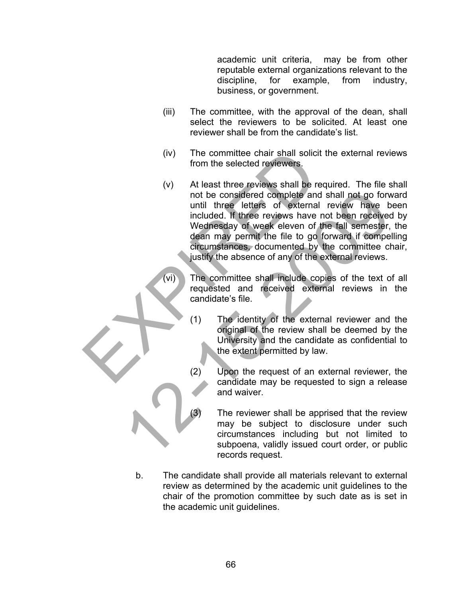academic unit criteria, may be from other reputable external organizations relevant to the discipline, for example, from industry, business, or government.

- (iii) The committee, with the approval of the dean, shall select the reviewers to be solicited. At least one reviewer shall be from the candidate's list.
- (iv) The committee chair shall solicit the external reviews from the selected reviewers.
- (v) At least three reviews shall be required. The file shall not be considered complete and shall not go forward until three letters of external review have been included. If three reviews have not been received by Wednesday of week eleven of the fall semester, the dean may permit the file to go forward if compelling circumstances, documented by the committee chair, justify the absence of any of the external reviews. (iv) The committee chair shall solicit the<br>
from the selected reviewers.<br>
(v) At least three reviews shall be requence to the considered complete and shall three letters of external reduced. If three reviews have not Wedn not be considered complete and shall not go forw<br>
included. If three reviews have been received<br>
included. If three reviews have not been received<br>
included at provide experiment the file to go forward if competent<br>
denn m
	- (vi) The committee shall include copies of the text of all requested and received external reviews in the candidate's file.
		- (1) The identity of the external reviewer and the original of the review shall be deemed by the University and the candidate as confidential to the extent permitted by law.
		- (2) Upon the request of an external reviewer, the candidate may be requested to sign a release and waiver.
			- The reviewer shall be apprised that the review may be subject to disclosure under such circumstances including but not limited to subpoena, validly issued court order, or public records request.
	- b. The candidate shall provide all materials relevant to external review as determined by the academic unit guidelines to the chair of the promotion committee by such date as is set in the academic unit guidelines.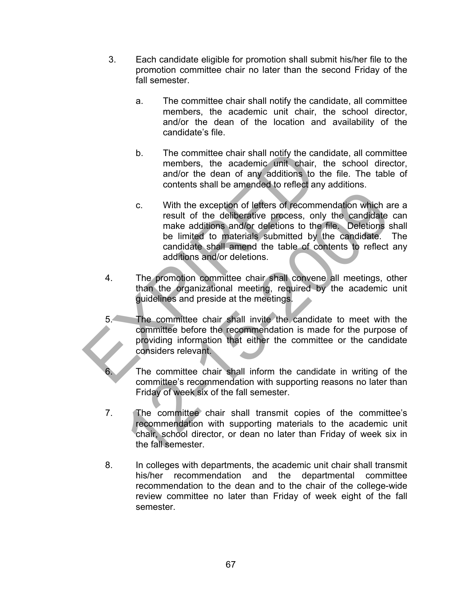- 3. Each candidate eligible for promotion shall submit his/her file to the promotion committee chair no later than the second Friday of the fall semester.
	- a. The committee chair shall notify the candidate, all committee members, the academic unit chair, the school director, and/or the dean of the location and availability of the candidate's file.
	- b. The committee chair shall notify the candidate, all committee members, the academic unit chair, the school director, and/or the dean of any additions to the file. The table of contents shall be amended to reflect any additions.
- c. With the exception of letters of recommendation which are a result of the deliberative process, only the candidate can make additions and/or deletions to the file. Deletions shall be limited to materials submitted by the candidate. The candidate shall amend the table of contents to reflect any additions and/or deletions. b. The committee chair shall notify the candid<br>members, the academic unit chair, the<br>and/or the dean of any additions to the<br>contents shall be amended to reflect any a<br>c. With the exception of letters of recommen<br>result of C. With the exception of letters of recommendation which are<br>suit of the deliberative process, only the candidate<br>make additions and/or deletions to the file. Deletions<br>to be limited to materials submitted by the candidate
	- 4. The promotion committee chair shall convene all meetings, other than the organizational meeting, required by the academic unit guidelines and preside at the meetings.
	- 5. The committee chair shall invite the candidate to meet with the committee before the recommendation is made for the purpose of providing information that either the committee or the candidate considers relevant.
		- The committee chair shall inform the candidate in writing of the committee's recommendation with supporting reasons no later than Friday of week six of the fall semester.
	- 7. The committee chair shall transmit copies of the committee's recommendation with supporting materials to the academic unit chair, school director, or dean no later than Friday of week six in the fall semester.
	- 8. In colleges with departments, the academic unit chair shall transmit his/her recommendation and the departmental committee recommendation to the dean and to the chair of the college-wide review committee no later than Friday of week eight of the fall semester.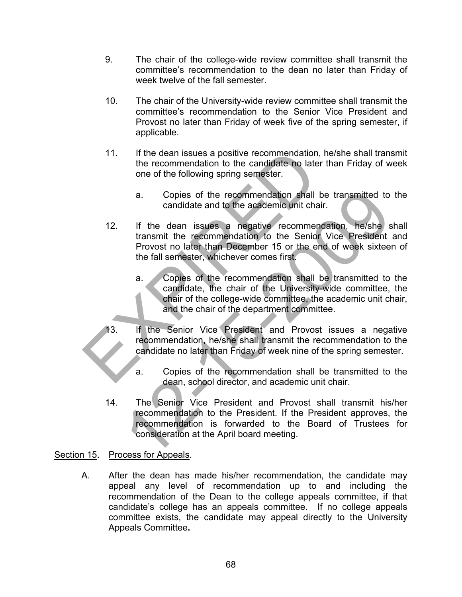- 9. The chair of the college-wide review committee shall transmit the committee's recommendation to the dean no later than Friday of week twelve of the fall semester.
- 10. The chair of the University-wide review committee shall transmit the committee's recommendation to the Senior Vice President and Provost no later than Friday of week five of the spring semester, if applicable.
- 11. If the dean issues a positive recommendation, he/she shall transmit the recommendation to the candidate no later than Friday of week one of the following spring semester.
	- a. Copies of the recommendation shall be transmitted to the candidate and to the academic unit chair.
- 12. If the dean issues a negative recommendation, he/she shall transmit the recommendation to the Senior Vice President and Provost no later than December 15 or the end of week sixteen of the fall semester, whichever comes first. 11. If the dean issues a positive recommendation, he<br>the recommendation to the candidate no later th<br>one of the following spring semester.<br>
a. Copies of the recommendation shall be<br>
candidate and to the academic unit chair
	- a. Copies of the recommendation shall be transmitted to the candidate, the chair of the University-wide committee, the chair of the college-wide committee, the academic unit chair, and the chair of the department committee.
	- 13. If the Senior Vice President and Provost issues a negative recommendation, he/she shall transmit the recommendation to the candidate no later than Friday of week nine of the spring semester.
		- a. Copies of the recommendation shall be transmitted to the dean, school director, and academic unit chair.
	- 14. The Senior Vice President and Provost shall transmit his/her recommendation to the President. If the President approves, the recommendation is forwarded to the Board of Trustees for consideration at the April board meeting. 2. Copies of the recommendation shall be transmitted to<br>candidate and to the accidentic unit chair.<br>If the dean issues a negative recommendation, hershe stransmit the recommendation to the Senior Vice President<br>Provost no

## Section 15. Process for Appeals.

A. After the dean has made his/her recommendation, the candidate may appeal any level of recommendation up to and including the recommendation of the Dean to the college appeals committee, if that candidate's college has an appeals committee. If no college appeals committee exists, the candidate may appeal directly to the University Appeals Committee**.**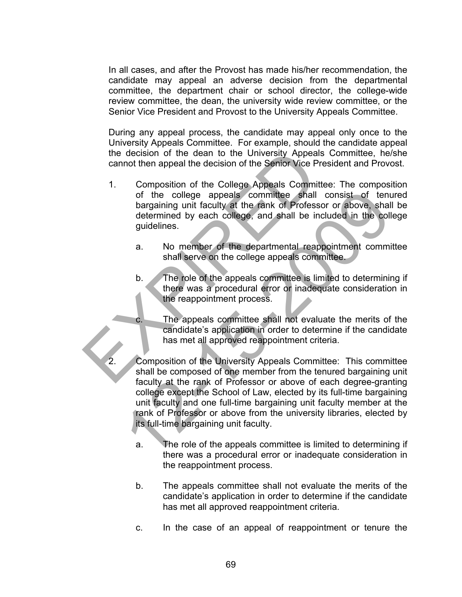In all cases, and after the Provost has made his/her recommendation, the candidate may appeal an adverse decision from the departmental committee, the department chair or school director, the college-wide review committee, the dean, the university wide review committee, or the Senior Vice President and Provost to the University Appeals Committee.

During any appeal process, the candidate may appeal only once to the University Appeals Committee. For example, should the candidate appeal the decision of the dean to the University Appeals Committee, he/she cannot then appeal the decision of the Senior Vice President and Provost.

- 1. Composition of the College Appeals Committee: The composition of the college appeals committee shall consist of tenured bargaining unit faculty at the rank of Professor or above, shall be determined by each college, and shall be included in the college guidelines. the decision of the dean to the University Appeals Committee<br>
1. Composition of the College Appeals Committee<br>
of the college appeals committee shall cc<br>
bargaining unit faculty at the rank of Professor<br>
determined by each
	- a. No member of the departmental reappointment committee shall serve on the college appeals committee.
	- b. The role of the appeals committee is limited to determining if there was a procedural error or inadequate consideration in the reappointment process.
	- c. The appeals committee shall not evaluate the merits of the candidate's application in order to determine if the candidate has met all approved reappointment criteria.
	- 2. Composition of the University Appeals Committee: This committee shall be composed of one member from the tenured bargaining unit faculty at the rank of Professor or above of each degree-granting college except the School of Law, elected by its full-time bargaining unit faculty and one full-time bargaining unit faculty member at the rank of Professor or above from the university libraries, elected by its full-time bargaining unit faculty. of the college appeals committee shall consist of the bargaining unit faculty at the rank of Professor or above, shall determined by each college, and shall be included in the college appeals determined by each college, an
		- a. The role of the appeals committee is limited to determining if there was a procedural error or inadequate consideration in the reappointment process.
		- b. The appeals committee shall not evaluate the merits of the candidate's application in order to determine if the candidate has met all approved reappointment criteria.
		- c. In the case of an appeal of reappointment or tenure the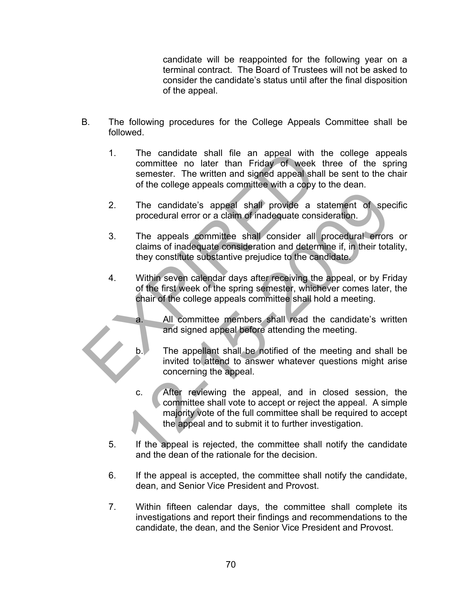candidate will be reappointed for the following year on a terminal contract. The Board of Trustees will not be asked to consider the candidate's status until after the final disposition of the appeal.

- B. The following procedures for the College Appeals Committee shall be followed.
- 1. The candidate shall file an appeal with the college appeals committee no later than Friday of week three of the spring semester. The written and signed appeal shall be sent to the chair of the college appeals committee with a copy to the dean. 1. The candidate shall file an appeal with the<br>committee no later than Friday of week thr<br>semester. The written and signed appeal shall b<br>of the college appeals committee with a copy to the<br>college appeals committee with a
	- 2. The candidate's appeal shall provide a statement of specific procedural error or a claim of inadequate consideration.
	- 3. The appeals committee shall consider all procedural errors or claims of inadequate consideration and determine if, in their totality, they constitute substantive prejudice to the candidate.
	- 4. Within seven calendar days after receiving the appeal, or by Friday of the first week of the spring semester, whichever comes later, the chair of the college appeals committee shall hold a meeting.
		- a. All committee members shall read the candidate's written and signed appeal before attending the meeting.
		- b. The appellant shall be notified of the meeting and shall be invited to attend to answer whatever questions might arise concerning the appeal.
- c. After reviewing the appeal, and in closed session, the committee shall vote to accept or reject the appeal. A simple majority vote of the full committee shall be required to accept the appeal and to submit it to further investigation. The candidate's appeal shall provide a statement of specified and the procedural error or a claim of inadequate consideration.<br>
The appeals committee shall consider all procedural errors<br>
claims of inadequate consideration
	- 5. If the appeal is rejected, the committee shall notify the candidate and the dean of the rationale for the decision.
	- 6. If the appeal is accepted, the committee shall notify the candidate, dean, and Senior Vice President and Provost.
	- 7. Within fifteen calendar days, the committee shall complete its investigations and report their findings and recommendations to the candidate, the dean, and the Senior Vice President and Provost.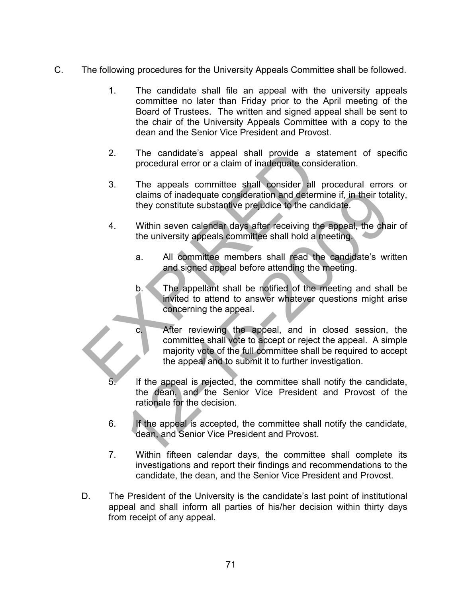- C. The following procedures for the University Appeals Committee shall be followed.
	- 1. The candidate shall file an appeal with the university appeals committee no later than Friday prior to the April meeting of the Board of Trustees. The written and signed appeal shall be sent to the chair of the University Appeals Committee with a copy to the dean and the Senior Vice President and Provost.
	- 2. The candidate's appeal shall provide a statement of specific procedural error or a claim of inadequate consideration.
	- 3. The appeals committee shall consider all procedural errors or claims of inadequate consideration and determine if, in their totality, they constitute substantive prejudice to the candidate.
	- 4. Within seven calendar days after receiving the appeal, the chair of the university appeals committee shall hold a meeting.
		- a. All committee members shall read the candidate's written and signed appeal before attending the meeting.
		- b. The appellant shall be notified of the meeting and shall be invited to attend to answer whatever questions might arise concerning the appeal.
	- c. After reviewing the appeal, and in closed session, the committee shall vote to accept or reject the appeal. A simple majority vote of the full committee shall be required to accept the appeal and to submit it to further investigation. 2. The candidate's appeal shall provide a state<br>procedural error or a claim of inadequate consider<br>3. The appeals committee shall consider all pro<br>claims of inadequate consideration and determine<br>they constitute substantiv claims of inadequate consideration and determine if, in their totendidate.<br>
	12-15-2009 Within seven calendar days after receiving the appeal, the characteristic within seven calendar days after receiving the appeal, the ch
		- If the appeal is rejected, the committee shall notify the candidate, the dean, and the Senior Vice President and Provost of the rationale for the decision.
		- 6. If the appeal is accepted, the committee shall notify the candidate, dean, and Senior Vice President and Provost.
		- 7. Within fifteen calendar days, the committee shall complete its investigations and report their findings and recommendations to the candidate, the dean, and the Senior Vice President and Provost.
	- D. The President of the University is the candidate's last point of institutional appeal and shall inform all parties of his/her decision within thirty days from receipt of any appeal.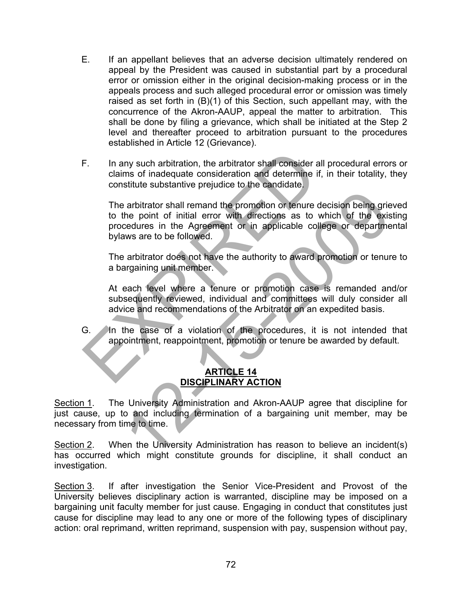- E. If an appellant believes that an adverse decision ultimately rendered on appeal by the President was caused in substantial part by a procedural error or omission either in the original decision-making process or in the appeals process and such alleged procedural error or omission was timely raised as set forth in (B)(1) of this Section, such appellant may, with the concurrence of the Akron-AAUP, appeal the matter to arbitration. This shall be done by filing a grievance, which shall be initiated at the Step 2 level and thereafter proceed to arbitration pursuant to the procedures established in Article 12 (Grievance).
- F. In any such arbitration, the arbitrator shall consider all procedural errors or claims of inadequate consideration and determine if, in their totality, they constitute substantive prejudice to the candidate.

 The arbitrator shall remand the promotion or tenure decision being grieved to the point of initial error with directions as to which of the existing procedures in the Agreement or in applicable college or departmental bylaws are to be followed. F. In any such arbitration, the arbitrator shall consider all probable claims of inadequate consideration and determine if, in constitute substantive prejudice to the candidate.<br>The arbitrator shall remand the promotion o arbitrator shall remand the promotion or tenure decision being gries<br>the point of initial error with directions as to which of the exisedures in the Agreement or in applicable college or departme<br>aws are to be followed.<br>
a

 The arbitrator does not have the authority to award promotion or tenure to a bargaining unit member.

 At each level where a tenure or promotion case is remanded and/or subsequently reviewed, individual and committees will duly consider all advice and recommendations of the Arbitrator on an expedited basis.

G. In the case of a violation of the procedures, it is not intended that appointment, reappointment, promotion or tenure be awarded by default.

# **ARTICLE 14 DISCIPLINARY ACTION**

Section 1. The University Administration and Akron-AAUP agree that discipline for just cause, up to and including termination of a bargaining unit member, may be necessary from time to time.

Section 2. When the University Administration has reason to believe an incident(s) has occurred which might constitute grounds for discipline, it shall conduct an investigation.

Section 3. If after investigation the Senior Vice-President and Provost of the University believes disciplinary action is warranted, discipline may be imposed on a bargaining unit faculty member for just cause. Engaging in conduct that constitutes just cause for discipline may lead to any one or more of the following types of disciplinary action: oral reprimand, written reprimand, suspension with pay, suspension without pay,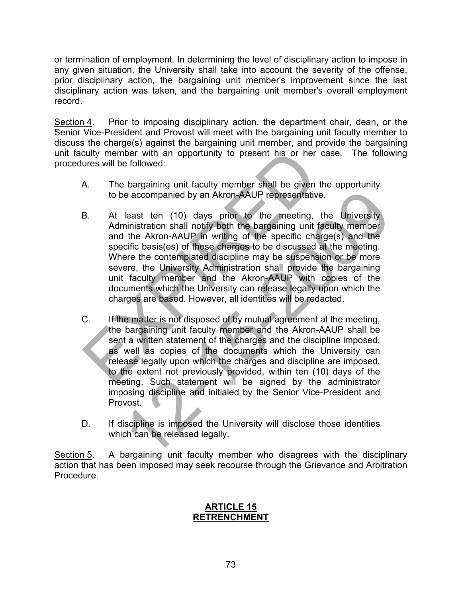or termination of employment. In determining the level of disciplinary action to impose in any given situation, the University shall take into account the severity of the offense, prior disciplinary action, the bargaining unit member's improvement since the last disciplinary action was taken, and the bargaining unit member's overall employment record.

Section 4. Prior to imposing disciplinary action, the department chair, dean, or the Senior Vice-President and Provost will meet with the bargaining unit faculty member to discuss the charge(s) against the bargaining unit member, and provide the bargaining unit faculty member with an opportunity to present his or her case. The following procedures will be followed:

- A. The bargaining unit faculty member shall be given the opportunity to be accompanied by an Akron-AAUP representative.
- B. At least ten (10) days prior to the meeting, the University Administration shall notify both the bargaining unit faculty member and the Akron-AAUP in writing of the specific charge(s) and the specific basis(es) of those charges to be discussed at the meeting. Where the contemplated discipline may be suspension or be more severe, the University Administration shall provide the bargaining unit faculty member and the Akron-AAUP with copies of the documents which the University can release legally upon which the charges are based. However, all identities will be redacted. culty member with an opportunity to present his or her cas<br>
ures will be followed:<br>
A. The bargaining unit faculty member shall be given the<br>
to be accompanied by an Akron-AAUP representative.<br>
B. At least ten (10) days pr
- C. If the matter is not disposed of by mutual agreement at the meeting, the bargaining unit faculty member and the Akron-AAUP shall be sent a written statement of the charges and the discipline imposed, as well as copies of the documents which the University can release legally upon which the charges and discipline are imposed, to the extent not previously provided, within ten (10) days of the meeting. Such statement will be signed by the administrator imposing discipline and initialed by the Senior Vice-President and Provost. e accompanied by an Akron-AAUP representative.<br>
least ten (10) days prior to the meeting, the University<br>
linistration shall notify both the bargaining unit faculty member<br>
the Akron-AAUP in writing of the specific charge(
- D. If discipline is imposed the University will disclose those identities which can be released legally.

Section 5. A bargaining unit faculty member who disagrees with the disciplinary action that has been imposed may seek recourse through the Grievance and Arbitration Procedure.

#### **ARTICLE 15 RETRENCHMENT**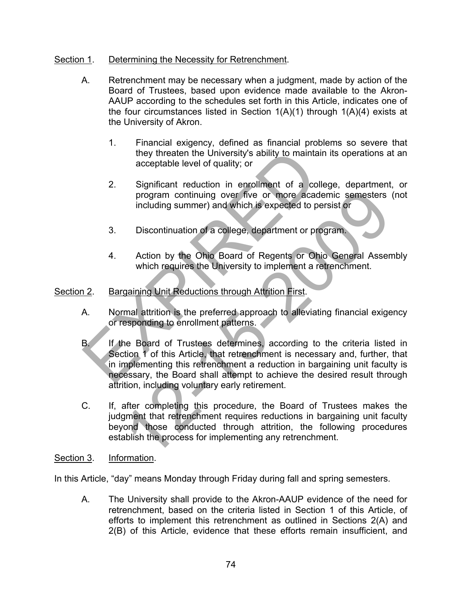## Section 1. Determining the Necessity for Retrenchment.

- A. Retrenchment may be necessary when a judgment, made by action of the Board of Trustees, based upon evidence made available to the Akron-AAUP according to the schedules set forth in this Article, indicates one of the four circumstances listed in Section  $1(A)(1)$  through  $1(A)(4)$  exists at the University of Akron.
	- 1. Financial exigency, defined as financial problems so severe that they threaten the University's ability to maintain its operations at an acceptable level of quality; or
	- 2. Significant reduction in enrollment of a college, department, or program continuing over five or more academic semesters (not including summer) and which is expected to persist or
	- 3. Discontinuation of a college, department or program.
	- 4. Action by the Ohio Board of Regents or Ohio General Assembly which requires the University to implement a retrenchment.

## Section 2. Bargaining Unit Reductions through Attrition First.

- A. Normal attrition is the preferred approach to alleviating financial exigency or responding to enrollment patterns.
- B. If the Board of Trustees determines, according to the criteria listed in Section 1 of this Article, that retrenchment is necessary and, further, that in implementing this retrenchment a reduction in bargaining unit faculty is necessary, the Board shall attempt to achieve the desired result through attrition, including voluntary early retirement. They threaten the University's ability to maintain if<br>acceptable level of quality; or<br>2. Significant reduction in enrollment of a colleg<br>program continuing over five or more academ<br>including summer) and which is expected t program continuing over five or more academic semesters<br>including summer) and which is expected to persist or<br>Discontinuation of a college, department or program.<br>Action by the Ohio Board of Regents or Ohio General Assem<br>w
- C. If, after completing this procedure, the Board of Trustees makes the judgment that retrenchment requires reductions in bargaining unit faculty beyond those conducted through attrition, the following procedures establish the process for implementing any retrenchment.
- Section 3. Information.

In this Article, "day" means Monday through Friday during fall and spring semesters.

A. The University shall provide to the Akron-AAUP evidence of the need for retrenchment, based on the criteria listed in Section 1 of this Article, of efforts to implement this retrenchment as outlined in Sections 2(A) and 2(B) of this Article, evidence that these efforts remain insufficient, and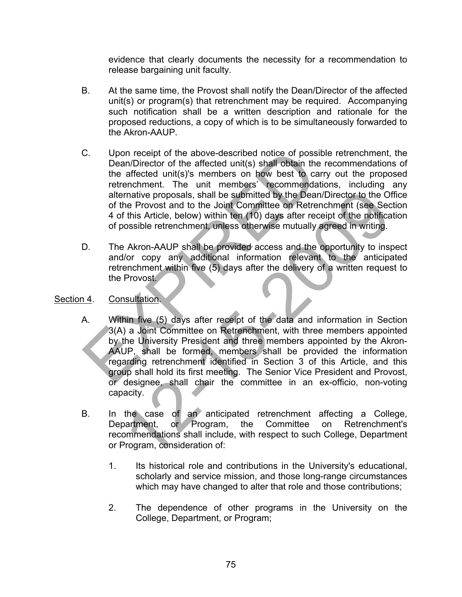evidence that clearly documents the necessity for a recommendation to release bargaining unit faculty.

- B. At the same time, the Provost shall notify the Dean/Director of the affected unit(s) or program(s) that retrenchment may be required. Accompanying such notification shall be a written description and rationale for the proposed reductions, a copy of which is to be simultaneously forwarded to the Akron-AAUP.
- C. Upon receipt of the above-described notice of possible retrenchment, the Dean/Director of the affected unit(s) shall obtain the recommendations of the affected unit(s)'s members on how best to carry out the proposed retrenchment. The unit members' recommendations, including any alternative proposals, shall be submitted by the Dean/Director to the Office of the Provost and to the Joint Committee on Retrenchment (see Section 4 of this Article, below) within ten (10) days after receipt of the notification of possible retrenchment, unless otherwise mutually agreed in writing. C.<br>
Upon receipt of the above-described notice of possible<br>
Dean/Director of the affected unit(s) shall obtain the re<br>
the affected unit(s)'s members on how best to carry<br>
retrenchment. The unit members' recommendation<br>
al
- D. The Akron-AAUP shall be provided access and the opportunity to inspect and/or copy any additional information relevant to the anticipated retrenchment within five (5) days after the delivery of a written request to the Provost.

# Section 4. Consultation.

- A. Within five (5) days after receipt of the data and information in Section 3(A) a Joint Committee on Retrenchment, with three members appointed by the University President and three members appointed by the Akron-AAUP, shall be formed, members shall be provided the information regarding retrenchment identified in Section 3 of this Article, and this group shall hold its first meeting. The Senior Vice President and Provost, or designee, shall chair the committee in an ex-officio, non-voting capacity. mative proposals, shall be submitted by the Dean/Director to the O1<br>
The Provost and to the Joint Committee on Retrenchment (see Sec<br>
(this Article, below) within ten (10) days after receipt of the notifical<br>
(this Article
- B. In the case of an anticipated retrenchment affecting a College, Department, or Program, the Committee on Retrenchment's recommendations shall include, with respect to such College, Department or Program, consideration of:
	- 1. Its historical role and contributions in the University's educational, scholarly and service mission, and those long-range circumstances which may have changed to alter that role and those contributions;
	- 2. The dependence of other programs in the University on the College, Department, or Program;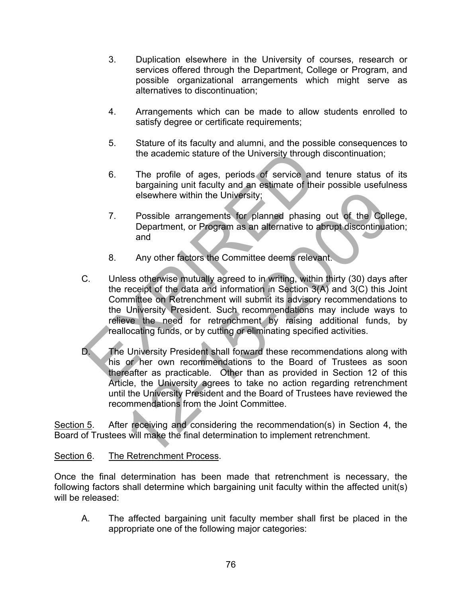- 3. Duplication elsewhere in the University of courses, research or services offered through the Department, College or Program, and possible organizational arrangements which might serve as alternatives to discontinuation;
- 4. Arrangements which can be made to allow students enrolled to satisfy degree or certificate requirements;
- 5. Stature of its faculty and alumni, and the possible consequences to the academic stature of the University through discontinuation;
- 6. The profile of ages, periods of service and tenure status of its bargaining unit faculty and an estimate of their possible usefulness elsewhere within the University;
- 7. Possible arrangements for planned phasing out of the College, Department, or Program as an alternative to abrupt discontinuation; and
- 8. Any other factors the Committee deems relevant.
- C. Unless otherwise mutually agreed to in writing, within thirty (30) days after the receipt of the data and information in Section 3(A) and 3(C) this Joint Committee on Retrenchment will submit its advisory recommendations to the University President. Such recommendations may include ways to relieve the need for retrenchment by raising additional funds, by reallocating funds, or by cutting or eliminating specified activities. the academic stature of the University through dis<br>
6. The profile of ages, periods of service and te<br>
bargaining unit faculty and an estimate of their p<br>
elsewhere within the University;<br>
7. Possible arrangements for plan Elevator within the University;<br>
Possible arrangements for planned phasing out of the Coll<br>
Department, or Program as an alternative to abrupt discontinuat<br>
and<br>
Any other factors the Committee deems relevant.<br>
Ess otherwi
- D. The University President shall forward these recommendations along with his or her own recommendations to the Board of Trustees as soon thereafter as practicable. Other than as provided in Section 12 of this Article, the University agrees to take no action regarding retrenchment until the University President and the Board of Trustees have reviewed the recommendations from the Joint Committee.

Section 5. After receiving and considering the recommendation(s) in Section 4, the Board of Trustees will make the final determination to implement retrenchment.

#### Section 6. The Retrenchment Process.

Once the final determination has been made that retrenchment is necessary, the following factors shall determine which bargaining unit faculty within the affected unit(s) will be released:

A. The affected bargaining unit faculty member shall first be placed in the appropriate one of the following major categories: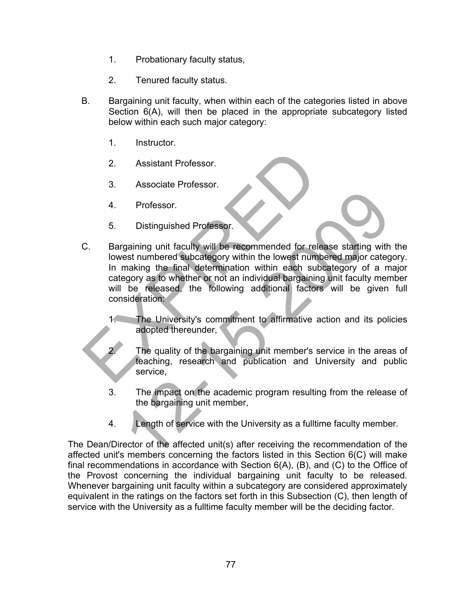- 1. Probationary faculty status,
- 2. Tenured faculty status.
- B. Bargaining unit faculty, when within each of the categories listed in above Section 6(A), will then be placed in the appropriate subcategory listed below within each such major category:
	- 1. Instructor.
	- 2. Assistant Professor.
	- 3. Associate Professor.
	- 4. Professor.
	- 5. Distinguished Professor.
- C. Bargaining unit faculty will be recommended for release starting with the lowest numbered subcategory within the lowest numbered major category. In making the final determination within each subcategory of a major category as to whether or not an individual bargaining unit faculty member will be released, the following additional factors will be given full consideration: 2. Assistant Professor.<br>
3. Associate Professor.<br>
4. Professor.<br>
5. Distinguished Professor.<br>
5. Distinguished Professor.<br>
C. Bargaining unit faculty will be recommended for release lowest number<br>
In making the final deter Professor.<br>
Distinguished Professor.<br>
gaining unit faculty will be recommended for release starting with<br>
est numbered subcategory within the lowest numbered major category as<br>
making the final determination within each su
	- 1. The University's commitment to affirmative action and its policies adopted thereunder,
		- The quality of the bargaining unit member's service in the areas of teaching, research and publication and University and public service,
	- 3. The impact on the academic program resulting from the release of the bargaining unit member,
	- 4. Length of service with the University as a fulltime faculty member.

The Dean/Director of the affected unit(s) after receiving the recommendation of the affected unit's members concerning the factors listed in this Section 6(C) will make final recommendations in accordance with Section 6(A), (B), and (C) to the Office of the Provost concerning the individual bargaining unit faculty to be released. Whenever bargaining unit faculty within a subcategory are considered approximately equivalent in the ratings on the factors set forth in this Subsection (C), then length of service with the University as a fulltime faculty member will be the deciding factor.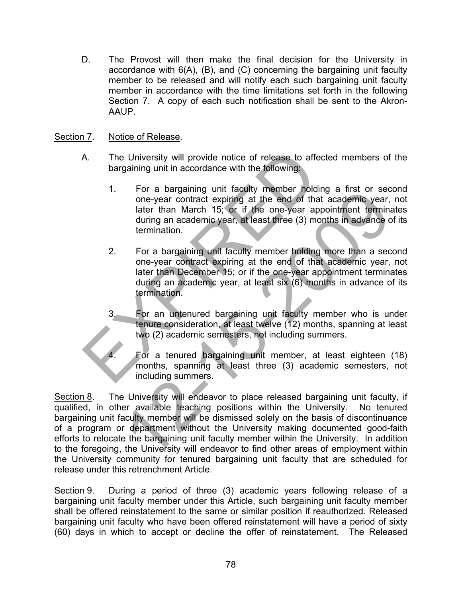D. The Provost will then make the final decision for the University in accordance with 6(A), (B), and (C) concerning the bargaining unit faculty member to be released and will notify each such bargaining unit faculty member in accordance with the time limitations set forth in the following Section 7. A copy of each such notification shall be sent to the Akron-AAUP.

### Section 7. Notice of Release.

- A. The University will provide notice of release to affected members of the bargaining unit in accordance with the following:
- 1. For a bargaining unit faculty member holding a first or second one-year contract expiring at the end of that academic year, not later than March 15; or if the one-year appointment terminates during an academic year, at least three (3) months in advance of its termination. The University will provide notice of release to affecte<br>
bargaining unit in accordance with the following:<br>
1. For a bargaining unit faculty member holding<br>
one-year contract expiring at the end of that a<br>
later than Marc
	- 2. For a bargaining unit faculty member holding more than a second one-year contract expiring at the end of that academic year, not later than December 15; or if the one-year appointment terminates during an academic year, at least six (6) months in advance of its termination.
	- For an untenured bargaining unit faculty member who is under tenure consideration, at least twelve (12) months, spanning at least two (2) academic semesters, not including summers.
		- 4. For a tenured bargaining unit member, at least eighteen (18) months, spanning at least three (3) academic semesters, not including summers.

Section 8. The University will endeavor to place released bargaining unit faculty, if qualified, in other available teaching positions within the University. No tenured bargaining unit faculty member will be dismissed solely on the basis of discontinuance of a program or department without the University making documented good-faith efforts to relocate the bargaining unit faculty member within the University. In addition to the foregoing, the University will endeavor to find other areas of employment within the University community for tenured bargaining unit faculty that are scheduled for release under this retrenchment Article. For a bargaining unit racuity member holoning a mist or sector<br>cone-year contract expiring at the end of that academic year,<br>later than March 15, or if the one-year appointment termina<br>during an academic year, at least thr

Section 9. During a period of three (3) academic years following release of a bargaining unit faculty member under this Article, such bargaining unit faculty member shall be offered reinstatement to the same or similar position if reauthorized. Released bargaining unit faculty who have been offered reinstatement will have a period of sixty (60) days in which to accept or decline the offer of reinstatement. The Released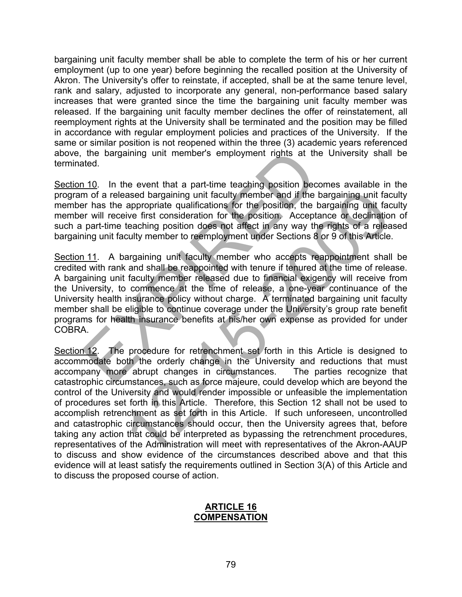bargaining unit faculty member shall be able to complete the term of his or her current employment (up to one year) before beginning the recalled position at the University of Akron. The University's offer to reinstate, if accepted, shall be at the same tenure level, rank and salary, adjusted to incorporate any general, non-performance based salary increases that were granted since the time the bargaining unit faculty member was released. If the bargaining unit faculty member declines the offer of reinstatement, all reemployment rights at the University shall be terminated and the position may be filled in accordance with regular employment policies and practices of the University. If the same or similar position is not reopened within the three (3) academic years referenced above, the bargaining unit member's employment rights at the University shall be terminated.

Section 10. In the event that a part-time teaching position becomes available in the program of a released bargaining unit faculty member and if the bargaining unit faculty member has the appropriate qualifications for the position, the bargaining unit faculty member will receive first consideration for the position. Acceptance or declination of such a part-time teaching position does not affect in any way the rights of a released bargaining unit faculty member to reemployment under Sections 8 or 9 of this Article.

Section 11. A bargaining unit faculty member who accepts reappointment shall be credited with rank and shall be reappointed with tenure if tenured at the time of release. A bargaining unit faculty member released due to financial exigency will receive from the University, to commence at the time of release, a one-year continuance of the University health insurance policy without charge. A terminated bargaining unit faculty member shall be eligible to continue coverage under the University's group rate benefit programs for health insurance benefits at his/her own expense as provided for under COBRA. the bargaining unit member's employment rights at the L<br>
ated.<br>
110. In the event that a part-time teaching position become<br>
m of a released bargaining unit faculty member and if the barg<br>
part-time teaching position for t

Section 12. The procedure for retrenchment set forth in this Article is designed to accommodate both the orderly change in the University and reductions that must accompany more abrupt changes in circumstances. The parties recognize that catastrophic circumstances, such as force majeure, could develop which are beyond the control of the University and would render impossible or unfeasible the implementation of procedures set forth in this Article. Therefore, this Section 12 shall not be used to accomplish retrenchment as set forth in this Article. If such unforeseen, uncontrolled and catastrophic circumstances should occur, then the University agrees that, before taking any action that could be interpreted as bypassing the retrenchment procedures, representatives of the Administration will meet with representatives of the Akron-AAUP to discuss and show evidence of the circumstances described above and that this evidence will at least satisfy the requirements outlined in Section 3(A) of this Article and to discuss the proposed course of action. assed bargaining unit faculty member and if the bargaining unit fact appropriate qualifications for the position, the bargaining unit fact existes first consideration for the position. Acceptance of declination technical t

#### **ARTICLE 16 COMPENSATION**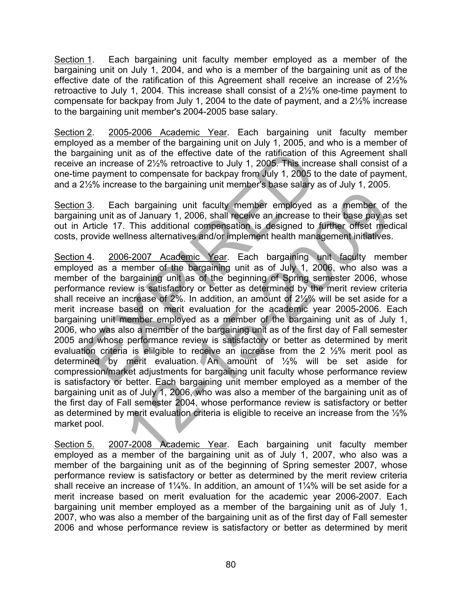Section 1. Each bargaining unit faculty member employed as a member of the bargaining unit on July 1, 2004, and who is a member of the bargaining unit as of the effective date of the ratification of this Agreement shall receive an increase of 2½% retroactive to July 1, 2004. This increase shall consist of a 2½% one-time payment to compensate for backpay from July 1, 2004 to the date of payment, and a 2½% increase to the bargaining unit member's 2004-2005 base salary.

Section 2. 2005-2006 Academic Year. Each bargaining unit faculty member employed as a member of the bargaining unit on July 1, 2005, and who is a member of the bargaining unit as of the effective date of the ratification of this Agreement shall receive an increase of 2½% retroactive to July 1, 2005. This increase shall consist of a one-time payment to compensate for backpay from July 1, 2005 to the date of payment, and a 2½% increase to the bargaining unit member's base salary as of July 1, 2005.

Section 3. Each bargaining unit faculty member employed as a member of the bargaining unit as of January 1, 2006, shall receive an increase to their base pay as set out in Article 17. This additional compensation is designed to further offset medical costs, provide wellness alternatives and/or implement health management initiatives.

Section 4. 2006-2007 Academic Year. Each bargaining unit faculty member employed as a member of the bargaining unit as of July 1, 2006, who also was a member of the bargaining unit as of the beginning of Spring semester 2006, whose performance review is satisfactory or better as determined by the merit review criteria shall receive an increase of 2%. In addition, an amount of 2½% will be set aside for a merit increase based on merit evaluation for the academic year 2005-2006. Each bargaining unit member employed as a member of the bargaining unit as of July 1, 2006, who was also a member of the bargaining unit as of the first day of Fall semester 2005 and whose performance review is satisfactory or better as determined by merit evaluation criteria is elilgible to receive an increase from the 2 ½% merit pool as determined by merit evaluation. An amount of ½% will be set aside for compression/market adjustments for bargaining unit faculty whose performance review is satisfactory or better. Each bargaining unit member employed as a member of the bargaining unit as of July 1, 2006, who was also a member of the bargaining unit as of the first day of Fall semester 2004, whose performance review is satisfactory or better as determined by merit evaluation criteria is eligible to receive an increase from the ½% market pool. rgaining unit as of the effective date of the ratification of this<br>an increase of  $2\frac{1}{2}\%$  retroactive to July 1, 2005. This increase<br>the payment to compensate for backpay from July 1, 2005 to the<br>1/2% increase to the th bargaining unit faculty member employed as a member of s of January 1, 2006, shall receive an increase to their base pay as . This additional compensation is designed to further offset mecliness alternatives and/or imp

Section 5. 2007-2008 Academic Year. Each bargaining unit faculty member employed as a member of the bargaining unit as of July 1, 2007, who also was a member of the bargaining unit as of the beginning of Spring semester 2007, whose performance review is satisfactory or better as determined by the merit review criteria shall receive an increase of 1¼%. In addition, an amount of 1¼% will be set aside for a merit increase based on merit evaluation for the academic year 2006-2007. Each bargaining unit member employed as a member of the bargaining unit as of July 1, 2007, who was also a member of the bargaining unit as of the first day of Fall semester 2006 and whose performance review is satisfactory or better as determined by merit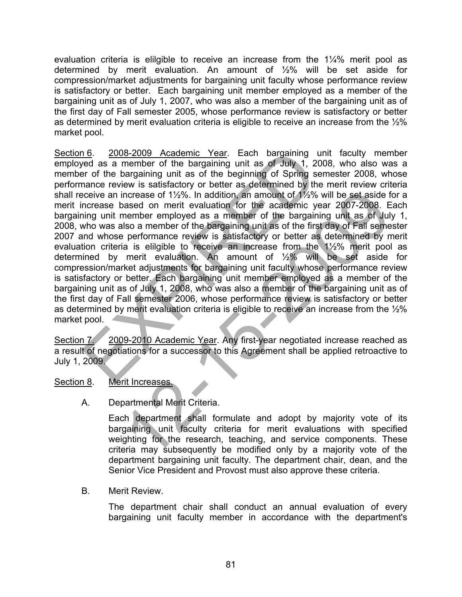evaluation criteria is elilgible to receive an increase from the 1¼% merit pool as determined by merit evaluation. An amount of ½% will be set aside for compression/market adjustments for bargaining unit faculty whose performance review is satisfactory or better. Each bargaining unit member employed as a member of the bargaining unit as of July 1, 2007, who was also a member of the bargaining unit as of the first day of Fall semester 2005, whose performance review is satisfactory or better as determined by merit evaluation criteria is eligible to receive an increase from the ½% market pool.

Section 6. 2008-2009 Academic Year. Each bargaining unit faculty member employed as a member of the bargaining unit as of July 1, 2008, who also was a member of the bargaining unit as of the beginning of Spring semester 2008, whose performance review is satisfactory or better as determined by the merit review criteria shall receive an increase of 1½%. In addition, an amount of 1½% will be set aside for a merit increase based on merit evaluation for the academic year 2007-2008. Each bargaining unit member employed as a member of the bargaining unit as of July 1, 2008, who was also a member of the bargaining unit as of the first day of Fall semester 2007 and whose performance review is satisfactory or better as determined by merit evaluation criteria is elilgible to receive an increase from the 1½% merit pool as determined by merit evaluation. An amount of ½% will be set aside for compression/market adjustments for bargaining unit faculty whose performance review is satisfactory or better. Each bargaining unit member employed as a member of the bargaining unit as of July 1, 2008, who was also a member of the bargaining unit as of the first day of Fall semester 2006, whose performance review is satisfactory or better as determined by merit evaluation criteria is eligible to receive an increase from the ½% market pool.  $\frac{16}{12}$ .  $\frac{2008-2009}{208-2009}$  Academic Year. Each bargaining unit<br>ed as a member of the bargaining unit as of July 1, 2008<br>er of the bargaining unit as of the beginning of Spring semance review is satisfactory or ncrease of 11/2%. In addition, an amount of 1/2% will be set aside finalsed on merit evaluation for the academic year 2007-2008. E<br>show a member employed as a member of the bargaining unit as of thus fill the first day of

Section 7. 2009-2010 Academic Year. Any first-year negotiated increase reached as a result of negotiations for a successor to this Agreement shall be applied retroactive to July 1, 2009.

- Section 8. Merit Increases.
	- A. Departmental Merit Criteria.

Each department shall formulate and adopt by majority vote of its bargaining unit faculty criteria for merit evaluations with specified weighting for the research, teaching, and service components. These criteria may subsequently be modified only by a majority vote of the department bargaining unit faculty. The department chair, dean, and the Senior Vice President and Provost must also approve these criteria.

B. Merit Review.

The department chair shall conduct an annual evaluation of every bargaining unit faculty member in accordance with the department's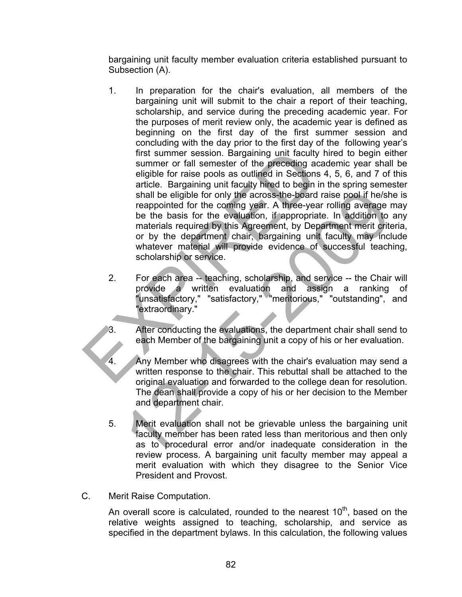bargaining unit faculty member evaluation criteria established pursuant to Subsection (A).

- 1. In preparation for the chair's evaluation, all members of the bargaining unit will submit to the chair a report of their teaching, scholarship, and service during the preceding academic year. For the purposes of merit review only, the academic year is defined as beginning on the first day of the first summer session and concluding with the day prior to the first day of the following year's first summer session. Bargaining unit faculty hired to begin either summer or fall semester of the preceding academic year shall be eligible for raise pools as outlined in Sections 4, 5, 6, and 7 of this article. Bargaining unit faculty hired to begin in the spring semester shall be eligible for only the across-the-board raise pool if he/she is reappointed for the coming year. A three-year rolling average may be the basis for the evaluation, if appropriate. In addition to any materials required by this Agreement, by Department merit criteria, or by the department chair, bargaining unit faculty may include whatever material will provide evidence of successful teaching, scholarship or service. first summer session. Bargaining unit faculty him<br>summer or fall semester of the preceding acade<br>eigible for raise pools as outlined in Sections 4,<br>article. Bargaining unit faculty hired to begin in the<br>shall be eigible fo shall be eligible for only the across-the-board raise pool if he/sh<br>reappointed for the coming year. A three-year rolling average to<br>be the basis for the evaluation, if appropriate. In addition to<br>materials required by thi
	- 2. For each area -- teaching, scholarship, and service -- the Chair will provide a written evaluation and assign a ranking of "unsatisfactory," "satisfactory," "meritorious," "outstanding", and "extraordinary."
		- After conducting the evaluations, the department chair shall send to each Member of the bargaining unit a copy of his or her evaluation.
	- 4. Any Member who disagrees with the chair's evaluation may send a written response to the chair. This rebuttal shall be attached to the original evaluation and forwarded to the college dean for resolution. The dean shall provide a copy of his or her decision to the Member and department chair.
	- 5. Merit evaluation shall not be grievable unless the bargaining unit faculty member has been rated less than meritorious and then only as to procedural error and/or inadequate consideration in the review process. A bargaining unit faculty member may appeal a merit evaluation with which they disagree to the Senior Vice President and Provost.
- C. Merit Raise Computation.

An overall score is calculated, rounded to the nearest  $10<sup>th</sup>$ , based on the relative weights assigned to teaching, scholarship, and service as specified in the department bylaws. In this calculation, the following values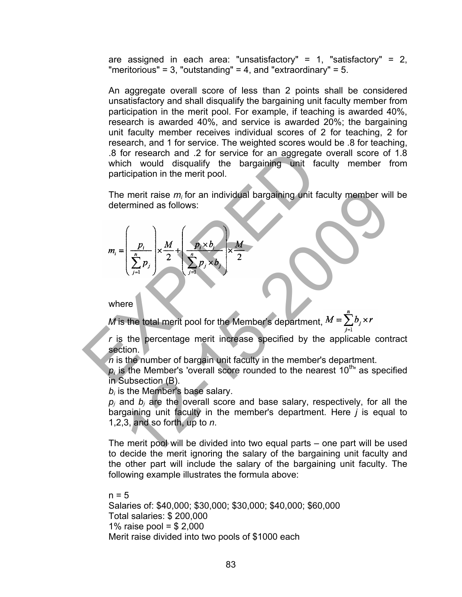are assigned in each area: "unsatisfactory" =  $1$ , "satisfactory" =  $2$ , "meritorious" = 3, "outstanding" = 4, and "extraordinary" = 5.

An aggregate overall score of less than 2 points shall be considered unsatisfactory and shall disqualify the bargaining unit faculty member from participation in the merit pool. For example, if teaching is awarded 40%, research is awarded 40%, and service is awarded 20%; the bargaining unit faculty member receives individual scores of 2 for teaching, 2 for research, and 1 for service. The weighted scores would be .8 for teaching, .8 for research and .2 for service for an aggregate overall score of 1.8 which would disqualify the bargaining unit faculty member from participation in the merit pool.

The merit raise *m<sup>i</sup>* for an individual bargaining unit faculty member will be determined as follows:

\n- \n 8 for research and .2 for service for an aggregate on which would disquality the bargaining unit facult, particular, the merit raise 
$$
m_i
$$
 for an individual bargaining unit facult, and determined as follows:\n 
$$
m_i = \left( \frac{p_i}{\sum_{j=1}^n p_j} \right) \times \frac{M}{2} + \left( \frac{p_i \times b_i}{\sum_{j=1}^n p_j \times b_j} \right) \times \frac{M}{2}
$$
\n where\n *M* is the total merit pool for the Member's department, *M* is the percentage merit increase specified by the a section.\n
	\n- n is the number of bargain unit faculty in the member's d
	\n- p\_i is the Member's 'overall score rounded to the nearest in Subsection (B).
	\n\n
\n

where

*M* is the total merit pool for the Member's department,  $M = \sum b_j \times r$ 

 *<sup>r</sup>* is the percentage merit increase specified by the applicable contract section.

*n* is the number of bargain unit faculty in the member's department.

 $p_i$  is the Member's 'overall score rounded to the nearest  $10^{th}$  as specified in Subsection (B).

 $b_i$  is the Member's base salary.

 $p_i$  and  $b_i$  are the overall score and base salary, respectively, for all the bargaining unit faculty in the member's department. Here *j* is equal to 1,2,3, and so forth, up to *n*. Figure 1.1 and a follows:<br>
The property of the branching of the branching of the factor of the member will<br>  $\frac{p_1}{\sum_{j=1}^n p_j}$   $\times \frac{M}{2}$   $\times \frac{M}{2}$   $\times \frac{M}{2}$ <br>
Figure 1.1 and  $\frac{p_1 \times b_1}{\sum_{j=1}^n p_j \times b_j}$   $\times \frac{M}{$ 

The merit pool will be divided into two equal parts – one part will be used to decide the merit ignoring the salary of the bargaining unit faculty and the other part will include the salary of the bargaining unit faculty. The following example illustrates the formula above:

 $n = 5$ Salaries of: \$40,000; \$30,000; \$30,000; \$40,000; \$60,000 Total salaries: \$ 200,000 1% raise pool =  $$2,000$ Merit raise divided into two pools of \$1000 each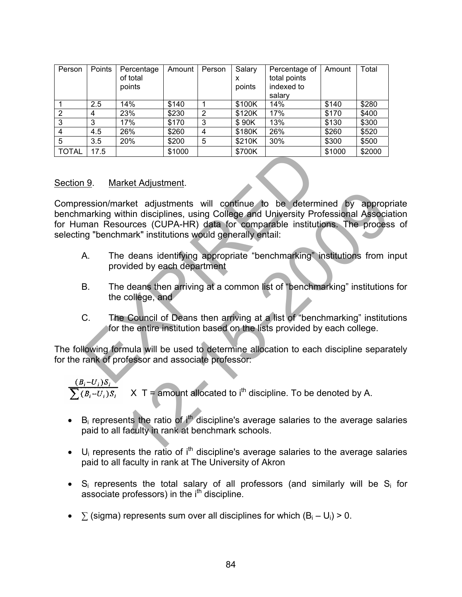| Person       | Points | Percentage<br>of total<br>points | Amount | Person         | Salary<br>x<br>points | Percentage of<br>total points<br>indexed to<br>salarv | Amount | Total  |
|--------------|--------|----------------------------------|--------|----------------|-----------------------|-------------------------------------------------------|--------|--------|
|              | 2.5    | 14%                              | \$140  |                | \$100K                | 14%                                                   | \$140  | \$280  |
| 2            | 4      | 23%                              | \$230  | $\overline{2}$ | \$120K                | 17%                                                   | \$170  | \$400  |
| 3            | 3      | 17%                              | \$170  | 3              | \$90K                 | 13%                                                   | \$130  | \$300  |
| 4            | 4.5    | 26%                              | \$260  | 4              | \$180K                | 26%                                                   | \$260  | \$520  |
| 5            | 3.5    | 20%                              | \$200  | 5              | \$210K                | 30%                                                   | \$300  | \$500  |
| <b>TOTAL</b> | 17.5   |                                  | \$1000 |                | \$700K                |                                                       | \$1000 | \$2000 |

#### Section 9. Market Adjustment.

Compression/market adjustments will continue to be determined by appropriate benchmarking within disciplines, using College and University Professional Association for Human Resources (CUPA-HR) data for comparable institutions. The process of selecting "benchmark" institutions would generally entail: 17.5  $\parallel$  \$1000  $\parallel$  \$700K  $\parallel$  \$1<br>
19. Market Adjustment.<br>
Ession/market adjustments will continue to be determine<br>
man Resources (CUPA-HR) dat for comparable institutions<br>
man Resources (CUPA-HR) dat for comparable inst rket adjustments will continue to be determined by appropremention disciplines, using College and University Professional Associations (CUPA-HR) data for comparable institutions. The processionark" institutions would gener

- A. The deans identifying appropriate "benchmarking" institutions from input provided by each department
- B. The deans then arriving at a common list of "benchmarking" institutions for the college, and
- C. The Council of Deans then arriving at a list of "benchmarking" institutions for the entire institution based on the lists provided by each college.

The following formula will be used to determine allocation to each discipline separately for the rank of professor and associate professor:

$$
\frac{(B_i - U_i)S_i}{\sum (B_i - U_i)S_i}
$$
 X T = amount allocated to i<sup>th</sup> discipline. To be denoted by A.

- B<sub>i</sub> represents the ratio of  $i<sup>th</sup>$  discipline's average salaries to the average salaries paid to all faculty in rank at benchmark schools.
- $U_i$  represents the ratio of i<sup>th</sup> discipline's average salaries to the average salaries paid to all faculty in rank at The University of Akron
- $S_i$  represents the total salary of all professors (and similarly will be  $S_i$  for associate professors) in the i<sup>th</sup> discipline.
- $\sum$  (sigma) represents sum over all disciplines for which  $(B_i U_i) > 0$ .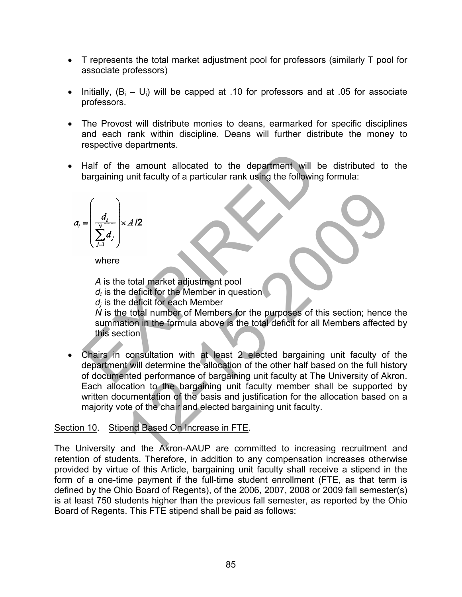- T represents the total market adjustment pool for professors (similarly T pool for associate professors)
- Initially,  $(B_i U_i)$  will be capped at .10 for professors and at .05 for associate professors.
- The Provost will distribute monies to deans, earmarked for specific disciplines and each rank within discipline. Deans will further distribute the money to respective departments.
- Half of the amount allocated to the department will be distributed to the bargaining unit faculty of a particular rank using the following formula:

$$
a_i = \left(\frac{d_i}{\sum_{j=1}^N d_j}\right) \times A/2
$$

where

*A* is the total market adjustment pool *di* is the deficit for the Member in question *dj* is the deficit for each Member *N* is the total number of Members for the purposes of this section; hence the summation in the formula above is the total deficit for all Members affected by this section Half of the amount allocated to the department will be<br>bargaining unit faculty of a particular rank using the following for<br> $=\left(\frac{d_i}{\sum_{j=1}^{N} d_j}\right) \times A/2$ <br>where<br> $A$  is the deficit for the Member in question<br> $d_i$  is the de XAI2<br>
Example to dial market adjustment pool<br>
deficit for the Member in question<br>
deficit for the Member in question<br>
deficit for the Member of the purposes of this section; hence<br>
total number of Members for the purposes

• Chairs in consultation with at least 2 elected bargaining unit faculty of the department will determine the allocation of the other half based on the full history of documented performance of bargaining unit faculty at The University of Akron. Each allocation to the bargaining unit faculty member shall be supported by written documentation of the basis and justification for the allocation based on a majority vote of the chair and elected bargaining unit faculty.

# Section 10. Stipend Based On Increase in FTE.

The University and the Akron-AAUP are committed to increasing recruitment and retention of students. Therefore, in addition to any compensation increases otherwise provided by virtue of this Article, bargaining unit faculty shall receive a stipend in the form of a one-time payment if the full-time student enrollment (FTE, as that term is defined by the Ohio Board of Regents), of the 2006, 2007, 2008 or 2009 fall semester(s) is at least 750 students higher than the previous fall semester, as reported by the Ohio Board of Regents. This FTE stipend shall be paid as follows: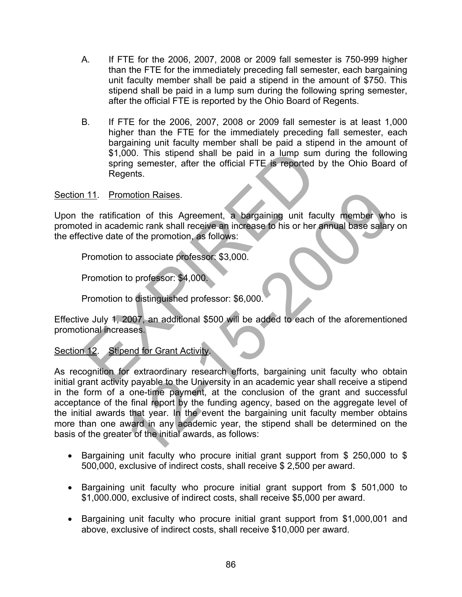- A. If FTE for the 2006, 2007, 2008 or 2009 fall semester is 750-999 higher than the FTE for the immediately preceding fall semester, each bargaining unit faculty member shall be paid a stipend in the amount of \$750. This stipend shall be paid in a lump sum during the following spring semester, after the official FTE is reported by the Ohio Board of Regents.
- B. If FTE for the 2006, 2007, 2008 or 2009 fall semester is at least 1,000 higher than the FTE for the immediately preceding fall semester, each bargaining unit faculty member shall be paid a stipend in the amount of \$1,000. This stipend shall be paid in a lump sum during the following spring semester, after the official FTE is reported by the Ohio Board of Regents.

#### Section 11. Promotion Raises.

Upon the ratification of this Agreement, a bargaining unit faculty member who is promoted in academic rank shall receive an increase to his or her annual base salary on the effective date of the promotion, as follows: \$1,000. This stipend shall be paid in a lump sum du<br>spring semester, after the official FTE is reported by the ratification<br>the ratification of this Agreement, a bargaining unit faculty<br>ed in academic rank shall receive an

Promotion to associate professor: \$3,000.

Promotion to professor: \$4,000.

Promotion to distinguished professor: \$6,000.

Effective July 1, 2007, an additional \$500 will be added to each of the aforementioned promotional increases.

# Section 12. Stipend for Grant Activity.

As recognition for extraordinary research efforts, bargaining unit faculty who obtain initial grant activity payable to the University in an academic year shall receive a stipend in the form of a one-time payment, at the conclusion of the grant and successful acceptance of the final report by the funding agency, based on the aggregate level of the initial awards that year. In the event the bargaining unit faculty member obtains more than one award in any academic year, the stipend shall be determined on the basis of the greater of the initial awards, as follows: motion Raises.<br>
ation of this Agreement, a bargaining unit faculty member whemic rank shall receive an increase to his or her annual base salary<br>
of the promotion, as follows:<br>
to associate professor: \$3,000.<br>
to professor

- Bargaining unit faculty who procure initial grant support from \$ 250,000 to \$ 500,000, exclusive of indirect costs, shall receive \$ 2,500 per award.
- Bargaining unit faculty who procure initial grant support from \$ 501,000 to \$1,000.000, exclusive of indirect costs, shall receive \$5,000 per award.
- Bargaining unit faculty who procure initial grant support from \$1,000,001 and above, exclusive of indirect costs, shall receive \$10,000 per award.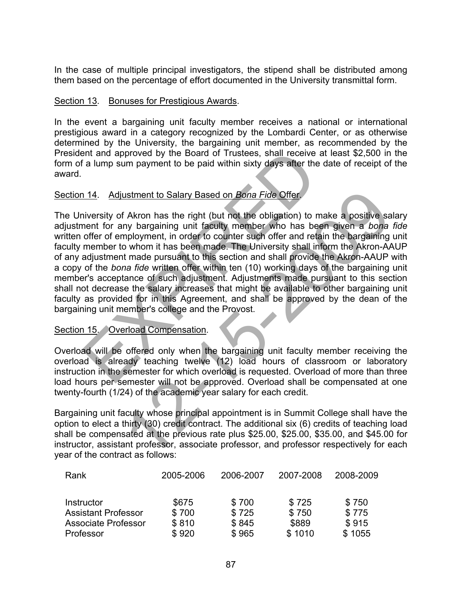In the case of multiple principal investigators, the stipend shall be distributed among them based on the percentage of effort documented in the University transmittal form.

### Section 13. Bonuses for Prestigious Awards.

In the event a bargaining unit faculty member receives a national or international prestigious award in a category recognized by the Lombardi Center, or as otherwise determined by the University, the bargaining unit member, as recommended by the President and approved by the Board of Trustees, shall receive at least \$2,500 in the form of a lump sum payment to be paid within sixty days after the date of receipt of the award.

## Section 14. Adjustment to Salary Based on *Bona Fide* Offer.

The University of Akron has the right (but not the obligation) to make a positive salary adjustment for any bargaining unit faculty member who has been given a *bona fide* written offer of employment, in order to counter such offer and retain the bargaining unit faculty member to whom it has been made. The University shall inform the Akron-AAUP of any adjustment made pursuant to this section and shall provide the Akron-AAUP with a copy of the *bona fide* written offer within ten (10) working days of the bargaining unit member's acceptance of such adjustment. Adjustments made pursuant to this section shall not decrease the salary increases that might be available to other bargaining unit faculty as provided for in this Agreement, and shall be approved by the dean of the bargaining unit member's college and the Provost. is a lump sum payment to be paid within sixty days after the day<br>
is a lump sum payment to be paid within sixty days after the da<br>
114. Adjustment to Salary Based on *Bona Fide* Offer.<br>
Inversity of Akron has the right (bu ustment to Salary Based on *Bona Fide* Offer.<br>
Fakron has the right (but not the obligation) to make a positive sa<br>
my bargaining unit faculty member who has been given a *bona*<br>
my bargaining unit faculty member who has b

#### Section 15. Overload Compensation.

Overload will be offered only when the bargaining unit faculty member receiving the overload is already teaching twelve (12) load hours of classroom or laboratory instruction in the semester for which overload is requested. Overload of more than three load hours per semester will not be approved. Overload shall be compensated at one twenty-fourth (1/24) of the academic year salary for each credit.

Bargaining unit faculty whose principal appointment is in Summit College shall have the option to elect a thirty (30) credit contract. The additional six (6) credits of teaching load shall be compensated at the previous rate plus \$25.00, \$25.00, \$35.00, and \$45.00 for instructor, assistant professor, associate professor, and professor respectively for each year of the contract as follows:

| Rank                       | 2005-2006 | 2006-2007 | 2007-2008 | 2008-2009 |
|----------------------------|-----------|-----------|-----------|-----------|
| Instructor                 | \$675     | \$700     | \$725     | \$750     |
| <b>Assistant Professor</b> | \$700     | \$725     | \$750     | \$775     |
| <b>Associate Professor</b> | \$810     | \$845     | \$889     | \$915     |
| Professor                  | \$920     | \$965     | \$1010    | \$1055    |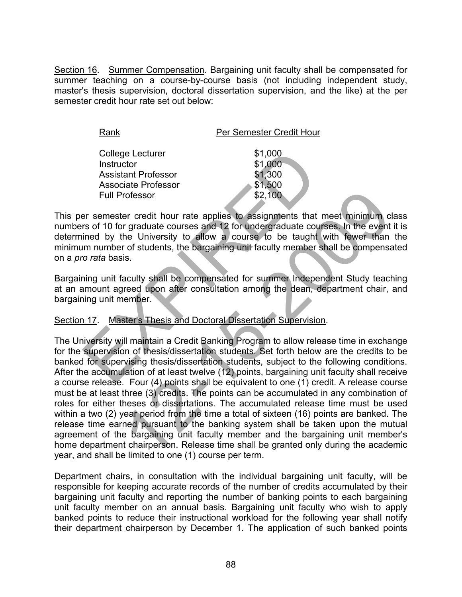Section 16. Summer Compensation. Bargaining unit faculty shall be compensated for summer teaching on a course-by-course basis (not including independent study, master's thesis supervision, doctoral dissertation supervision, and the like) at the per semester credit hour rate set out below:

| College Lecturer           | \$1,000 |
|----------------------------|---------|
| Instructor                 | \$1,000 |
| <b>Assistant Professor</b> | \$1,300 |
| <b>Associate Professor</b> | \$1,500 |
| <b>Full Professor</b>      | \$2,100 |

This per semester credit hour rate applies to assignments that meet minimum class numbers of 10 for graduate courses and 12 for undergraduate courses. In the event it is determined by the University to allow a course to be taught with fewer than the minimum number of students, the bargaining unit faculty member shall be compensated on a *pro rata* basis. College Lecturer<br>
S1,000<br>
Associate Professor<br>
Associate Professor<br>
Full Professor<br>
Full Professor<br>
Full Professor<br>
Full Professor<br>
S2,100<br>
Full Professor<br>
S2,100<br>
Full Professor<br>
S2,100<br>
Full Professor<br>
S2,100<br>
Full Profe

Bargaining unit faculty shall be compensated for summer Independent Study teaching at an amount agreed upon after consultation among the dean, department chair, and bargaining unit member.

# Section 17. Master's Thesis and Doctoral Dissertation Supervision.

The University will maintain a Credit Banking Program to allow release time in exchange for the supervision of thesis/dissertation students. Set forth below are the credits to be banked for supervising thesis/dissertation students, subject to the following conditions. After the accumulation of at least twelve (12) points, bargaining unit faculty shall receive a course release. Four (4) points shall be equivalent to one (1) credit. A release course must be at least three (3) credits. The points can be accumulated in any combination of roles for either theses or dissertations. The accumulated release time must be used within a two (2) year period from the time a total of sixteen (16) points are banked. The release time earned pursuant to the banking system shall be taken upon the mutual agreement of the bargaining unit faculty member and the bargaining unit member's home department chairperson. Release time shall be granted only during the academic year, and shall be limited to one (1) course per term. For contribution of the angle of the bangain and the bangain of the and<br>an interaction of the bangaining unit factor of students that meet minimum of<br>r graduate courses and 12 for undergraduate courses. In the event<br>of stu

Department chairs, in consultation with the individual bargaining unit faculty, will be responsible for keeping accurate records of the number of credits accumulated by their bargaining unit faculty and reporting the number of banking points to each bargaining unit faculty member on an annual basis. Bargaining unit faculty who wish to apply banked points to reduce their instructional workload for the following year shall notify their department chairperson by December 1. The application of such banked points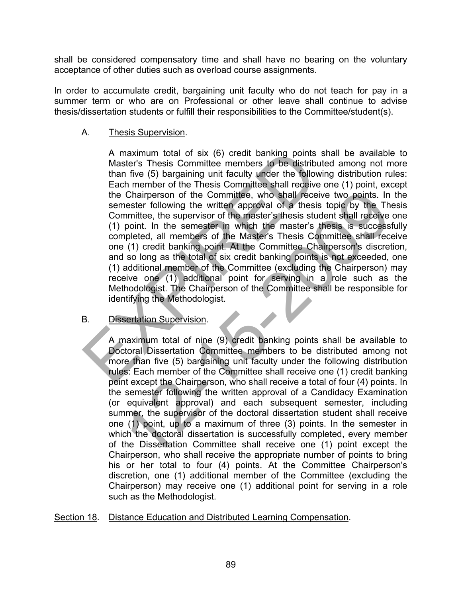shall be considered compensatory time and shall have no bearing on the voluntary acceptance of other duties such as overload course assignments.

In order to accumulate credit, bargaining unit faculty who do not teach for pay in a summer term or who are on Professional or other leave shall continue to advise thesis/dissertation students or fulfill their responsibilities to the Committee/student(s).

### A. Thesis Supervision.

A maximum total of six (6) credit banking points shall be available to Master's Thesis Committee members to be distributed among not more than five (5) bargaining unit faculty under the following distribution rules: Each member of the Thesis Committee shall receive one (1) point, except the Chairperson of the Committee, who shall receive two points. In the semester following the written approval of a thesis topic by the Thesis Committee, the supervisor of the master's thesis student shall receive one (1) point. In the semester in which the master's thesis is successfully completed, all members of the Master's Thesis Committee shall receive one (1) credit banking point. At the Committee Chairperson's discretion, and so long as the total of six credit banking points is not exceeded, one (1) additional member of the Committee (excluding the Chairperson) may receive one (1) additional point for serving in a role such as the Methodologist. The Chairperson of the Committee shall be responsible for identifying the Methodologist. A maximum total of six (6) credit banking points shand free to the distributed<br>than free (5) bargaining unit faculty under the following<br>Each member of the Thesis Committee shall receive of<br>the Chairperson of the Committee

# B. Dissertation Supervision.

A maximum total of nine (9) credit banking points shall be available to Doctoral Dissertation Committee members to be distributed among not more than five (5) bargaining unit faculty under the following distribution rules: Each member of the Committee shall receive one (1) credit banking point except the Chairperson, who shall receive a total of four (4) points. In the semester following the written approval of a Candidacy Examination (or equivalent approval) and each subsequent semester, including summer, the supervisor of the doctoral dissertation student shall receive one (1) point, up to a maximum of three (3) points. In the semester in which the doctoral dissertation is successfully completed, every member of the Dissertation Committee shall receive one (1) point except the Chairperson, who shall receive the appropriate number of points to bring his or her total to four (4) points. At the Committee Chairperson's discretion, one (1) additional member of the Committee (excluding the Chairperson) may receive one (1) additional point for serving in a role such as the Methodologist. Chairperson of the Committee, who shall receive two points. In<br>nester following the written approval of a thesis topic by the Thim<br>minite, the supervisor of the master's thesis student shall receive<br>point. In the semester

Section 18. Distance Education and Distributed Learning Compensation.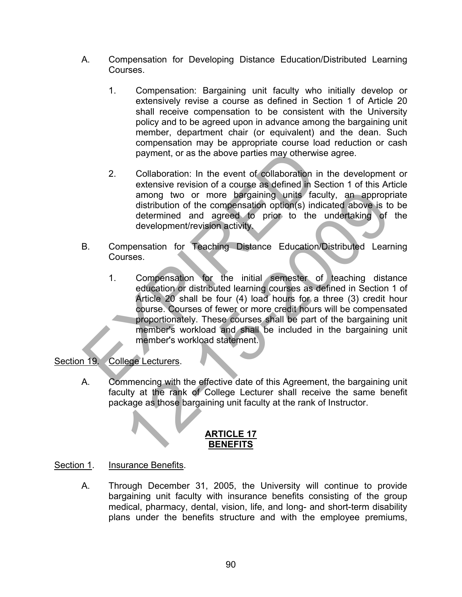- A. Compensation for Developing Distance Education/Distributed Learning Courses.
	- 1. Compensation: Bargaining unit faculty who initially develop or extensively revise a course as defined in Section 1 of Article 20 shall receive compensation to be consistent with the University policy and to be agreed upon in advance among the bargaining unit member, department chair (or equivalent) and the dean. Such compensation may be appropriate course load reduction or cash payment, or as the above parties may otherwise agree.
	- 2. Collaboration: In the event of collaboration in the development or extensive revision of a course as defined in Section 1 of this Article among two or more bargaining units faculty, an appropriate distribution of the compensation option(s) indicated above is to be determined and agreed to prior to the undertaking of the development/revision activity.
- B. Compensation for Teaching Distance Education/Distributed Learning Courses.
- 1. Compensation for the initial semester of teaching distance education or distributed learning courses as defined in Section 1 of Article 20 shall be four (4) load hours for a three (3) credit hour course. Courses of fewer or more credit hours will be compensated proportionately. These courses shall be part of the bargaining unit member's workload and shall be included in the bargaining unit member's workload statement. payment, or as the above parties may otherwise a<br>
2. Collaboration: In the event of collaboration in the extensive revision of a course as defined in Sect<br>
among two or more bargaining units faculty<br>
distribution of the co among two or more bargaining units faculty, an appropredistribution of the compensation option(s) indicated above is to<br>determined and agreed to prior to the undertaking of<br>development/revision activity.<br>mensation for Teac

#### Section 19. College Lecturers.

A. Commencing with the effective date of this Agreement, the bargaining unit faculty at the rank of College Lecturer shall receive the same benefit package as those bargaining unit faculty at the rank of Instructor.

## **ARTICLE 17 BENEFITS**

#### Section 1. Insurance Benefits.

A. Through December 31, 2005, the University will continue to provide bargaining unit faculty with insurance benefits consisting of the group medical, pharmacy, dental, vision, life, and long- and short-term disability plans under the benefits structure and with the employee premiums,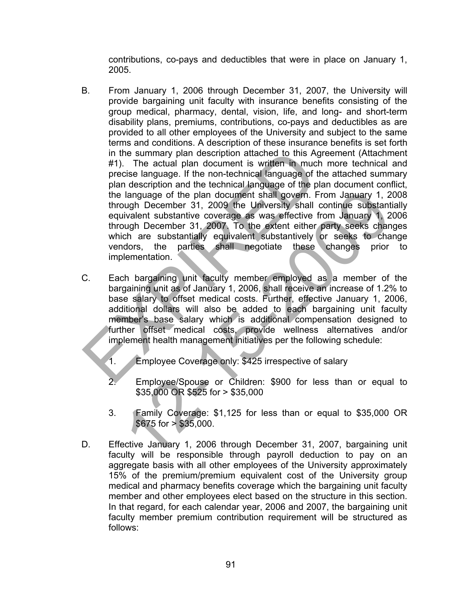contributions, co-pays and deductibles that were in place on January 1, 2005.

- B. From January 1, 2006 through December 31, 2007, the University will provide bargaining unit faculty with insurance benefits consisting of the group medical, pharmacy, dental, vision, life, and long- and short-term disability plans, premiums, contributions, co-pays and deductibles as are provided to all other employees of the University and subject to the same terms and conditions. A description of these insurance benefits is set forth in the summary plan description attached to this Agreement (Attachment #1). The actual plan document is written in much more technical and precise language. If the non-technical language of the attached summary plan description and the technical language of the plan document conflict, the language of the plan document shall govern. From January 1, 2008 through December 31, 2009 the University shall continue substantially equivalent substantive coverage as was effective from January 1, 2006 through December 31, 2007. To the extent either party seeks changes which are substantially equivalent substantively or seeks to change vendors, the parties shall negotiate these changes prior to implementation. in the summary plan description attached to this Agree #1). The actual plan document is written in much m<br>precise language of the non-technical language of the plan<br>plan description and the technical language of the plan<br>t language of the plan document shall govern. From January 1, 2<br>
uugh December 31, 2009 the University shall continue substant<br>
ivident substantive coverage as was effective from January 1, 2<br>
uugh December 31, 2007, To the
- C. Each bargaining unit faculty member employed as a member of the bargaining unit as of January 1, 2006, shall receive an increase of 1.2% to base salary to offset medical costs. Further, effective January 1, 2006, additional dollars will also be added to each bargaining unit faculty member's base salary which is additional compensation designed to further offset medical costs, provide wellness alternatives and/or implement health management initiatives per the following schedule:
	- 1. Employee Coverage only: \$425 irrespective of salary
	- 2. Employee/Spouse or Children: \$900 for less than or equal to \$35,000 OR \$525 for > \$35,000
	- 3. Family Coverage: \$1,125 for less than or equal to \$35,000 OR  $$675$  for  $> $35,000$ .
- D. Effective January 1, 2006 through December 31, 2007, bargaining unit faculty will be responsible through payroll deduction to pay on an aggregate basis with all other employees of the University approximately 15% of the premium/premium equivalent cost of the University group medical and pharmacy benefits coverage which the bargaining unit faculty member and other employees elect based on the structure in this section. In that regard, for each calendar year, 2006 and 2007, the bargaining unit faculty member premium contribution requirement will be structured as follows: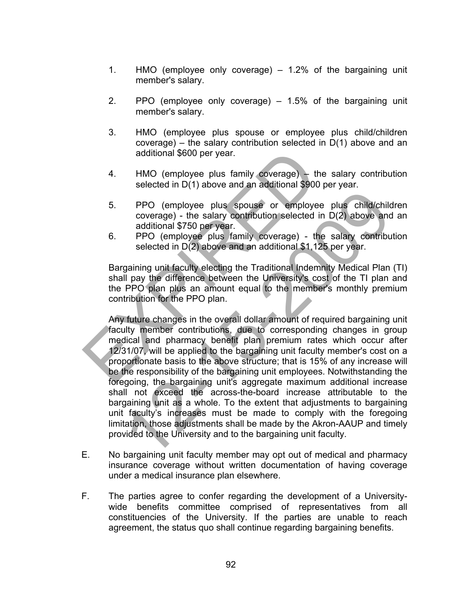- 1. HMO (employee only coverage) 1.2% of the bargaining unit member's salary.
- 2. PPO (employee only coverage) 1.5% of the bargaining unit member's salary.
- 3. HMO (employee plus spouse or employee plus child/children coverage) – the salary contribution selected in D(1) above and an additional \$600 per year.
- 4. HMO (employee plus family coverage) the salary contribution selected in D(1) above and an additional \$900 per year.
- 5. PPO (employee plus spouse or employee plus child/children coverage) - the salary contribution selected in D(2) above and an additional \$750 per year.
- 6. PPO (employee plus family coverage) the salary contribution selected in  $D(2)$  above and an additional \$1,125 per year.

Bargaining unit faculty electing the Traditional Indemnity Medical Plan (TI) shall pay the difference between the University's cost of the TI plan and the PPO plan plus an amount equal to the member's monthly premium contribution for the PPO plan.

Any future changes in the overall dollar amount of required bargaining unit faculty member contributions, due to corresponding changes in group medical and pharmacy benefit plan premium rates which occur after 12/31/07, will be applied to the bargaining unit faculty member's cost on a proportionate basis to the above structure; that is 15% of any increase will be the responsibility of the bargaining unit employees. Notwithstanding the foregoing, the bargaining unit's aggregate maximum additional increase shall not exceed the across-the-board increase attributable to the bargaining unit as a whole. To the extent that adjustments to bargaining unit faculty's increases must be made to comply with the foregoing limitation, those adjustments shall be made by the Akron-AAUP and timely provided to the University and to the bargaining unit faculty. additional \$600 per year.<br>
4. HMO (employee plus family coverage) – the selected in D(1) above and an additional \$900 pe<br>
5. PPO (employee plus spouse or employee p<br>
coverage) - the salary contribution selected in E<br>
addit PPO (employee plus spouse or employee plus child/child<br>coverage) - the salary contribution selected in D(2) above and<br>additional \$750 per year.<br>PPO (employee plus family coverage) - the salary contribu<br>selected in D(2) abo

- E. No bargaining unit faculty member may opt out of medical and pharmacy insurance coverage without written documentation of having coverage under a medical insurance plan elsewhere.
- F. The parties agree to confer regarding the development of a Universitywide benefits committee comprised of representatives from all constituencies of the University. If the parties are unable to reach agreement, the status quo shall continue regarding bargaining benefits.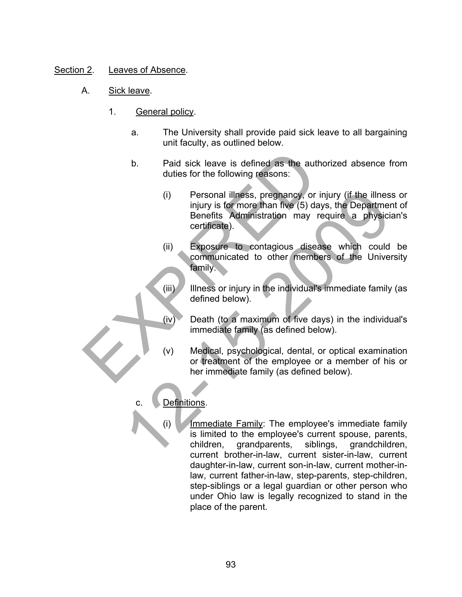# Section 2. Leaves of Absence.

- A. Sick leave.
	- 1. General policy.
		- a. The University shall provide paid sick leave to all bargaining unit faculty, as outlined below.
		- b. Paid sick leave is defined as the authorized absence from duties for the following reasons:
- (i) Personal illness, pregnancy, or injury (if the illness or injury is for more than five (5) days, the Department of Benefits Administration may require a physician's certificate). b. Paid sick leave is defined as the authoric duties for the following reasons:<br>
(i) Personal illness, pregnancy, or inju<br>
injury is for more than five (5) days, Benefits Administration may requerificate).<br>
(ii) Exposure t (i) Personal illness, preghancy, or injury (if the illnes<br>
injury is for more than five (5) days, the Departmer<br>
Benefits Administration may require a physicial<br>
certificate).<br>
(ii) Exposure to contagious disease which co
	- (ii) Exposure to contagious disease which could be communicated to other members of the University family.
	- (iii) Illness or injury in the individual's immediate family (as defined below).
	- (iv) Death (to a maximum of five days) in the individual's immediate family (as defined below).
	- (v) Medical, psychological, dental, or optical examination or treatment of the employee or a member of his or her immediate family (as defined below).

# Definitions.

(i) Immediate Family: The employee's immediate family is limited to the employee's current spouse, parents, children, grandparents, siblings, grandchildren, current brother-in-law, current sister-in-law, current daughter-in-law, current son-in-law, current mother-inlaw, current father-in-law, step-parents, step-children, step-siblings or a legal guardian or other person who under Ohio law is legally recognized to stand in the place of the parent.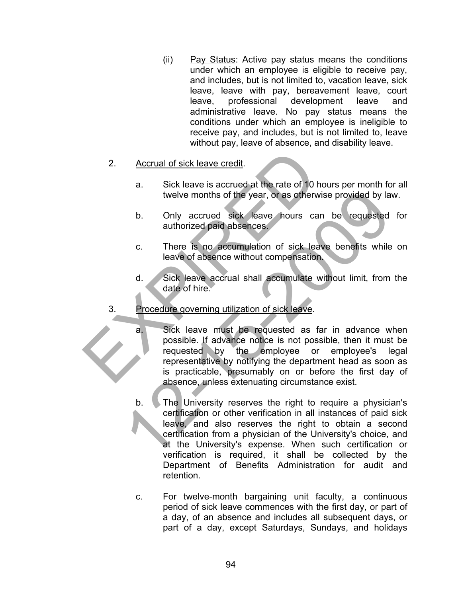(ii) Pay Status: Active pay status means the conditions under which an employee is eligible to receive pay, and includes, but is not limited to, vacation leave, sick leave, leave with pay, bereavement leave, court leave, professional development leave and administrative leave. No pay status means the conditions under which an employee is ineligible to receive pay, and includes, but is not limited to, leave without pay, leave of absence, and disability leave.

#### 2. Accrual of sick leave credit.

- a. Sick leave is accrued at the rate of 10 hours per month for all twelve months of the year, or as otherwise provided by law.
- b. Only accrued sick leave hours can be requested for authorized paid absences.
- c. There is no accumulation of sick leave benefits while on leave of absence without compensation.
- d. Sick leave accrual shall accumulate without limit, from the date of hire.
- 3. Procedure governing utilization of sick leave.
- a. Sick leave must be requested as far in advance when possible. If advance notice is not possible, then it must be requested by the employee or employee's legal representative by notifying the department head as soon as is practicable, presumably on or before the first day of absence, unless extenuating circumstance exist. 2. Accrual of sick leave credit.<br>
a. Sick leave is accrued at the rate of 10 hours<br>
twelve months of the year, or as otherwise<br>
b. Only accrued sick leave hours can l<br>
authorized paid absences.<br>
c. There is no accumulation twelve months of the year, or as otherwise provided by la<br>
b. Only accrued sick leave hours can be requested<br>
authorized paid absences.<br>
c. There is no accumulation of sick leave benefits while<br>
leave of absence without co
	- b. The University reserves the right to require a physician's certification or other verification in all instances of paid sick leave, and also reserves the right to obtain a second certification from a physician of the University's choice, and at the University's expense. When such certification or verification is required, it shall be collected by the Department of Benefits Administration for audit and retention.
	- c. For twelve-month bargaining unit faculty, a continuous period of sick leave commences with the first day, or part of a day, of an absence and includes all subsequent days, or part of a day, except Saturdays, Sundays, and holidays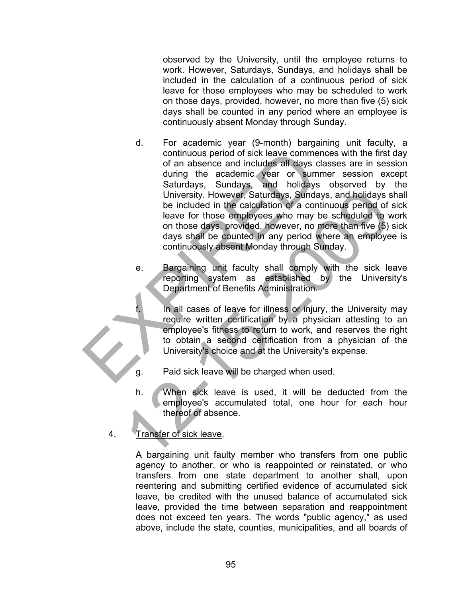observed by the University, until the employee returns to work. However, Saturdays, Sundays, and holidays shall be included in the calculation of a continuous period of sick leave for those employees who may be scheduled to work on those days, provided, however, no more than five (5) sick days shall be counted in any period where an employee is continuously absent Monday through Sunday.

- d. For academic year (9-month) bargaining unit faculty, a continuous period of sick leave commences with the first day of an absence and includes all days classes are in session during the academic year or summer session except Saturdays, Sundays, and holidays observed by the University. However, Saturdays, Sundays, and holidays shall be included in the calculation of a continuous period of sick leave for those employees who may be scheduled to work on those days, provided, however, no more than five (5) sick days shall be counted in any period where an employee is continuously absent Monday through Sunday. continuous period of sick leave commence<br>of an absence and includes all days class<br>during the academic vear or summer<br>Saturdays, Sundays, and holidays c<br>University. However, Saturdays, Sundays,<br>Diviversity. However, Saturd University. However, Saturdays, Sundays, and holidays be included in the calculation of a continuous period of<br>leave for those employees who may be scheduled to the calculation<br>of a continuous period of<br>leave for those day
	- e. Bargaining unit faculty shall comply with the sick leave reporting system as established by the University's Department of Benefits Administration.
	- f. In all cases of leave for illness or injury, the University may require written certification by a physician attesting to an employee's fitness to return to work, and reserves the right to obtain a second certification from a physician of the University's choice and at the University's expense.
	- g. Paid sick leave will be charged when used.
	- h. When sick leave is used, it will be deducted from the employee's accumulated total, one hour for each hour thereof of absence.
	- 4. Transfer of sick leave.

A bargaining unit faulty member who transfers from one public agency to another, or who is reappointed or reinstated, or who transfers from one state department to another shall, upon reentering and submitting certified evidence of accumulated sick leave, be credited with the unused balance of accumulated sick leave, provided the time between separation and reappointment does not exceed ten years. The words "public agency," as used above, include the state, counties, municipalities, and all boards of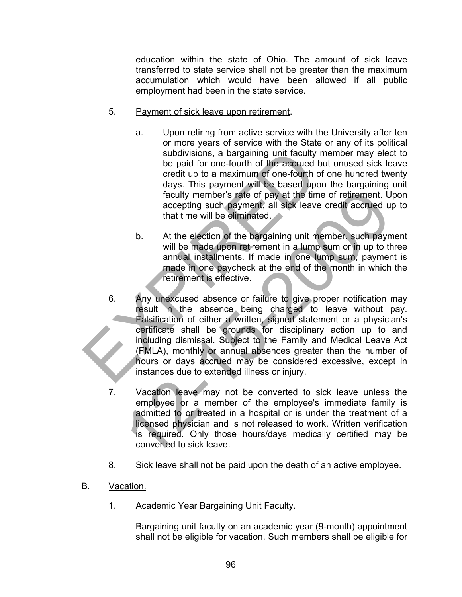education within the state of Ohio. The amount of sick leave transferred to state service shall not be greater than the maximum accumulation which would have been allowed if all public employment had been in the state service.

- 5. Payment of sick leave upon retirement.
	- a. Upon retiring from active service with the University after ten or more years of service with the State or any of its political subdivisions, a bargaining unit faculty member may elect to be paid for one-fourth of the accrued but unused sick leave credit up to a maximum of one-fourth of one hundred twenty days. This payment will be based upon the bargaining unit faculty member's rate of pay at the time of retirement. Upon accepting such payment, all sick leave credit accrued up to that time will be eliminated.
	- b. At the election of the bargaining unit member, such payment will be made upon retirement in a lump sum or in up to three annual installments. If made in one lump sum, payment is made in one paycheck at the end of the month in which the retirement is effective.
- 6. Any unexcused absence or failure to give proper notification may result in the absence being charged to leave without pay. Falsification of either a written, signed statement or a physician's certificate shall be grounds for disciplinary action up to and including dismissal. Subject to the Family and Medical Leave Act (FMLA), monthly or annual absences greater than the number of hours or days accrued may be considered excessive, except in instances due to extended illness or injury. subdivisions, a bargaining unit faculty me<br>
be paid for one-fourth of the accrued but<br>
credit up to a maximum of one-fourth of our<br>
days. This payment will be based upon t<br>
faculty member's rate of pay at the time o<br>
accep Faculty member's rate of pay at the time of retirement. U<br>accepting such payment, all sick leave credit accrued u<br>that time will be eliminated.<br>b. At the election of the bargaining unit member, such paym<br>will be made upon
	- 7. Vacation leave may not be converted to sick leave unless the employee or a member of the employee's immediate family is admitted to or treated in a hospital or is under the treatment of a licensed physician and is not released to work. Written verification is required. Only those hours/days medically certified may be converted to sick leave.
	- 8. Sick leave shall not be paid upon the death of an active employee.
- B. Vacation.
	- 1. Academic Year Bargaining Unit Faculty.

Bargaining unit faculty on an academic year (9-month) appointment shall not be eligible for vacation. Such members shall be eligible for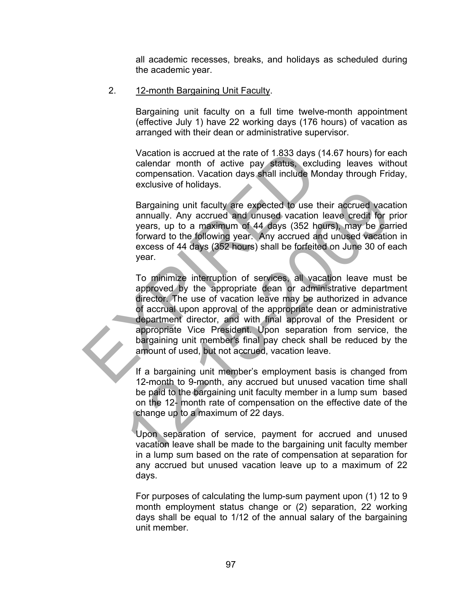all academic recesses, breaks, and holidays as scheduled during the academic year.

2. 12-month Bargaining Unit Faculty.

Bargaining unit faculty on a full time twelve-month appointment (effective July 1) have 22 working days (176 hours) of vacation as arranged with their dean or administrative supervisor.

Vacation is accrued at the rate of 1.833 days (14.67 hours) for each calendar month of active pay status, excluding leaves without compensation. Vacation days shall include Monday through Friday, exclusive of holidays.

Bargaining unit faculty are expected to use their accrued vacation annually. Any accrued and unused vacation leave credit for prior years, up to a maximum of 44 days (352 hours), may be carried forward to the following year. Any accrued and unused vacation in excess of 44 days (352 hours) shall be forfeited on June 30 of each year.

To minimize interruption of services, all vacation leave must be approved by the appropriate dean or administrative department director. The use of vacation leave may be authorized in advance of accrual upon approval of the appropriate dean or administrative department director, and with final approval of the President or appropriate Vice President. Upon separation from service, the bargaining unit member's final pay check shall be reduced by the amount of used, but not accrued, vacation leave. Vacation is accrued at the rate of 1.833 days (14.<br>
calendar month of active pay status, excludin<br>
compensation. Vacation days shall include Mond<br>
exclusive of holidays.<br>
Bargaining unit faculty are expected to use their<br> Bargaining unit faculty are expected to use their accrued vacannually. Any accrued and unused vacation leave credit for years, up to a maximum of 44 days (352 hours), may be car forward to the following year. Any accrued a

If a bargaining unit member's employment basis is changed from 12-month to 9-month, any accrued but unused vacation time shall be paid to the bargaining unit faculty member in a lump sum based on the 12- month rate of compensation on the effective date of the change up to a maximum of 22 days.

Upon separation of service, payment for accrued and unused vacation leave shall be made to the bargaining unit faculty member in a lump sum based on the rate of compensation at separation for any accrued but unused vacation leave up to a maximum of 22 days.

For purposes of calculating the lump-sum payment upon (1) 12 to 9 month employment status change or (2) separation, 22 working days shall be equal to 1/12 of the annual salary of the bargaining unit member.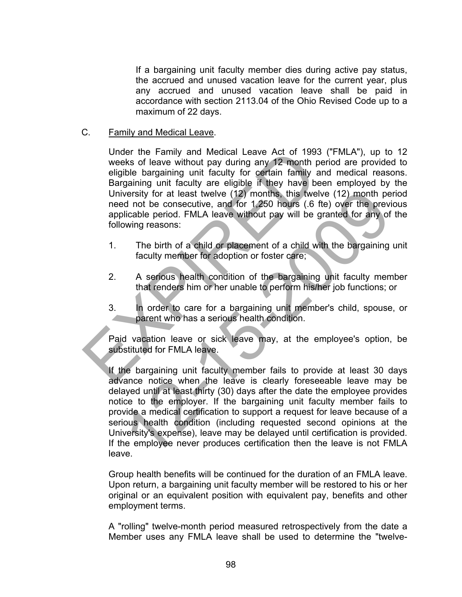If a bargaining unit faculty member dies during active pay status, the accrued and unused vacation leave for the current year, plus any accrued and unused vacation leave shall be paid in accordance with section 2113.04 of the Ohio Revised Code up to a maximum of 22 days.

#### C. Family and Medical Leave.

Under the Family and Medical Leave Act of 1993 ("FMLA"), up to 12 weeks of leave without pay during any 12 month period are provided to eligible bargaining unit faculty for certain family and medical reasons. Bargaining unit faculty are eligible if they have been employed by the University for at least twelve (12) months, this twelve (12) month period need not be consecutive, and for 1,250 hours (.6 fte) over the previous applicable period. FMLA leave without pay will be granted for any of the following reasons: Under the Family and Medical Leave Act of 1993 ("<br>
weeks of leave without pay during any 12 month period<br>
eligible bargaining unit faculty for certain family and<br>
Bargaining unit faculty are eligible if they have been<br>
Uni

- 1. The birth of a child or placement of a child with the bargaining unit faculty member for adoption or foster care;
- 2. A serious health condition of the bargaining unit faculty member that renders him or her unable to perform his/her job functions; or
- 3. In order to care for a bargaining unit member's child, spouse, or parent who has a serious health condition.

Paid vacation leave or sick leave may, at the employee's option, be substituted for FMLA leave.

If the bargaining unit faculty member fails to provide at least 30 days advance notice when the leave is clearly foreseeable leave may be delayed until at least thirty (30) days after the date the employee provides notice to the employer. If the bargaining unit faculty member fails to provide a medical certification to support a request for leave because of a serious health condition (including requested second opinions at the University's expense), leave may be delayed until certification is provided. If the employee never produces certification then the leave is not FMLA leave. versity for at least twelve (12) months, this fwelve (12) month pe<br>diato the consecutive, and for 1,250 heurs (.6 fte) over the previdence<br>licable period. FMLA leave without pay will be granted for any of<br>licable period. F

Group health benefits will be continued for the duration of an FMLA leave. Upon return, a bargaining unit faculty member will be restored to his or her original or an equivalent position with equivalent pay, benefits and other employment terms.

A "rolling" twelve-month period measured retrospectively from the date a Member uses any FMLA leave shall be used to determine the "twelve-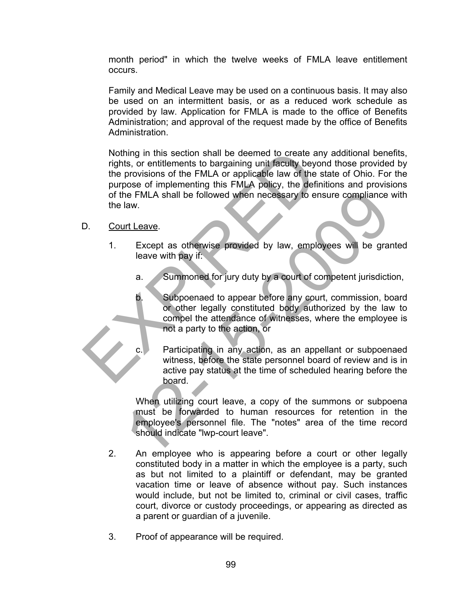month period" in which the twelve weeks of FMLA leave entitlement occurs.

Family and Medical Leave may be used on a continuous basis. It may also be used on an intermittent basis, or as a reduced work schedule as provided by law. Application for FMLA is made to the office of Benefits Administration; and approval of the request made by the office of Benefits Administration.

Nothing in this section shall be deemed to create any additional benefits, rights, or entitlements to bargaining unit faculty beyond those provided by the provisions of the FMLA or applicable law of the state of Ohio. For the purpose of implementing this FMLA policy, the definitions and provisions of the FMLA shall be followed when necessary to ensure compliance with the law. Nothing in this section shall be deemed to create any rights, or entitlements to bargaining unit faculty beyond<br>the provisions of the FMLA or applicable law of the state purpose of implementing this FMLA policy, the defini

#### D. Court Leave.

- 1. Except as otherwise provided by law, employees will be granted leave with pay if:
	- a. Summoned for jury duty by a court of competent jurisdiction,
	- b. Subpoenaed to appear before any court, commission, board or other legally constituted body authorized by the law to compel the attendance of witnesses, where the employee is not a party to the action, or
		- Participating in any action, as an appellant or subpoenaed witness, before the state personnel board of review and is in active pay status at the time of scheduled hearing before the board.

When utilizing court leave, a copy of the summons or subpoena must be forwarded to human resources for retention in the employee's personnel file. The "notes" area of the time record should indicate "lwp-court leave". The FMLA shall be followed when necessary to ensure compliance<br>
14. In the same of the same of the same of the same of the same of the same of the same of the same of the same of the same of the same of the same of the sam

- 2. An employee who is appearing before a court or other legally constituted body in a matter in which the employee is a party, such as but not limited to a plaintiff or defendant, may be granted vacation time or leave of absence without pay. Such instances would include, but not be limited to, criminal or civil cases, traffic court, divorce or custody proceedings, or appearing as directed as a parent or guardian of a juvenile.
- 3. Proof of appearance will be required.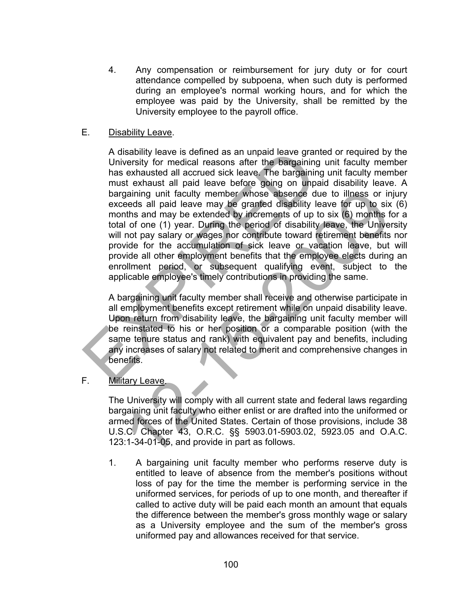4. Any compensation or reimbursement for jury duty or for court attendance compelled by subpoena, when such duty is performed during an employee's normal working hours, and for which the employee was paid by the University, shall be remitted by the University employee to the payroll office.

### E. Disability Leave.

A disability leave is defined as an unpaid leave granted or required by the University for medical reasons after the bargaining unit faculty member has exhausted all accrued sick leave. The bargaining unit faculty member must exhaust all paid leave before going on unpaid disability leave. A bargaining unit faculty member whose absence due to illness or injury exceeds all paid leave may be granted disability leave for up to six (6) months and may be extended by increments of up to six (6) months for a total of one (1) year. During the period of disability leave, the University will not pay salary or wages nor contribute toward retirement benefits nor provide for the accumulation of sick leave or vacation leave, but will provide all other employment benefits that the employee elects during an enrollment period, or subsequent qualifying event, subject to the applicable employee's timely contributions in providing the same. A disability leave is defined as an unpaid leave granted<br>University for medical reasons after the bargaining unst exhausted all accrued sick leave. The bargaining unst exhaust all paid leave before going on unpaid<br>bargaini gaining unit faculty member whose absence due to illness or in<br>eeds all paid leave may be granted disability leave for up to six<br>ths and may be extended by increments of up to six (6) months f<br>of one (1) year. During the p

A bargaining unit faculty member shall receive and otherwise participate in all employment benefits except retirement while on unpaid disability leave. Upon return from disability leave, the bargaining unit faculty member will be reinstated to his or her position or a comparable position (with the same tenure status and rank) with equivalent pay and benefits, including any increases of salary not related to merit and comprehensive changes in benefits.

# F. Military Leave.

The University will comply with all current state and federal laws regarding bargaining unit faculty who either enlist or are drafted into the uniformed or armed forces of the United States. Certain of those provisions, include 38 U.S.C. Chapter 43, O.R.C. §§ 5903.01-5903.02, 5923.05 and O.A.C. 123:1-34-01-05, and provide in part as follows.

1. A bargaining unit faculty member who performs reserve duty is entitled to leave of absence from the member's positions without loss of pay for the time the member is performing service in the uniformed services, for periods of up to one month, and thereafter if called to active duty will be paid each month an amount that equals the difference between the member's gross monthly wage or salary as a University employee and the sum of the member's gross uniformed pay and allowances received for that service.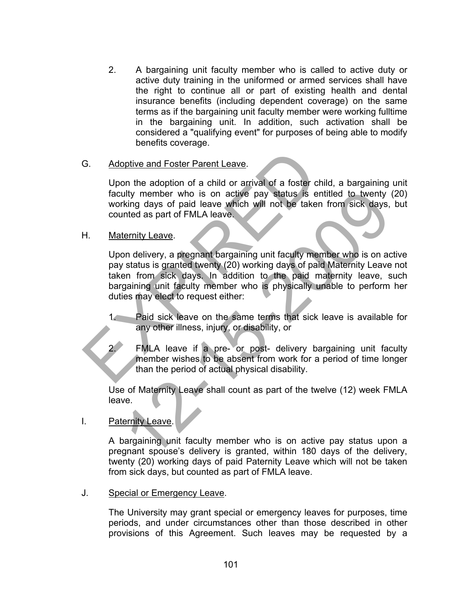2. A bargaining unit faculty member who is called to active duty or active duty training in the uniformed or armed services shall have the right to continue all or part of existing health and dental insurance benefits (including dependent coverage) on the same terms as if the bargaining unit faculty member were working fulltime in the bargaining unit. In addition, such activation shall be considered a "qualifying event" for purposes of being able to modify benefits coverage.

#### G. Adoptive and Foster Parent Leave.

Upon the adoption of a child or arrival of a foster child, a bargaining unit faculty member who is on active pay status is entitled to twenty (20) working days of paid leave which will not be taken from sick days, but counted as part of FMLA leave.

#### H. Maternity Leave.

Upon delivery, a pregnant bargaining unit faculty member who is on active pay status is granted twenty (20) working days of paid Maternity Leave not taken from sick days. In addition to the paid maternity leave, such bargaining unit faculty member who is physically unable to perform her duties may elect to request either: G. Adoptive and Foster Parent Leave.<br>
Upon the adoption of a child or arrival of a foster child<br>
faculty member who is on active pay status is entitl<br>
working days of paid leave which will not be taken fr<br>
counted as part The member who is on active pay status is entitled to twenty<br>
iking days of paid leave which will not be taken from sick days,<br>
thed as part of FMLA leave.<br>
The status is granted twenty (20) working days of paid Maternity

1. Paid sick leave on the same terms that sick leave is available for any other illness, injury, or disability, or

FMLA leave if a pre- or post- delivery bargaining unit faculty member wishes to be absent from work for a period of time longer than the period of actual physical disability.

Use of Maternity Leave shall count as part of the twelve (12) week FMLA leave.

I. Paternity Leave.

A bargaining unit faculty member who is on active pay status upon a pregnant spouse's delivery is granted, within 180 days of the delivery, twenty (20) working days of paid Paternity Leave which will not be taken from sick days, but counted as part of FMLA leave.

J. Special or Emergency Leave.

The University may grant special or emergency leaves for purposes, time periods, and under circumstances other than those described in other provisions of this Agreement. Such leaves may be requested by a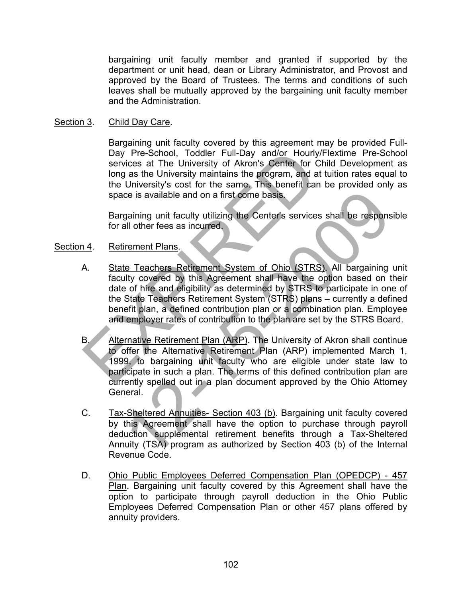bargaining unit faculty member and granted if supported by the department or unit head, dean or Library Administrator, and Provost and approved by the Board of Trustees. The terms and conditions of such leaves shall be mutually approved by the bargaining unit faculty member and the Administration.

#### Section 3. Child Day Care.

Bargaining unit faculty covered by this agreement may be provided Full-Day Pre-School, Toddler Full-Day and/or Hourly/Flextime Pre-School services at The University of Akron's Center for Child Development as long as the University maintains the program, and at tuition rates equal to the University's cost for the same. This benefit can be provided only as space is available and on a first come basis.

Bargaining unit faculty utilizing the Center's services shall be responsible for all other fees as incurred.

#### Section 4. Retirement Plans.

- A. State Teachers Retirement System of Ohio (STRS). All bargaining unit faculty covered by this Agreement shall have the option based on their date of hire and eligibility as determined by STRS to participate in one of the State Teachers Retirement System (STRS) plans – currently a defined benefit plan, a defined contribution plan or a combination plan. Employee and employer rates of contribution to the plan are set by the STRS Board. Day Pre-School, Toddler Full-Day and/or Hourly/Fle<br>
services at The University of Akron's Center for Child<br>
long as the University maintains the program, and at tui<br>
the University's cost for the same. This benefit can be<br>
- B. Alternative Retirement Plan (ARP). The University of Akron shall continue to offer the Alternative Retirement Plan (ARP) implemented March 1, 1999, to bargaining unit faculty who are eligible under state law to participate in such a plan. The terms of this defined contribution plan are currently spelled out in a plan document approved by the Ohio Attorney General. ce is available and on a first come basis.<br>
gaining unit faculty utilizing the Center's services shall be responsed<br>
all other fees as incurred.<br>
interference as incurred.<br>
interference as incurred.<br>
interference as incurr
- C. Tax-Sheltered Annuities- Section 403 (b). Bargaining unit faculty covered by this Agreement shall have the option to purchase through payroll deduction supplemental retirement benefits through a Tax-Sheltered Annuity (TSA) program as authorized by Section 403 (b) of the Internal Revenue Code.
- D. Ohio Public Employees Deferred Compensation Plan (OPEDCP) 457 Plan. Bargaining unit faculty covered by this Agreement shall have the option to participate through payroll deduction in the Ohio Public Employees Deferred Compensation Plan or other 457 plans offered by annuity providers.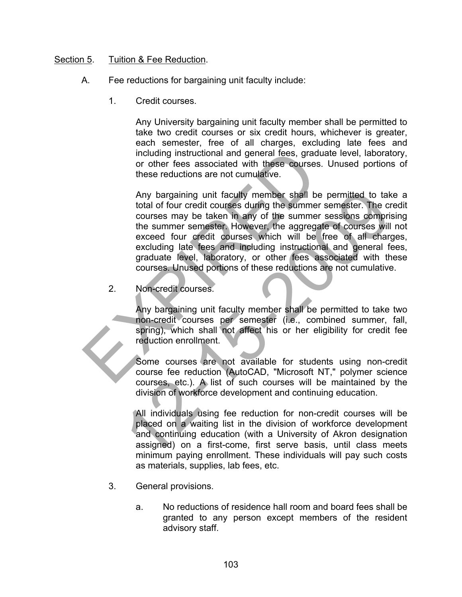## Section 5. Tuition & Fee Reduction.

- A. Fee reductions for bargaining unit faculty include:
	- 1. Credit courses.

Any University bargaining unit faculty member shall be permitted to take two credit courses or six credit hours, whichever is greater, each semester, free of all charges, excluding late fees and including instructional and general fees, graduate level, laboratory, or other fees associated with these courses. Unused portions of these reductions are not cumulative.

Any bargaining unit faculty member shall be permitted to take a total of four credit courses during the summer semester. The credit courses may be taken in any of the summer sessions comprising the summer semester. However, the aggregate of courses will not exceed four credit courses which will be free of all charges, excluding late fees and including instructional and general fees, graduate level, laboratory, or other fees associated with these courses. Unused portions of these reductions are not cumulative. including instructional and general fees, graduat<br>or other fees associated with these courses. U<br>these reductions are not cumulative.<br>Any bargaining unit faculty member shall be po<br>total of four credit courses during the s Any bargaining unit faculty member shall be permitted to tak<br>
total of four credit courses during the summer semester. The cr<br>
courses may be taken in any of the summer sessions comprisions<br>
the summer semester However, th

2. Non-credit courses.

Any bargaining unit faculty member shall be permitted to take two non-credit courses per semester (i.e., combined summer, fall, spring), which shall not affect his or her eligibility for credit fee reduction enrollment.

Some courses are not available for students using non-credit course fee reduction (AutoCAD, "Microsoft NT," polymer science courses, etc.). A list of such courses will be maintained by the division of workforce development and continuing education.

All individuals using fee reduction for non-credit courses will be placed on a waiting list in the division of workforce development and continuing education (with a University of Akron designation assigned) on a first-come, first serve basis, until class meets minimum paying enrollment. These individuals will pay such costs as materials, supplies, lab fees, etc.

- 3. General provisions.
	- a. No reductions of residence hall room and board fees shall be granted to any person except members of the resident advisory staff.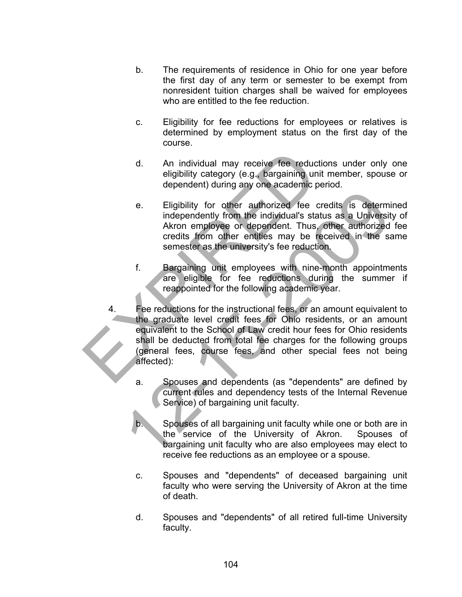- b. The requirements of residence in Ohio for one year before the first day of any term or semester to be exempt from nonresident tuition charges shall be waived for employees who are entitled to the fee reduction.
- c. Eligibility for fee reductions for employees or relatives is determined by employment status on the first day of the course.
- d. An individual may receive fee reductions under only one eligibility category (e.g., bargaining unit member, spouse or dependent) during any one academic period.
- e. Eligibility for other authorized fee credits is determined independently from the individual's status as a University of Akron employee or dependent. Thus, other authorized fee credits from other entities may be received in the same semester as the university's fee reduction.
- f. Bargaining unit employees with nine-month appointments are eligible for fee reductions during the summer if reappointed for the following academic year.
- 4. Fee reductions for the instructional fees, or an amount equivalent to the graduate level credit fees for Ohio residents, or an amount equivalent to the School of Law credit hour fees for Ohio residents shall be deducted from total fee charges for the following groups (general fees, course fees, and other special fees not being affected): d. An individual may receive fee reduction<br>
eligibility category (e.g., bargaining unit m<br>
dependent) during any one academic peric<br>
e. Eligibility for other authorized fee cred<br>
independently from the individual's status<br> e. Eligibility for other authorized fee credits is determindependently from the individual's status as a Universite<br>Akron employee or dependent. Thus, other authorized<br>credits from other entities may be received in the sa<br>
	- a. Spouses and dependents (as "dependents" are defined by current rules and dependency tests of the Internal Revenue Service) of bargaining unit faculty.
	- b. Spouses of all bargaining unit faculty while one or both are in the service of the University of Akron. Spouses of bargaining unit faculty who are also employees may elect to receive fee reductions as an employee or a spouse.
	- c. Spouses and "dependents" of deceased bargaining unit faculty who were serving the University of Akron at the time of death.
	- d. Spouses and "dependents" of all retired full-time University faculty.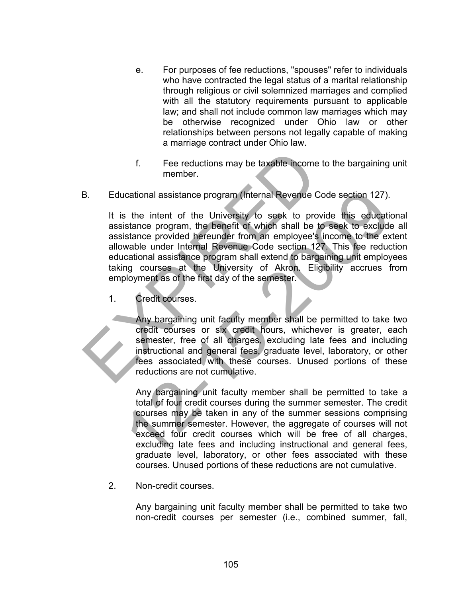- e. For purposes of fee reductions, "spouses" refer to individuals who have contracted the legal status of a marital relationship through religious or civil solemnized marriages and complied with all the statutory requirements pursuant to applicable law; and shall not include common law marriages which may be otherwise recognized under Ohio law or other relationships between persons not legally capable of making a marriage contract under Ohio law.
- f. Fee reductions may be taxable income to the bargaining unit member.
- B. Educational assistance program (Internal Revenue Code section 127).

It is the intent of the University to seek to provide this educational assistance program, the benefit of which shall be to seek to exclude all assistance provided hereunder from an employee's income to the extent allowable under Internal Revenue Code section 127. This fee reduction educational assistance program shall extend to bargaining unit employees taking courses at the University of Akron. Eligibility accrues from employment as of the first day of the semester. f. Fee reductions may be taxable income to<br>
member.<br>
Educational assistance program (Internal Revenue Code<br>
It is the intent of the University to seek to provide<br>
assistance program, the benefit of which shall be to s<br>
ass crational assistance program (Internal Revenue Code section 127).<br>
So the intent of the University to seek to provide this educatiis<br>
sitance program, the benefit of which shall be to seek to exclude<br>
sitance provided here

1. Credit courses.

Any bargaining unit faculty member shall be permitted to take two credit courses or six credit hours, whichever is greater, each semester, free of all charges, excluding late fees and including instructional and general fees, graduate level, laboratory, or other fees associated with these courses. Unused portions of these reductions are not cumulative.

Any bargaining unit faculty member shall be permitted to take a total of four credit courses during the summer semester. The credit courses may be taken in any of the summer sessions comprising the summer semester. However, the aggregate of courses will not exceed four credit courses which will be free of all charges, excluding late fees and including instructional and general fees, graduate level, laboratory, or other fees associated with these courses. Unused portions of these reductions are not cumulative.

2. Non-credit courses.

Any bargaining unit faculty member shall be permitted to take two non-credit courses per semester (i.e., combined summer, fall,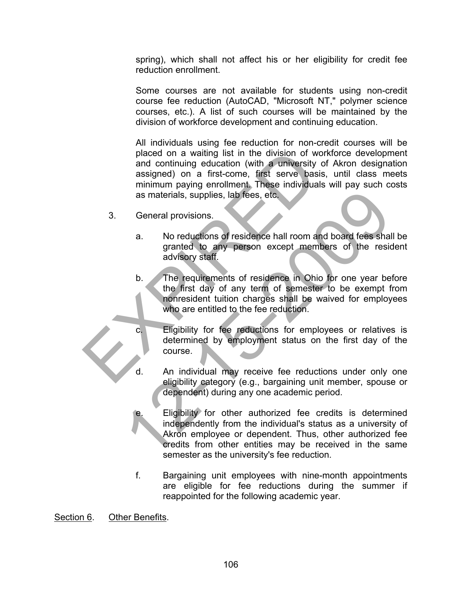spring), which shall not affect his or her eligibility for credit fee reduction enrollment.

Some courses are not available for students using non-credit course fee reduction (AutoCAD, "Microsoft NT," polymer science courses, etc.). A list of such courses will be maintained by the division of workforce development and continuing education.

All individuals using fee reduction for non-credit courses will be placed on a waiting list in the division of workforce development and continuing education (with a university of Akron designation assigned) on a first-come, first serve basis, until class meets minimum paying enrollment. These individuals will pay such costs as materials, supplies, lab fees, etc. placed on a waiting list in the division of workthand continuing education (with a university of<br>assigned) on a first-come, first serve basis,<br>minimum paying enrollment. These individuals v<br>as materials, supplies, lab fees

- 3. General provisions.
	- a. No reductions of residence hall room and board fees shall be granted to any person except members of the resident advisory staff.
	- b. The requirements of residence in Ohio for one year before the first day of any term of semester to be exempt from nonresident tuition charges shall be waived for employees who are entitled to the fee reduction.
	- c. Eligibility for fee reductions for employees or relatives is determined by employment status on the first day of the course.
	- d. An individual may receive fee reductions under only one eligibility category (e.g., bargaining unit member, spouse or dependent) during any one academic period.
- Eligibility for other authorized fee credits is determined independently from the individual's status as a university of Akron employee or dependent. Thus, other authorized fee credits from other entities may be received in the same semester as the university's fee reduction. as materials, supplies, lab fees, etc.<br>
General provisions.<br>
2. No reductions of residence hall room and board fees shall<br>
granted to any person except members of the resident<br>
advisory staff.<br>
b. The requirements of resid
	- f. Bargaining unit employees with nine-month appointments are eligible for fee reductions during the summer if reappointed for the following academic year.

Section 6. Other Benefits.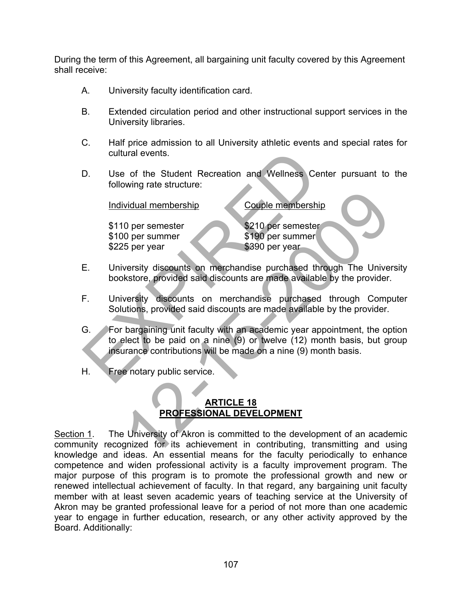During the term of this Agreement, all bargaining unit faculty covered by this Agreement shall receive:

- A. University faculty identification card.
- B. Extended circulation period and other instructional support services in the University libraries.
- C. Half price admission to all University athletic events and special rates for cultural events.
- D. Use of the Student Recreation and Wellness Center pursuant to the following rate structure:

Individual membership Couple membership

\$110 per semester \$210 per semester \$100 per summer \$190 per summer \$225 per year \$390 per year

- E. University discounts on merchandise purchased through The University bookstore, provided said discounts are made available by the provider.
- F. University discounts on merchandise purchased through Computer Solutions, provided said discounts are made available by the provider.
- G. For bargaining unit faculty with an academic year appointment, the option to elect to be paid on a nine (9) or twelve (12) month basis, but group insurance contributions will be made on a nine (9) month basis. cultural events.<br>
D. Use of the Student Recreation and Wellness Cente<br>
following rate structure:<br>
Individual membership<br>
\$110 per semester<br>
\$100 per summer<br>
\$2210 per semester<br>
\$100 per summer<br>
\$225 per year<br>
E. University Vidual membership<br>
0 per semester<br>
0 per summer<br>
5 per year<br>
sayo per summer<br>
5 per year<br>
versity discounts on merchandise purchased through The University<br>
versity discounts on merchandise purchased through Computions, pr
- H. Free notary public service.

## **ARTICLE 18 PROFESSIONAL DEVELOPMENT**

Section 1. The University of Akron is committed to the development of an academic community recognized for its achievement in contributing, transmitting and using knowledge and ideas. An essential means for the faculty periodically to enhance competence and widen professional activity is a faculty improvement program. The major purpose of this program is to promote the professional growth and new or renewed intellectual achievement of faculty. In that regard, any bargaining unit faculty member with at least seven academic years of teaching service at the University of Akron may be granted professional leave for a period of not more than one academic year to engage in further education, research, or any other activity approved by the Board. Additionally: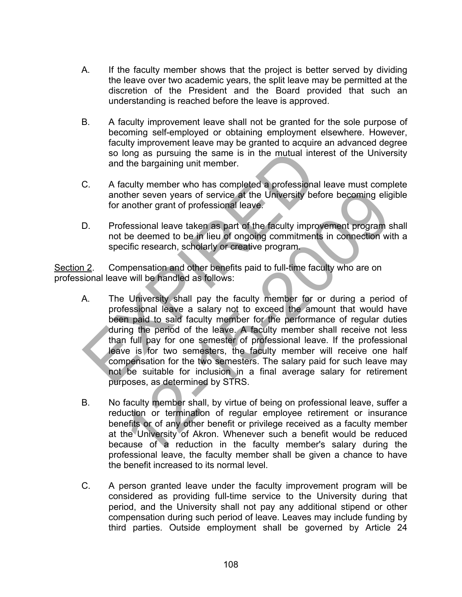- A. If the faculty member shows that the project is better served by dividing the leave over two academic years, the split leave may be permitted at the discretion of the President and the Board provided that such an understanding is reached before the leave is approved.
- B. A faculty improvement leave shall not be granted for the sole purpose of becoming self-employed or obtaining employment elsewhere. However, faculty improvement leave may be granted to acquire an advanced degree so long as pursuing the same is in the mutual interest of the University and the bargaining unit member.
- C. A faculty member who has completed a professional leave must complete another seven years of service at the University before becoming eligible for another grant of professional leave.
- D. Professional leave taken as part of the faculty improvement program shall not be deemed to be in lieu of ongoing commitments in connection with a specific research, scholarly or creative program.

Section 2. Compensation and other benefits paid to full-time faculty who are on professional leave will be handled as follows:

- A. The University shall pay the faculty member for or during a period of professional leave a salary not to exceed the amount that would have been paid to said faculty member for the performance of regular duties during the period of the leave. A faculty member shall receive not less than full pay for one semester of professional leave. If the professional leave is for two semesters, the faculty member will receive one half compensation for the two semesters. The salary paid for such leave may not be suitable for inclusion in a final average salary for retirement purposes, as determined by STRS. so long as pursuing the same is in the mutual interestigation and the bargaining unit member.<br>
C. A faculty member who has completed a professional lead another seven years of service at the University before<br>
for another ther seven years of service at the University before becoming eligenother grant of professional leave.<br>
fessional leave taken as part of the faculty improvement program<br>
the deemed to be in lieu of ongoing commitments in c
- B. No faculty member shall, by virtue of being on professional leave, suffer a reduction or termination of regular employee retirement or insurance benefits or of any other benefit or privilege received as a faculty member at the University of Akron. Whenever such a benefit would be reduced because of a reduction in the faculty member's salary during the professional leave, the faculty member shall be given a chance to have the benefit increased to its normal level.
- C. A person granted leave under the faculty improvement program will be considered as providing full-time service to the University during that period, and the University shall not pay any additional stipend or other compensation during such period of leave. Leaves may include funding by third parties. Outside employment shall be governed by Article 24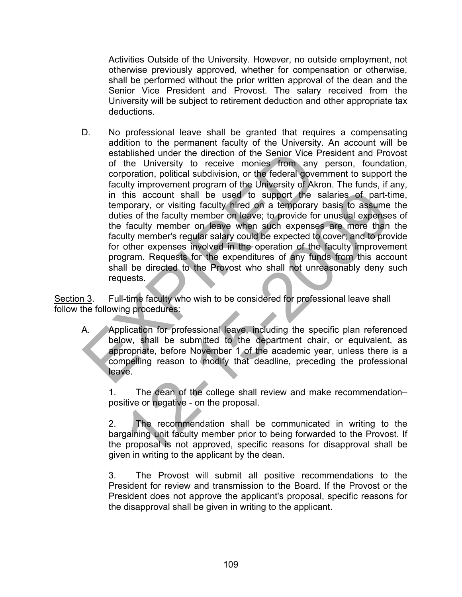Activities Outside of the University. However, no outside employment, not otherwise previously approved, whether for compensation or otherwise, shall be performed without the prior written approval of the dean and the Senior Vice President and Provost. The salary received from the University will be subject to retirement deduction and other appropriate tax deductions.

D. No professional leave shall be granted that requires a compensating addition to the permanent faculty of the University. An account will be established under the direction of the Senior Vice President and Provost of the University to receive monies from any person, foundation, corporation, political subdivision, or the federal government to support the faculty improvement program of the University of Akron. The funds, if any, in this account shall be used to support the salaries of part-time, temporary, or visiting faculty hired on a temporary basis to assume the duties of the faculty member on leave; to provide for unusual expenses of the faculty member on leave when such expenses are more than the faculty member's regular salary could be expected to cover; and to provide for other expenses involved in the operation of the faculty improvement program. Requests for the expenditures of any funds from this account shall be directed to the Provost who shall not unreasonably deny such requests. established under the direction of the Senior Vice Press<br>of the University to receive monies from any percorporation, political subdivision, or the federal government<br>faculty improvement program of the University of Akron. this account shall be used to support the salaries of part-tiporary, or visiting faculty hired on a temporary basis to assume<br>es of the faculty member on leave; to provide for unusual expenses<br>faculty member on leave, to p

Section 3. Full-time faculty who wish to be considered for professional leave shall follow the following procedures:

A. Application for professional leave, including the specific plan referenced below, shall be submitted to the department chair, or equivalent, as appropriate, before November 1 of the academic year, unless there is a compelling reason to modify that deadline, preceding the professional leave.

1. The dean of the college shall review and make recommendation– positive or negative - on the proposal.

2. The recommendation shall be communicated in writing to the bargaining unit faculty member prior to being forwarded to the Provost. If the proposal is not approved, specific reasons for disapproval shall be given in writing to the applicant by the dean.

3. The Provost will submit all positive recommendations to the President for review and transmission to the Board. If the Provost or the President does not approve the applicant's proposal, specific reasons for the disapproval shall be given in writing to the applicant.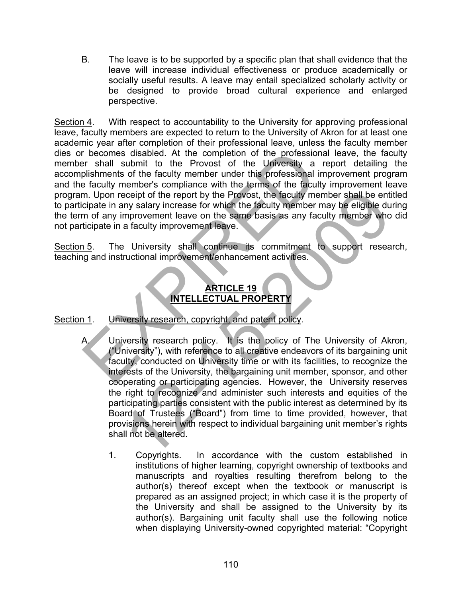B. The leave is to be supported by a specific plan that shall evidence that the leave will increase individual effectiveness or produce academically or socially useful results. A leave may entail specialized scholarly activity or be designed to provide broad cultural experience and enlarged perspective.

Section 4. With respect to accountability to the University for approving professional leave, faculty members are expected to return to the University of Akron for at least one academic year after completion of their professional leave, unless the faculty member dies or becomes disabled. At the completion of the professional leave, the faculty member shall submit to the Provost of the University a report detailing the accomplishments of the faculty member under this professional improvement program and the faculty member's compliance with the terms of the faculty improvement leave program. Upon receipt of the report by the Provost, the faculty member shall be entitled to participate in any salary increase for which the faculty member may be eligible during the term of any improvement leave on the same basis as any faculty member who did not participate in a faculty improvement leave. The state of the fractility members of the professional<br>
Internation of the fractily and the fractily member is professional implishments of the faculty member is professional implies<br>
Faculty member's compliance with the

Section 5. The University shall continue its commitment to support research, teaching and instructional improvement/enhancement activities.

## **ARTICLE 19 INTELLECTUAL PROPERTY**

## Section 1. University research, copyright, and patent policy.

- A. University research policy. It is the policy of The University of Akron, ("University"), with reference to all creative endeavors of its bargaining unit faculty, conducted on University time or with its facilities, to recognize the interests of the University, the bargaining unit member, sponsor, and other cooperating or participating agencies. However, the University reserves the right to recognize and administer such interests and equities of the participating parties consistent with the public interest as determined by its Board of Trustees ("Board") from time to time provided, however, that provisions herein with respect to individual bargaining unit member's rights shall not be altered. Society of the report by the Provost, the faculty member shall be entiny salary increase for which the faculty member may be eligible due<br>the more same basis as any faculty member who a faculty improvement leave.<br>
Thiversi
	- 1. Copyrights. In accordance with the custom established in institutions of higher learning, copyright ownership of textbooks and manuscripts and royalties resulting therefrom belong to the author(s) thereof except when the textbook or manuscript is prepared as an assigned project; in which case it is the property of the University and shall be assigned to the University by its author(s). Bargaining unit faculty shall use the following notice when displaying University-owned copyrighted material: "Copyright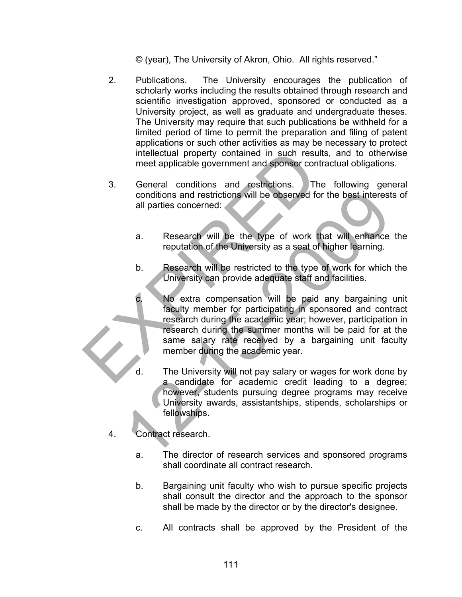© (year), The University of Akron, Ohio. All rights reserved."

- 2. Publications. The University encourages the publication of scholarly works including the results obtained through research and scientific investigation approved, sponsored or conducted as a University project, as well as graduate and undergraduate theses. The University may require that such publications be withheld for a limited period of time to permit the preparation and filing of patent applications or such other activities as may be necessary to protect intellectual property contained in such results, and to otherwise meet applicable government and sponsor contractual obligations.
- 3. General conditions and restrictions. The following general conditions and restrictions will be observed for the best interests of all parties concerned:
	- a. Research will be the type of work that will enhance the reputation of the University as a seat of higher learning.
	- b. Research will be restricted to the type of work for which the University can provide adequate staff and facilities.
- c. No extra compensation will be paid any bargaining unit faculty member for participating in sponsored and contract research during the academic year; however, participation in research during the summer months will be paid for at the same salary rate received by a bargaining unit faculty member during the academic year. intellectual property contained in such results,<br>
meet applicable government and sponsor contractions.<br>
The<br>
conditions and restrictions will be observed for the<br>
all parties concerned:<br>
a. Research will be the type of wor conditions and restrictions will be observed for the best interest<br>
all parties concerned:<br>
a. Research will be the type of work that will enhance<br>
reputation of the University as a seat of higher learning.<br>
b. Research wi
	- d. The University will not pay salary or wages for work done by a candidate for academic credit leading to a degree; however, students pursuing degree programs may receive University awards, assistantships, stipends, scholarships or fellowships.
	- 4. Contract research.
		- a. The director of research services and sponsored programs shall coordinate all contract research.
		- b. Bargaining unit faculty who wish to pursue specific projects shall consult the director and the approach to the sponsor shall be made by the director or by the director's designee.
		- c. All contracts shall be approved by the President of the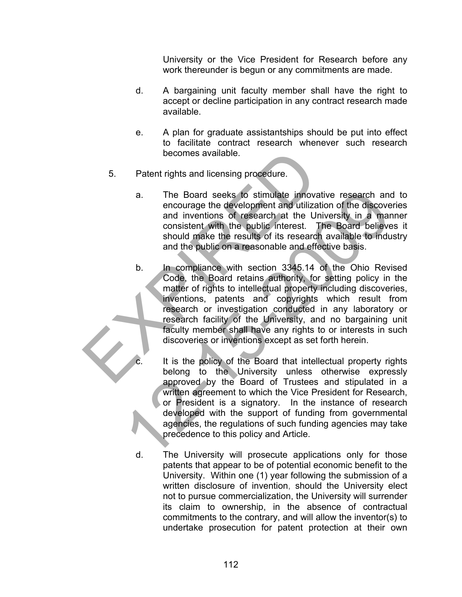University or the Vice President for Research before any work thereunder is begun or any commitments are made.

- d. A bargaining unit faculty member shall have the right to accept or decline participation in any contract research made available.
- e. A plan for graduate assistantships should be put into effect to facilitate contract research whenever such research becomes available.
- 5. Patent rights and licensing procedure.
	- a. The Board seeks to stimulate innovative research and to encourage the development and utilization of the discoveries and inventions of research at the University in a manner consistent with the public interest. The Board believes it should make the results of its research available to industry and the public on a reasonable and effective basis.
- b. In compliance with section 3345.14 of the Ohio Revised Code, the Board retains authority, for setting policy in the matter of rights to intellectual property including discoveries, inventions, patents and copyrights which result from research or investigation conducted in any laboratory or research facility of the University, and no bargaining unit faculty member shall have any rights to or interests in such discoveries or inventions except as set forth herein. becomes available.<br>
5. Patent rights and licensing procedure.<br>
a. The Board seeks to stimulate innovative<br>
encourage the development and utilization<br>
and inventions of research at the Unive<br>
consistent with the public inte The Board seeks to stimulate innovative research and<br>
encourage the development and utilization of the discove<br>
and inventions of research at the University in a mar<br>
consistent with the public interest. The Board believe<br>
	-
- It is the policy of the Board that intellectual property rights belong to the University unless otherwise expressly approved by the Board of Trustees and stipulated in a written agreement to which the Vice President for Research, or President is a signatory. In the instance of research developed with the support of funding from governmental agencies, the regulations of such funding agencies may take precedence to this policy and Article.
- d. The University will prosecute applications only for those patents that appear to be of potential economic benefit to the University. Within one (1) year following the submission of a written disclosure of invention, should the University elect not to pursue commercialization, the University will surrender its claim to ownership, in the absence of contractual commitments to the contrary, and will allow the inventor(s) to undertake prosecution for patent protection at their own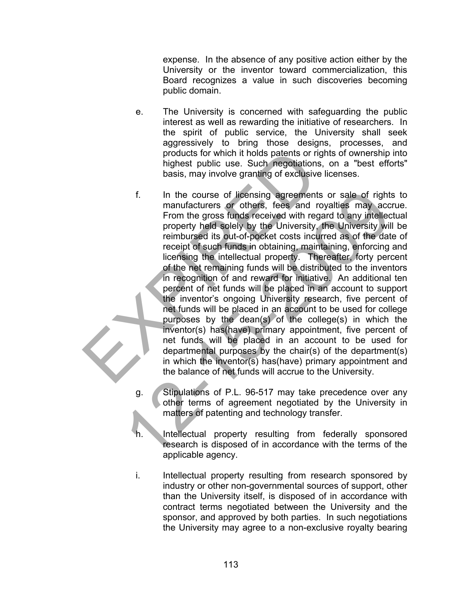expense. In the absence of any positive action either by the University or the inventor toward commercialization, this Board recognizes a value in such discoveries becoming public domain.

- e. The University is concerned with safeguarding the public interest as well as rewarding the initiative of researchers. In the spirit of public service, the University shall seek aggressively to bring those designs, processes, and products for which it holds patents or rights of ownership into highest public use. Such negotiations, on a "best efforts" basis, may involve granting of exclusive licenses.
- f. In the course of licensing agreements or sale of rights to manufacturers or others, fees and royalties may accrue. From the gross funds received with regard to any intellectual property held solely by the University, the University will be reimbursed its out-of-pocket costs incurred as of the date of receipt of such funds in obtaining, maintaining, enforcing and licensing the intellectual property. Thereafter, forty percent of the net remaining funds will be distributed to the inventors in recognition of and reward for initiative. An additional ten percent of net funds will be placed in an account to support the inventor's ongoing University research, five percent of net funds will be placed in an account to be used for college purposes by the dean(s) of the college(s) in which the inventor(s) has(have) primary appointment, five percent of net funds will be placed in an account to be used for departmental purposes by the chair(s) of the department(s) in which the inventor(s) has(have) primary appointment and the balance of net funds will accrue to the University. products for which it holds patents or rights<br>highest public use. Such negotiations, c<br>basis, may involve granting of exclusive lic<br>f. In the course of licensing agreements o<br>manufacturers or others, fees and roya<br>From the f. In the course of licensing agreements or sale of right<br>
manufacturers or others, fees, and royalties may acc<br>
From the gross funds received with regard to any intellect<br>
property held solely by the University, the Unive
	- g. Stipulations of P.L. 96-517 may take precedence over any other terms of agreement negotiated by the University in matters of patenting and technology transfer.
	- h. Intellectual property resulting from federally sponsored research is disposed of in accordance with the terms of the applicable agency.
	- i. Intellectual property resulting from research sponsored by industry or other non-governmental sources of support, other than the University itself, is disposed of in accordance with contract terms negotiated between the University and the sponsor, and approved by both parties. In such negotiations the University may agree to a non-exclusive royalty bearing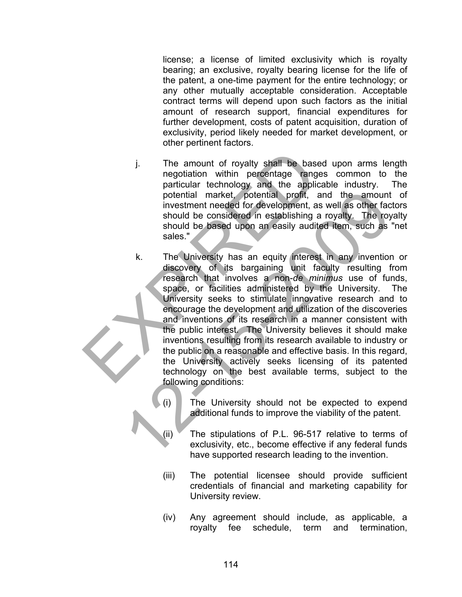license; a license of limited exclusivity which is royalty bearing; an exclusive, royalty bearing license for the life of the patent, a one-time payment for the entire technology; or any other mutually acceptable consideration. Acceptable contract terms will depend upon such factors as the initial amount of research support, financial expenditures for further development, costs of patent acquisition, duration of exclusivity, period likely needed for market development, or other pertinent factors.

- j. The amount of royalty shall be based upon arms length negotiation within percentage ranges common to the particular technology and the applicable industry. The potential market, potential profit, and the amount of investment needed for development, as well as other factors should be considered in establishing a royalty. The royalty should be based upon an easily audited item, such as "net sales."
- k. The University has an equity interest in any invention or discovery of its bargaining unit faculty resulting from research that involves a non-*de minimus* use of funds, space, or facilities administered by the University. The University seeks to stimulate innovative research and to encourage the development and utilization of the discoveries and inventions of its research in a manner consistent with the public interest. The University believes it should make inventions resulting from its research available to industry or the public on a reasonable and effective basis. In this regard, the University actively seeks licensing of its patented technology on the best available terms, subject to the following conditions: The amount of royalty shall be based<br>
negotiation within percentage ranges<br>
particular technology and the applicabl<br>
potential market, potential profit, and<br>
investment needed for development, as w<br>
should be considered in obtential market, potential profit, and the amount<br>investment needed for development, as well as other face<br>should be possed upon an easily audited liem, such as<br>sales."<br>A. The University has an equity interest in any inve
	- (i) The University should not be expected to expend additional funds to improve the viability of the patent.
	- (ii) The stipulations of P.L. 96-517 relative to terms of exclusivity, etc., become effective if any federal funds have supported research leading to the invention.
	- (iii) The potential licensee should provide sufficient credentials of financial and marketing capability for University review.
	- (iv) Any agreement should include, as applicable, a royalty fee schedule, term and termination,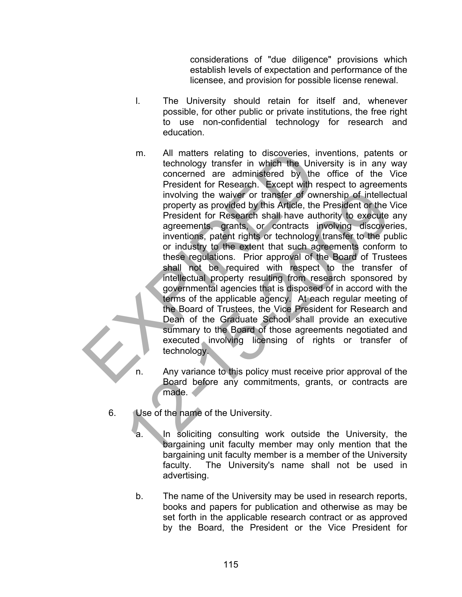considerations of "due diligence" provisions which establish levels of expectation and performance of the licensee, and provision for possible license renewal.

- l. The University should retain for itself and, whenever possible, for other public or private institutions, the free right to use non-confidential technology for research and education.
- m. All matters relating to discoveries, inventions, patents or technology transfer in which the University is in any way concerned are administered by the office of the Vice President for Research. Except with respect to agreements involving the waiver or transfer of ownership of intellectual property as provided by this Article, the President or the Vice President for Research shall have authority to execute any agreements, grants, or contracts involving discoveries, inventions, patent rights or technology transfer to the public or industry to the extent that such agreements conform to these regulations. Prior approval of the Board of Trustees shall not be required with respect to the transfer of intellectual property resulting from research sponsored by governmental agencies that is disposed of in accord with the terms of the applicable agency. At each regular meeting of the Board of Trustees, the Vice President for Research and Dean of the Graduate School shall provide an executive summary to the Board of those agreements negotiated and executed involving licensing of rights or transfer of technology. m. All matters relating to discoveries, invertechnology transfer in which the Universe concerned are administered by the orientation (Fresident for Research. Except with resp involving the waiver or transfer of owner prope involving the waiver or transfer of ownership of intelled<br>property as provided by this Article, the President or the President for Research shall have authority to execute<br>agreements, grants, or contracts involving discove
	- n. Any variance to this policy must receive prior approval of the Board before any commitments, grants, or contracts are made.
	- 6. Use of the name of the University.
		- a. In soliciting consulting work outside the University, the bargaining unit faculty member may only mention that the bargaining unit faculty member is a member of the University faculty. The University's name shall not be used in advertising.
		- b. The name of the University may be used in research reports, books and papers for publication and otherwise as may be set forth in the applicable research contract or as approved by the Board, the President or the Vice President for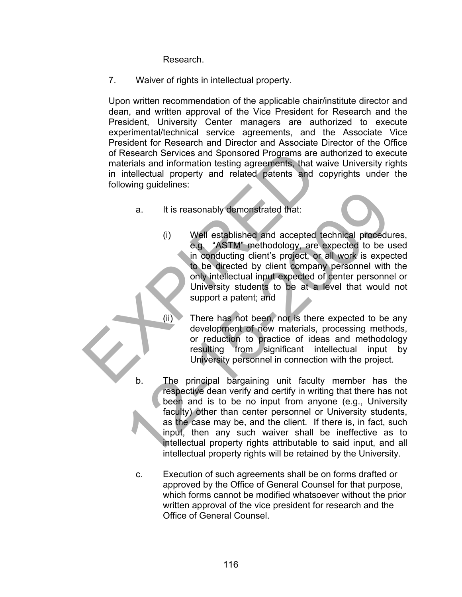Research.

7. Waiver of rights in intellectual property.

Upon written recommendation of the applicable chair/institute director and dean, and written approval of the Vice President for Research and the President, University Center managers are authorized to execute experimental/technical service agreements, and the Associate Vice President for Research and Director and Associate Director of the Office of Research Services and Sponsored Programs are authorized to execute materials and information testing agreements, that waive University rights in intellectual property and related patents and copyrights under the following guidelines:

- a. It is reasonably demonstrated that:
- (i) Well established and accepted technical procedures, e.g. "ASTM" methodology, are expected to be used in conducting client's project, or all work is expected to be directed by client company personnel with the only intellectual input expected of center personnel or University students to be at a level that would not support a patent; and of Research Services and Sponsored Programs are aut<br>
materials and information testing agreements, that waiv<br>
in intellectual property and related patents and cop<br>
following guidelines:<br>
a. It is reasonably demonstrated th
	- (ii) There has not been, nor is there expected to be any development of new materials, processing methods, or reduction to practice of ideas and methodology resulting from significant intellectual input by University personnel in connection with the project.
	- b. The principal bargaining unit faculty member has the respective dean verify and certify in writing that there has not been and is to be no input from anyone (e.g., University faculty) other than center personnel or University students, as the case may be, and the client. If there is, in fact, such input, then any such waiver shall be ineffective as to intellectual property rights attributable to said input, and all intellectual property rights will be retained by the University. 12. It is reasonably demonstrated that:<br>
	(i) Well established and accepted technical procedure, "ASTM" methodology, are expected to be unconducting client's project, or all work is expected to be directed by client company
		- c. Execution of such agreements shall be on forms drafted or approved by the Office of General Counsel for that purpose, which forms cannot be modified whatsoever without the prior written approval of the vice president for research and the Office of General Counsel.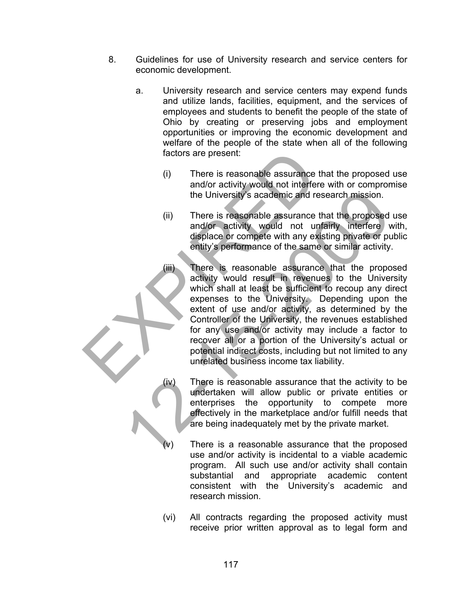- 8. Guidelines for use of University research and service centers for economic development.
	- a. University research and service centers may expend funds and utilize lands, facilities, equipment, and the services of employees and students to benefit the people of the state of Ohio by creating or preserving jobs and employment opportunities or improving the economic development and welfare of the people of the state when all of the following factors are present:
		- (i) There is reasonable assurance that the proposed use and/or activity would not interfere with or compromise the University's academic and research mission.
		- (ii) There is reasonable assurance that the proposed use and/or activity would not unfairly interfere with, displace or compete with any existing private or public entity's performance of the same or similar activity.
- (iii) There is reasonable assurance that the proposed activity would result in revenues to the University which shall at least be sufficient to recoup any direct expenses to the University. Depending upon the extent of use and/or activity, as determined by the Controller of the University, the revenues established for any use and/or activity may include a factor to recover all or a portion of the University's actual or potential indirect costs, including but not limited to any unrelated business income tax liability. factors are present:<br>
(i) There is reasonable assurance that<br>
and/or activity would not interfere we<br>
the University's academic and resear<br>
(ii) There is reasonable assurance that<br>
and/or activity would not unfaint<br>
displa the University's academic and research mission.<br>
(ii) There is reasonable assurance that the proposed<br>
and/or activity would not unfailly interfere v<br>
displace or compete with any existing private or pu<br>
entity's performan
	- (iv) There is reasonable assurance that the activity to be undertaken will allow public or private entities or enterprises the opportunity to compete more effectively in the marketplace and/or fulfill needs that are being inadequately met by the private market.
	- There is a reasonable assurance that the proposed use and/or activity is incidental to a viable academic program. All such use and/or activity shall contain substantial and appropriate academic content consistent with the University's academic and research mission.
	- (vi) All contracts regarding the proposed activity must receive prior written approval as to legal form and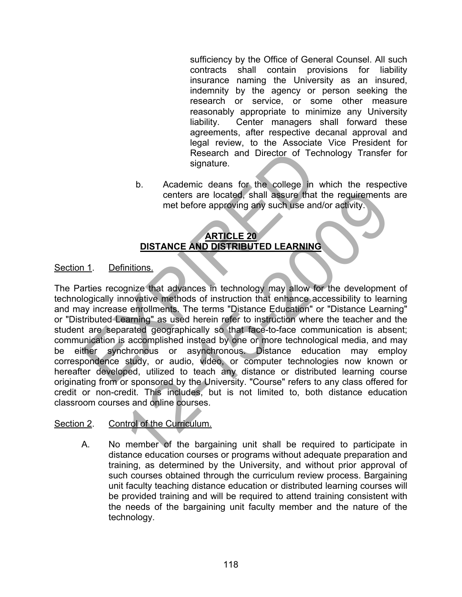sufficiency by the Office of General Counsel. All such contracts shall contain provisions for liability insurance naming the University as an insured, indemnity by the agency or person seeking the research or service, or some other measure reasonably appropriate to minimize any University liability. Center managers shall forward these agreements, after respective decanal approval and legal review, to the Associate Vice President for Research and Director of Technology Transfer for signature.

b. Academic deans for the college in which the respective centers are located, shall assure that the requirements are met before approving any such use and/or activity.

# **ARTICLE 20 DISTANCE AND DISTRIBUTED LEARNING**

## Section 1. Definitions.

The Parties recognize that advances in technology may allow for the development of technologically innovative methods of instruction that enhance accessibility to learning and may increase enrollments. The terms "Distance Education" or "Distance Learning" or "Distributed Learning" as used herein refer to instruction where the teacher and the student are separated geographically so that face-to-face communication is absent; communication is accomplished instead by one or more technological media, and may be either synchronous or asynchronous. Distance education may employ correspondence study, or audio, video, or computer technologies now known or hereafter developed, utilized to teach any distance or distributed learning course originating from or sponsored by the University. "Course" refers to any class offered for credit or non-credit. This includes, but is not limited to, both distance education classroom courses and online courses. Research and Director of Techno<br>
signature.<br>
b. Academic deans for the college in which<br>
centers are located, shall assure that the<br>
met before approving any such use and/or<br> **ARTICLE 20**<br>
DISTANCE AND DISTRIBUTED LEARNING centers are located, shall assure that the requirements<br>
met before approving any such use and/or activity.<br>
DISTANCE AND DISTRIBUTED LEARNING<br>
initions.<br>
gnize that advances in technology may allow for the development<br>
mo

## Section 2. Control of the Curriculum.

A. No member of the bargaining unit shall be required to participate in distance education courses or programs without adequate preparation and training, as determined by the University, and without prior approval of such courses obtained through the curriculum review process. Bargaining unit faculty teaching distance education or distributed learning courses will be provided training and will be required to attend training consistent with the needs of the bargaining unit faculty member and the nature of the technology.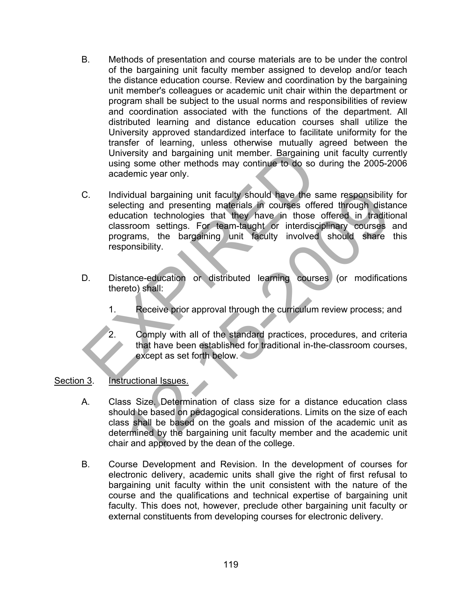- B. Methods of presentation and course materials are to be under the control of the bargaining unit faculty member assigned to develop and/or teach the distance education course. Review and coordination by the bargaining unit member's colleagues or academic unit chair within the department or program shall be subject to the usual norms and responsibilities of review and coordination associated with the functions of the department. All distributed learning and distance education courses shall utilize the University approved standardized interface to facilitate uniformity for the transfer of learning, unless otherwise mutually agreed between the University and bargaining unit member. Bargaining unit faculty currently using some other methods may continue to do so during the 2005-2006 academic year only.
- C. Individual bargaining unit faculty should have the same responsibility for selecting and presenting materials in courses offered through distance education technologies that they have in those offered in traditional classroom settings. For team-taught or interdisciplinary courses and programs, the bargaining unit faculty involved should share this responsibility. University and bargaining unit member. Bargaining unit using some other methods may continue to do so during<br>academic year only.<br>
C. Individual bargaining unit faculty should have the same<br>
selecting and presenting materia vidual bargaining unit faculty should have the same responsibility<br>citing and presenting materials in courses offered through dista<br>cation technologies that they have in the offered in tradition<br>systems, the bargaining uni
- D. Distance-education or distributed learning courses (or modifications thereto) shall:
	- 1. Receive prior approval through the curriculum review process; and
	- 2. Comply with all of the standard practices, procedures, and criteria that have been established for traditional in-the-classroom courses, except as set forth below.

## Section 3. Instructional Issues.

- A. Class Size. Determination of class size for a distance education class should be based on pedagogical considerations. Limits on the size of each class shall be based on the goals and mission of the academic unit as determined by the bargaining unit faculty member and the academic unit chair and approved by the dean of the college.
- B. Course Development and Revision. In the development of courses for electronic delivery, academic units shall give the right of first refusal to bargaining unit faculty within the unit consistent with the nature of the course and the qualifications and technical expertise of bargaining unit faculty. This does not, however, preclude other bargaining unit faculty or external constituents from developing courses for electronic delivery.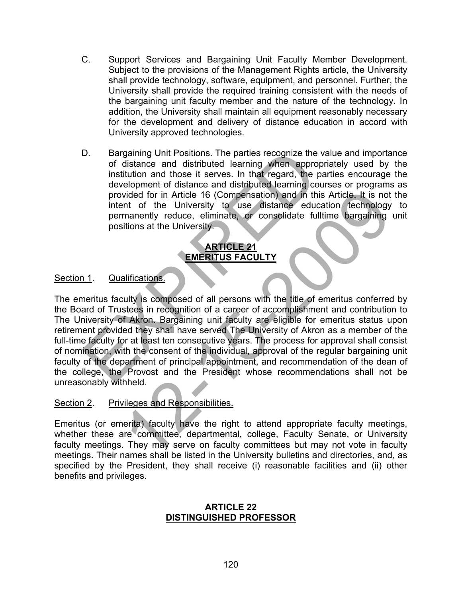- C. Support Services and Bargaining Unit Faculty Member Development. Subject to the provisions of the Management Rights article, the University shall provide technology, software, equipment, and personnel. Further, the University shall provide the required training consistent with the needs of the bargaining unit faculty member and the nature of the technology. In addition, the University shall maintain all equipment reasonably necessary for the development and delivery of distance education in accord with University approved technologies.
- D. Bargaining Unit Positions. The parties recognize the value and importance of distance and distributed learning when appropriately used by the institution and those it serves. In that regard, the parties encourage the development of distance and distributed learning courses or programs as provided for in Article 16 (Compensation) and in this Article. It is not the intent of the University to use distance education technology to permanently reduce, eliminate, or consolidate fulltime bargaining unit positions at the University.

## **ARTICLE 21 EMERITUS FACULTY**

## Section 1. Qualifications.

The emeritus faculty is composed of all persons with the title of emeritus conferred by the Board of Trustees in recognition of a career of accomplishment and contribution to The University of Akron. Bargaining unit faculty are eligible for emeritus status upon retirement provided they shall have served The University of Akron as a member of the full-time faculty for at least ten consecutive years. The process for approval shall consist of nomination, with the consent of the individual, approval of the regular bargaining unit faculty of the department of principal appointment, and recommendation of the dean of the college, the Provost and the President whose recommendations shall not be unreasonably withheld. D. Bargaining Unit Positions. The parties recognize the value of distance and distributed learning when, appropriate institution and those it serves. In that regard, the parties development of distance and distributed lear vided for in Article 16 (Compensation) and in this Article. It is not<br>
in the University to use distance education (echnology<br>
mannently reduce, eliminate, or consolidate fulltime bargaining<br>
itions at the University.<br> **EM** 

## Section 2. Privileges and Responsibilities.

Emeritus (or emerita) faculty have the right to attend appropriate faculty meetings, whether these are committee, departmental, college, Faculty Senate, or University faculty meetings. They may serve on faculty committees but may not vote in faculty meetings. Their names shall be listed in the University bulletins and directories, and, as specified by the President, they shall receive (i) reasonable facilities and (ii) other benefits and privileges.

#### **ARTICLE 22 DISTINGUISHED PROFESSOR**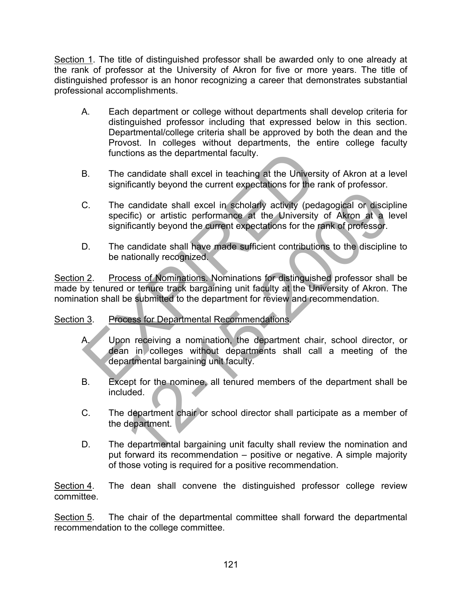Section 1. The title of distinguished professor shall be awarded only to one already at the rank of professor at the University of Akron for five or more years. The title of distinguished professor is an honor recognizing a career that demonstrates substantial professional accomplishments.

- A. Each department or college without departments shall develop criteria for distinguished professor including that expressed below in this section. Departmental/college criteria shall be approved by both the dean and the Provost. In colleges without departments, the entire college faculty functions as the departmental faculty.
- B. The candidate shall excel in teaching at the University of Akron at a level significantly beyond the current expectations for the rank of professor.
- C. The candidate shall excel in scholarly activity (pedagogical or discipline specific) or artistic performance at the University of Akron at a level significantly beyond the current expectations for the rank of professor. functions as the departmental faculty.<br>
B. The candidate shall excel in teaching at the University<br>
significantly beyond the current expectations for the rank<br>
C. The candidate shall excel in scholarly activity (pedage<br>
sp e candidate shall excel in scholarly activity (pedagogical or disciple<br>circlic) or artistic performance at the University of Akron at a la<br>inficantly beyond the current expectations for the rank of professor.<br>candidate sha
- D. The candidate shall have made sufficient contributions to the discipline to be nationally recognized.

Section 2. Process of Nominations. Nominations for distinguished professor shall be made by tenured or tenure track bargaining unit faculty at the University of Akron. The nomination shall be submitted to the department for review and recommendation.

# Section 3. Process for Departmental Recommendations.

- A. Upon receiving a nomination, the department chair, school director, or dean in colleges without departments shall call a meeting of the departmental bargaining unit faculty.
- B. Except for the nominee, all tenured members of the department shall be included.
- C. The department chair or school director shall participate as a member of the department.
- D. The departmental bargaining unit faculty shall review the nomination and put forward its recommendation – positive or negative. A simple majority of those voting is required for a positive recommendation.

Section 4. The dean shall convene the distinguished professor college review committee.

Section 5. The chair of the departmental committee shall forward the departmental recommendation to the college committee.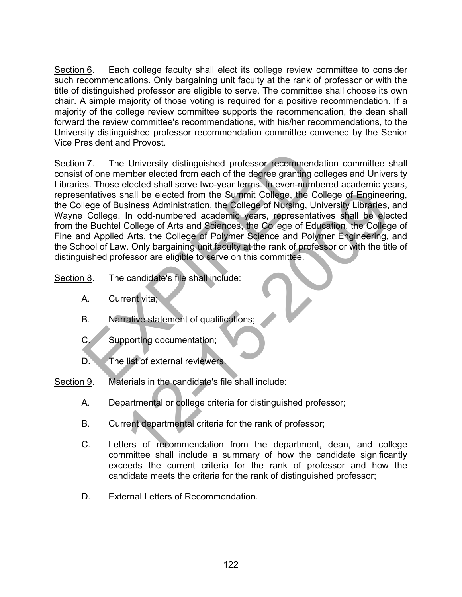Section 6. Each college faculty shall elect its college review committee to consider such recommendations. Only bargaining unit faculty at the rank of professor or with the title of distinguished professor are eligible to serve. The committee shall choose its own chair. A simple majority of those voting is required for a positive recommendation. If a majority of the college review committee supports the recommendation, the dean shall forward the review committee's recommendations, with his/her recommendations, to the University distinguished professor recommendation committee convened by the Senior Vice President and Provost.

Section 7. The University distinguished professor recommendation committee shall consist of one member elected from each of the degree granting colleges and University Libraries. Those elected shall serve two-year terms. In even-numbered academic years, representatives shall be elected from the Summit College, the College of Engineering, the College of Business Administration, the College of Nursing, University Libraries, and Wayne College. In odd-numbered academic years, representatives shall be elected from the Buchtel College of Arts and Sciences, the College of Education, the College of Fine and Applied Arts, the College of Polymer Science and Polymer Engineering, and the School of Law. Only bargaining unit faculty at the rank of professor or with the title of distinguished professor are eligible to serve on this committee. 17. The University distinguished professor recommendation<br>
17. The University distinguished professor recommendation<br>
18. Those elected shall serve two-year terms. In even-number<br>
19. Those elected shall serve two-year ter The elected from the Summit College, the College of Engineer<br>
siness Administration, the College of Nursing, University Libraries,<br>
In odd-numbered academic years, representatives shall be elected<br>
College of Arts and Scie

- Section 8. The candidate's file shall include:
	- A. Current vita;
	- B. Narrative statement of qualifications;
	- C. Supporting documentation;
	- D. The list of external reviewers.
- Section 9. Materials in the candidate's file shall include:
	- A. Departmental or college criteria for distinguished professor;
	- B. Current departmental criteria for the rank of professor;
	- C. Letters of recommendation from the department, dean, and college committee shall include a summary of how the candidate significantly exceeds the current criteria for the rank of professor and how the candidate meets the criteria for the rank of distinguished professor;
	- D. External Letters of Recommendation.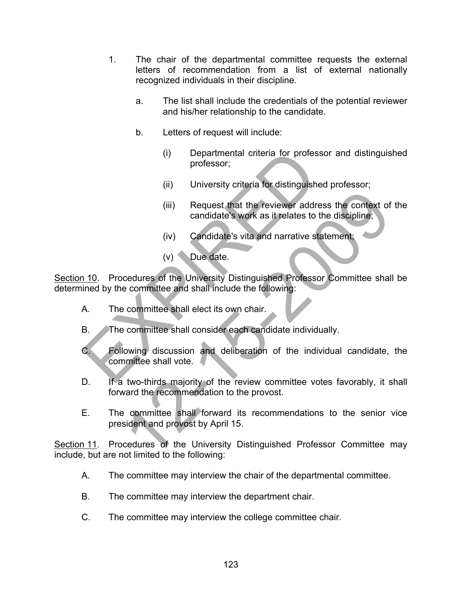- 1. The chair of the departmental committee requests the external letters of recommendation from a list of external nationally recognized individuals in their discipline.
	- a. The list shall include the credentials of the potential reviewer and his/her relationship to the candidate.
	- b. Letters of request will include:
		- (i) Departmental criteria for professor and distinguished professor;
		- (ii) University criteria for distinguished professor;
		- (iii) Request that the reviewer address the context of the candidate's work as it relates to the discipline;
		- (iv) Candidate's vita and narrative statement;
		- (v) Due date.

Section 10. Procedures of the University Distinguished Professor Committee shall be determined by the committee and shall include the following:

- A. The committee shall elect its own chair.
- B. The committee shall consider each candidate individually.
- C. Following discussion and deliberation of the individual candidate, the committee shall vote. (i) Departmental criteria for professor<br>professor;<br>(ii) University criteria for distinguished p<br>(iii) Request that the reviewer address<br>candidate's work as it relates to the<br>(iv) Candidate's vita and narrative state<br>(v) D (iii) Request that the reviewer address the context of<br>candidate's work as it relates to the discipline;<br>(iv) Candidate's vita and narrative statement;<br>(v) Candidate's vita and narrative statement;<br>(v) Due date.<br>cedures of
- D. If a two-thirds majority of the review committee votes favorably, it shall forward the recommendation to the provost.
- E. The committee shall forward its recommendations to the senior vice president and provost by April 15.

Section 11. Procedures of the University Distinguished Professor Committee may include, but are not limited to the following:

- A. The committee may interview the chair of the departmental committee.
- B. The committee may interview the department chair.
- C. The committee may interview the college committee chair.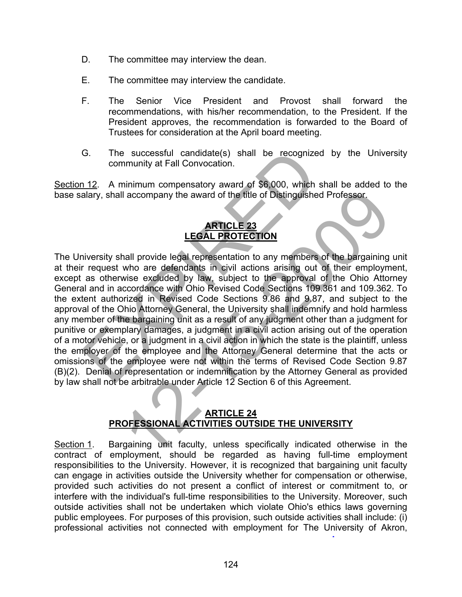- D. The committee may interview the dean.
- E. The committee may interview the candidate.
- F. The Senior Vice President and Provost shall forward the recommendations, with his/her recommendation, to the President. If the President approves, the recommendation is forwarded to the Board of Trustees for consideration at the April board meeting.
- G. The successful candidate(s) shall be recognized by the University community at Fall Convocation.

Section 12. A minimum compensatory award of \$6,000, which shall be added to the base salary, shall accompany the award of the title of Distinguished Professor.

## **ARTICLE 23 LEGAL PROTECTION**

The University shall provide legal representation to any members of the bargaining unit at their request who are defendants in civil actions arising out of their employment, except as otherwise excluded by law, subject to the approval of the Ohio Attorney General and in accordance with Ohio Revised Code Sections 109.361 and 109.362. To the extent authorized in Revised Code Sections 9.86 and 9.87, and subject to the approval of the Ohio Attorney General, the University shall indemnify and hold harmless any member of the bargaining unit as a result of any judgment other than a judgment for punitive or exemplary damages, a judgment in a civil action arising out of the operation of a motor vehicle, or a judgment in a civil action in which the state is the plaintiff, unless the employer of the employee and the Attorney General determine that the acts or omissions of the employee were not within the terms of Revised Code Section 9.87 (B)(2). Denial of representation or indemnification by the Attorney General as provided by law shall not be arbitrable under Article 12 Section 6 of this Agreement. G. The successful candidate(s) shall be recognized i<br>community at Fall Convocation.<br>
112. A minimum compensatory award of \$6,000, which shalary, shall accompany the award of the title of Distinguished P<br> **ARTICLE 23**<br> **LE** 1 accompany the award of the title of Distinguished Professor.<br> **ARTICLE 23**<br> **LEGAL PROTECTION**<br>
ARTICLE 23<br>
LEGAL PROTECTION<br>
ARTICLE 23<br>
LEGAL PROTECTION<br>
Now are defendants in civil actions arising out of their employm

## **ARTICLE 24 PROFESSIONAL ACTIVITIES OUTSIDE THE UNIVERSITY**

Section 1. Bargaining unit faculty, unless specifically indicated otherwise in the contract of employment, should be regarded as having full-time employment responsibilities to the University. However, it is recognized that bargaining unit faculty can engage in activities outside the University whether for compensation or otherwise, provided such activities do not present a conflict of interest or commitment to, or interfere with the individual's full-time responsibilities to the University. Moreover, such outside activities shall not be undertaken which violate Ohio's ethics laws governing public employees. For purposes of this provision, such outside activities shall include: (i) professional activities not connected with employment for The University of Akron,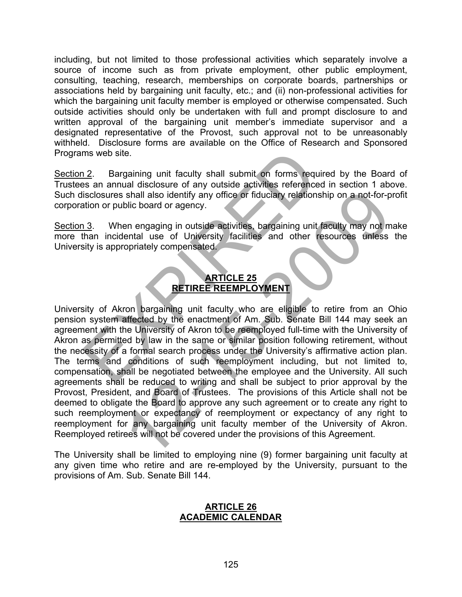including, but not limited to those professional activities which separately involve a source of income such as from private employment, other public employment, consulting, teaching, research, memberships on corporate boards, partnerships or associations held by bargaining unit faculty, etc.; and (ii) non-professional activities for which the bargaining unit faculty member is employed or otherwise compensated. Such outside activities should only be undertaken with full and prompt disclosure to and written approval of the bargaining unit member's immediate supervisor and a designated representative of the Provost, such approval not to be unreasonably withheld. Disclosure forms are available on the Office of Research and Sponsored Programs web site.

Section 2. Bargaining unit faculty shall submit on forms required by the Board of Trustees an annual disclosure of any outside activities referenced in section 1 above. Such disclosures shall also identify any office or fiduciary relationship on a not-for-profit corporation or public board or agency.

Section 3. When engaging in outside activities, bargaining unit faculty may not make more than incidental use of University facilities and other resources unless the University is appropriately compensated.

# **ARTICLE 25 RETIREE REEMPLOYMENT**

University of Akron bargaining unit faculty who are eligible to retire from an Ohio pension system affected by the enactment of Am. Sub. Senate Bill 144 may seek an agreement with the University of Akron to be reemployed full-time with the University of Akron as permitted by law in the same or similar position following retirement, without the necessity of a formal search process under the University's affirmative action plan. The terms and conditions of such reemployment including, but not limited to, compensation, shall be negotiated between the employee and the University. All such agreements shall be reduced to writing and shall be subject to prior approval by the Provost, President, and Board of Trustees. The provisions of this Article shall not be deemed to obligate the Board to approve any such agreement or to create any right to such reemployment or expectancy of reemployment or expectancy of any right to reemployment for any bargaining unit faculty member of the University of Akron. Reemployed retirees will not be covered under the provisions of this Agreement. ms web site.<br>
1.2. Bargaining unit faculty shall submit on forms required the same annual disclosure of any outside activities referenced in<br>
isclosures shall also identify any office or fiduciary relationship<br>
1.3. When e Shall also identify any office or fiducial y relationship on a not-for-polic board or agency.<br>
The board or agency.<br>
The energaging in outside activities, bargaining unit faculty may not mental use of University facilities

The University shall be limited to employing nine (9) former bargaining unit faculty at any given time who retire and are re-employed by the University, pursuant to the provisions of Am. Sub. Senate Bill 144.

## **ARTICLE 26 ACADEMIC CALENDAR**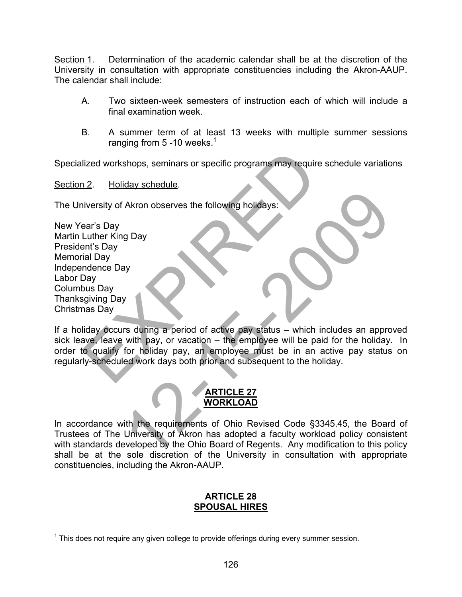Section 1. Determination of the academic calendar shall be at the discretion of the University in consultation with appropriate constituencies including the Akron-AAUP. The calendar shall include:

- A. Two sixteen-week semesters of instruction each of which will include a final examination week.
- B. A summer term of at least 13 weeks with multiple summer sessions ranging from 5 -10 weeks.<sup>1</sup>

Specialized workshops, seminars or specific programs may require schedule variations

Section 2. Holiday schedule.

The University of Akron observes the following holidays:

| New Year's Day          |  |
|-------------------------|--|
| Martin Luther King Day  |  |
| President's Day         |  |
| <b>Memorial Day</b>     |  |
| <b>Independence Day</b> |  |
| Labor Day               |  |
| <b>Columbus Day</b>     |  |
| <b>Thanksgiving Day</b> |  |
| Christmas Day           |  |

If a holiday occurs during a period of active pay status – which includes an approved sick leave, leave with pay, or vacation – the employee will be paid for the holiday. In order to qualify for holiday pay, an employee must be in an active pay status on regularly-scheduled work days both prior and subsequent to the holiday. EXPIRED 12-15-2009

## **ARTICLE 27 WORKLOAD**

In accordance with the requirements of Ohio Revised Code §3345.45, the Board of Trustees of The University of Akron has adopted a faculty workload policy consistent with standards developed by the Ohio Board of Regents. Any modification to this policy shall be at the sole discretion of the University in consultation with appropriate constituencies, including the Akron-AAUP.

## **ARTICLE 28 SPOUSAL HIRES**

THE MODE THE THIRD THE THIRD THIRD THIRD THIRD THIRD THIRD THIRD THIRD THIRD THIRD THIRD THIRD THIRD THIRD TH<br>This does not require any given college to provide offerings during every summer session.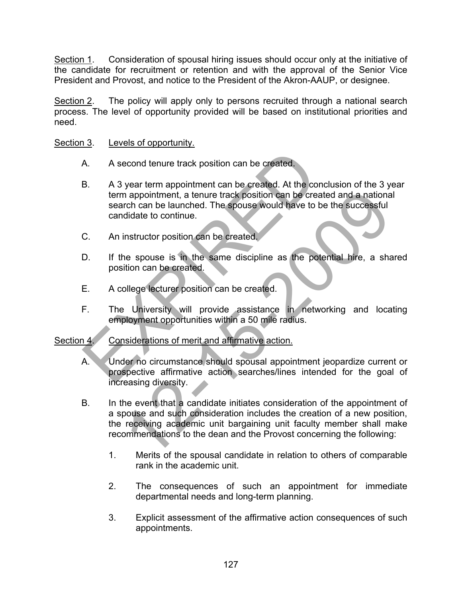Section 1. Consideration of spousal hiring issues should occur only at the initiative of the candidate for recruitment or retention and with the approval of the Senior Vice President and Provost, and notice to the President of the Akron-AAUP, or designee.

Section 2. The policy will apply only to persons recruited through a national search process. The level of opportunity provided will be based on institutional priorities and need.

## Section 3. Levels of opportunity.

- A. A second tenure track position can be created.
- B. A 3 year term appointment can be created. At the conclusion of the 3 year term appointment, a tenure track position can be created and a national search can be launched. The spouse would have to be the successful candidate to continue. A. A second tenure track position can be created.<br>
B. A 3 year term appointment can be created. At the concluder term appointment, a tenure track position can be created<br>
search can be launched. The spouse would have to be
- C. An instructor position can be created.
- D. If the spouse is in the same discipline as the potential hire, a shared position can be created.
- E. A college lecturer position can be created.
- F. The University will provide assistance in networking and locating employment opportunities within a 50 mile radius.

## Section 4. Considerations of merit and affirmative action.

- A. Under no circumstance should spousal appointment jeopardize current or prospective affirmative action searches/lines intended for the goal of increasing diversity.
- B. In the event that a candidate initiates consideration of the appointment of a spouse and such consideration includes the creation of a new position, the receiving academic unit bargaining unit faculty member shall make recommendations to the dean and the Provost concerning the following: In appointment, a tenure track position can be created and a national<br>
and a proportion can be launched. The spouse would have to be the successful<br>
didate to continue.<br>
Instructor position can be created.<br>
He spouse is in
	- 1. Merits of the spousal candidate in relation to others of comparable rank in the academic unit.
	- 2. The consequences of such an appointment for immediate departmental needs and long-term planning.
	- 3. Explicit assessment of the affirmative action consequences of such appointments.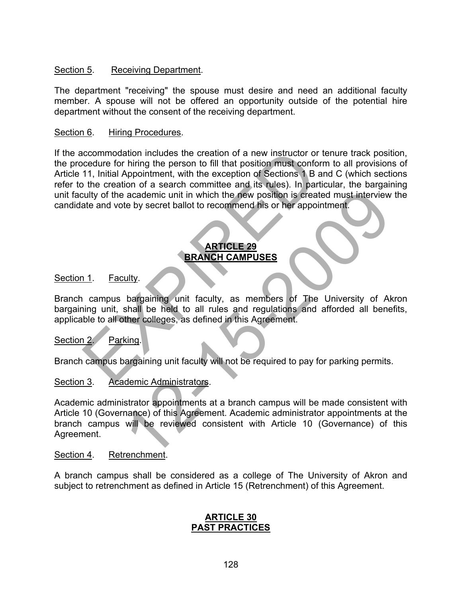## Section 5. Receiving Department.

The department "receiving" the spouse must desire and need an additional faculty member. A spouse will not be offered an opportunity outside of the potential hire department without the consent of the receiving department.

#### Section 6. Hiring Procedures.

If the accommodation includes the creation of a new instructor or tenure track position, the procedure for hiring the person to fill that position must conform to all provisions of Article 11, Initial Appointment, with the exception of Sections 1 B and C (which sections refer to the creation of a search committee and its rules). In particular, the bargaining unit faculty of the academic unit in which the new position is created must interview the candidate and vote by secret ballot to recommend his or her appointment. commodation includes the creation of a new instructor or terestive for hiring the person to fill that position must conform<br>
11, Initial Appointment, with the exception of Sections 1 B and<br>
the creation of a search committ

## **ARTICLE 29 BRANCH CAMPUSES**

## Section 1. Faculty.

Branch campus bargaining unit faculty, as members of The University of Akron bargaining unit, shall be held to all rules and regulations and afforded all benefits, applicable to all other colleges, as defined in this Agreement.

## Section 2. Parking.

Branch campus bargaining unit faculty will not be required to pay for parking permits.

#### Section 3. Academic Administrators.

Academic administrator appointments at a branch campus will be made consistent with Article 10 (Governance) of this Agreement. Academic administrator appointments at the branch campus will be reviewed consistent with Article 10 (Governance) of this Agreement. and the first with a first of the real must interview<br>te by secret ballot to recommend his or her appointment.<br>
How secret ballot to recommend his or her appointment.<br> **EXAMCH CAMPUSES**<br>
BRANCH CAMPUSES<br>
UIITY.<br>
bargaining

#### Section 4. Retrenchment.

A branch campus shall be considered as a college of The University of Akron and subject to retrenchment as defined in Article 15 (Retrenchment) of this Agreement.

#### **ARTICLE 30 PAST PRACTICES**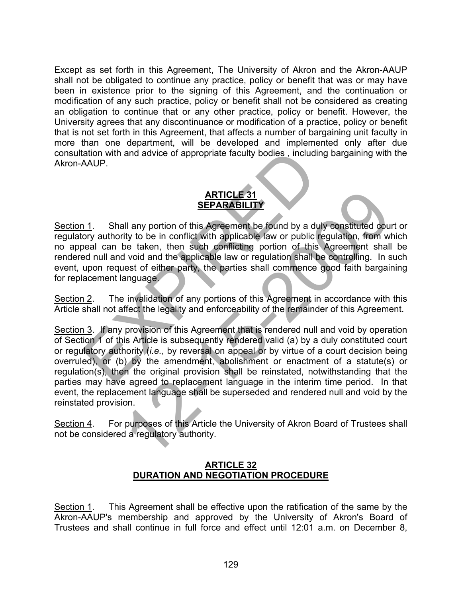Except as set forth in this Agreement, The University of Akron and the Akron-AAUP shall not be obligated to continue any practice, policy or benefit that was or may have been in existence prior to the signing of this Agreement, and the continuation or modification of any such practice, policy or benefit shall not be considered as creating an obligation to continue that or any other practice, policy or benefit. However, the University agrees that any discontinuance or modification of a practice, policy or benefit that is not set forth in this Agreement, that affects a number of bargaining unit faculty in more than one department, will be developed and implemented only after due consultation with and advice of appropriate faculty bodies , including bargaining with the Akron-AAUP.

# **ARTICLE 31 SEPARABILITY**

Section 1. Shall any portion of this Agreement be found by a duly constituted court or regulatory authority to be in conflict with applicable law or public regulation, from which no appeal can be taken, then such conflicting portion of this Agreement shall be rendered null and void and the applicable law or regulation shall be controlling. In such event, upon request of either party, the parties shall commence good faith bargaining for replacement language. and a advice of appropriate faculty bodies , including to the AAUP.<br>
SEPARABILITY<br>
1.1. Shall any portion of this Agreement be found by a duly cory authority to be in conflict with applicable law or public regular can be t

Section 2. The invalidation of any portions of this Agreement in accordance with this Article shall not affect the legality and enforceability of the remainder of this Agreement.

Section 3. If any provision of this Agreement that is rendered null and void by operation of Section 1 of this Article is subsequently rendered valid (a) by a duly constituted court or regulatory authority (*i.e.*, by reversal on appeal or by virtue of a court decision being overruled), or (b) by the amendment, abolishment or enactment of a statute(s) or regulation(s), then the original provision shall be reinstated, notwithstanding that the parties may have agreed to replacement language in the interim time period. In that event, the replacement language shall be superseded and rendered null and void by the reinstated provision. **SEPARABILITY**<br> **SEPARABILITY**<br> **SEPARABILITY**<br>
all any portion of this Agreement be found by a duly constituted courty<br>
to be in conflict with applicable law or public regulation, from with<br>
a void and the applicable law

Section 4. For purposes of this Article the University of Akron Board of Trustees shall not be considered a regulatory authority.

## **ARTICLE 32 DURATION AND NEGOTIATION PROCEDURE**

Section 1. This Agreement shall be effective upon the ratification of the same by the Akron-AAUP's membership and approved by the University of Akron's Board of Trustees and shall continue in full force and effect until 12:01 a.m. on December 8,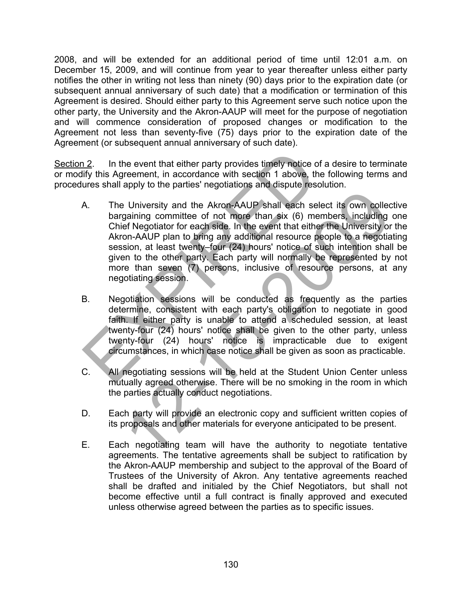2008, and will be extended for an additional period of time until 12:01 a.m. on December 15, 2009, and will continue from year to year thereafter unless either party notifies the other in writing not less than ninety (90) days prior to the expiration date (or subsequent annual anniversary of such date) that a modification or termination of this Agreement is desired. Should either party to this Agreement serve such notice upon the other party, the University and the Akron-AAUP will meet for the purpose of negotiation and will commence consideration of proposed changes or modification to the Agreement not less than seventy-five (75) days prior to the expiration date of the Agreement (or subsequent annual anniversary of such date).

Section 2. In the event that either party provides timely notice of a desire to terminate or modify this Agreement, in accordance with section 1 above, the following terms and procedures shall apply to the parties' negotiations and dispute resolution.

- A. The University and the Akron-AAUP shall each select its own collective bargaining committee of not more than six (6) members, including one Chief Negotiator for each side. In the event that either the University or the Akron-AAUP plan to bring any additional resource people to a negotiating session, at least twenty–four (24) hours' notice of such intention shall be given to the other party. Each party will normally be represented by not more than seven (7) persons, inclusive of resource persons, at any negotiating session. 12. In the event that either party provides timely notice of a<br>lify this Agreement, in accordance with section 1 above, the fit<br>ures shall apply to the parties' negotiations and dispute resoluti<br>A. The University and the A Fundaming committee of not more than sixt (6) members, including<br>gaining committee of not more than six (6) members, including<br>gaining committee of not more than six (6) members, including<br>on-AAUP plan to bring any additio
- B. Negotiation sessions will be conducted as frequently as the parties determine, consistent with each party's obligation to negotiate in good faith. If either party is unable to attend a scheduled session, at least twenty-four (24) hours' notice shall be given to the other party, unless twenty-four (24) hours' notice is impracticable due to exigent circumstances, in which case notice shall be given as soon as practicable.
- C. All negotiating sessions will be held at the Student Union Center unless mutually agreed otherwise. There will be no smoking in the room in which the parties actually conduct negotiations.
- D. Each party will provide an electronic copy and sufficient written copies of its proposals and other materials for everyone anticipated to be present.
- E. Each negotiating team will have the authority to negotiate tentative agreements. The tentative agreements shall be subject to ratification by the Akron-AAUP membership and subject to the approval of the Board of Trustees of the University of Akron. Any tentative agreements reached shall be drafted and initialed by the Chief Negotiators, but shall not become effective until a full contract is finally approved and executed unless otherwise agreed between the parties as to specific issues.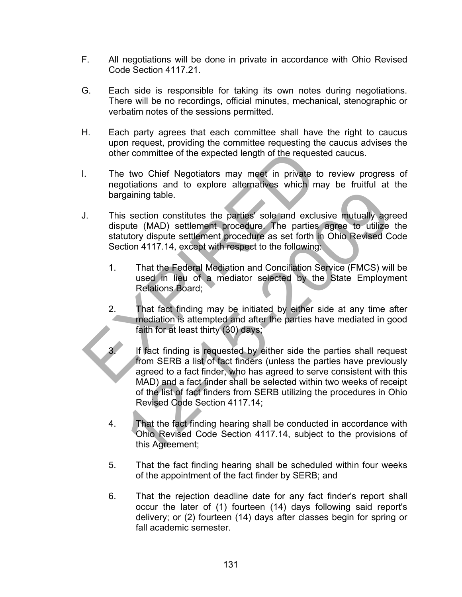- F. All negotiations will be done in private in accordance with Ohio Revised Code Section 4117.21.
- G. Each side is responsible for taking its own notes during negotiations. There will be no recordings, official minutes, mechanical, stenographic or verbatim notes of the sessions permitted.
- H. Each party agrees that each committee shall have the right to caucus upon request, providing the committee requesting the caucus advises the other committee of the expected length of the requested caucus.
- I. The two Chief Negotiators may meet in private to review progress of negotiations and to explore alternatives which may be fruitful at the bargaining table.
- J. This section constitutes the parties' sole and exclusive mutually agreed dispute (MAD) settlement procedure. The parties agree to utilize the statutory dispute settlement procedure as set forth in Ohio Revised Code Section 4117.14, except with respect to the following: other committee of the expected length of the requested<br>
1. The two Chief Negotiators may meet in private to reductions and to explore alternatives which may<br>
bargaining table.<br>
1. This section constitutes the parties' sol
	- 1. That the Federal Mediation and Conciliation Service (FMCS) will be used in lieu of a mediator selected by the State Employment Relations Board;
	- 2. That fact finding may be initiated by either side at any time after mediation is attempted and after the parties have mediated in good faith for at least thirty (30) days;
- If fact finding is requested by either side the parties shall request from SERB a list of fact finders (unless the parties have previously agreed to a fact finder, who has agreed to serve consistent with this MAD) and a fact finder shall be selected within two weeks of receipt of the list of fact finders from SERB utilizing the procedures in Ohio Revised Code Section 4117.14; gaining table.<br>
Section constitutes the parties' sole and exclusive mutually agroute (MAD) settlement procedure. The parties agree to utilize<br>
utory dispute settlement procedure. The parties agree to utilize<br>
utory dispute
	- 4. That the fact finding hearing shall be conducted in accordance with Ohio Revised Code Section 4117.14, subject to the provisions of this Agreement;
	- 5. That the fact finding hearing shall be scheduled within four weeks of the appointment of the fact finder by SERB; and
	- 6. That the rejection deadline date for any fact finder's report shall occur the later of (1) fourteen (14) days following said report's delivery; or (2) fourteen (14) days after classes begin for spring or fall academic semester.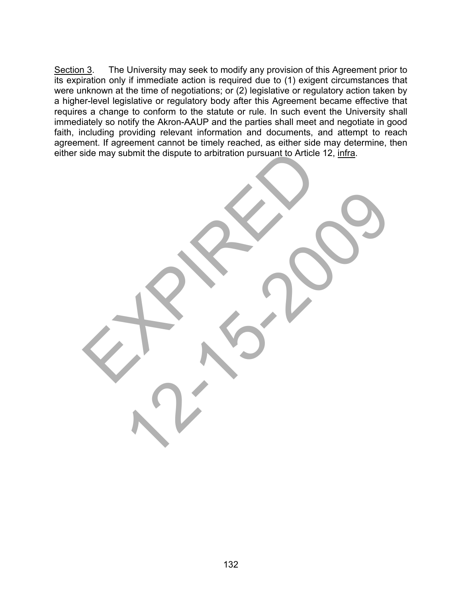Section 3. The University may seek to modify any provision of this Agreement prior to its expiration only if immediate action is required due to (1) exigent circumstances that were unknown at the time of negotiations; or (2) legislative or regulatory action taken by a higher-level legislative or regulatory body after this Agreement became effective that requires a change to conform to the statute or rule. In such event the University shall immediately so notify the Akron-AAUP and the parties shall meet and negotiate in good faith, including providing relevant information and documents, and attempt to reach agreement. If agreement cannot be timely reached, as either side may determine, then either side may submit the dispute to arbitration pursuant to Article 12, infra. side may submit the dispute to arbitration pursuant to Article 12<br>
and the may submit the dispute to arbitration pursuant to Article 12<br>
and the submit the dispute to arbitration pursuant to Article 12<br>
and the submit the

12-20-2009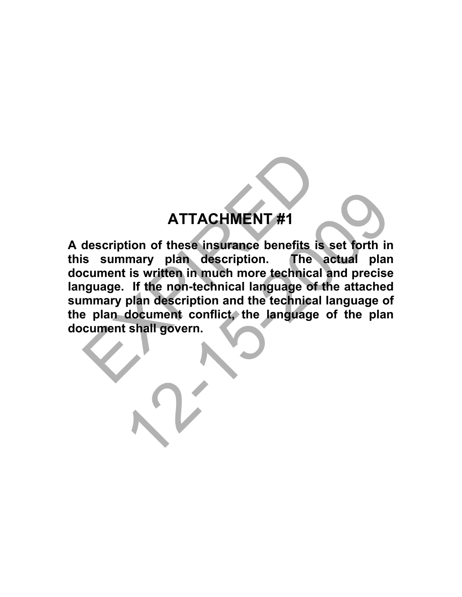# **ATTACHMENT #1**

**A description of these insurance benefits is set forth in this summary plan description. The actual plan document is written in much more technical and precise language. If the non-technical language of the attached summary plan description and the technical language of the plan document conflict, the language of the plan document shall govern.**  ATTACHMENT #1<br>description of these insurance benefits is s<br>s summary plan description. The advance is written in much more technical a<br>nguage. If the non-technical language of th<br>mmary plan description and the technical la ATTACHMENT #1<br>tion of these insurance benefits is set forth in<br>mary plan description. The actual plan<br>is written in much more technical and precise<br>of the non-technical language of the attached<br>plan description and the tec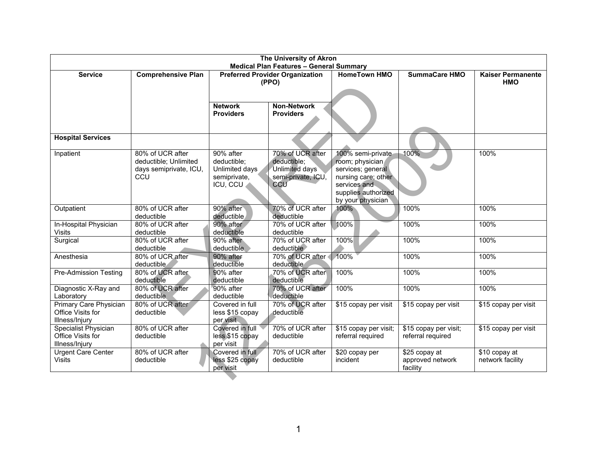| The University of Akron                                       |                                                                            |                                                                                                   |                                                                                |                                                                                                                                              |                                               |                                   |
|---------------------------------------------------------------|----------------------------------------------------------------------------|---------------------------------------------------------------------------------------------------|--------------------------------------------------------------------------------|----------------------------------------------------------------------------------------------------------------------------------------------|-----------------------------------------------|-----------------------------------|
| <b>Service</b>                                                | <b>Comprehensive Plan</b>                                                  | <b>Medical Plan Features - General Summary</b><br><b>Preferred Provider Organization</b><br>(PPO) |                                                                                | <b>HomeTown HMO</b>                                                                                                                          | <b>SummaCare HMO</b>                          | <b>Kaiser Permanente</b><br>HMO   |
|                                                               |                                                                            | <b>Network</b><br><b>Providers</b>                                                                | <b>Non-Network</b><br><b>Providers</b>                                         |                                                                                                                                              |                                               |                                   |
| <b>Hospital Services</b>                                      |                                                                            |                                                                                                   |                                                                                |                                                                                                                                              |                                               |                                   |
| Inpatient                                                     | 80% of UCR after<br>deductible; Unlimited<br>days semiprivate, ICU,<br>CCU | 90% after<br>deductible:<br>Unlimited days<br>semiprivate,<br>ICU, CCU                            | 70% of UCR after<br>deductible:<br>Unlimited days<br>semi-private, ICU,<br>CCU | 100% semi-private<br>room; physician<br>services; general<br>nursing care; other<br>services and<br>supplies authorized<br>by your physician | 100%                                          | 100%                              |
| Outpatient                                                    | 80% of UCR after<br>deductible                                             | 90% after<br>deductible                                                                           | 70% of UCR after<br>deductible                                                 | 100%                                                                                                                                         | 100%                                          | 100%                              |
| In-Hospital Physician<br><b>Visits</b>                        | 80% of UCR after<br>deductible                                             | 90% after<br>deductible                                                                           | 70% of UCR after<br>deductible                                                 | 100%                                                                                                                                         | 100%                                          | 100%                              |
| Surgical                                                      | 80% of UCR after<br>deductible                                             | 90% after<br>deductible                                                                           | 70% of UCR after<br>deductible                                                 | 100%                                                                                                                                         | 100%                                          | 100%                              |
| Anesthesia                                                    | 80% of UCR after<br>deductible                                             | 90% after<br>deductible                                                                           | 70% of UCR after<br>deductible                                                 | 100%                                                                                                                                         | 100%                                          | 100%                              |
| <b>Pre-Admission Testing</b>                                  | 80% of UCR after<br>deductible                                             | 90% after<br>deductible                                                                           | 70% of UCR after<br>deductible                                                 | 100%                                                                                                                                         | 100%                                          | 100%                              |
| Diagnostic X-Ray and<br>Laboratory                            | 80% of UCR after<br>deductible                                             | 90% after<br>deductible                                                                           | 70% of UCR after<br>deductible                                                 | 100%                                                                                                                                         | 100%                                          | 100%                              |
| Primary Care Physician<br>Office Visits for<br>Illness/Injury | 80% of UCR after<br>deductible                                             | Covered in full<br>less \$15 copay<br>per visit                                                   | 70% of UCR after<br>deductible                                                 | \$15 copay per visit                                                                                                                         | \$15 copay per visit                          | \$15 copay per visit              |
| Specialist Physician<br>Office Visits for<br>Illness/Injury   | 80% of UCR after<br>deductible                                             | Covered in full<br>less \$15 copay<br>per visit                                                   | 70% of UCR after<br>deductible                                                 | \$15 copay per visit;<br>referral required                                                                                                   | \$15 copay per visit;<br>referral required    | \$15 copay per visit              |
| Urgent Care Center<br><b>Visits</b>                           | 80% of UCR after<br>deductible                                             | Covered in full<br>less \$25 copay<br>per visit                                                   | 70% of UCR after<br>deductible                                                 | \$20 copay per<br>incident                                                                                                                   | \$25 copay at<br>approved network<br>facility | \$10 copay at<br>network facility |
|                                                               |                                                                            |                                                                                                   |                                                                                |                                                                                                                                              |                                               |                                   |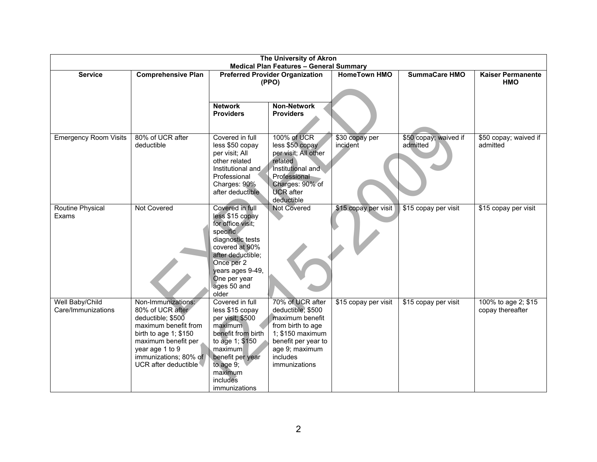| The University of Akron                        |                                        |                                                 |                                        |                            |                                   |                                         |
|------------------------------------------------|----------------------------------------|-------------------------------------------------|----------------------------------------|----------------------------|-----------------------------------|-----------------------------------------|
| <b>Medical Plan Features - General Summary</b> |                                        |                                                 |                                        |                            |                                   |                                         |
| <b>Service</b>                                 | <b>Comprehensive Plan</b>              | <b>Preferred Provider Organization</b><br>(PPO) |                                        | <b>HomeTown HMO</b>        | <b>SummaCare HMO</b>              | <b>Kaiser Permanente</b><br><b>HMO</b>  |
|                                                |                                        |                                                 |                                        |                            |                                   |                                         |
|                                                |                                        |                                                 |                                        |                            |                                   |                                         |
|                                                |                                        | <b>Network</b><br><b>Providers</b>              | <b>Non-Network</b><br><b>Providers</b> |                            |                                   |                                         |
|                                                |                                        |                                                 |                                        |                            |                                   |                                         |
|                                                |                                        |                                                 |                                        |                            |                                   |                                         |
| <b>Emergency Room Visits</b>                   | 80% of UCR after<br>deductible         | Covered in full<br>less \$50 copay              | 100% of UCR<br>less \$50 copay         | \$30 copay per<br>incident | \$50 copay; waived if<br>admitted | \$50 copay; waived if<br>admitted       |
|                                                |                                        | per visit; All                                  | per visit; All other                   |                            |                                   |                                         |
|                                                |                                        | other related                                   | related                                |                            |                                   |                                         |
|                                                |                                        | Institutional and<br>Professional               | Institutional and<br>Professional      |                            |                                   |                                         |
|                                                |                                        | Charges: 90%                                    | Charges: 90% of                        |                            |                                   |                                         |
|                                                |                                        | after deductible                                | <b>UCR</b> after                       |                            |                                   |                                         |
| <b>Routine Physical</b>                        | <b>Not Covered</b>                     | Covered in full                                 | deductible<br><b>Not Covered</b>       | \$15 copay per visit       | \$15 copay per visit              | \$15 copay per visit                    |
| Exams                                          |                                        | less \$15 copay                                 |                                        |                            |                                   |                                         |
|                                                |                                        | for office visit;                               |                                        |                            |                                   |                                         |
|                                                |                                        | specific                                        |                                        |                            |                                   |                                         |
|                                                |                                        | diagnostic tests<br>covered at 90%              |                                        |                            |                                   |                                         |
|                                                |                                        | after deductible;                               |                                        |                            |                                   |                                         |
|                                                |                                        | Once per 2                                      |                                        |                            |                                   |                                         |
|                                                |                                        | years ages 9-49,<br>One per year                |                                        |                            |                                   |                                         |
|                                                |                                        | ages 50 and                                     |                                        |                            |                                   |                                         |
|                                                |                                        | older                                           |                                        |                            |                                   |                                         |
| Well Baby/Child<br>Care/Immunizations          | Non-Immunizations:<br>80% of UCR after | Covered in full<br>less \$15 copay              | 70% of UCR after<br>deductible; \$500  | \$15 copay per visit       | \$15 copay per visit              | 100% to age 2; \$15<br>copay thereafter |
|                                                | deductible; \$500                      | per visit; \$500                                | maximum benefit                        |                            |                                   |                                         |
|                                                | maximum benefit from                   | maximum                                         | from birth to age                      |                            |                                   |                                         |
|                                                | birth to age $1$ ; \$150               | benefit from birth                              | 1; \$150 maximum                       |                            |                                   |                                         |
|                                                | maximum benefit per<br>year age 1 to 9 | to age 1; \$150<br>maximum                      | benefit per year to<br>age 9; maximum  |                            |                                   |                                         |
|                                                | immunizations; 80% of                  | benefit per year                                | includes                               |                            |                                   |                                         |
|                                                | UCR after deductible                   | to age $9$ ;                                    | immunizations                          |                            |                                   |                                         |
|                                                |                                        | maximum<br>includes                             |                                        |                            |                                   |                                         |
|                                                |                                        | immunizations                                   |                                        |                            |                                   |                                         |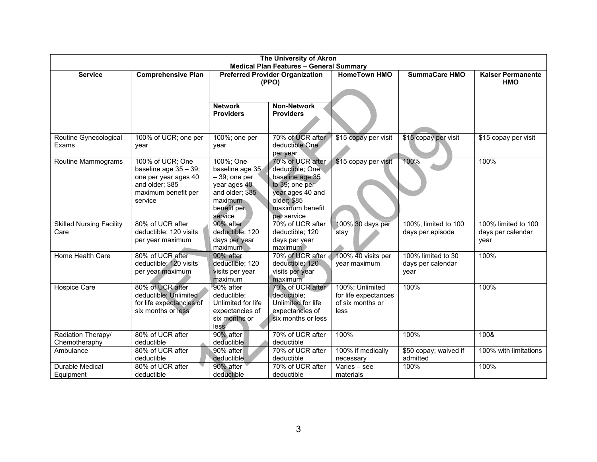|                                 | The University of Akron        |                                 |                                                 |                                |                                   |                                 |
|---------------------------------|--------------------------------|---------------------------------|-------------------------------------------------|--------------------------------|-----------------------------------|---------------------------------|
|                                 |                                |                                 | <b>Medical Plan Features - General Summary</b>  |                                |                                   |                                 |
| <b>Service</b>                  | <b>Comprehensive Plan</b>      |                                 | <b>Preferred Provider Organization</b><br>(PPO) | <b>HomeTown HMO</b>            | <b>SummaCare HMO</b>              | <b>Kaiser Permanente</b><br>HMO |
|                                 |                                |                                 |                                                 |                                |                                   |                                 |
|                                 |                                |                                 |                                                 |                                |                                   |                                 |
|                                 |                                | <b>Network</b>                  | <b>Non-Network</b>                              |                                |                                   |                                 |
|                                 |                                | <b>Providers</b>                | <b>Providers</b>                                |                                |                                   |                                 |
|                                 |                                |                                 |                                                 |                                |                                   |                                 |
| Routine Gynecological           | 100% of UCR; one per           | 100%; one per                   | 70% of UCR after                                | \$15 copay per visit           | \$15 copay per visit              | \$15 copay per visit            |
| Exams                           | vear                           | year                            | deductible One                                  |                                |                                   |                                 |
|                                 |                                |                                 | per year                                        |                                |                                   |                                 |
| Routine Mammograms              | 100% of UCR; One               | 100%; One                       | 70% of UCR after                                | \$15 copay per visit           | 100%                              | 100%                            |
|                                 | baseline age 35 - 39;          | baseline age 35                 | deductible; One                                 |                                |                                   |                                 |
|                                 | one per year ages 40           | $-39$ ; one per                 | baseline age 35                                 |                                |                                   |                                 |
|                                 | and older; \$85                | year ages 40<br>and older; \$85 | to 39; one per                                  |                                |                                   |                                 |
|                                 | maximum benefit per<br>service | maximum                         | year ages 40 and<br>older; \$85                 |                                |                                   |                                 |
|                                 |                                | benefit per                     | maximum benefit                                 |                                |                                   |                                 |
|                                 |                                | service                         | per service                                     |                                |                                   |                                 |
| <b>Skilled Nursing Facility</b> | 80% of UCR after               | 90% after                       | 70% of UCR after                                | 100% 30 days per               | 100%, limited to 100              | 100% limited to 100             |
| Care                            | deductible; 120 visits         | deductible; 120                 | deductible; 120                                 | stay                           | days per episode                  | days per calendar               |
|                                 | per year maximum               | days per year                   | days per year                                   |                                |                                   | year                            |
|                                 |                                | maximum                         | maximum                                         |                                |                                   |                                 |
| Home Health Care                | 80% of UCR after               | 90% after                       | 70% of UCR after                                | 100% 40 visits per             | 100% limited to 30                | 100%                            |
|                                 | deductible; 120 visits         | deductible; 120                 | deductible; 120                                 | year maximum                   | days per calendar                 |                                 |
|                                 | per year maximum               | visits per year<br>maximum      | visits per year<br>maximum                      |                                | year                              |                                 |
| <b>Hospice Care</b>             | 80% of UCR after               | 90% after                       | 70% of UCR after                                | 100%; Unlimited                | 100%                              | 100%                            |
|                                 | deductible; Unlimited          | deductible:                     | deductible;                                     | for life expectances           |                                   |                                 |
|                                 | for life expectancies of       | Unlimited for life              | Unlimited for life                              | of six months or               |                                   |                                 |
|                                 | six months or less             | expectancies of                 | expectancies of                                 | less                           |                                   |                                 |
|                                 |                                | six months or                   | six months or less                              |                                |                                   |                                 |
|                                 |                                | less                            |                                                 |                                |                                   |                                 |
| Radiation Therapy/              | 80% of UCR after               | 90% after                       | 70% of UCR after                                | 100%                           | 100%                              | 100&                            |
| Chemotheraphy                   | deductible<br>80% of UCR after | deductible<br>90% after         | deductible<br>70% of UCR after                  |                                |                                   |                                 |
| Ambulance                       | deductible                     | deductible                      | deductible                                      | 100% if medically<br>necessary | \$50 copay; waived if<br>admitted | 100% with limitations           |
| Durable Medical                 | 80% of UCR after               | 90% after                       | 70% of UCR after                                | Varies - see                   | 100%                              | 100%                            |
| Equipment                       | deductible                     | deductible                      | deductible                                      | materials                      |                                   |                                 |
|                                 |                                |                                 |                                                 |                                |                                   |                                 |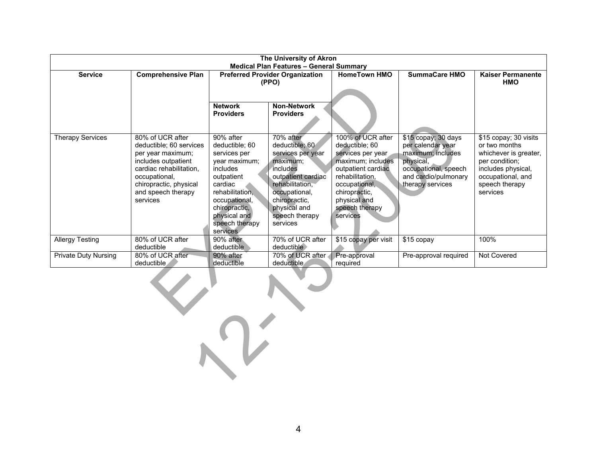| The University of Akron                        |                                                |                                                 |                                |                                         |                                   |                                      |
|------------------------------------------------|------------------------------------------------|-------------------------------------------------|--------------------------------|-----------------------------------------|-----------------------------------|--------------------------------------|
| <b>Medical Plan Features - General Summary</b> |                                                |                                                 |                                |                                         |                                   |                                      |
| <b>Service</b>                                 | <b>Comprehensive Plan</b>                      | <b>Preferred Provider Organization</b><br>(PPO) |                                | <b>HomeTown HMO</b>                     | <b>SummaCare HMO</b>              | <b>Kaiser Permanente</b><br>HMO      |
|                                                |                                                |                                                 |                                |                                         |                                   |                                      |
|                                                |                                                |                                                 |                                |                                         |                                   |                                      |
|                                                |                                                | <b>Network</b>                                  | <b>Non-Network</b>             |                                         |                                   |                                      |
|                                                |                                                | <b>Providers</b>                                | <b>Providers</b>               |                                         |                                   |                                      |
|                                                |                                                |                                                 |                                |                                         |                                   |                                      |
| <b>Therapy Services</b>                        | 80% of UCR after                               | 90% after                                       | 70% after                      | 100% of UCR after                       | \$15 copay; 30 days               | \$15 copay; 30 visits                |
|                                                | deductible; 60 services                        | deductible; 60                                  | deductible; 60                 | deductible; 60                          | per calendar year                 | or two months                        |
|                                                | per year maximum;                              | services per                                    | services per year              | services per year                       | maximum; includes                 | whichever is greater,                |
|                                                | includes outpatient<br>cardiac rehabilitation, | year maximum;<br>includes                       | maximum;<br>includes           | maximum; includes<br>outpatient cardiac | physical,<br>occupational, speech | per condition;<br>includes physical, |
|                                                | occupational,                                  | outpatient                                      | outpatient cardiac             | rehabilitation,                         | and cardio/pulmonary              | occupational, and                    |
|                                                | chiropractic, physical                         | cardiac                                         | rehabilitation,                | occupational,                           | therapy services                  | speech therapy                       |
|                                                | and speech therapy                             | rehabilitation,                                 | occupational,                  | chiropractic,                           |                                   | services                             |
|                                                | services                                       | occupational,                                   | chiropractic,                  | physical and                            |                                   |                                      |
|                                                |                                                | chiropractic,<br>physical and                   | physical and<br>speech therapy | speech therapy<br>services              |                                   |                                      |
|                                                |                                                | speech therapy                                  | services                       |                                         |                                   |                                      |
|                                                |                                                | services                                        |                                |                                         |                                   |                                      |
| <b>Allergy Testing</b>                         | 80% of UCR after                               | 90% after                                       | 70% of UCR after               | \$15 copay per visit                    | \$15 copay                        | 100%                                 |
|                                                | deductible<br>80% of UCR after                 | deductible<br>90% after                         | deductible<br>70% of UCR after |                                         |                                   | <b>Not Covered</b>                   |
| <b>Private Duty Nursing</b>                    | deductible                                     | deductible                                      | deductible                     | Pre-approval<br>required                | Pre-approval required             |                                      |
|                                                |                                                |                                                 |                                |                                         |                                   |                                      |
|                                                |                                                |                                                 |                                |                                         |                                   |                                      |
|                                                |                                                |                                                 |                                |                                         |                                   |                                      |
|                                                |                                                |                                                 |                                |                                         |                                   |                                      |
|                                                |                                                |                                                 |                                |                                         |                                   |                                      |
|                                                |                                                |                                                 |                                |                                         |                                   |                                      |
|                                                |                                                |                                                 |                                |                                         |                                   |                                      |
|                                                |                                                |                                                 |                                |                                         |                                   |                                      |
|                                                |                                                |                                                 |                                |                                         |                                   |                                      |
| いじ                                             |                                                |                                                 |                                |                                         |                                   |                                      |
|                                                |                                                |                                                 |                                |                                         |                                   |                                      |
|                                                |                                                |                                                 |                                |                                         |                                   |                                      |
|                                                |                                                |                                                 |                                |                                         |                                   |                                      |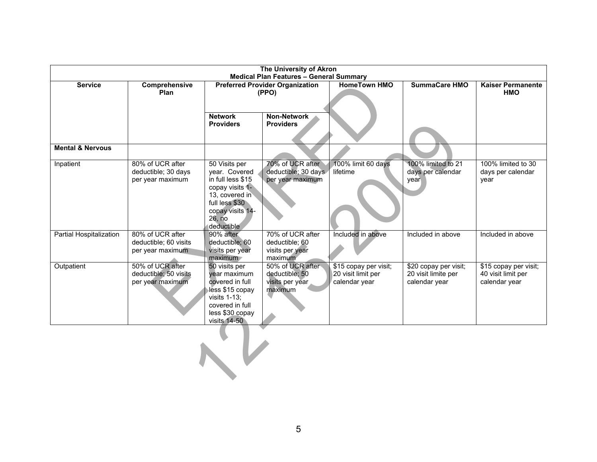| The University of Akron     |                                                               |                                                                                                                                                        |                                                                  |                                                              |                                                               |                                                              |
|-----------------------------|---------------------------------------------------------------|--------------------------------------------------------------------------------------------------------------------------------------------------------|------------------------------------------------------------------|--------------------------------------------------------------|---------------------------------------------------------------|--------------------------------------------------------------|
| <b>Service</b>              | Comprehensive<br>Plan                                         | <b>Medical Plan Features - General Summary</b><br><b>Preferred Provider Organization</b><br>(PPO)                                                      |                                                                  | <b>HomeTown HMO</b>                                          | <b>SummaCare HMO</b>                                          | <b>Kaiser Permanente</b><br><b>HMO</b>                       |
|                             |                                                               | <b>Network</b><br><b>Providers</b>                                                                                                                     | <b>Non-Network</b><br><b>Providers</b>                           |                                                              |                                                               |                                                              |
| <b>Mental &amp; Nervous</b> |                                                               |                                                                                                                                                        |                                                                  |                                                              |                                                               |                                                              |
| Inpatient                   | 80% of UCR after<br>deductible; 30 days<br>per year maximum   | 50 Visits per<br>year. Covered<br>in full less \$15<br>copay visits 1-<br>13, covered in<br>full less \$30<br>copay visits 14-<br>26, no<br>deductible | 70% of UCR after<br>deductible; 30 days.<br>per year maximum     | 100% limit 60 days<br>lifetime                               | 100% limited to 21<br>days per calendar<br>year               | 100% limited to 30<br>days per calendar<br>year              |
| Partial Hospitalization     | 80% of UCR after<br>deductible; 60 visits<br>per year maximum | 90% after<br>deductible; 60<br>visits per year<br>maximum                                                                                              | 70% of UCR after<br>deductible; 60<br>visits per year<br>maximum | Included in above                                            | Included in above                                             | Included in above                                            |
| Outpatient                  | 50% of UCR after<br>deductible; 50 visits<br>per year maximum | 50 visits per<br>year maximum<br>covered in full<br>less \$15 copay<br>visits $1-13$ ;<br>covered in full<br>less \$30 copay<br>visits $14-50$         | 50% of UCR after<br>deductible; 50<br>visits per year<br>maximum | \$15 copay per visit;<br>20 visit limit per<br>calendar year | \$20 copay per visit;<br>20 visit limite per<br>calendar year | \$15 copay per visit;<br>40 visit limit per<br>calendar year |
|                             |                                                               |                                                                                                                                                        |                                                                  |                                                              |                                                               |                                                              |

5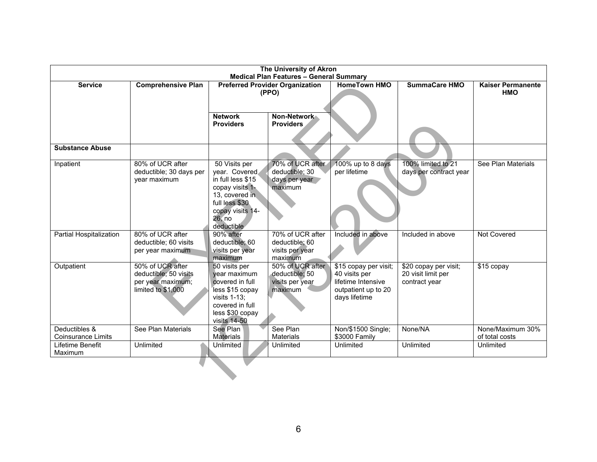| The University of Akron<br><b>Medical Plan Features - General Summary</b> |                                                                                      |                                                                                                                                                        |                                                                  |                                                                                                      |                                                              |                                        |
|---------------------------------------------------------------------------|--------------------------------------------------------------------------------------|--------------------------------------------------------------------------------------------------------------------------------------------------------|------------------------------------------------------------------|------------------------------------------------------------------------------------------------------|--------------------------------------------------------------|----------------------------------------|
| <b>Service</b>                                                            | <b>Comprehensive Plan</b>                                                            | <b>Preferred Provider Organization</b><br>(PPO)                                                                                                        |                                                                  | <b>HomeTown HMO</b>                                                                                  | <b>SummaCare HMO</b>                                         | <b>Kaiser Permanente</b><br><b>HMO</b> |
|                                                                           |                                                                                      | <b>Network</b><br><b>Providers</b>                                                                                                                     | Non-Network<br><b>Providers</b>                                  |                                                                                                      |                                                              |                                        |
| <b>Substance Abuse</b>                                                    |                                                                                      |                                                                                                                                                        |                                                                  |                                                                                                      |                                                              |                                        |
| Inpatient                                                                 | 80% of UCR after<br>deductible; 30 days per<br>year maximum                          | 50 Visits per<br>year. Covered<br>in full less \$15<br>copay visits 1-<br>13, covered in<br>full less \$30<br>copay visits 14-<br>26, no<br>deductible | 70% of UCR after<br>deductible; 30<br>days per year<br>maximum   | 100% up to 8 days<br>per lifetime                                                                    | 100% limited to 21<br>days per contract year                 | See Plan Materials                     |
| Partial Hospitalization                                                   | 80% of UCR after<br>deductible; 60 visits<br>per year maximum                        | 90% after<br>deductible; 60<br>visits per year<br>maximum                                                                                              | 70% of UCR after<br>deductible; 60<br>visits per year<br>maximum | Included in above                                                                                    | Included in above                                            | Not Covered                            |
| Outpatient                                                                | 50% of UCR after<br>deductible; 50 visits<br>per year maximum;<br>limited to \$1,000 | 50 visits per<br>year maximum<br>covered in full<br>less \$15 copay<br>visits $1-13$ ;<br>covered in full<br>less \$30 copay<br>visits 14-50           | 50% of UCR after<br>deductible; 50<br>visits per year<br>maximum | \$15 copay per visit;<br>40 visits per<br>lifetime Intensive<br>outpatient up to 20<br>days lifetime | \$20 copay per visit;<br>20 visit limit per<br>contract year | \$15 copay                             |
| Deductibles &<br><b>Coinsurance Limits</b>                                | See Plan Materials                                                                   | See Plan<br><b>Materials</b>                                                                                                                           | See Plan<br>Materials                                            | Non/\$1500 Single;<br>\$3000 Family                                                                  | None/NA                                                      | None/Maximum 30%<br>of total costs     |
| Lifetime Benefit<br>Maximum                                               | Unlimited                                                                            | Unlimited                                                                                                                                              | Unlimited                                                        | Unlimited                                                                                            | Unlimited                                                    | Unlimited                              |
|                                                                           |                                                                                      |                                                                                                                                                        |                                                                  |                                                                                                      |                                                              |                                        |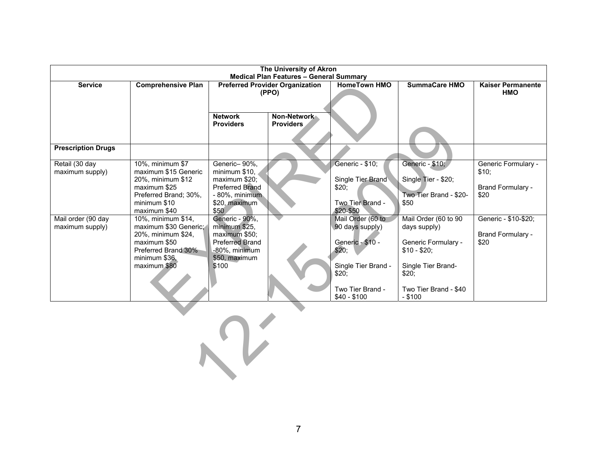| The University of Akron<br><b>Medical Plan Features - General Summary</b> |                                                                                                                                                           |                                                                                                                               |                                 |                                                                                                                                       |                                                                                                                                                 |                                                                  |
|---------------------------------------------------------------------------|-----------------------------------------------------------------------------------------------------------------------------------------------------------|-------------------------------------------------------------------------------------------------------------------------------|---------------------------------|---------------------------------------------------------------------------------------------------------------------------------------|-------------------------------------------------------------------------------------------------------------------------------------------------|------------------------------------------------------------------|
| <b>Service</b>                                                            | <b>Comprehensive Plan</b>                                                                                                                                 | <b>Preferred Provider Organization</b><br>(PPO)                                                                               |                                 | <b>HomeTown HMO</b>                                                                                                                   | <b>SummaCare HMO</b>                                                                                                                            | <b>Kaiser Permanente</b><br><b>HMO</b>                           |
|                                                                           |                                                                                                                                                           | <b>Network</b><br><b>Providers</b>                                                                                            | Non-Network<br><b>Providers</b> |                                                                                                                                       |                                                                                                                                                 |                                                                  |
| <b>Prescription Drugs</b>                                                 |                                                                                                                                                           |                                                                                                                               |                                 |                                                                                                                                       |                                                                                                                                                 |                                                                  |
| Retail (30 day<br>maximum supply)                                         | 10%, minimum \$7<br>maximum \$15 Generic<br>20%, minimum \$12<br>maximum \$25<br>Preferred Brand; 30%,<br>minimum \$10                                    | Generic-90%,<br>minimum \$10,<br>maximum \$20;<br>Preferred Brand<br>- 80%, minimum<br>\$20, maximum                          |                                 | Generic - \$10;<br>Single Tier Brand<br>\$20;<br>Two Tier Brand -<br>\$20-\$50                                                        | Generic - \$10;<br>Single Tier - \$20;<br>Two Tier Brand - \$20-<br>\$50                                                                        | Generic Formulary -<br>\$10;<br><b>Brand Formulary -</b><br>\$20 |
| Mail order (90 day<br>maximum supply)                                     | maximum \$40<br>10%, minimum \$14,<br>maximum \$30 Generic;<br>20%, minimum \$24,<br>maximum \$50<br>Preferred Brand 30%<br>minimum \$36,<br>maximum \$80 | \$50<br>Generic - 90%,<br>minimum \$25,<br>maximum \$50;<br><b>Preferred Brand</b><br>-80%, minimum<br>\$50, maximum<br>\$100 |                                 | Mail Order (60 to<br>90 days supply)<br>Generic - \$10 -<br>\$20;<br>Single Tier Brand -<br>\$20;<br>Two Tier Brand -<br>$$40 - $100$ | Mail Order (60 to 90<br>days supply)<br>Generic Formulary -<br>$$10 - $20;$<br>Single Tier Brand-<br>\$20:<br>Two Tier Brand - \$40<br>$- $100$ | Generic - \$10-\$20;<br>Brand Formulary -<br>\$20                |
|                                                                           |                                                                                                                                                           |                                                                                                                               |                                 |                                                                                                                                       |                                                                                                                                                 |                                                                  |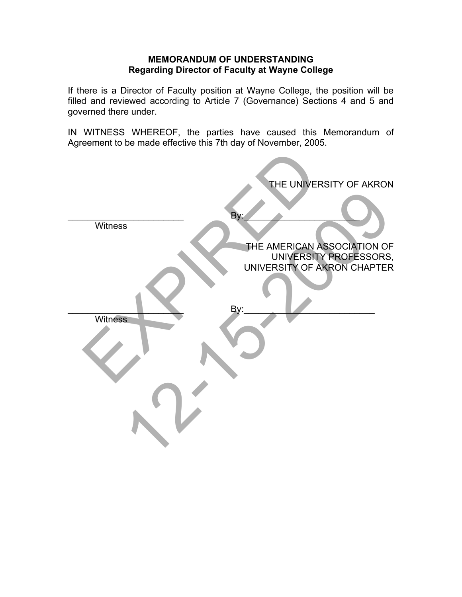#### **MEMORANDUM OF UNDERSTANDING Regarding Director of Faculty at Wayne College**

If there is a Director of Faculty position at Wayne College, the position will be filled and reviewed according to Article 7 (Governance) Sections 4 and 5 and governed there under.

IN WITNESS WHEREOF, the parties have caused this Memorandum of Agreement to be made effective this 7th day of November, 2005.

|                | THE UNIVERSITY OF AKRON                                                              |
|----------------|--------------------------------------------------------------------------------------|
|                | By:                                                                                  |
| Witness        |                                                                                      |
|                | THE AMERICAN ASSOCIATION OF<br>UNIVERSITY PROFESSORS,<br>UNIVERSITY OF AKRON CHAPTER |
|                | By:                                                                                  |
| <b>Witness</b> |                                                                                      |
|                |                                                                                      |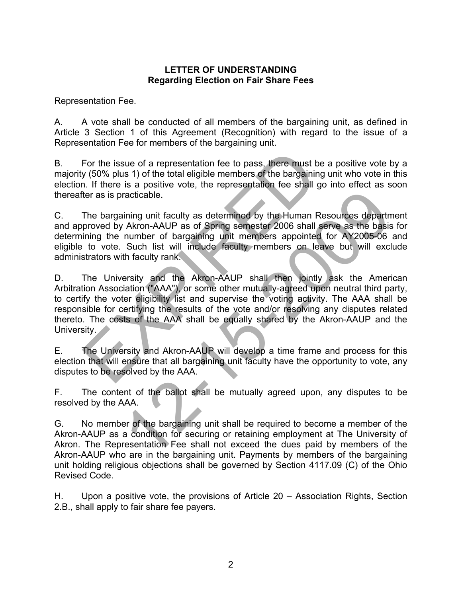## **LETTER OF UNDERSTANDING Regarding Election on Fair Share Fees**

Representation Fee.

A. A vote shall be conducted of all members of the bargaining unit, as defined in Article 3 Section 1 of this Agreement (Recognition) with regard to the issue of a Representation Fee for members of the bargaining unit.

B. For the issue of a representation fee to pass, there must be a positive vote by a majority (50% plus 1) of the total eligible members of the bargaining unit who vote in this election. If there is a positive vote, the representation fee shall go into effect as soon thereafter as is practicable.

C. The bargaining unit faculty as determined by the Human Resources department and approved by Akron-AAUP as of Spring semester 2006 shall serve as the basis for determining the number of bargaining unit members appointed for AY2005-06 and eligible to vote. Such list will include faculty members on leave but will exclude administrators with faculty rank.

D. The University and the Akron-AAUP shall then jointly ask the American Arbitration Association ("AAA"), or some other mutually-agreed upon neutral third party, to certify the voter eligibility list and supervise the voting activity. The AAA shall be responsible for certifying the results of the vote and/or resolving any disputes related thereto. The costs of the AAA shall be equally shared by the Akron-AAUP and the University. For the issue of a representation fee to pass, there must be a<br>y (50% plus 1) of the total eligible members of the bargaining u<br>n. If there is a positive vote, the representation fee shall go i<br>ter as is practicable.<br>The b racticable.<br>
ining unit faculty as determined by the Human Resources departm<br>
Akron-AAUP as of Spring semester 2006 shall serve as the basis<br>
number of bargaining unit members appointed for AY2005-06<br>
Such list will includ

E. The University and Akron-AAUP will develop a time frame and process for this election that will ensure that all bargaining unit faculty have the opportunity to vote, any disputes to be resolved by the AAA.

F. The content of the ballot shall be mutually agreed upon, any disputes to be resolved by the AAA.

G. No member of the bargaining unit shall be required to become a member of the Akron-AAUP as a condition for securing or retaining employment at The University of Akron. The Representation Fee shall not exceed the dues paid by members of the Akron-AAUP who are in the bargaining unit. Payments by members of the bargaining unit holding religious objections shall be governed by Section 4117.09 (C) of the Ohio Revised Code.

H. Upon a positive vote, the provisions of Article 20 – Association Rights, Section 2.B., shall apply to fair share fee payers.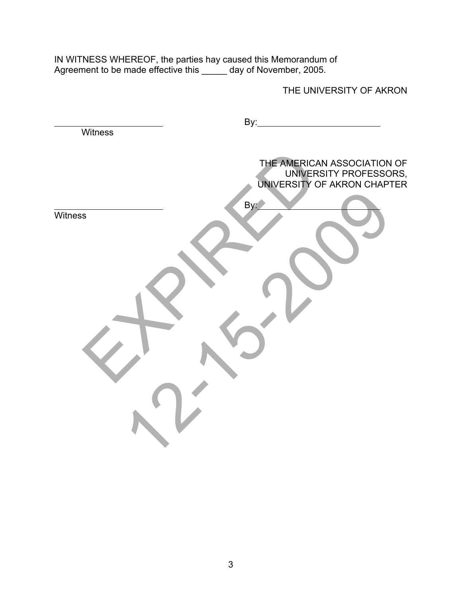IN WITNESS WHEREOF, the parties hay caused this Memorandum of Agreement to be made effective this \_\_\_\_\_ day of November, 2005.

THE UNIVERSITY OF AKRON

|         | By:                                                                                  |
|---------|--------------------------------------------------------------------------------------|
| Witness |                                                                                      |
|         | THE AMERICAN ASSOCIATION OF<br>UNIVERSITY PROFESSORS,<br>UNIVERSITY OF AKRON CHAPTER |
|         | By:                                                                                  |
| Witness |                                                                                      |
|         |                                                                                      |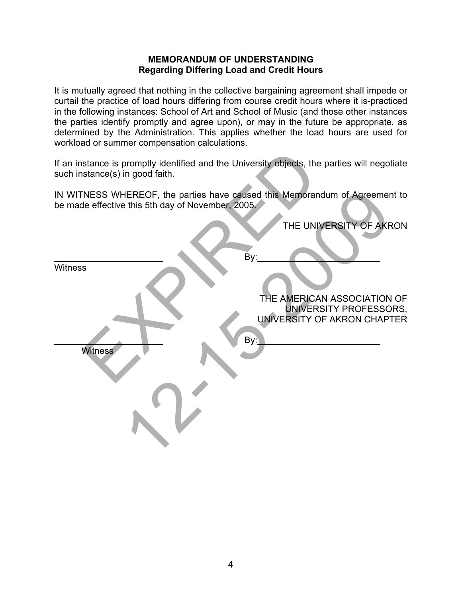## **MEMORANDUM OF UNDERSTANDING Regarding Differing Load and Credit Hours**

It is mutually agreed that nothing in the collective bargaining agreement shall impede or curtail the practice of load hours differing from course credit hours where it is-practiced in the following instances: School of Art and School of Music (and those other instances the parties identify promptly and agree upon), or may in the future be appropriate, as determined by the Administration. This applies whether the load hours are used for workload or summer compensation calculations.

| If an instance is promptly identified and the University objects, the parties will negotiate<br>such instance(s) in good faith.  |
|----------------------------------------------------------------------------------------------------------------------------------|
| IN WITNESS WHEREOF, the parties have caused this Memorandum of Agreement to<br>be made effective this 5th day of November, 2005. |
| THE UNIVERSITY OF AKRON                                                                                                          |
| By:                                                                                                                              |
| <b>Witness</b>                                                                                                                   |
| THE AMERICAN ASSOCIATION OF<br>UNIVERSITY PROFESSORS,<br>UNIVERSITY OF AKRON CHAPTER                                             |
| By:<br><b>Witness</b>                                                                                                            |
|                                                                                                                                  |
|                                                                                                                                  |
|                                                                                                                                  |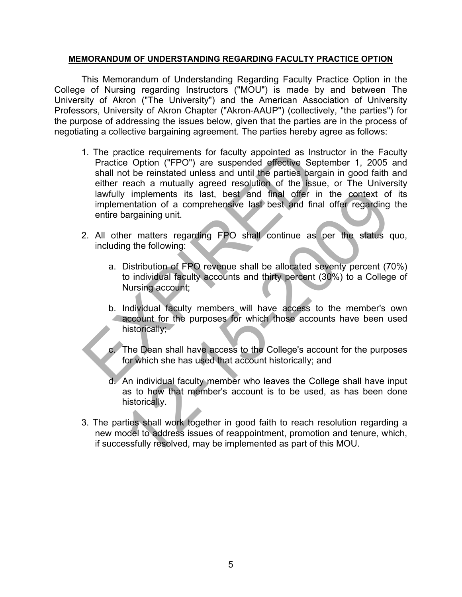### **MEMORANDUM OF UNDERSTANDING REGARDING FACULTY PRACTICE OPTION**

This Memorandum of Understanding Regarding Faculty Practice Option in the College of Nursing regarding Instructors ("MOU") is made by and between The University of Akron ("The University") and the American Association of University Professors, University of Akron Chapter ("Akron-AAUP") (collectively, "the parties") for the purpose of addressing the issues below, given that the parties are in the process of negotiating a collective bargaining agreement. The parties hereby agree as follows:

- 1. The practice requirements for faculty appointed as Instructor in the Faculty Practice Option ("FPO") are suspended effective September 1, 2005 and shall not be reinstated unless and until the parties bargain in good faith and either reach a mutually agreed resolution of the issue, or The University lawfully implements its last, best and final offer in the context of its implementation of a comprehensive last best and final offer regarding the entire bargaining unit. 1. The practice requirements for faculty appointed as Instructed Spatial conditions ("FPO") are suspended effective Septements shall not be reinstated unless and until the parties bargain either reach a mutually agreed res
- 2. All other matters regarding FPO shall continue as per the status quo, including the following:
- a. Distribution of FPO revenue shall be allocated seventy percent (70%) to individual faculty accounts and thirty percent (30%) to a College of Nursing account; The peak is last, best and final offer in the context of contration of a comprehensive last best and final offer regarding and any anaryoning unit.<br>
The matters regarding FPO shall continue as per the status of the followi
	- b. Individual faculty members will have access to the member's own account for the purposes for which those accounts have been used historically;
	- c. The Dean shall have access to the College's account for the purposes for which she has used that account historically; and
	- d. An individual faculty member who leaves the College shall have input as to how that member's account is to be used, as has been done historically.
- 3. The parties shall work together in good faith to reach resolution regarding a new model to address issues of reappointment, promotion and tenure, which, if successfully resolved, may be implemented as part of this MOU.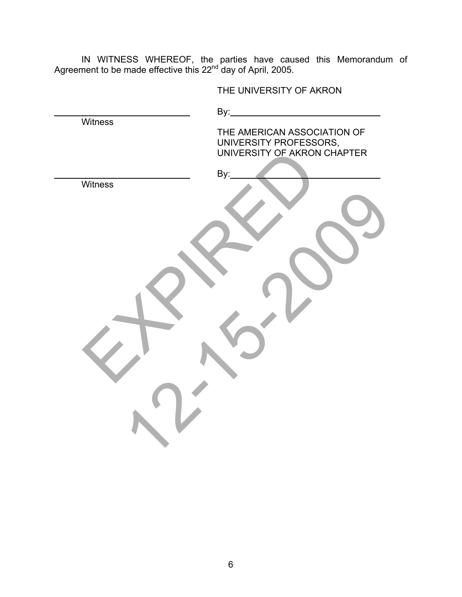IN WITNESS WHEREOF, the parties have caused this Memorandum of Agreement to be made effective this 22<sup>nd</sup> day of April, 2005.

THE UNIVERSITY OF AKRON

| <b>Witness</b> | By:<br>THE AMERICAN ASSOCIATION OF<br>UNIVERSITY PROFESSORS,<br>UNIVERSITY OF AKRON CHAPTER |
|----------------|---------------------------------------------------------------------------------------------|
| Witness        | By:                                                                                         |
|                |                                                                                             |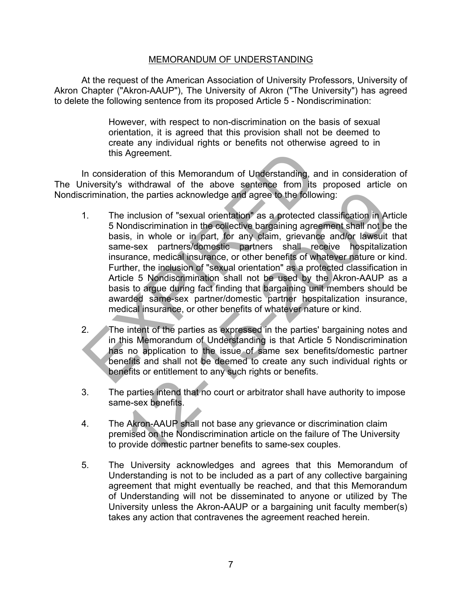At the request of the American Association of University Professors, University of Akron Chapter ("Akron-AAUP"), The University of Akron ("The University") has agreed to delete the following sentence from its proposed Article 5 - Nondiscrimination:

> However, with respect to non-discrimination on the basis of sexual orientation, it is agreed that this provision shall not be deemed to create any individual rights or benefits not otherwise agreed to in this Agreement.

In consideration of this Memorandum of Understanding, and in consideration of The University's withdrawal of the above sentence from its proposed article on Nondiscrimination, the parties acknowledge and agree to the following:

- 1. The inclusion of "sexual orientation" as a protected classification in Article 5 Nondiscrimination in the collective bargaining agreement shall not be the basis, in whole or in part, for any claim, grievance and/or lawsuit that same-sex partners/domestic partners shall receive hospitalization insurance, medical insurance, or other benefits of whatever nature or kind. Further, the inclusion of "sexual orientation" as a protected classification in Article 5 Nondiscrimination shall not be used by the Akron-AAUP as a basis to argue during fact finding that bargaining unit members should be awarded same-sex partner/domestic partner hospitalization insurance, medical insurance, or other benefits of whatever nature or kind. this Agreement.<br>
In consideration of this Memorandum of Understanding, and inversity's withdrawal of the above sentence from its pre-<br>
crimination, the parties acknowledge and agree to the following<br>
1. The inclusion of "s n, the parties acknowledge and agree to the following:<br>
inclusion of "sexual orientation" as a protected classification in Am<br>
inclusion of "sexual orientation" as a protected classification in Am<br>
is, in whole or in part,
- 2. The intent of the parties as expressed in the parties' bargaining notes and in this Memorandum of Understanding is that Article 5 Nondiscrimination has no application to the issue of same sex benefits/domestic partner benefits and shall not be deemed to create any such individual rights or benefits or entitlement to any such rights or benefits.
- 3. The parties intend that no court or arbitrator shall have authority to impose same-sex benefits.
- 4. The Akron-AAUP shall not base any grievance or discrimination claim premised on the Nondiscrimination article on the failure of The University to provide domestic partner benefits to same-sex couples.
- 5. The University acknowledges and agrees that this Memorandum of Understanding is not to be included as a part of any collective bargaining agreement that might eventually be reached, and that this Memorandum of Understanding will not be disseminated to anyone or utilized by The University unless the Akron-AAUP or a bargaining unit faculty member(s) takes any action that contravenes the agreement reached herein.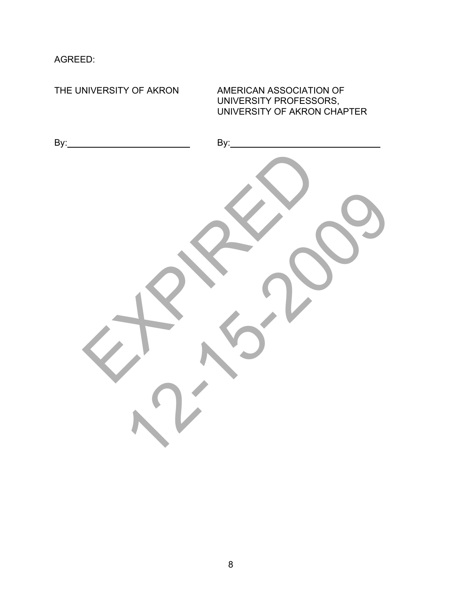AGREED:

THE UNIVERSITY OF AKRON AMERICAN ASSOCIATION OF UNIVERSITY PROFESSORS, UNIVERSITY OF AKRON CHAPTER By: By: ER PORT 12-20-2009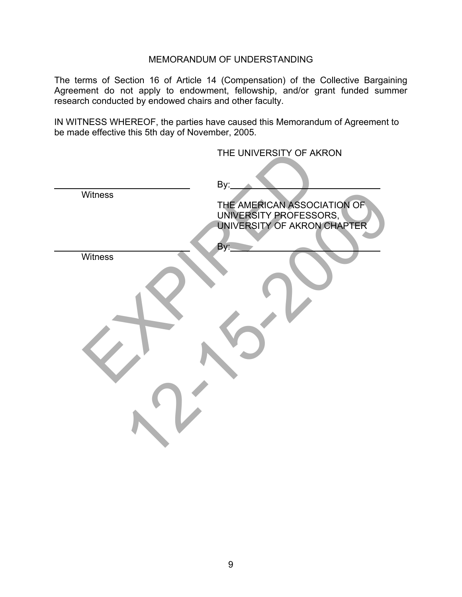The terms of Section 16 of Article 14 (Compensation) of the Collective Bargaining Agreement do not apply to endowment, fellowship, and/or grant funded summer research conducted by endowed chairs and other faculty.

IN WITNESS WHEREOF, the parties have caused this Memorandum of Agreement to be made effective this 5th day of November, 2005.

|         | THE UNIVERSITY OF AKRON                                                                     |
|---------|---------------------------------------------------------------------------------------------|
| Witness | By:<br>THE AMERICAN ASSOCIATION OF<br>UNIVERSITY PROFESSORS,<br>UNIVERSITY OF AKRON CHAPTER |
| Witness | By:                                                                                         |
|         |                                                                                             |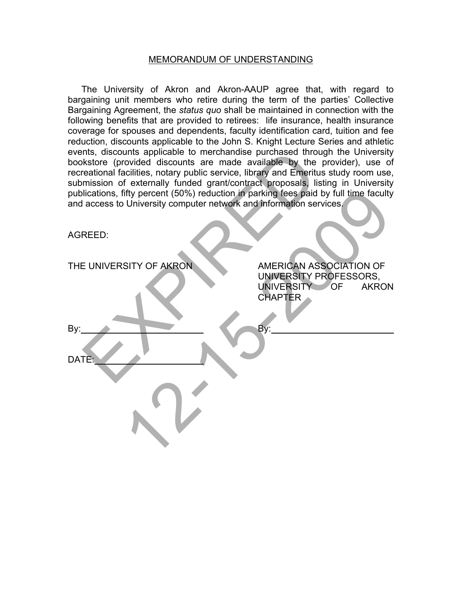The University of Akron and Akron-AAUP agree that, with regard to bargaining unit members who retire during the term of the parties' Collective Bargaining Agreement, the *status quo* shall be maintained in connection with the following benefits that are provided to retirees: life insurance, health insurance coverage for spouses and dependents, faculty identification card, tuition and fee reduction, discounts applicable to the John S. Knight Lecture Series and athletic events, discounts applicable to merchandise purchased through the University bookstore (provided discounts are made available by the provider), use of recreational facilities, notary public service, library and Emeritus study room use, submission of externally funded grant/contract proposals, listing in University publications, fifty percent (50%) reduction in parking fees paid by full time faculty and access to University computer network and information services.

| events, discounts applicable to merchandise purchased through the University<br>bookstore (provided discounts are made available by the provider), use of<br>recreational facilities, notary public service, library and Emeritus study room use,<br>submission of externally funded grant/contract proposals, listing in University<br>publications, fifty percent (50%) reduction in parking fees paid by full time faculty<br>and access to University computer network and information services.<br>AGREED: |                                                                                                      |
|-----------------------------------------------------------------------------------------------------------------------------------------------------------------------------------------------------------------------------------------------------------------------------------------------------------------------------------------------------------------------------------------------------------------------------------------------------------------------------------------------------------------|------------------------------------------------------------------------------------------------------|
|                                                                                                                                                                                                                                                                                                                                                                                                                                                                                                                 |                                                                                                      |
| THE UNIVERSITY OF AKRON                                                                                                                                                                                                                                                                                                                                                                                                                                                                                         | AMERICAN ASSOCIATION OF<br>UNIVERSITY PROFESSORS.<br>UNIVERSITY OF<br><b>AKRON</b><br><b>CHAPTER</b> |
| By:                                                                                                                                                                                                                                                                                                                                                                                                                                                                                                             | By:                                                                                                  |
| DATE:                                                                                                                                                                                                                                                                                                                                                                                                                                                                                                           |                                                                                                      |
|                                                                                                                                                                                                                                                                                                                                                                                                                                                                                                                 |                                                                                                      |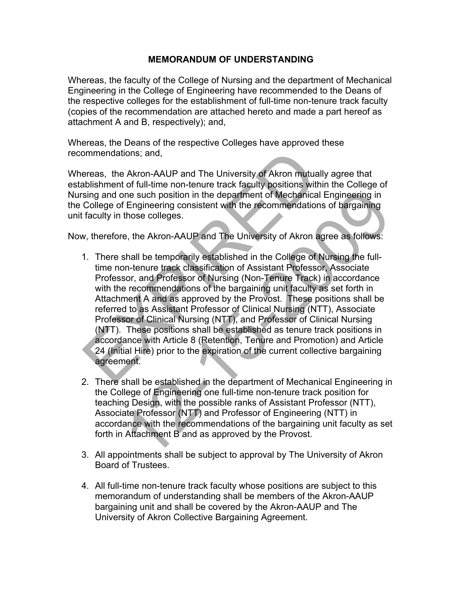Whereas, the faculty of the College of Nursing and the department of Mechanical Engineering in the College of Engineering have recommended to the Deans of the respective colleges for the establishment of full-time non-tenure track faculty (copies of the recommendation are attached hereto and made a part hereof as attachment A and B, respectively); and,

Whereas, the Deans of the respective Colleges have approved these recommendations; and,

Whereas, the Akron-AAUP and The University of Akron mutually agree that establishment of full-time non-tenure track faculty positions within the College of Nursing and one such position in the department of Mechanical Engineering in the College of Engineering consistent with the recommendations of bargaining unit faculty in those colleges.

Now, therefore, the Akron-AAUP and The University of Akron agree as follows:

- 1. There shall be temporarily established in the College of Nursing the fulltime non-tenure track classification of Assistant Professor, Associate Professor, and Professor of Nursing (Non-Tenure Track) in accordance with the recommendations of the bargaining unit faculty as set forth in Attachment A and as approved by the Provost. These positions shall be referred to as Assistant Professor of Clinical Nursing (NTT), Associate Professor of Clinical Nursing (NTT), and Professor of Clinical Nursing (NTT). These positions shall be established as tenure track positions in accordance with Article 8 (Retention, Tenure and Promotion) and Article 24 (Initial Hire) prior to the expiration of the current collective bargaining agreement. ommendations; and,<br>
ereas, the Akron-AAUP and The University of Akron mutually a<br>
bilishment of full-time non-tenure track faculty positions within tising and one such position in the department of Mechanical Er<br>
College o ine such position in the department of Mechanical Engineering in<br>
Engineering consistent with the recommendations of bargaining<br>
those colleges.<br>
e, the Akron-AAUP and The University of Akron agree as follows:<br>
shall be te
- 2. There shall be established in the department of Mechanical Engineering in the College of Engineering one full-time non-tenure track position for teaching Design, with the possible ranks of Assistant Professor (NTT), Associate Professor (NTT) and Professor of Engineering (NTT) in accordance with the recommendations of the bargaining unit faculty as set forth in Attachment B and as approved by the Provost.
- 3. All appointments shall be subject to approval by The University of Akron Board of Trustees.
- 4. All full-time non-tenure track faculty whose positions are subject to this memorandum of understanding shall be members of the Akron-AAUP bargaining unit and shall be covered by the Akron-AAUP and The University of Akron Collective Bargaining Agreement.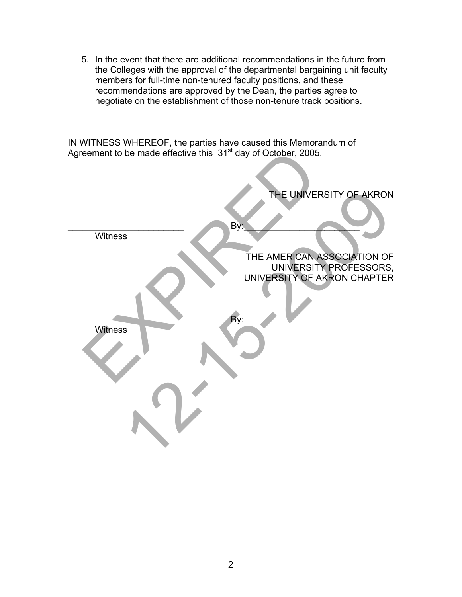5. In the event that there are additional recommendations in the future from the Colleges with the approval of the departmental bargaining unit faculty members for full-time non-tenured faculty positions, and these recommendations are approved by the Dean, the parties agree to negotiate on the establishment of those non-tenure track positions.

IN WITNESS WHEREOF, the parties have caused this Memorandum of Agreement to be made effective this 31<sup>st</sup> day of October, 2005.

| Agreement to be made effective this 31 <sup>st</sup> day of October, 2005. |                             |  |
|----------------------------------------------------------------------------|-----------------------------|--|
|                                                                            |                             |  |
|                                                                            | THE UNIVERSITY OF AKRON     |  |
|                                                                            | By:                         |  |
| Witness                                                                    |                             |  |
|                                                                            | THE AMERICAN ASSOCIATION OF |  |
|                                                                            | UNIVERSITY PROFESSORS,      |  |
|                                                                            | UNIVERSITY OF AKRON CHAPTER |  |
|                                                                            |                             |  |
|                                                                            |                             |  |
|                                                                            | By:                         |  |
| <b>Witness</b>                                                             |                             |  |
|                                                                            |                             |  |
|                                                                            |                             |  |
|                                                                            |                             |  |
|                                                                            |                             |  |
|                                                                            |                             |  |
|                                                                            |                             |  |
|                                                                            |                             |  |
|                                                                            |                             |  |
|                                                                            |                             |  |